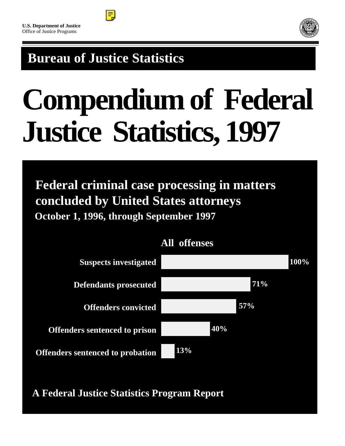



# **Bureau of Justice Statistics**

# **Compendium of Federal Justice Statistics, 1997**

 **Federal criminal case processing in matters concluded by United States attorneys October 1, 1996, through September 1997**



# **All offenses**

**A Federal Justice Statistics Program Report**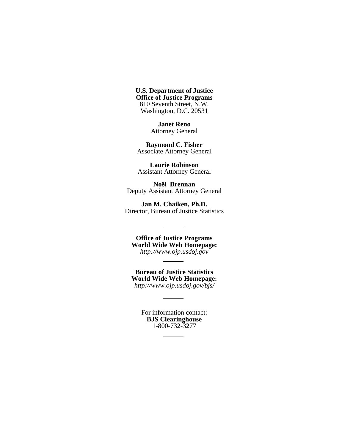**U.S. Department of Justice Office of Justice Programs** 810 Seventh Street, N.W. Washington, D.C. 20531

> **Janet Reno** Attorney General

**Raymond C. Fisher** Associate Attorney General

**Laurie Robinson** Assistant Attorney General

**Noël Brennan** Deputy Assistant Attorney General

**Jan M. Chaiken, Ph.D.** Director, Bureau of Justice Statistics

**Office of Justice Programs World Wide Web Homepage:** *http://www.ojp.usdoj.gov*

**Bureau of Justice Statistics World Wide Web Homepage:** *http://www.ojp.usdoj.gov/bjs/*

ц.

For information contact: **BJS Clearinghouse** 1-800-732-3277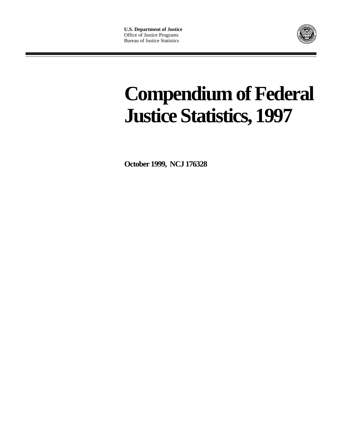

# **Compendium of Federal Justice Statistics, 1997**

**October 1999, NCJ 176328**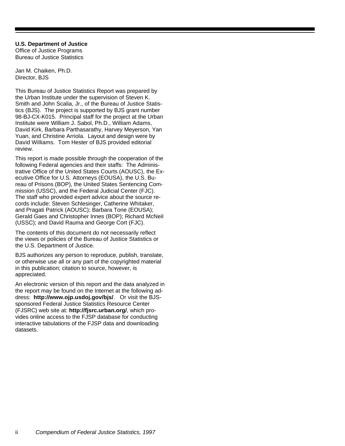**U.S. Department of Justice** Office of Justice Programs Bureau of Justice Statistics

Jan M. Chaiken, Ph.D. Director, BJS

This Bureau of Justice Statistics Report was prepared by the Urban Institute under the supervision of Steven K. Smith and John Scalia, Jr., of the Bureau of Justice Statistics (BJS). The project is supported by BJS grant number 98-BJ-CX-K015. Principal staff for the project at the Urban Institute were William J. Sabol, Ph.D., William Adams, David Kirk, Barbara Parthasarathy, Harvey Meyerson, Yan Yuan, and Christine Arriola. Layout and design were by David Williams. Tom Hester of BJS provided editorial review.

This report is made possible through the cooperation of the following Federal agencies and their staffs: The Administrative Office of the United States Courts (AOUSC), the Executive Office for U.S. Attorneys (EOUSA), the U.S. Bureau of Prisons (BOP), the United States Sentencing Commission (USSC), and the Federal Judicial Center (FJC). The staff who provided expert advice about the source records include: Steven Schlesinger, Catherine Whitaker, and Pragati Patrick (AOUSC); Barbara Tone (EOUSA); Gerald Gaes and Christopher Innes (BOP); Richard McNeil (USSC); and David Rauma and George Cort (FJC).

The contents of this document do not necessarily reflect the views or policies of the Bureau of Justice Statistics or the U.S. Department of Justice.

BJS authorizes any person to reproduce, publish, translate, or otherwise use all or any part of the copyrighted material in this publication; citation to source, however, is appreciated.

An electronic version of this report and the data analyzed in the report may be found on the Internet at the following address: **http://www.ojp.usdoj.gov/bjs/**. Or visit the BJSsponsored Federal Justice Statistics Resource Center (FJSRC) web site at: **http://fjsrc.urban.org/**, which provides online access to the FJSP database for conducting interactive tabulations of the FJSP data and downloading datasets.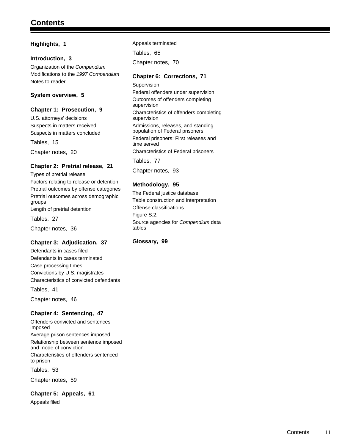#### **Highlights, 1**

#### **Introduction, 3**

Organization of the *Compendium* Modifications to the *1997 Compendium* Notes to reader

#### **System overview, 5**

#### **Chapter 1: Prosecution, 9**

U.S. attorneys' decisions Suspects in matters received Suspects in matters concluded

Tables, 15

Chapter notes, 20

#### **Chapter 2: Pretrial release, 21**

Types of pretrial release

Factors relating to release or detention Pretrial outcomes by offense categories Pretrial outcomes across demographic groups Length of pretrial detention

Tables, 27

Chapter notes, 36

#### **Chapter 3: Adjudication, 37**

Defendants in cases filed Defendants in cases terminated Case processing times Convictions by U.S. magistrates Characteristics of convicted defendants

Tables, 41

Chapter notes, 46

#### **Chapter 4: Sentencing, 47**

Offenders convicted and sentences imposed Average prison sentences imposed Relationship between sentence imposed and mode of conviction Characteristics of offenders sentenced to prison

Tables, 53

Chapter notes, 59

#### **Chapter 5: Appeals, 61**

Appeals filed

Appeals terminated Tables, 65 Chapter notes, 70

#### **Chapter 6: Corrections, 71**

Supervision Federal offenders under supervision Outcomes of offenders completing supervision Characteristics of offenders completing supervision Admissions, releases, and standing population of Federal prisoners Federal prisoners: First releases and time served Characteristics of Federal prisoners Tables, 77

Chapter notes, 93

#### **Methodology, 95**

The Federal justice database Table construction and interpretation Offense classifications Figure S.2. Source agencies for *Compendium* data tables

#### **Glossary, 99**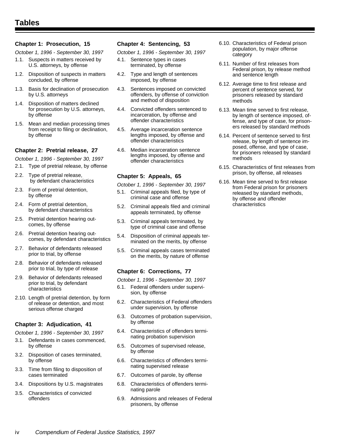#### **Chapter 1: Prosecution, 15**

*October 1, 1996 - September 30, 1997*

- 1.1. Suspects in matters received by U.S. attorneys, by offense
- 1.2. Disposition of suspects in matters concluded, by offense
- 1.3. Basis for declination of prosecution by U.S. attorneys
- 1.4. Disposition of matters declined for prosecution by U.S. attorneys, by offense
- 1.5. Mean and median processing times from receipt to filing or declination, by offense

#### **Chapter 2: Pretrial release, 27**

*October 1, 1996 - September 30, 1997*

- 2.1. Type of pretrial release, by offense
- 2.2. Type of pretrial release, by defendant characteristics
- 2.3. Form of pretrial detention, by offense
- 2.4. Form of pretrial detention, by defendant characteristics
- 2.5. Pretrial detention hearing outcomes, by offense
- 2.6. Pretrial detention hearing outcomes, by defendant characteristics
- 2.7. Behavior of defendants released prior to trial, by offense
- 2.8. Behavior of defendants released prior to trial, by type of release
- 2.9. Behavior of defendants released prior to trial, by defendant characteristics
- 2.10. Length of pretrial detention, by form of release or detention, and most serious offense charged

#### **Chapter 3: Adjudication, 41**

*October 1, 1996 - September 30, 1997*

- 3.1. Defendants in cases commenced, by offense
- 3.2. Disposition of cases terminated, by offense
- 3.3. Time from filing to disposition of cases terminated
- 3.4. Dispositions by U.S. magistrates
- 3.5. Characteristics of convicted offenders

#### **Chapter 4: Sentencing, 53**

*October 1, 1996 - September 30, 1997*

- 4.1. Sentence types in cases terminated, by offense
- 4.2. Type and length of sentences imposed, by offense
- 4.3. Sentences imposed on convicted offenders, by offense of conviction and method of disposition
- 4.4. Convicted offenders sentenced to incarceration, by offense and offender characteristics
- 4.5. Average incarceration sentence lengths imposed, by offense and offender characteristics
- 4.6. Median incarceration sentence lengths imposed, by offense and offender characteristics

#### **Chapter 5: Appeals, 65**

*October 1, 1996 - September 30, 1997*

- 5.1. Criminal appeals filed, by type of criminal case and offense
- 5.2. Criminal appeals filed and criminal appeals terminated, by offense
- 5.3. Criminal appeals terminated, by type of criminal case and offense
- 5.4. Disposition of criminal appeals terminated on the merits, by offense
- 5.5. Criminal appeals cases terminated on the merits, by nature of offense

#### **Chapter 6: Corrections, 77**

*October 1, 1996 - September 30, 1997*

- 6.1. Federal offenders under supervision, by offense
- 6.2. Characteristics of Federal offenders under supervision, by offense
- 6.3. Outcomes of probation supervision, by offense
- 6.4. Characteristics of offenders terminating probation supervision
- 6.5. Outcomes of supervised release, by offense
- 6.6. Characteristics of offenders terminating supervised release
- 6.7. Outcomes of parole, by offense
- 6.8. Characteristics of offenders terminating parole
- 6.9. Admissions and releases of Federal prisoners, by offense
- 6.10. Characteristics of Federal prison population, by major offense category
- 6.11. Number of first releases from Federal prison, by release method and sentence length
- 6.12. Average time to first release and percent of sentence served, for prisoners released by standard methods
- 6.13. Mean time served to first release, by length of sentence imposed, offense, and type of case, for prisoners released by standard methods
- 6.14. Percent of sentence served to first release, by length of sentence imposed, offense, and type of case, for prisoners released by standard methods
- 6.15. Characteristics of first releases from prison, by offense, all releases
- 6.16. Mean time served to first release from Federal prison for prisoners released by standard methods, by offense and offender characteristics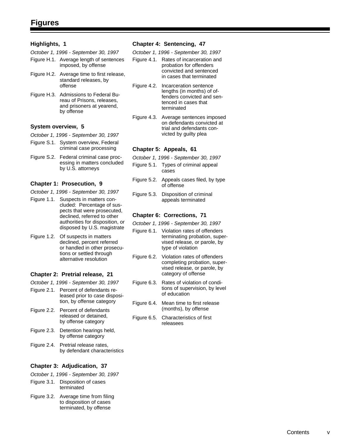#### **Highlights, 1**

*October 1, 1996 - September 30, 1997*

- Figure H.1. Average length of sentences imposed, by offense
- Figure H.2. Average time to first release, standard releases, by offense
- Figure H.3. Admissions to Federal Bu reau of Prisons, releases, and prisoners at yearend, by offense

#### **System overview, 5**

- *October 1, 1996 September 30, 1997*
- Figure S.1. System overview, Federal criminal case processing
- Figure S.2. Federal criminal case proc essing in matters concluded by U.S. attorneys

#### **Chapter 1: Prosecution, 9**

- *October 1, 1996 September 30, 1997*
- Figure 1.1. Suspects in matters con cluded: Percentage of sus pects that were prosecuted, declined, referred to other authorities for disposition, or disposed by U.S. magistrate
- Figure 1.2. Of suspects in matters declined, percent referred or handled in other prosecu tions or settled through alternative resolution

#### **Chapter 2: Pretrial release, 21**

- *October 1, 1996 September 30, 1997*
- Figure 2.1. Percent of defendants re leased prior to case disposi tion, by offense category
- Figure 2.2. Percent of defendants released or detained, by offense category
- Figure 2.3. Detention hearings held, by offense category
- Figure 2.4. Pretrial release rates, by defendant characteristics

#### **Chapter 3: Adjudication, 37**

- *October 1, 1996 September 30, 1997*
- Figure 3.1. Disposition of cases terminated
- Figure 3.2. Average time from filing to disposition of cases terminated, by offense

#### **Chapter 4: Sentencing, 47**

*October 1, 1996 - September 30, 1997*

- Figure 4.1. Rates of incarceration and probation for offenders convicted and sentenced in cases that terminated
- Figure 4.2. Incarceration sentence lengths (in months) of of fenders convicted and sen tenced in cases that terminated
- Figure 4.3. Average sentences imposed on defendants convicted at trial and defendants con victed by guilty plea

#### **Chapter 5: Appeals, 61**

- *October 1, 1996 September 30, 1997*
- Figure 5.1. Types of criminal appeal cases
- Figure 5.2. Appeals cases filed, by type of offense
- Figure 5.3. Disposition of criminal appeals terminated

#### **Chapter 6: Corrections, 71**

*October 1, 1996 - September 30, 1997*

- Figure 6.1. Violation rates of offenders terminating probation, super vised release, or parole, by type of violation
- Figure 6.2. Violation rates of offenders completing probation, super vised release, or parole, by category of offense
- Figure 6.3. Rates of violation of condi tions of supervision, by level of education
- Figure 6.4. Mean time to first release (months), by offense
- Figure 6.5. Characteristics of first releasees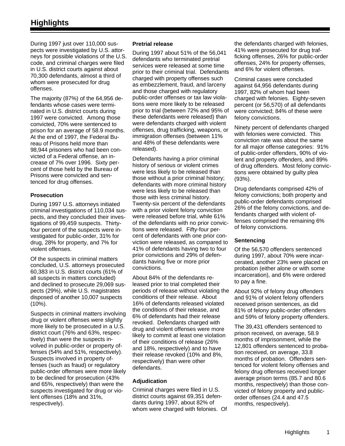During 1997 just over 110,000 suspects were investigated by U.S. attorneys for possible violations of the U.S. code, and criminal charges were filed in U.S. district courts against about 70,300 defendants, almost a third of whom were prosecuted for drug offenses.

The majority (87%) of the 64,956 defendants whose cases were terminated in U.S. district courts during 1997 were convicted. Among those convicted, 70% were sentenced to prison for an average of 58.9 months. At the end of 1997, the Federal Bureau of Prisons held more than 98,944 prisoners who had been convicted of a Federal offense, an increase of 7% over 1996. Sixty percent of those held by the Bureau of Prisons were convicted and sentenced for drug offenses.

#### **Prosecution**

During 1997 U.S. attorneys initiated criminal investigations of 110,034 suspects, and they concluded their investigations of 99,459 suspects. Thirtyfour percent of the suspects were investigated for public-order, 31% for drug, 28% for property, and 7% for violent offenses.

Of the suspects in criminal matters concluded, U.S. attorneys prosecuted 60,383 in U.S. district courts (61% of all suspects in matters concluded) and declined to prosecute 29,069 suspects (29%), while U.S. magistrates disposed of another 10,007 suspects (10%).

Suspects in criminal matters involving drug or violent offenses were slightly more likely to be prosecuted in a U.S. district court (76% and 63%, respectively) than were the suspects involved in public-order or property offenses (54% and 51%, respectively). Suspects involved in property offenses (such as fraud) or regulatory public-order offenses were more likely to be declined for prosecution (43% and 65%, respectively) than were the suspects investigated for drug or violent offenses (18% and 31%, respectively).

#### **Pretrial release**

During 1997 about 51% of the 56,041 defendants who terminated pretrial services were released at some time prior to their criminal trial. Defendants charged with property offenses such as embezzlement, fraud, and larceny and those charged with regulatory public-order offenses or tax law violations were more likely to be released prior to trial (between 72% and 95% of these defendants were released) than were defendants charged with violent offenses, drug trafficking, weapons, or immigration offenses (between 11% and 48% of these defendants were released).

Defendants having a prior criminal history of serious or violent crimes were less likely to be released than those without a prior criminal history; defendants with more criminal history were less likely to be released than those with less criminal history. Twenty-six percent of the defendants with a prior violent felony conviction were released before trial, while 61% of the defendants with no prior convictions were released. Fifty-four percent of defendants with one prior conviction were released, as compared to 41% of defendants having two to four prior convictions and 29% of defendants having five or more prior convictions.

About 84% of the defendants released prior to trial completed their periods of release without violating the conditions of their release. About 16% of defendants released violated the conditions of their release, and 6% of defendants had their release revoked. Defendants charged with drug and violent offenses were more likely to commit at least one violation of their conditions of release (26% and 18%, respectively) and to have their release revoked (10% and 8%, respectively) than were other defendants.

#### **Adjudication**

Criminal charges were filed in U.S. district courts against 69,351 defendants during 1997, about 82% of whom were charged with felonies. Of

the defendants charged with felonies, 41% were prosecuted for drug trafficking offenses, 26% for public-order offenses, 24% for property offenses, and 6% for violent offenses.

Criminal cases were concluded against 64,956 defendants during 1997, 82% of whom had been charged with felonies. Eighty-seven percent (or 56,570) of all defendants were convicted; 84% of these were felony convictions.

Ninety percent of defendants charged with felonies were convicted. This conviction rate was about the same for all major offense categories: 91% of public-order offenders, 90% of violent and property offenders, and 89% of drug offenders. Most felony convictions were obtained by guilty plea (93%).

Drug defendants comprised 42% of felony convictions; both property and public-order defendants comprised 26% of the felony convictions, and defendants charged with violent offenses comprised the remaining 6% of felony convictions.

#### **Sentencing**

Of the 56,570 offenders sentenced during 1997, about 70% were incarcerated, another 23% were placed on probation (either alone or with some incarceration), and 6% were ordered to pay a fine.

About 92% of felony drug offenders and 91% of violent felony offenders received prison sentences, as did 81% of felony public-order offenders and 59% of felony property offenders.

The 39,431 offenders sentenced to prison received, on average, 58.9 months of imprisonment, while the 12,801 offenders sentenced to probation received, on average, 33.8 months of probation. Offenders sentenced for violent felony offenses and felony drug offenses received longer average prison terms (85.7 and 80.6 months, respectively) than those convicted of felony property and publicorder offenses (24.4 and 47.5 months, respectively).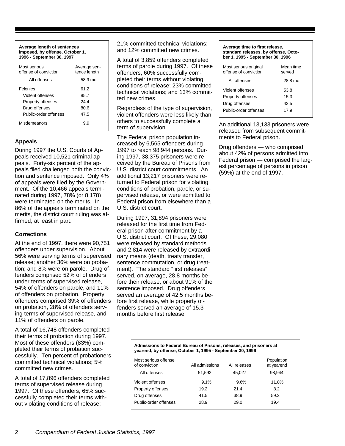**Average length of sentences imposed, by offense, October 1, 1996 - September 30, 1997**

| Most serious<br>offense of conviction | Average sen-<br>tence length |
|---------------------------------------|------------------------------|
| All offenses                          | 58.9 mo                      |
| Felonies                              | 61.2                         |
| Violent offenses                      | 85.7                         |
| Property offenses                     | 24.4                         |
| Drug offenses                         | 80.6                         |
| Public-order offenses                 | 47.5                         |
| Misdemeanors                          | 99                           |

#### **Appeals**

During 1997 the U.S. Courts of Appeals received 10,521 criminal appeals. Forty-six percent of the appeals filed challenged both the conviction and sentence imposed. Only 4% of appeals were filed by the Government. Of the 10,466 appeals terminated during 1997, 78% (or 8,178) were terminated on the merits. In 86% of the appeals terminated on the merits, the district court ruling was affirmed, at least in part.

#### **Corrections**

At the end of 1997, there were 90,751 offenders under supervision. About 56% were serving terms of supervised release; another 36% were on probation; and 8% were on parole. Drug offenders comprised 52% of offenders under terms of supervised release, 54% of offenders on parole, and 11% of offenders on probation. Property offenders comprised 39% of offenders on probation, 28% of offenders serving terms of supervised release, and 11% of offenders on parole.

A total of 16,748 offenders completed their terms of probation during 1997. Most of these offenders (83%) completed their terms of probation successfully. Ten percent of probationers committed technical violations; 5% committed new crimes.

A total of 17,896 offenders completed terms of supervised release during 1997. Of these offenders, 65% successfully completed their terms without violating conditions of release;

21% committed technical violations; and 12% committed new crimes.

A total of 3,859 offenders completed terms of parole during 1997. Of these offenders, 60% successfully completed their terms without violating conditions of release; 23% committed technical violations; and 13% committed new crimes.

Regardless of the type of supervision, violent offenders were less likely than others to successfully complete a term of supervision.

The Federal prison population increased by 6,565 offenders during 1997 to reach 98,944 persons. During 1997, 38,375 prisoners were received by the Bureau of Prisons from U.S. district court commitments. An additional 13,217 prisoners were returned to Federal prison for violating conditions of probation, parole, or supervised release, or were admitted to Federal prison from elsewhere than a U.S. district court.

During 1997, 31,894 prisoners were released for the first time from Federal prison after commitment by a U.S. district court. Of these, 29,080 were released by standard methods and 2,814 were released by extraordinary means (death, treaty transfer, sentence commutation, or drug treatment). The standard "first releases" served, on average, 28.8 months before their release, or about 91% of the sentence imposed. Drug offenders served an average of 42.5 months before first release, while property offenders served an average of 15.3 months before first release.

#### **Average time to first release, standard releases, by offense, October 1, 1995 - September 30, 1996**

| Most serious original<br>offense of conviction | Mean time<br>served |
|------------------------------------------------|---------------------|
| All offenses                                   | 28.8 mo             |
| Violent offenses                               | 53.8                |
| Property offenses                              | 15.3                |
| Drug offenses                                  | 42.5                |
| Public-order offenses                          | 17.9                |

An additional 13,133 prisoners were released from subsequent commitments to Federal prison.

Drug offenders — who comprised about 42% of persons admitted into Federal prison — comprised the largest percentage of persons in prison (59%) at the end of 1997.

#### **Admissions to Federal Bureau of Prisons, releases, and prisoners at yearend, by offense, October 1, 1995 - September 30, 1996**

| Most serious offense<br>of conviction | All admissions | All releases | Population<br>at yearend |
|---------------------------------------|----------------|--------------|--------------------------|
| All offenses                          | 51,592         | 45,027       | 98.944                   |
| Violent offenses                      | 9.1%           | 9.6%         | 11.8%                    |
| Property offenses                     | 19.2           | 21.4         | 8.2                      |
| Drug offenses                         | 41.5           | 38.9         | 59.2                     |
| Public-order offenses                 | 28.9           | 29.0         | 19.4                     |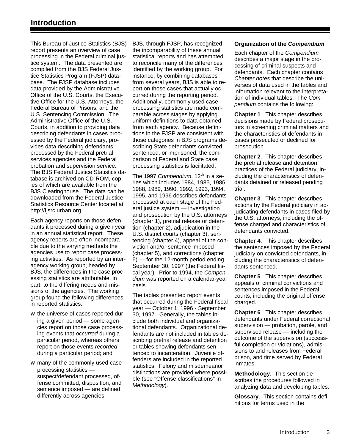This Bureau of Justice Statistics (BJS) report presents an overview of case processing in the Federal criminal justice system. The data presented are compiled from the BJS Federal Justice Statistics Program (FJSP) database. The FJSP database includes data provided by the Administrative Office of the U.S. Courts, the Executive Office for the U.S. Attorneys, the Federal Bureau of Prisons, and the U.S. Sentencing Commission. The Administrative Office of the U.S. Courts, in addition to providing data describing defendants in cases processed by the Federal judiciary, provides data describing defendants processed by the Federal pretrial services agencies and the Federal probation and supervision service. The BJS Federal Justice Statistics database is archived on CD-ROM, copies of which are available from the BJS Clearinghouse. The data can be downloaded from the Federal Justice Statistics Resource Center located at http://fjsrc.urban.org.

Each agency reports on those defendants it processed during a given year in an annual statistical report. These agency reports are often incomparable due to the varying methods the agencies use to report case processing activities. As reported by an interagency working group, headed by BJS, the differences in the case processing statistics are attributable, in part, to the differing needs and missions of the agencies. The working group found the following differences in reported statistics:

- w the universe of cases reported during a given period — some agencies report on those case processing events that *occurred* during a particular period, whereas others report on those events *recorded* during a particular period; and
- w many of the commonly used case processing statistics suspect/defendant processed, offense committed, disposition, and sentence imposed — are defined differently across agencies.

BJS, through FJSP, has recognized the incomparability of these annual statistical reports and has attempted to reconcile many of the differences identified by the working group. For instance, by combining databases from several years, BJS is able to report on those cases that actually occurred during the reporting period. Additionally, commonly used case processing statistics are made comparable across stages by applying uniform definitions to data obtained from each agency. Because definitions in the FJSP are consistent with those categories in BJS programs describing State defendants convicted, sentenced, or imprisoned, the comparison of Federal and State case processing statistics is facilitated.

The 1997 Compendium, 12<sup>th</sup> in a series which includes 1984, 1985, 1986, 1988, 1989, 1990, 1992, 1993, 1994, 1995, and 1996 describes defendants processed at each stage of the Federal justice system — investigation and prosecution by the U.S. attorneys (chapter 1), pretrial release or detention (chapter 2), adjudication in the U.S. district courts (chapter 3), sentencing (chapter 4), appeal of the conviction and/or sentence imposed (chapter 5), and corrections (chapter 6) — for the 12-month period ending September 30, 1997 (the Federal fiscal year). Prior to 1994, the *Compendium* was reported on a calendar-year basis.

The tables presented report events that occurred during the Federal fiscal year — October 1, 1996 - September 30, 1997. Generally, the tables include both individual and organizational defendants. Organizational defendants are not included in tables describing pretrial release and detention or tables showing defendants sentenced to incarceration. Juvenile offenders are included in the reported statistics. Felony and misdemeanor distinctions are provided where possible (see "Offense classifications" in *Methodology*).

#### **Organization of the** *Compendium*

Each chapter of the *Compendium* describes a major stage in the processing of criminal suspects and defendants. Each chapter contains *Chapter notes* that describe the universes of data used in the tables and information relevant to the interpretation of individual tables. The *Compendium* contains the following:

**Chapter 1**. This chapter describes decisions made by Federal prosecutors in screening criminal matters and the characteristics of defendants in cases prosecuted or declined for prosecution.

**Chapter 2**. This chapter describes the pretrial release and detention practices of the Federal judiciary, including the characteristics of defendants detained or released pending trial.

**Chapter 3**. This chapter describes actions by the Federal judiciary in adjudicating defendants in cases filed by the U.S. attorneys, including the offense charged and characteristics of defendants convicted.

**Chapter 4**. This chapter describes the sentences imposed by the Federal judiciary on convicted defendants, including the characteristics of defendants sentenced.

**Chapter 5**. This chapter describes appeals of criminal convictions and sentences imposed in the Federal courts, including the original offense charged.

**Chapter 6**. This chapter describes defendants under Federal correctional supervision — probation, parole, and supervised release — including the outcome of the supervision (successful completion or violations), admissions to and releases from Federal prison, and time served by Federal inmates.

**Methodology**. This section describes the procedures followed in analyzing data and developing tables.

**Glossary**. This section contains definitions for terms used in the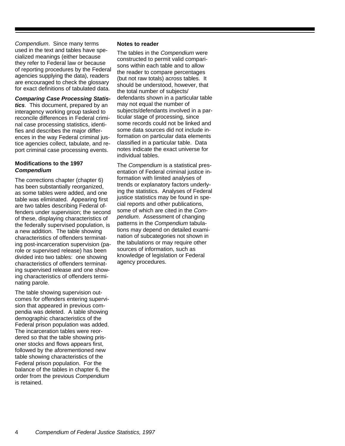*Compendium*. Since many terms used in the text and tables have specialized meanings (either because they refer to Federal law or because of reporting procedures by the Federal agencies supplying the data), readers are encouraged to check the glossary for exact definitions of tabulated data.

#### *Comparing Case Processing Statis-*

*tics*. This document, prepared by an interagency working group tasked to reconcile differences in Federal criminal case processing statistics, identifies and describes the major differences in the way Federal criminal justice agencies collect, tabulate, and report criminal case processing events.

#### **Modifications to the 1997** *Compendium*

The corrections chapter (chapter 6) has been substantially reorganized, as some tables were added, and one table was eliminated. Appearing first are two tables describing Federal offenders under supervision; the second of these, displaying characteristics of the federally supervised population, is a new addition. The table showing characteristics of offenders terminating post-incarceration supervision (parole or supervised release) has been divided into two tables: one showing characteristics of offenders terminating supervised release and one showing characteristics of offenders terminating parole.

The table showing supervision outcomes for offenders entering supervision that appeared in previous compendia was deleted. A table showing demographic characteristics of the Federal prison population was added. The incarceration tables were reordered so that the table showing prisoner stocks and flows appears first, followed by the aforementioned new table showing characteristics of the Federal prison population. For the balance of the tables in chapter 6, the order from the previous *Compendium* is retained.

#### **Notes to reader**

The tables in the *Compendium* were constructed to permit valid comparisons within each table and to allow the reader to compare percentages (but not raw totals) across tables. It should be understood, however, that the total number of subjects/ defendants shown in a particular table may not equal the number of subjects/defendants involved in a particular stage of processing, since some records could not be linked and some data sources did not include information on particular data elements classified in a particular table. Data notes indicate the exact universe for individual tables.

The *Compendium* is a statistical presentation of Federal criminal justice information with limited analyses of trends or explanatory factors underlying the statistics. Analyses of Federal justice statistics may be found in special reports and other publications, some of which are cited in the *Compendium*. Assessment of changing patterns in the *Compendium* tabulations may depend on detailed examination of subcategories not shown in the tabulations or may require other sources of information, such as knowledge of legislation or Federal agency procedures.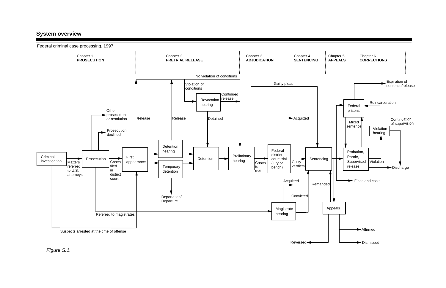

## **System overview**

*Figure S.1.*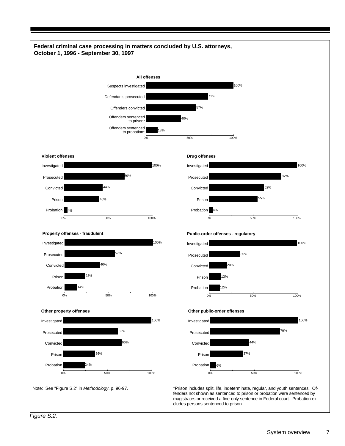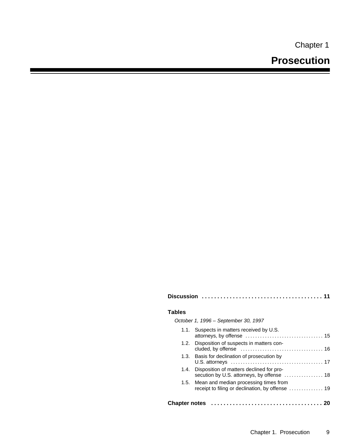Chapter 1

|--|--|--|--|--|--|--|

#### **Tables**

| October 1, 1996 - September 30, 1997                                                        |
|---------------------------------------------------------------------------------------------|
| 1.1. Suspects in matters received by U.S.                                                   |
| 1.2. Disposition of suspects in matters con-                                                |
| 1.3. Basis for declination of prosecution by                                                |
| 1.4. Disposition of matters declined for pro-<br>secution by U.S. attorneys, by offense  18 |

1.5. Mean and median processing times from receipt to filing or declination, by offense .............. 19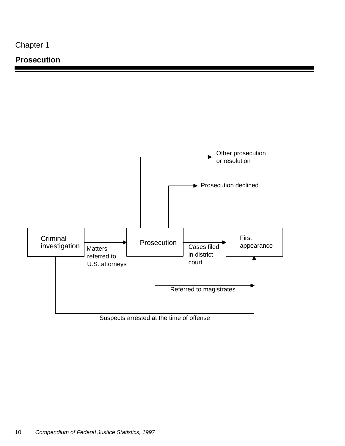### **Prosecution**

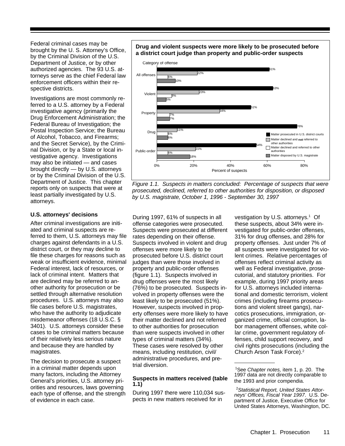Federal criminal cases may be brought by the U. S. Attorney's Office, by the Criminal Division of the U.S. Department of Justice, or by other authorized agencies. The 93 U.S. attorneys serve as the chief Federal law enforcement officers within their respective districts.

Investigations are most commonly referred to a U.S. attorney by a Federal investigative agency (primarily the Drug Enforcement Administration; the Federal Bureau of Investigation; the Postal Inspection Service; the Bureau of Alcohol, Tobacco, and Firearms; and the Secret Service), by the Criminal Division, or by a State or local investigative agency. Investigations may also be initiated — and cases brought directly — by U.S. attorneys or by the Criminal Division of the U.S. Department of Justice. This chapter reports only on suspects that were at least partially investigated by U.S. attorneys.

#### **U.S. attorneys' decisions**

After criminal investigations are initiated and criminal suspects are referred to them, U.S. attorneys may file charges against defendants in a U.S. district court, or they may decline to file these charges for reasons such as weak or insufficient evidence, minimal Federal interest, lack of resources, or lack of criminal intent. Matters that are declined may be referred to another authority for prosecution or be settled through alternative resolution procedures. U.S. attorneys may also file cases before U.S. magistrates, who have the authority to adjudicate misdemeanor offenses (18 U.S.C. § 3401). U.S. attorneys consider these cases to be criminal matters because of their relatively less serious nature and because they are handled by magistrates.

The decision to prosecute a suspect in a criminal matter depends upon many factors, including the Attorney General's priorities, U.S. attorney priorities and resources, laws governing each type of offense, and the strength of evidence in each case.

#### **Drug and violent suspects were more likely to be prosecuted before a district court judge than property and public-order suspects**



*Figure 1.1. Suspects in matters concluded: Percentage of suspects that were prosecuted, declined, referred to other authorities for disposition, or disposed by U.S. magistrate, October 1, 1996* - *September 30, 1997*

During 1997, 61% of suspects in all offense categories were prosecuted. Suspects were prosecuted at different rates depending on their offense. Suspects involved in violent and drug offenses were more likely to be prosecuted before U.S. district court judges than were those involved in property and public-order offenses (figure 1.1). Suspects involved in drug offenses were the most likely (76%) to be prosecuted. Suspects involved in property offenses were the least likely to be prosecuted (51%). However, suspects involved in property offenses were more likely to have their matter declined and not referred to other authorities for prosecution than were suspects involved in other types of criminal matters (34%). These cases were resolved by other means, including restitution, civil/ administrative procedures, and pretrial diversion.

#### **Suspects in matters received (table 1.1)**

During 1997 there were 110,034 suspects in new matters received for in

vestigation by U.S. attorneys.<sup>1</sup> Of these suspects, about 34% were investigated for public-order offenses, 31% for drug offenses, and 28% for property offenses. Just under 7% of all suspects were investigated for violent crimes. Relative percentages of offenses reflect criminal activity as well as Federal investigative, prosecutorial, and statutory priorities. For example, during 1997 priority areas for U.S. attorneys included international and domestic terrorism, violent crimes (including firearms prosecutions and violent street gangs), narcotics prosecutions, immigration, organized crime, official corruption, labor management offenses, white collar crime, government regulatory offenses, child support recovery, and civil rights prosecutions (including the Church Arson Task Force).<sup>2</sup>

<sup>1</sup>See *Chapter notes,* item 1, p. 20. The 1997 data are not directly comparable to the 1993 and prior compendia.

<sup>2</sup>*Statistical Report, United States Attorneys' Offices, Fiscal Year 1997*. U.S. Department of Justice, Executive Office for United States Attorneys, Washington, DC.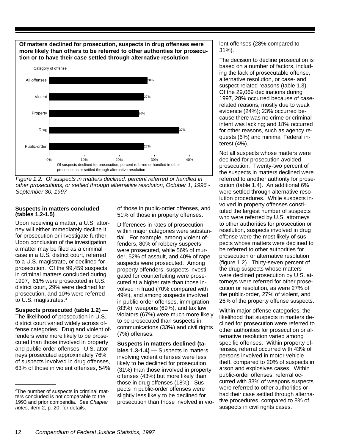**Of matters declined for prosecution, suspects in drug offenses were more likely than others to be referred to other authorities for prosecution or to have their case settled through alternative resolution**



*Figure 1.2. Of suspects in matters declined, percent referred or handled in other prosecutions, or settled through alternative resolution, October 1, 1996 - September 30, 1997*

#### **Suspects in matters concluded (tables 1.2-1.5)**

Upon receiving a matter, a U.S. attorney will either immediately decline it for prosecution or investigate further. Upon conclusion of the investigation, a matter may be filed as a criminal case in a U.S. district court, referred to a U.S. magistrate, or declined for prosecution. Of the 99,459 suspects in criminal matters concluded during 1997, 61% were prosecuted in U.S. district court, 29% were declined for prosecution, and 10% were referred to U.S. magistrates.<sup>3</sup>

**Suspects prosecuted (table 1.2) —** The likelihood of prosecution in U.S. district court varied widely across offense categories. Drug and violent offenders were more likely to be prosecuted than those involved in property and public-order offenses. U.S. attorneys prosecuted approximately 76% of suspects involved in drug offenses, 63% of those in violent offenses, 54%

of those in public-order offenses, and 51% of those in property offenses.

Differences in rates of prosecution within major categories were substantial. For example, among violent offenders, 80% of robbery suspects were prosecuted, while 56% of murder, 52% of assault, and 40% of rape suspects were prosecuted. Among property offenders, suspects investigated for counterfeiting were prosecuted at a higher rate than those involved in fraud (70% compared with 49%), and among suspects involved in public-order offenses, immigration (83%), weapons (69%), and tax law violators (67%) were much more likely to be prosecuted than suspects in communications (33%) and civil rights (7%) offenses.

**Suspects in matters declined (tables 1.3-1.4) —** Suspects in matters involving violent offenses were less likely to be declined for prosecution (31%) than those involved in property offenses (43%) but more likely than those in drug offenses (18%). Suspects in public-order offenses were slightly less likely to be declined for prosecution than those involved in violent offenses (28% compared to 31%).

The decision to decline prosecution is based on a number of factors, including the lack of prosecutable offense, alternative resolution, or case- and suspect-related reasons (table 1.3). Of the 29,069 declinations during 1997, 28% occurred because of caserelated reasons, mostly due to weak evidence (24%); 23% occurred because there was no crime or criminal intent was lacking; and 18% occurred for other reasons, such as agency requests (6%) and minimal Federal interest (4%).

Not all suspects whose matters were declined for prosecution avoided prosecution. Twenty-two percent of the suspects in matters declined were referred to another authority for prosecution (table 1.4). An additional 6% were settled through alternative resolution procedures. While suspects involved in property offenses constituted the largest number of suspects who were referred by U.S. attorneys to other authorities for prosecution or resolution, suspects involved in drug offense were the most likely of suspects whose matters were declined to be referred to other authorities for prosecution or alternative resolution (figure 1.2). Thirty-seven percent of the drug suspects whose matters were declined prosecution by U.S. attorneys were referred for other prosecution or resolution, as were 27% of the public-order, 27% of violent, and 26% of the property offense suspects.

Within major offense categories, the likelihood that suspects in matters declined for prosecution were referred to other authorities for prosecution or alternative resolution varied among specific offenses. Within property offenses, referral occurred with 43% of persons involved in motor vehicle theft, compared to 20% of suspects in arson and explosives cases. Within public-order offenses, referral occurred with 33% of weapons suspects were referred to other authorities or had their case settled through alternative procedures, compared to 8% of suspects in civil rights cases.

<sup>3</sup>The number of suspects in criminal matters concluded is not comparable to the 1993 and prior compendia. See *Chapter notes,* item 2, p. 20, for details.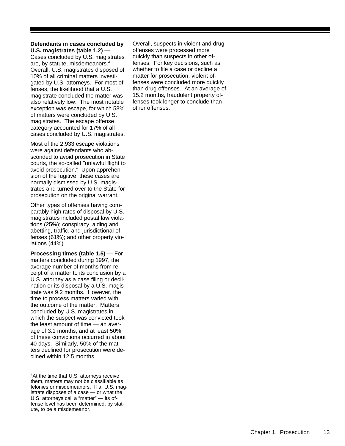#### **Defendants in cases concluded by U.S. magistrates (table 1.2) —**

Cases concluded by U.S. magistrates are, by statute, misdemeanors.<sup>4</sup> Overall, U.S. magistrates disposed of 10% of all criminal matters investigated by U.S. attorneys. For most offenses, the likelihood that a U.S. magistrate concluded the matter was also relatively low. The most notable exception was escape, for which 58% of matters were concluded by U.S. magistrates. The escape offense category accounted for 17% of all cases concluded by U.S. magistrates.

Most of the 2,933 escape violations were against defendants who absconded to avoid prosecution in State courts, the so-called "unlawful flight to avoid prosecution." Upon apprehension of the fugitive, these cases are normally dismissed by U.S. magistrates and turned over to the State for prosecution on the original warrant.

Other types of offenses having comparably high rates of disposal by U.S. magistrates included postal law violations (25%); conspiracy, aiding and abetting, traffic, and jurisdictional offenses (61%); and other property violations (44%).

**Processing times (table 1.5) —** For matters concluded during 1997, the average number of months from receipt of a matter to its conclusion by a U.S. attorney as a case filing or declination or its disposal by a U.S. magistrate was 9.2 months. However, the time to process matters varied with the outcome of the matter. Matters concluded by U.S. magistrates in which the suspect was convicted took the least amount of time — an average of 3.1 months, and at least 50% of these convictions occurred in about 40 days. Similarly, 50% of the matters declined for prosecution were declined within 12.5 months.

Overall, suspects in violent and drug offenses were processed more quickly than suspects in other offenses. For key decisions, such as whether to file a case or decline a matter for prosecution, violent offenses were concluded more quickly than drug offenses. At an average of 15.2 months, fraudulent property offenses took longer to conclude than other offenses.

<sup>&</sup>lt;sup>4</sup>At the time that U.S. attorneys receive them, matters may not be classifiable as felonies or misdemeanors. If a U.S. magistrate disposes of a case — or what the U.S. attorneys call a "matter" — its offense level has been determined, by statute, to be a misdemeanor.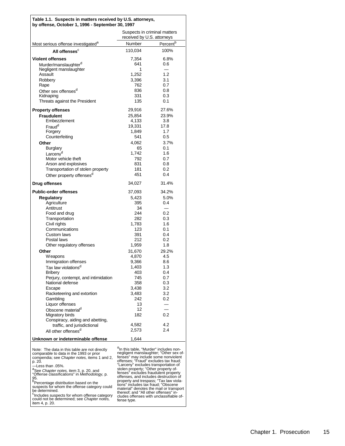#### **Table 1.1. Suspects in matters received by U.S. attorneys, by offense, October 1, 1996 - September 30, 1997**

|                                                  | Suspects in criminal matters<br>received by U.S. attorneys |                      |  |
|--------------------------------------------------|------------------------------------------------------------|----------------------|--|
|                                                  |                                                            |                      |  |
| Most serious offense investigated <sup>a</sup>   | Number                                                     | Percent <sup>b</sup> |  |
| All offenses <sup>c</sup>                        | 110,034                                                    | 100%                 |  |
| <b>Violent offenses</b>                          | 7,354                                                      | 6.8%                 |  |
| Murder/manslaughter <sup>d</sup>                 | 641                                                        | 0.6                  |  |
| Negligent manslaughter                           | 1                                                          |                      |  |
| Assault                                          | 1,252                                                      | 1.2                  |  |
| Robbery                                          | 3,396                                                      | 3.1                  |  |
| Rape                                             | 762                                                        | 0.7                  |  |
| Other sex offenses <sup>d</sup>                  | 836<br>331                                                 | 0.8<br>0.3           |  |
| Kidnaping<br>Threats against the President       | 135                                                        | 0.1                  |  |
|                                                  |                                                            |                      |  |
| <b>Property offenses</b>                         | 29,916                                                     | 27.6%                |  |
| <b>Fraudulent</b>                                | 25,854                                                     | 23.9%                |  |
| Embezzlement                                     | 4,133                                                      | 3.8                  |  |
| Fraud <sup>d</sup>                               | 19,331                                                     | 17.8                 |  |
| Forgery                                          | 1,849                                                      | 1.7<br>0.5           |  |
| Counterfeiting                                   | 541                                                        |                      |  |
| Other                                            | 4,062<br>65                                                | 3.7%<br>0.1          |  |
| <b>Burglary</b><br>Larceny <sup>d</sup>          | 1,742                                                      | 1.6                  |  |
| Motor vehicle theft                              | 792                                                        | 0.7                  |  |
| Arson and explosives                             | 831                                                        | 0.8                  |  |
| Transportation of stolen property                | 181                                                        | 0.2                  |  |
| Other property offenses <sup>d</sup>             | 451                                                        | 0.4                  |  |
|                                                  |                                                            |                      |  |
| Drug offenses                                    | 34,027                                                     | 31.4%                |  |
| <b>Public-order offenses</b>                     | 37,093                                                     | 34.2%                |  |
| <b>Regulatory</b>                                | 5,423                                                      | 5.0%                 |  |
| Agriculture                                      | 395                                                        | 0.4                  |  |
| Antitrust                                        | 34                                                         |                      |  |
| Food and drug                                    | 244                                                        | 0.2                  |  |
| Transportation                                   | 282                                                        | 0.3<br>1.6           |  |
| Civil rights<br>Communications                   | 1,783<br>123                                               | 0.1                  |  |
| <b>Custom laws</b>                               | 391                                                        | 0.4                  |  |
| Postal laws                                      | 212                                                        | 0.2                  |  |
| Other regulatory offenses                        | 1,959                                                      | 1.8                  |  |
| Other                                            | 31,670                                                     | 29.2%                |  |
| <b>Weapons</b>                                   | 4,870                                                      | 4.5                  |  |
| Immigration offenses                             | 9,366                                                      | 8.6                  |  |
| Tax law violations <sup>d</sup>                  | 1,403                                                      | 1.3                  |  |
| <b>Bribery</b>                                   | 403                                                        | 0.4                  |  |
| Perjury, contempt, and intimidation              | 745                                                        | 0.7                  |  |
| National defense                                 | 358                                                        | 0.3                  |  |
| Escape                                           | 3,438                                                      | 3.2                  |  |
| Racketeering and extortion                       | 3,483                                                      | 3.2                  |  |
| Gambling                                         | 242                                                        | 0.2                  |  |
| Liquor offenses                                  | 13<br>12                                                   |                      |  |
| Obscene material <sup>d</sup><br>Migratory birds | 182                                                        | 0.2                  |  |
| Conspiracy, aiding and abetting,                 |                                                            |                      |  |
| traffic, and jurisdictional                      | 4,582                                                      | 4.2                  |  |
| All other offenses <sup>d</sup>                  | 2,573                                                      | 2.4                  |  |
|                                                  |                                                            |                      |  |
| Unknown or indeterminable offense                | 1,644                                                      |                      |  |

Note: The data in this table are not directly comparable to data in the 1993 or prior compendia; see *Chapter notes,* items 1 and 2, p. 20.

—Less than .05%. a See *Chapter notes,* item 3, p. 20, and "Offense classifications" in *Methodology,* p.

95.<br><sup>b</sup>Percentage distribution based on the<br>suspects for whom the offense category could

be determined.

c<br>
Fincludes suspects for whom offense category<br>
could not be determined; see *Chapter notes,*<br>
item 4, p. 20.

 $a_{\rm In}$  this table, "Murder" includes non-<br>negligent manslaughter; "Other sex of-<br>fenses" may include some nonviolent<br>offenses; "Fraud" excludes tax fraud;<br>"Larceny" excludes transportation of<br>stolen property; "Other pro divides offenses with unclassifiable of-<br>fense type.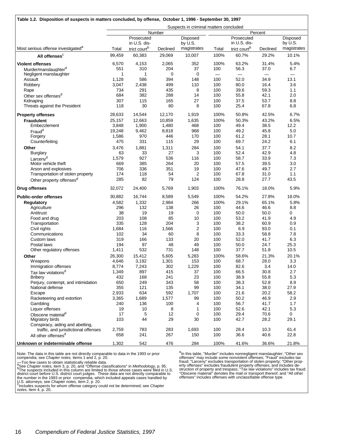| Table 1.2. Disposition of suspects in matters concluded, by offense, October 1, 1996 - September 30, 1997 |              |                            |             |                                        |                          |                            |              |                     |
|-----------------------------------------------------------------------------------------------------------|--------------|----------------------------|-------------|----------------------------------------|--------------------------|----------------------------|--------------|---------------------|
|                                                                                                           |              |                            |             | Suspects in criminal matters concluded |                          |                            |              |                     |
|                                                                                                           |              |                            | Number      |                                        |                          |                            | Percent      |                     |
|                                                                                                           |              | Prosecuted<br>in U.S. dis- |             | <b>Disposed</b><br>by U.S.             |                          | Prosecuted<br>in U.S. dis- |              | Disposed<br>by U.S. |
| Most serious offense investigated <sup>a</sup>                                                            | Total        | trict court <sup>b</sup>   | Declined    | magistrates                            | Total                    | trict court <sup>b</sup>   | Declined     | magistrates         |
| All offenses <sup>c</sup>                                                                                 | 99,459       | 60,383                     | 29,069      | 10,007                                 | 100%                     | 60.7%                      | 29.2%        | 10.1%               |
| <b>Violent offenses</b>                                                                                   | 6,570        | 4,153                      | 2,065       | 352                                    | 100%                     | 63.2%                      | 31.4%        | 5.4%                |
| Murder/manslaughter <sup>d</sup>                                                                          | 551          | 310                        | 204         | 37                                     | 100                      | 56.3                       | 37.0         | 6.7                 |
| Negligent manslaughter                                                                                    | 1            | 1                          | 0           | 0                                      | $\overline{\phantom{0}}$ | $\overline{\phantom{0}}$   |              |                     |
| Assault                                                                                                   | 1,128        | 586                        | 394         | 148                                    | 100                      | 52.0                       | 34.9         | 13.1                |
| Robbery                                                                                                   | 3,047        | 2,438                      | 499         | 110                                    | 100                      | 80.0                       | 16.4         | 3.6                 |
| Rape                                                                                                      | 734          | 291                        | 435         | 8                                      | 100                      | 39.6                       | 59.3         | 1.1                 |
| Other sex offenses <sup>d</sup>                                                                           | 684          | 382                        | 288         | 14                                     | 100                      | 55.8                       | 42.1         | 2.0                 |
| Kidnaping                                                                                                 | 307<br>118   | 115<br>30                  | 165<br>80   | 27<br>8                                | 100<br>100               | 37.5<br>25.4               | 53.7<br>67.8 | 8.8<br>6.8          |
| Threats against the President                                                                             |              |                            |             |                                        |                          |                            |              |                     |
| <b>Property offenses</b>                                                                                  | 28,633       | 14,544                     | 12,170      | 1,919                                  | 100%                     | 50.8%                      | 42.5%        | 6.7%                |
| <b>Fraudulent</b>                                                                                         | 25,157       | 12,663                     | 10,859      | 1,635                                  | 100%                     | 50.3%                      | 43.2%        | 6.5%                |
| Embezzlement                                                                                              | 3,848        | 1,900                      | 1,480       | 468                                    | 100                      | 49.4                       | 38.5         | 12.2                |
| Fraud <sup>d</sup>                                                                                        | 19,248       | 9,462                      | 8,818       | 968                                    | 100                      | 49.2                       | 45.8         | 5.0                 |
| Forgery                                                                                                   | 1,586        | 970                        | 446         | 170                                    | 100                      | 61.2                       | 28.1         | 10.7                |
| Counterfeiting                                                                                            | 475          | 331                        | 115         | 29                                     | 100                      | 69.7                       | 24.2         | 6.1                 |
| Other                                                                                                     | 3,476        | 1,881                      | 1,311       | 284                                    | 100                      | 54.1                       | 37.7         | 8.2                 |
| <b>Burglary</b>                                                                                           | 63           | 33                         | 27          | 3                                      | 100                      | 52.4                       | 42.9         | 4.8                 |
| Larceny <sup>d</sup>                                                                                      | 1,579        | 927                        | 536         | 116                                    | 100                      | 58.7                       | 33.9         | 7.3                 |
| Motor vehicle theft                                                                                       | 669          | 385                        | 264         | 20                                     | 100                      | 57.5                       | 39.5         | 3.0                 |
| Arson and explosives                                                                                      | 706          | 336                        | 351         | 19                                     | 100                      | 47.6                       | 49.7         | 2.7                 |
| Transportation of stolen property                                                                         | 174          | 118                        | 54<br>79    | 2                                      | 100                      | 67.8                       | 31.0         | 1.1                 |
| Other property offenses <sup>d</sup>                                                                      | 285          | 82                         |             | 124                                    | 100                      | 28.8                       | 27.7         | 43.5                |
| Drug offenses                                                                                             | 32,072       | 24,400                     | 5,769       | 1,903                                  | 100%                     | 76.1%                      | 18.0%        | 5.9%                |
| <b>Public-order offenses</b>                                                                              | 30,882       | 16,744                     | 8,589       | 5,549                                  | 100%                     | 54.2%                      | 27.8%        | 18.0%               |
| <b>Regulatory</b>                                                                                         | 4,582        | 1,332                      | 2,984       | 266                                    | 100%                     | 29.1%                      | 65.1%        | 5.8%                |
| Agriculture                                                                                               | 296          | 132                        | 138         | 26                                     | 100                      | 44.6                       | 46.6         | 8.8                 |
| Antitrust                                                                                                 | 38           | 19                         | 19          | 0                                      | 100                      | 50.0                       | 50.0         | 0                   |
| Food and drug                                                                                             | 203          | 108                        | 85          | 10                                     | 100                      | 53.2                       | 41.9         | 4.9                 |
| Transportation                                                                                            | 335          | 128                        | 204         | 3                                      | 100                      | 38.2                       | 60.9         | 0.9                 |
| Civil rights<br>Communications                                                                            | 1,684        | 116<br>34                  | 1,566<br>60 | 2<br>8                                 | 100<br>100               | 6.9<br>33.3                | 93.0<br>58.8 | 0.1<br>7.8          |
| Custom laws                                                                                               | 102<br>319   | 166                        | 133         | 20                                     | 100                      | 52.0                       | 41.7         | 6.3                 |
| Postal laws                                                                                               | 194          | 97                         | 48          | 49                                     | 100                      | 50.0                       | 24.7         | 25.3                |
| Other regulatory offenses                                                                                 | 1,411        | 532                        | 731         | 148                                    | 100                      | 37.7                       | 51.8         | 10.5                |
| Other                                                                                                     | 26,300       | 15,412                     | 5,605       | 5,283                                  | 100%                     | 58.6%                      | 21.3%        | 20.1%               |
| <b>Weapons</b>                                                                                            | 4,646        | 3,192                      | 1,301       | 153                                    | 100                      | 68.7                       | 28.0         | 3.3                 |
| Immigration offenses                                                                                      | 8,774        | 7,243                      | 302         | 1,229                                  | 100                      | 82.6                       | 3.4          | 14.0                |
| Tax law violations <sup>d</sup>                                                                           | 1,349        | 897                        | 415         | 37                                     | 100                      | 66.5                       | 30.8         | 2.7                 |
| <b>Bribery</b>                                                                                            | 432          | 168                        | 241         | 23                                     | 100                      | 38.9                       | 55.8         | 5.3                 |
| Perjury, contempt, and intimidation                                                                       | 650          | 249                        | 343         | 58                                     | 100                      | 38.3                       | 52.8         | 8.9                 |
| National defense                                                                                          | 355          | 121                        | 135         | 99                                     | 100                      | 34.1                       | 38.0         | 27.9                |
| Escape                                                                                                    | 2,933        | 634                        | 592         | 1,707                                  | 100                      | 21.6                       | 20.2         | 58.2                |
| Racketeering and extortion                                                                                | 3,365        | 1,689                      | 1,577       | 99                                     | 100                      | 50.2                       | 46.9         | 2.9                 |
| Gambling                                                                                                  | 240          | 136                        | 100         | 4                                      | 100                      | 56.7                       | 41.7         | 1.7                 |
| Liquor offenses                                                                                           | 19           | 10                         | 8           | 1                                      | 100                      | 52.6                       | 42.1         | 5.3                 |
| Obscene material <sup>d</sup>                                                                             | 17           | 5                          | 12          | 0                                      | 100                      | 29.4                       | 70.6         | 0                   |
| Migratory birds                                                                                           | 103          | 44                         | 29          | 30                                     | 100                      | 42.7                       | 28.2         | 29.1                |
| Conspiracy, aiding and abetting,                                                                          |              |                            |             | 1,693                                  |                          | 28.4                       |              | 61.4                |
| traffic, and jurisdictional offenses<br>All other offenses <sup>d</sup>                                   | 2,759<br>658 | 783<br>241                 | 283<br>267  | 150                                    | 100<br>100               | 36.6                       | 10.3<br>40.6 | 22.8                |
|                                                                                                           |              |                            |             |                                        |                          |                            |              |                     |
| Unknown or indeterminable offense                                                                         | 1,302        | 542                        | 476         | 284                                    | 100%                     | 41.6%                      | 36.6%        | 21.8%               |

Note: The data in this table are not directly comparable to data in the 1993 or prior compendia; see *Chapter notes,* items 1 and 2, p. 20.

-Too few cases to obtain statistically reliable data.<br>
<sup>a</sup>Bee *Chapter notes*, item 3, p. 20, and "Offense classifications" in *Methodology*, p. 95.<br>
<sup>b</sup>The suspects included in this column are limited to those whose cases

<sup>a</sup>In this table, "Murder" includes nonnegligent manslaughter; "Other sex<br>offenses" may include some nonviolent offenses; "Fraud" excludes tax<br>fraud; "Larceny" excludes transportation of stolen property; "Other prop-<br>erty offenses" includes offenses with unclassifiable offense type.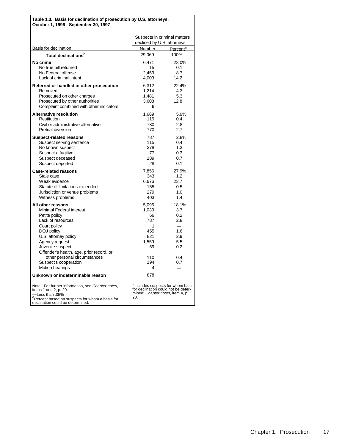#### **Table 1.3. Basis for declination of prosecution by U.S. attorneys, October 1, 1996 - September 30, 1997**

|                                                                                                                                                                                                                                                                                      | Suspects in criminal matters<br>declined by U.S. attorneys                            |                                                                      |
|--------------------------------------------------------------------------------------------------------------------------------------------------------------------------------------------------------------------------------------------------------------------------------------|---------------------------------------------------------------------------------------|----------------------------------------------------------------------|
| <b>Basis for declination</b>                                                                                                                                                                                                                                                         | Number                                                                                | Percent <sup>a</sup>                                                 |
| Total declinations <sup>b</sup>                                                                                                                                                                                                                                                      | 29,069                                                                                | 100%                                                                 |
| No crime<br>No true bill returned<br>No Federal offense<br>Lack of criminal intent                                                                                                                                                                                                   | 6,471<br>15<br>2.453<br>4,003                                                         | 23.0%<br>0.1<br>8.7<br>14.2                                          |
| Referred or handled in other prosecution<br>Removed<br>Prosecuted on other charges<br>Prosecuted by other authorities<br>Complaint combined with other indicators                                                                                                                    | 6,312<br>1,214<br>1.481<br>3.608<br>9                                                 | 22.4%<br>4.3<br>5.3<br>12.8                                          |
| <b>Alternative resolution</b><br>Restitution<br>Civil or administrative alternative<br><b>Pretrial diversion</b>                                                                                                                                                                     | 1,669<br>119<br>780<br>770                                                            | 5.9%<br>0.4<br>2.8<br>2.7                                            |
| <b>Suspect-related reasons</b><br>Suspect serving sentence<br>No known suspect<br>Suspect a fugitive<br>Suspect deceased<br>Suspect deported                                                                                                                                         | 787<br>115<br>378<br>77<br>189<br>28                                                  | 2.8%<br>0.4<br>1.3<br>0.3<br>0.7<br>0.1                              |
| <b>Case-related reasons</b><br>Stale case<br>Weak evidence<br>Statute of limitations exceeded<br>Jurisdiction or venue problems<br>Witness problems                                                                                                                                  | 7,856<br>343<br>6,676<br>155<br>279<br>403                                            | 27.9%<br>1.2<br>23.7<br>0.5<br>1.0<br>1.4                            |
| All other reasons<br>Minimal Federal interest<br>Petite policy<br>Lack of resources<br>Court policy<br>DOJ policy<br>U.S. attorney policy<br>Agency request<br>Juvenile suspect<br>Offender's health, age, prior record, or<br>other personal circumstances<br>Suspect's cooperation | 5,096<br>1,030<br>66<br>787<br>1<br>455<br>821<br>1,559<br>69<br>110<br>194           | 18.1%<br>3.7<br>0.2<br>2.8<br>1.6<br>2.9<br>5.5<br>0.2<br>0.4<br>0.7 |
| <b>Motion hearings</b>                                                                                                                                                                                                                                                               | 4                                                                                     |                                                                      |
| Unknown or indeterminable reason<br>Note: For further information, see Chapter notes,<br>items 1 and 2, p. 20.<br>-Less than .05%<br><sup>a</sup> Percent based on suspects for whom a basis for<br>declination could be determined.                                                 | 878<br>for declination could not be deter-<br>mined; Chapter notes, item 4, p.<br>20. | <sup>D</sup> Includes suspects for whom basis                        |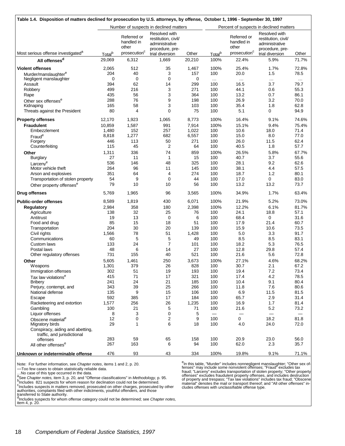| Table 1.4. Disposition of matters declined for prosecution by U.S. attorneys, by offense, October 1, 1996 - September 30, 1997 |                    |                                                                |                                                                                              |                    |                    |                                                                |                                                                                              |                  |
|--------------------------------------------------------------------------------------------------------------------------------|--------------------|----------------------------------------------------------------|----------------------------------------------------------------------------------------------|--------------------|--------------------|----------------------------------------------------------------|----------------------------------------------------------------------------------------------|------------------|
| Number of suspects in declined matters                                                                                         |                    |                                                                |                                                                                              |                    |                    |                                                                | Percent of suspects in declined matters                                                      |                  |
| Most serious offense investigated <sup>®</sup>                                                                                 | Total <sup>b</sup> | Referred or<br>handled in<br>other<br>prosecution <sup>c</sup> | Resolved with<br>restitution, civil/<br>administrative<br>procedure, pre-<br>trial diversion | Other              | Total <sup>b</sup> | Referred or<br>handled in<br>other<br>prosecution <sup>c</sup> | Resolved with<br>restitution, civil/<br>administrative<br>procedure, pre-<br>trial diversion | Other            |
| All offenses <sup>d</sup>                                                                                                      | 29,069             | 6,312                                                          | 1,669                                                                                        | 20,210             | 100%               | 22.4%                                                          | 5.9%                                                                                         | 71.7%            |
|                                                                                                                                |                    |                                                                |                                                                                              |                    |                    |                                                                |                                                                                              |                  |
| <b>Violent offenses</b>                                                                                                        | 2,065              | 512                                                            | 35                                                                                           | 1,467              | 100%               | 25.4%                                                          | 1.7%                                                                                         | 72.8%            |
| Murder/manslaughter <sup>e</sup><br>Negligent manslaughter                                                                     | 204<br>0           | 40<br>0                                                        | 3<br>$\mathbf 0$                                                                             | 157<br>$\mathbf 0$ | 100                | 20.0                                                           | 1.5                                                                                          | 78.5             |
| Assault                                                                                                                        | 394                | 62                                                             | 14                                                                                           | 299                | $\ldots$<br>100    | $\ldots$<br>16.5                                               | $\ldots$<br>3.7                                                                              | $\cdots$<br>79.7 |
| Robbery                                                                                                                        | 499                | 216                                                            | 3                                                                                            | 271                | 100                | 44.1                                                           | 0.6                                                                                          | 55.3             |
| Rape                                                                                                                           | 435                | 56                                                             | 3                                                                                            | 364                | 100                | 13.2                                                           | 0.7                                                                                          | 86.1             |
| Other sex offenses <sup>e</sup>                                                                                                | 288                | 76                                                             | 9                                                                                            | 198                | 100                | 26.9                                                           | 3.2                                                                                          | 70.0             |
| Kidnaping                                                                                                                      | 165                | 58                                                             | 3                                                                                            | 103                | 100                | 35.4                                                           | 1.8                                                                                          | 62.8             |
| Threats against the President                                                                                                  | 80                 | 4                                                              | 0                                                                                            | 75                 | 100                | 5.1                                                            | 0                                                                                            | 94.9             |
| <b>Property offenses</b>                                                                                                       | 12,170             | 1,923                                                          | 1,065                                                                                        | 8,773              | 100%               | 16.4%                                                          | 9.1%                                                                                         | 74.6%            |
| <b>Fraudulent</b>                                                                                                              | 10,859             | 1,587                                                          | 991                                                                                          | 7,914              | 100%               | 15.1%                                                          | 9.4%                                                                                         | 75.4%            |
| Embezzlement                                                                                                                   | 1,480              | 152                                                            | 257                                                                                          | 1,022              | 100                | 10.6                                                           | 18.0                                                                                         | 71.4             |
| Fraude                                                                                                                         | 8,818              | 1,277                                                          | 682                                                                                          | 6,557              | 100                | 15.0                                                           | 8.0                                                                                          | 77.0             |
| Forgery                                                                                                                        | 446                | 113                                                            | 50                                                                                           | 271                | 100                | 26.0                                                           | 11.5                                                                                         | 62.4             |
| Counterfeiting                                                                                                                 | 115                | 45                                                             | 2                                                                                            | 64                 | 100                | 40.5                                                           | 1.8                                                                                          | 57.7             |
| Other                                                                                                                          | 1,311              | 336                                                            | 74                                                                                           | 859                | 100%               | 26.5%                                                          | 5.8%                                                                                         | 67.7%            |
| <b>Burglary</b>                                                                                                                | 27                 | 11                                                             | 1                                                                                            | 15                 | 100                | 40.7                                                           | 3.7                                                                                          | 55.6             |
| Larceny <sup>e</sup>                                                                                                           | 536                | 146                                                            | 48                                                                                           | 325                | 100                | 28.1                                                           | 9.2                                                                                          | 62.6             |
| Motor vehicle theft                                                                                                            | 264                | 96<br>64                                                       | 11                                                                                           | 145                | 100                | 38.1                                                           | 4.4<br>1.2                                                                                   | 57.5             |
| Arson and explosives<br>Transportation of stolen property                                                                      | 351<br>54          | 9                                                              | 4<br>$\mathbf 0$                                                                             | 274<br>44          | 100<br>100         | 18.7<br>17.0                                                   | 0                                                                                            | 80.1<br>83.0     |
| Other property offenses <sup>e</sup>                                                                                           | 79                 | 10                                                             | 10                                                                                           | 56                 | 100                | 13.2                                                           | 13.2                                                                                         | 73.7             |
| <b>Drug offenses</b>                                                                                                           | 5,769              | 1,965                                                          | 96                                                                                           | 3,565              | 100%               | 34.9%                                                          | 1.7%                                                                                         | 63.4%            |
| <b>Public-order offenses</b>                                                                                                   | 8,589              | 1,819                                                          | 430                                                                                          | 6,071              | 100%               | 21.9%                                                          | 5.2%                                                                                         | 73.0%            |
| Regulatory                                                                                                                     | 2,984              | 358                                                            | 180                                                                                          | 2,398              | 100%               | 12.2%                                                          | 6.1%                                                                                         | 81.7%            |
| Agriculture                                                                                                                    | 138                | 32                                                             | 25                                                                                           | 76                 | 100                | 24.1                                                           | 18.8                                                                                         | 57.1             |
| Antitrust                                                                                                                      | 19                 | 13                                                             | 0                                                                                            | 6                  | 100                | 68.4                                                           | 0                                                                                            | 31.6             |
| Food and drug                                                                                                                  | 85                 | 15                                                             | 18                                                                                           | 51                 | 100                | 17.9                                                           | 21.4                                                                                         | 60.7             |
| Transportation                                                                                                                 | 204                | 30                                                             | 20                                                                                           | 139                | 100                | 15.9                                                           | 10.6                                                                                         | 73.5             |
| Civil rights                                                                                                                   | 1,566              | 78                                                             | 51                                                                                           | 1,428              | 100                | 5.0                                                            | 3.3                                                                                          | 91.7             |
| Communications                                                                                                                 | 60                 | 5                                                              | 5                                                                                            | 49                 | 100                | 8.5                                                            | 8.5                                                                                          | 83.1             |
| Custom laws                                                                                                                    | 133                | 24                                                             | $\overline{7}$                                                                               | 101                | 100                | 18.2                                                           | 5.3                                                                                          | 76.5             |
| Postal laws                                                                                                                    | 48                 | 6                                                              | 14                                                                                           | 27                 | 100                | 12.8                                                           | 29.8                                                                                         | 57.4             |
| Other regulatory offenses                                                                                                      | 731                | 155                                                            | 40                                                                                           | 521                | 100                | 21.6                                                           | 5.6                                                                                          | 72.8             |
| Other                                                                                                                          | 5,605              | 1,461                                                          | 250                                                                                          | 3,673              | 100%               | 27.1%                                                          | 4.6%                                                                                         | 68.2%            |
| Weapons<br>Immigration offenses                                                                                                | 1,301<br>302       | 379<br>51                                                      | 26<br>19                                                                                     | 828<br>193         | 100<br>100         | 30.7<br>19.4                                                   | 2.1<br>7.2                                                                                   | 67.2<br>73.4     |
| Tax law violations <sup>e</sup>                                                                                                | 415                | 71                                                             | 17                                                                                           | 321                | 100                | 17.4                                                           | 4.2                                                                                          | 78.5             |
| <b>Bribery</b>                                                                                                                 | 241                | 24                                                             | 21                                                                                           | 185                | 100                | 10.4                                                           | 9.1                                                                                          | 80.4             |
| Perjury, contempt, and                                                                                                         | 343                | 39                                                             | 25                                                                                           | 266                | 100                | 11.8                                                           | 7.6                                                                                          | 80.6             |
| National defense                                                                                                               | 135                | 9                                                              | 15                                                                                           | 106                | 100                | 6.9                                                            | 11.5                                                                                         | 81.5             |
| Escape                                                                                                                         | 592                | 385                                                            | 17                                                                                           | 184                | 100                | 65.7                                                           | 2.9                                                                                          | 31.4             |
| Racketeering and extortion                                                                                                     | 1,577              | 256                                                            | 26                                                                                           | 1,235              | 100                | 16.9                                                           | 1.7                                                                                          | 81.4             |
| Gambling                                                                                                                       | 100                | 21                                                             | 5                                                                                            | 71                 | 100                | 21.6                                                           | 5.2                                                                                          | 73.2             |
| Liquor offenses                                                                                                                | 8                  | 3                                                              | 0                                                                                            | 5                  |                    |                                                                |                                                                                              |                  |
| Obscene material <sup>e</sup>                                                                                                  | 12                 | 0                                                              | 2                                                                                            | 9                  | 100                | $\mathbf{0}$                                                   | 18.2                                                                                         | 81.8             |
| Migratory birds                                                                                                                | 29                 | 1                                                              | 6                                                                                            | 18                 | 100                | 4.0                                                            | 24.0                                                                                         | 72.0             |
| Conspiracy, aiding and abetting,<br>traffic, and jurisdictional                                                                |                    |                                                                |                                                                                              |                    |                    |                                                                |                                                                                              |                  |
| offenses                                                                                                                       | 283                | 59                                                             | 65                                                                                           | 158                | 100                | 20.9                                                           | 23.0                                                                                         | 56.0             |
| All other offenses <sup>e</sup>                                                                                                | 267                | 163                                                            | 6                                                                                            | 94                 | 100                | 62.0                                                           | 2.3                                                                                          | 35.7             |
|                                                                                                                                |                    |                                                                |                                                                                              |                    |                    |                                                                |                                                                                              |                  |
| Unknown or indeterminable offense                                                                                              | 476                | 93                                                             | 43                                                                                           | 334                | 100%               | 19.8%                                                          | 9.1%                                                                                         | 71.1%            |

Note: For further information, see *Chapter notes*, items 1 and 2, p. 20.

—Too few cases to obtain statistically reliable data.

...No case of this type occurred in the data.<br><sup>a</sup>See *Chapter notes,* item 3, p. 20, and "Offense classifications" in *Methodology,* p. 95.<br><sup>b</sup>Includes 821 suspects for whom reason for declination could not be determined.

c Includes suspects in matters removed, prosecuted on other charges, prosecuted by other authorities, complaints filed with other indictments, youthful offenders, and those transferred to State authority.

d<br>dincludes suspects for whom offense category could not be determined; see *Chapter notes,*<br>item 4, p. 20.

<sup>e</sup>In this table, "Murder" includes nonnegligent manslaughter; "Other sex of-<br>fenses" may include some nonviolent offenses; "Fraud" excludes tax<br>fraud; "Larceny" excludes transportation of stolen property; "Other property<br>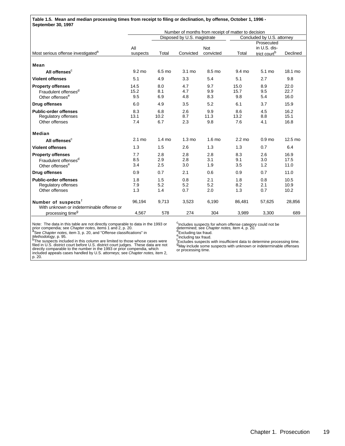**Table 1.5. Mean and median processing times from receipt to filing or declination, by offense, October 1, 1996 - September 30, 1997**

|                                                                                                              | Number of months from receipt of matter to decision |                    |                             |                         |                            |                                                        |                      |
|--------------------------------------------------------------------------------------------------------------|-----------------------------------------------------|--------------------|-----------------------------|-------------------------|----------------------------|--------------------------------------------------------|----------------------|
|                                                                                                              |                                                     |                    | Disposed by U.S. magistrate |                         | Concluded by U.S. attorney |                                                        |                      |
| Most serious offense investigated <sup>a</sup>                                                               | All<br>suspects                                     | Total              | Convicted                   | <b>Not</b><br>convicted | Total                      | Prosecuted<br>in U.S. dis-<br>trict court <sup>b</sup> | Declined             |
| Mean                                                                                                         |                                                     |                    |                             |                         |                            |                                                        |                      |
| All offenses <sup>c</sup>                                                                                    | 9.2 mo                                              | 6.5 mo             | 3.1 mo                      | 8.5 mo                  | 9.4 mo                     | 5.1 mo                                                 | 18.1 mo              |
| <b>Violent offenses</b>                                                                                      | 5.1                                                 | 4.9                | 3.3                         | 5.4                     | 5.1                        | 2.7                                                    | 9.8                  |
| <b>Property offenses</b><br>Fraudulent offenses <sup>d</sup><br>Other offenses <sup>e</sup>                  | 14.5<br>15.2<br>9.5                                 | 8.0<br>8.1<br>6.9  | 4.7<br>4.7<br>4.8           | 9.7<br>9.9<br>8.3       | 15.0<br>15.7<br>9.8        | 8.9<br>9.5<br>5.4                                      | 22.0<br>22.7<br>16.0 |
| <b>Drug offenses</b>                                                                                         | 6.0                                                 | 4.9                | 3.5                         | 5.2                     | 6.1                        | 3.7                                                    | 15.9                 |
| <b>Public-order offenses</b><br>Regulatory offenses<br>Other offenses                                        | 8.3<br>13.1<br>7.4                                  | 6.8<br>10.2<br>6.7 | 2.6<br>8.7<br>2.3           | 9.9<br>11.3<br>9.8      | 8.6<br>13.2<br>7.6         | 4.5<br>8.8<br>4.1                                      | 16.2<br>15.1<br>16.8 |
| Median                                                                                                       |                                                     |                    |                             |                         |                            |                                                        |                      |
| All offenses <sup>c</sup>                                                                                    | 2.1 mo                                              | $1.4 \text{ mo}$   | $1.3 \text{ mo}$            | $1.6 \text{ mo}$        | $2.2 \text{ mo}$           | 0.9 <sub>mo</sub>                                      | 12.5 mo              |
| <b>Violent offenses</b>                                                                                      | 1.3                                                 | 1.5                | 2.6                         | 1.3                     | 1.3                        | 0.7                                                    | 6.4                  |
| <b>Property offenses</b><br>Fraudulent offenses <sup>d</sup><br>Other offenses <sup>e</sup>                  | 7.7<br>8.5<br>3.4                                   | 2.8<br>2.9<br>2.5  | 2.8<br>2.8<br>3.0           | 2.8<br>3.1<br>1.9       | 8.3<br>9.1<br>3.5          | 2.6<br>3.0<br>1.2                                      | 16.9<br>17.5<br>11.0 |
| <b>Drug offenses</b>                                                                                         | 0.9                                                 | 0.7                | 2.1                         | 0.6                     | 0.9                        | 0.7                                                    | 11.0                 |
| <b>Public-order offenses</b><br><b>Regulatory offenses</b><br>Other offenses                                 | 1.8<br>7.9<br>1.3                                   | 1.5<br>5.2<br>1.4  | 0.8<br>5.2<br>0.7           | 2.1<br>5.2<br>2.0       | 1.8<br>8.2<br>1.3          | 0.8<br>2.1<br>0.7                                      | 10.5<br>10.9<br>10.2 |
| Number of suspects <sup>t</sup><br>With unknown or indeterminable offense or<br>processing time <sup>g</sup> | 96,194<br>4,567                                     | 9,713<br>578       | 3,523<br>274                | 6,190<br>304            | 86,481<br>3,989            | 57,625<br>3,300                                        | 28,856<br>689        |

<sup>c</sup>Includes suspects for whom offense category could not be<br>determined; see *Chapter notes,* item 4, p. 20.<br><sup>e</sup> Excluding tax fraud.<br><sup>e</sup> Including tax fraud.

Note: The data in this table are not directly comparable to data in the 1993 or<br>prior compendia; see *Chapter notes*, items 1 and 2, p. 20.<br><sup>8</sup> See *Chapter notes*, item 3, p. 20, and "Offense classifications" in<br>*Methodol* p. 20.

'Excludes suspects with insufficient data to determine processing time.<br><sup>g</sup>May include some suspects with unknown or indeterminable offenses<br>or processing time.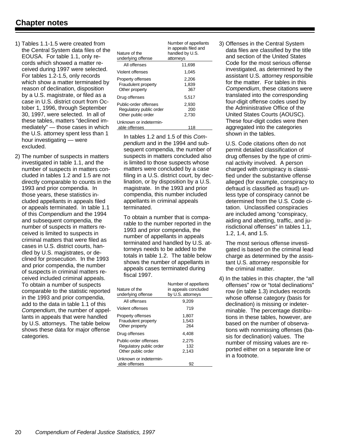- 1) Tables 1.1-1.5 were created from the Central System data files of the EOUSA. For table 1.1, only records which showed a matter received during 1997 were selected. For tables 1.2-1.5, only records which show a matter terminated by reason of declination, disposition by a U.S. magistrate, or filed as a case in U.S. district court from October 1, 1996, through September 30, 1997, were selected. In all of these tables, matters "declined immediately" — those cases in which the U.S. attorney spent less than 1 hour investigating — were excluded.
- 2) The number of suspects in matters investigated in table 1.1, and the number of suspects in matters concluded in tables 1.2 and 1.5 are not directly comparable to counts in the 1993 and prior compendia. In those years, these statistics included appellants in appeals filed or appeals terminated. In table 1.1 of this *Compendium* and the 1994 and subsequent compendia, the number of suspects in matters received is limited to suspects in criminal matters that were filed as cases in U.S. district courts, handled by U.S. magistrates, or declined for prosecution. In the 1993 and prior compendia, the number of suspects in criminal matters received included criminal appeals. To obtain a number of suspects comparable to the statistic reported in the 1993 and prior compendia, add to the data in table 1.1 of this *Compendium*, the number of appellants in appeals that were handled by U.S. attorneys. The table below shows these data for major offense categories.

| Nature of the<br>underlying offense                                    | Number of appellants<br>in appeals filed and<br>handled by U.S.<br>attorneys |
|------------------------------------------------------------------------|------------------------------------------------------------------------------|
| All offenses                                                           | 11.698                                                                       |
| Violent offenses                                                       | 1.045                                                                        |
| Property offenses<br>Fraudulent property<br>Other property             | 2,206<br>1,839<br>367                                                        |
| Drug offenses                                                          | 5,517                                                                        |
| Public-order offenses<br>Regulatory public order<br>Other public order | 2,930<br>200<br>2.730                                                        |
| Unknown or indetermin-<br>able offenses                                | 118                                                                          |

In tables 1.2 and 1.5 of this *Compendium* and in the 1994 and subsequent compendia, the number of suspects in matters concluded also is limited to those suspects whose matters were concluded by a case filing in a U.S. district court, by declination, or by disposition by a U.S. magistrate. In the 1993 and prior compendia, this number included appellants in criminal appeals terminated.

To obtain a number that is comparable to the number reported in the 1993 and prior compendia, the number of appellants in appeals terminated and handled by U.S. attorneys needs to be added to the totals in table 1.2. The table below shows the number of appellants in appeals cases terminated during fiscal 1997.

| Nature of the<br>underlying offense                                    | Number of appellants<br>in appeals concluded<br>by U.S. attorneys |
|------------------------------------------------------------------------|-------------------------------------------------------------------|
| All offenses                                                           | 9.209                                                             |
| Violent offenses                                                       | 719                                                               |
| Property offenses<br>Fraudulent property<br>Other property             | 1,807<br>1,543<br>264                                             |
| Drug offenses                                                          | 4,408                                                             |
| Public-order offenses<br>Regulatory public order<br>Other public order | 2.275<br>132<br>2.143                                             |
| Unknown or indetermin-<br>able offenses                                | 92                                                                |

3) Offenses in the Central System data files are classified by the title and section of the United States Code for the most serious offense investigated, as determined by the assistant U.S. attorney responsible for the matter. For tables in this *Compendium*, these citations were translated into the corresponding four-digit offense codes used by the Administrative Office of the United States Courts (AOUSC). These four-digit codes were then aggregated into the categories shown in the tables.

U.S. Code citations often do not permit detailed classification of drug offenses by the type of criminal activity involved. A person charged with conspiracy is classified under the substantive offense alleged (for example, conspiracy to defraud is classified as fraud) unless type of conspiracy cannot be determined from the U.S. Code citation. Unclassified conspiracies are included among "conspiracy, aiding and abetting, traffic, and jurisdictional offenses" in tables 1.1, 1.2, 1.4, and 1.5.

The most serious offense investigated is based on the criminal lead charge as determined by the assistant U.S. attorney responsible for the criminal matter.

4) In the tables in this chapter, the "all offenses" row or "total declinations" row (in table 1.3) includes records whose offense category (basis for declination) is missing or indeterminable. The percentage distributions in these tables, however, are based on the number of observations with nonmissing offenses (basis for declination) values. The number of missing values are reported either on a separate line or in a footnote.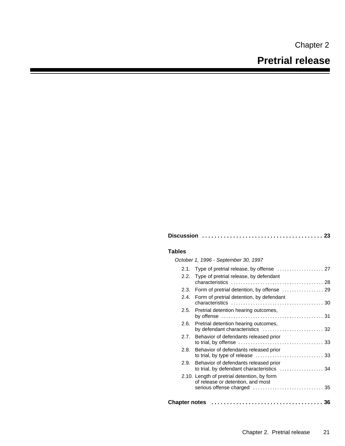Chapter 2

#### **Tables**

*October 1, 1996 - September 30, 1997*

|               | 2.1. Type of pretrial release, by offense  27                                       |  |
|---------------|-------------------------------------------------------------------------------------|--|
| 2.2.          | Type of pretrial release, by defendant                                              |  |
|               | 2.3. Form of pretrial detention, by offense  29                                     |  |
| 2.4.          | Form of pretrial detention, by defendant                                            |  |
|               | 2.5. Pretrial detention hearing outcomes,                                           |  |
| 2.6.          | Pretrial detention hearing outcomes,<br>by defendant characteristics  32            |  |
|               | 2.7. Behavior of defendants released prior                                          |  |
| 2.8.          | Behavior of defendants released prior                                               |  |
| 2.9.          | Behavior of defendants released prior<br>to trial, by defendant characteristics  34 |  |
|               | 2.10. Length of pretrial detention, by form<br>of release or detention, and most    |  |
|               |                                                                                     |  |
| Chapter notes |                                                                                     |  |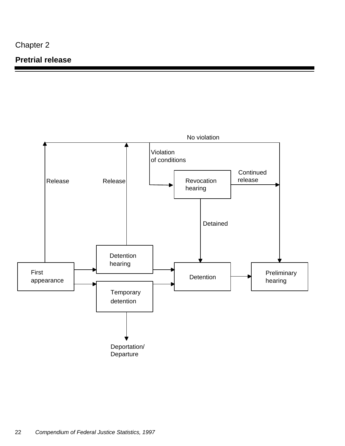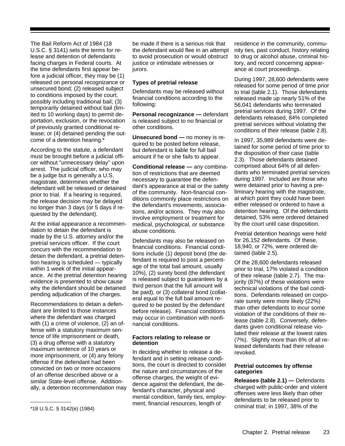The Bail Reform Act of 1984 (18 U.S.C. § 3141) sets the terms for release and detention of defendants facing charges in Federal courts. At the time defendants first appear before a judicial officer, they may be (1) released on personal recognizance or unsecured bond; (2) released subject to conditions imposed by the court, possibly including traditional bail; (3) temporarily detained without bail (limited to 10 working days) to permit deportation, exclusion, or the revocation of previously granted conditional release; or (4) detained pending the outcome of a detention hearing.<sup>\*</sup>

According to the statute, a defendant must be brought before a judicial officer without "unnecessary delay" upon arrest. The judicial officer, who may be a judge but is generally a U.S. magistrate, determines whether the defendant will be released or detained prior to trial. If a hearing is required, the release decision may be delayed no longer than 3 days (or 5 days if requested by the defendant).

At the initial appearance a recommendation to detain the defendant is made by the U.S. attorney and/or the pretrial services officer. If the court concurs with the recommendation to detain the defendant, a pretrial detention hearing is scheduled — typically within 1 week of the initial appearance. At the pretrial detention hearing evidence is presented to show cause why the defendant should be detained pending adjudication of the charges.

Recommendations to detain a defendant are limited to those instances where the defendant was charged with (1) a crime of violence, (2) an offense with a statutory maximum sentence of life imprisonment or death, (3) a drug offense with a statutory maximum sentence of 10 years or more imprisonment, or (4) any felony offense if the defendant had been convicted on two or more occasions of an offense described above or a similar State-level offense. Additionally, a detention recommendation may be made if there is a serious risk that the defendant would flee in an attempt to avoid prosecution or would obstruct justice or intimidate witnesses or jurors.

#### **Types of pretrial release**

Defendants may be released without financial conditions according to the following:

**Personal recognizance —** defendant is released subject to no financial or other conditions.

**Unsecured bond —** no money is required to be posted before release, but defendant is liable for full bail amount if he or she fails to appear.

**Conditional release —** any combination of restrictions that are deemed necessary to guarantee the defendant's appearance at trial or the safety of the community. Non-financial conditions commonly place restrictions on the defendant's movements, associations, and/or actions. They may also involve employment or treatment for medical, psychological, or substance abuse conditions.

Defendants may also be released on financial conditions. Financial conditions include (1) deposit bond (the defendant is required to post a percentage of the total bail amount, usually 10%), (2) surety bond (the defendant is released subject to guarantees by a third person that the full amount will be paid), or (3) collateral bond (collateral equal to the full bail amount required to be posted by the defendant before release). Financial conditions may occur in combination with nonfinancial conditions.

#### **Factors relating to release or detention**

In deciding whether to release a defendant and in setting release conditions, the court is directed to consider the nature and circumstances of the offense charges, the weight of evidence against the defendant, the defendant's character, physical and mental condition, family ties, employment, financial resources, length of

residence in the community, community ties, past conduct, history relating to drug or alcohol abuse, criminal history, and record concerning appearance at court proceedings.

During 1997, 28,600 defendants were released for some period of time prior to trial (table 2.1). Those defendants released made up nearly 51% of the 56,041 defendants who terminated pretrial services during 1997. Of the defendants released, 84% completed pretrial services without violating the conditions of their release (table 2.8).

In 1997, 35,989 defendants were detained for some period of time prior to the disposition of their case (table 2.3). Those defendants detained comprised about 64% of all defendants who terminated pretrial services during 1997. Included are those who were detained prior to having a preliminary hearing with the magistrate, at which point they could have been either released or ordered to have a detention hearing. Of the defendants detained, 53% were ordered detained by the court until case disposition.

Pretrial detention hearings were held for 26,152 defendants. Of these, 18,940, or 72%, were ordered detained (table 2.5).

Of the 28,600 defendants released prior to trial, 17% violated a condition of their release (table 2.7). The majority (87%) of these violations were technical violations of the bail conditions. Defendants released on corporate surety were more likely (22%) than other defendants to incur some violation of the conditions of their release (table 2.8). Conversely, defendants given conditional release violated their release at the lowest rates (7%). Slightly more than 6% of all released defendants had their release revoked.

#### **Pretrial outcomes by offense categories**

**Releases (table 2.1) —** Defendants charged with public-order and violent offenses were less likely than other defendants to be released prior to criminal trial; in 1997, 38% of the

<sup>\*18</sup> U.S.C. § 3142(e) (1984)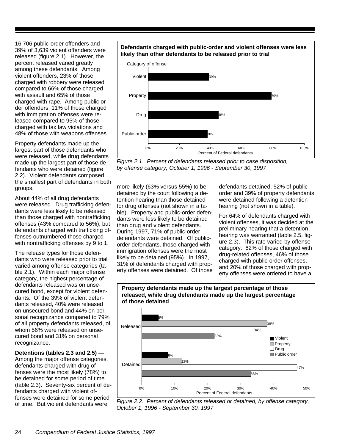16,706 public-order offenders and 39% of 3,639 violent offenders were released (figure 2.1). However, the percent released varied greatly among these defendants. Among violent offenders, 23% of those charged with robbery were released compared to 66% of those charged with assault and 65% of those charged with rape. Among public order offenders, 11% of those charged with immigration offenses were released compared to 95% of those charged with tax law violations and 48% of those with weapons offenses.

Property defendants made up the largest part of those defendants who were released, while drug defendants made up the largest part of those defendants who were detained (figure 2.2). Violent defendants composed the smallest part of defendants in both groups.

About 44% of all drug defendants were released. Drug trafficking defendants were less likely to be released than those charged with nontrafficking offenses (43% compared to 56%), but defendants charged with trafficking offenses outnumbered those charged with nontrafficking offenses by 9 to 1.

The release types for those defendants who were released prior to trial varied among offense categories (table 2.1). Within each major offense category, the highest percentage of defendants released was on unsecured bond, except for violent defendants. Of the 39% of violent defendants released, 40% were released on unsecured bond and 44% on personal recognizance compared to 79% of all property defendants released, of whom 56% were released on unsecured bond and 31% on personal recognizance.

**Detentions (tables 2.3 and 2.5) —** Among the major offense categories, defendants charged with drug offenses were the most likely (78%) to be detained for some period of time (table 2.3). Seventy-six percent of defendants charged with violent offenses were detained for some period of time. But violent defendants were

#### **Defendants charged with public-order and violent offenses were less likely than other defendants to be released prior to trial**



*Figure 2.1. Percent of defendants released prior to case disposition, by offense category, October 1, 1996 - September 30, 1997*

more likely (63% versus 55%) to be detained by the court following a detention hearing than those detained for drug offenses (not shown in a table). Property and public-order defendants were less likely to be detained than drug and violent defendants. During 1997, 71% of public-order defendants were detained. Of publicorder defendants, those charged with immigration offenses were the most likely to be detained (95%). In 1997, 31% of defendants charged with property offenses were detained. Of those

defendants detained, 52% of publicorder and 39% of property defendants were detained following a detention hearing (not shown in a table).

For 64% of defendants charged with violent offenses, it was decided at the preliminary hearing that a detention hearing was warranted (table 2.5, figure 2.3). This rate varied by offense category: 62% of those charged with drug-related offenses, 46% of those charged with public-order offenses, and 20% of those charged with property offenses were ordered to have a



**Property defendants made up the largest percentage of those**

*Figure 2.2. Percent of defendants released or detained, by offense category, October 1, 1996 - September 30, 1997*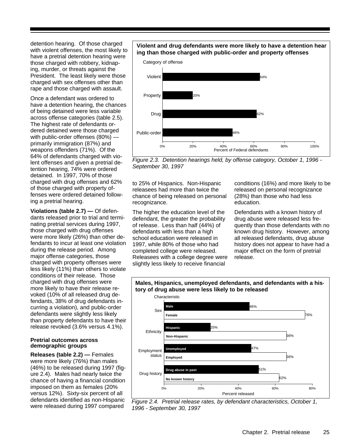detention hearing. Of those charged with violent offenses, the most likely to have a pretrial detention hearing were those charged with robbery, kidnaping, murder, or threats against the President. The least likely were those charged with sex offenses other than rape and those charged with assault.

Once a defendant was ordered to have a detention hearing, the chances of being detained were less variable across offense categories (table 2.5). The highest rate of defendants ordered detained were those charged with public-order offenses (80%) primarily immigration (87%) and weapons offenders (71%). Of the 64% of defendants charged with violent offenses and given a pretrial detention hearing, 74% were ordered detained. In 1997, 70% of those charged with drug offenses and 62% of those charged with property offenses were ordered detained following a pretrial hearing.

**Violations (table 2.7) —** Of defendants released prior to trial and terminating pretrial services during 1997, those charged with drug offenses were more likely (26%) than other defendants to incur at least one violation during the release period. Among major offense categories, those charged with property offenses were less likely (11%) than others to violate conditions of their release. Those charged with drug offenses were more likely to have their release revoked (10% of all released drug defendants, 38% of drug defendants incurring a violation), and public-order defendants were slightly less likely than property defendants to have their release revoked (3.6% versus 4.1%).

#### **Pretrial outcomes across demographic groups**

**Releases (table 2.2) —** Females were more likely (76%) than males (46%) to be released during 1997 (figure 2.4). Males had nearly twice the chance of having a financial condition imposed on them as females (20% versus 12%). Sixty-six percent of all defendants identified as non-Hispanic were released during 1997 compared

#### **Violent and drug defendants were more likely to have a detention hear ing than those charged with public-order and property offenses**



*Figure 2.3. Detention hearings held, by offense category, October 1, 1996 - September 30, 1997*

to 25% of Hispanics. Non-Hispanic releasees had more than twice the chance of being released on personal recognizance.

The higher the education level of the defendant, the greater the probability of release. Less than half (44%) of defendants with less than a high school education were released in 1997, while 80% of those who had completed college were released. Releasees with a college degree were slightly less likely to receive financial

conditions (16%) and more likely to be released on personal recognizance (28%) than those who had less education.

Defendants with a known history of drug abuse were released less frequently than those defendants with no known drug history. However, among all released defendants, drug abuse history does not appear to have had a major effect on the form of pretrial release.



*Figure 2.4. Pretrial release rates, by defendant characteristics, October 1, 1996 - September 30, 1997*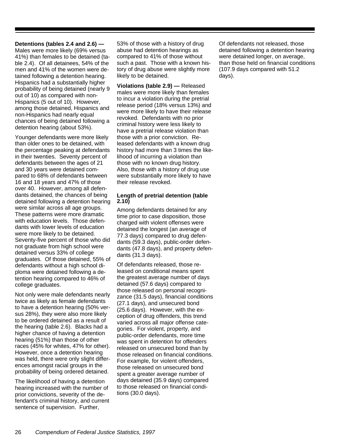**Detentions (tables 2.4 and 2.6) —**

Males were more likely (69% versus 41%) than females to be detained (table 2.4). Of all detainees, 54% of the men and 41% of the women were detained following a detention hearing. Hispanics had a substantially higher probability of being detained (nearly 9 out of 10) as compared with non-Hispanics (5 out of 10). However, among those detained, Hispanics and non-Hispanics had nearly equal chances of being detained following a detention hearing (about 53%).

Younger defendants were more likely than older ones to be detained, with the percentage peaking at defendants in their twenties. Seventy percent of defendants between the ages of 21 and 30 years were detained compared to 68% of defendants between 16 and 18 years and 47% of those over 40. However, among all defendants detained, the chances of being detained following a detention hearing were similar across all age groups. These patterns were more dramatic with education levels. Those defendants with lower levels of education were more likely to be detained. Seventy-five percent of those who did not graduate from high school were detained versus 33% of college graduates. Of those detained, 55% of defendants without a high school diploma were detained following a detention hearing compared to 46% of college graduates.

Not only were male defendants nearly twice as likely as female defendants to have a detention hearing (50% versus 28%), they were also more likely to be ordered detained as a result of the hearing (table 2.6). Blacks had a higher chance of having a detention hearing (51%) than those of other races (45% for whites, 47% for other). However, once a detention hearing was held, there were only slight differences amongst racial groups in the probability of being ordered detained.

The likelihood of having a detention hearing increased with the number of prior convictions, severity of the defendant's criminal history, and current sentence of supervision. Further,

53% of those with a history of drug abuse had detention hearings as compared to 41% of those without such a past. Those with a known history of drug abuse were slightly more likely to be detained.

**Violations (table 2.9) —** Released males were more likely than females to incur a violation during the pretrial release period (18% versus 13%) and were more likely to have their release revoked. Defendants with no prior criminal history were less likely to have a pretrial release violation than those with a prior conviction. Released defendants with a known drug history had more than 3 times the likelihood of incurring a violation than those with no known drug history. Also, those with a history of drug use were substantially more likely to have their release revoked.

#### **Length of pretrial detention (table 2.10)**

Among defendants detained for any time prior to case disposition, those charged with violent offenses were detained the longest (an average of 77.3 days) compared to drug defendants (59.3 days), public-order defendants (47.8 days), and property defendants (31.3 days).

Of defendants released, those released on conditional means spent the greatest average number of days detained (57.6 days) compared to those released on personal recognizance (31.5 days), financial conditions (27.1 days), and unsecured bond (25.6 days). However, with the exception of drug offenders, this trend varied across all major offense categories. For violent, property, and public-order defendants, more time was spent in detention for offenders released on unsecured bond than by those released on financial conditions. For example, for violent offenders, those released on unsecured bond spent a greater average number of days detained (35.9 days) compared to those released on financial conditions (30.0 days).

Of defendants not released, those detained following a detention hearing were detained longer, on average, than those held on financial conditions (107.9 days compared with 51.2 days).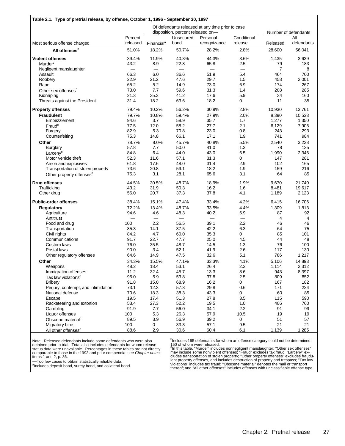| Table 2.1. Type of pretrial release, by offense, October 1, 1996 - September 30, 1997 |                          |                                                  |                                |                          |                                |                |                   |
|---------------------------------------------------------------------------------------|--------------------------|--------------------------------------------------|--------------------------------|--------------------------|--------------------------------|----------------|-------------------|
|                                                                                       |                          | Of defendants released at any time prior to case |                                |                          |                                |                |                   |
|                                                                                       |                          | disposition, percent released on-                |                                |                          | Number of defendants           |                |                   |
| Most serious offense charged                                                          | Percent<br>released      | Financial <sup>a</sup>                           | Unsecured<br>bond              | Personal<br>recognizance | Conditional<br>release         | Released       | All<br>defendants |
| All offenses <sup>b</sup>                                                             | 51.0%                    | 18.2%                                            | 50.7%                          | 28.2%                    | 2.8%                           | 28,600         | 56,041            |
| <b>Violent offenses</b>                                                               | 39.4%                    | 11.9%                                            | 40.3%                          | 44.3%                    | 3.6%                           | 1,435          | 3,639             |
| Murder <sup>c</sup>                                                                   | 43.2                     | 8.9                                              | 22.8                           | 65.8                     | 2.5                            | 79             | 183               |
| Negligent manslaughter                                                                | $\overline{\phantom{0}}$ | $\overline{\phantom{0}}$                         | $\qquad \qquad \longleftarrow$ | $\qquad \qquad$          | $\qquad \qquad \longleftarrow$ | $\overline{7}$ | 8                 |
| Assault                                                                               | 66.3                     | 6.0                                              | 36.6                           | 51.9                     | 5.4                            | 464            | 700               |
| Robbery                                                                               | 22.9                     | 21.2                                             | 47.6                           | 29.7                     | 1.5                            | 458            | 2,001             |
| Rape                                                                                  | 65.2                     | 5.2                                              | 14.9                           | 73.0                     | 6.9                            | 174            | 267               |
| Other sex offenses <sup>c</sup>                                                       | 73.0                     | 7.7                                              | 59.6                           | 31.3                     | 1.4                            | 208            | 285               |
| Kidnaping                                                                             | 21.3                     | 35.3                                             | 41.2                           | 17.6                     | 5.9                            | 34             | 160               |
| Threats against the President                                                         | 31.4                     | 18.2                                             | 63.6                           | 18.2                     | 0                              | 11             | 35                |
| <b>Property offenses</b>                                                              | 79.4%                    | 10.2%                                            | 56.2%                          | 30.9%                    | 2.8%                           | 10,930         | 13,761            |
| <b>Fraudulent</b>                                                                     | 79.7%                    | 10.8%                                            | 59.4%                          | 27.9%                    | 2.0%                           | 8,390          | 10,533            |
| Embezzlement                                                                          | 94.6                     | 3.7                                              | 58.9                           | 35.7                     | 1.7                            | 1,277          | 1,350             |
| Fraud <sup>c</sup>                                                                    | 77.5                     | 12.0                                             | 58.2                           | 27.7                     | 2.1                            | 6,129          | 7,906             |
| Forgery                                                                               | 82.9                     | 5.3                                              | 70.8                           | 23.0                     | 0.8                            | 243            | 293               |
| Counterfeiting                                                                        | 75.3                     | 14.8                                             | 66.1                           | 17.1                     | 1.9                            | 741            | 984               |
| Other                                                                                 | 78.7%                    | 8.0%                                             | 45.7%                          | 40.8%                    | 5.5%                           | 2,540          | 3,228             |
| <b>Burglary</b>                                                                       | 57.8                     | 7.7                                              | 50.0                           | 41.0                     | 1.3                            | 78             | 135               |
| Larcenv <sup>c</sup>                                                                  | 84.8                     | 6.4                                              | 44.0                           | 43.0                     | 6.5                            | 1,990          | 2,346             |
| Motor vehicle theft                                                                   | 52.3                     | 11.6                                             | 57.1                           | 31.3                     | 0                              | 147            | 281               |
| Arson and explosives                                                                  | 61.8                     | 17.6                                             | 48.0                           | 31.4                     | 2.9                            | 102            | 165               |
| Transportation of stolen property                                                     | 73.6                     | 20.8                                             | 59.1                           | 18.2                     | 1.9                            | 159            | 216               |
| Other property offenses <sup>c</sup>                                                  | 75.3                     | 3.1                                              | 28.1                           | 65.6                     | 3.1                            | 64             | 85                |
| <b>Drug offenses</b>                                                                  | 44.5%                    | 30.5%                                            | 48.7%                          | 18.9%                    | 1.9%                           | 9,670          | 21,740            |
| Trafficking                                                                           | 43.2                     | 31.9                                             | 50.3                           | 16.2                     | 1.6                            | 8,481          | 19,617            |
| Other drug                                                                            | 56.0                     | 20.7                                             | 37.3                           | 37.8                     | 4.1                            | 1,189          | 2,123             |
| <b>Public-order offenses</b>                                                          | 38.4%                    | 15.1%                                            | 47.4%                          | 33.4%                    | 4.2%                           | 6,415          | 16,706            |
| <b>Regulatory</b>                                                                     | 72.2%                    | 13.4%                                            | 48.7%                          | 33.5%                    | 4.4%                           | 1,309          | 1,813             |
| Agriculture                                                                           | 94.6                     | 4.6                                              | 48.3                           | 40.2                     | 6.9                            | 87             | 92                |
| Antitrust                                                                             |                          |                                                  | $\qquad \qquad$                |                          | $\qquad \qquad -$              | 4              | 4                 |
| Food and drug                                                                         | 100                      | 2.2                                              | 56.5                           | 39.1                     | 2.2                            | 46             | 46                |
| Transportation                                                                        | 85.3                     | 14.1                                             | 37.5                           | 42.2                     | 6.3                            | 64             | 75                |
| Civil rights                                                                          | 84.2                     | 4.7                                              | 60.0                           | 35.3                     | 0                              | 85             | 101               |
| Communications                                                                        | 91.7                     | 22.7                                             | 47.7                           | 25.0                     | 4.5                            | 44             | 48                |
| Custom laws                                                                           | 76.0                     | 35.5                                             | 48.7                           | 14.5                     | 1.3                            | 76             | 100               |
| Postal laws                                                                           | 90.0                     | 3.4                                              | 52.1                           | 41.9                     | 2.6                            | 117            | 130               |
| Other regulatory offenses                                                             | 64.6                     | 14.9                                             | 47.5                           | 32.6                     | 5.1                            | 786            | 1,217             |
| Other                                                                                 | 34.3%                    | 15.5%                                            | 47.1%                          | 33.3%                    | 4.1%                           | 5,106          | 14,893            |
| <b>Weapons</b>                                                                        | 48.2                     | 18.4                                             | 53.1                           | 26.4                     | 2.2                            | 1,114          | 2,312             |
| Immigration offenses                                                                  | 11.2                     | 32.4                                             | 45.7                           | 13.3                     | 8.6                            | 943            | 8,397             |
| Tax law violations <sup>c</sup>                                                       | 95.0                     | 5.9                                              | 53.8                           | 37.8                     | 2.5                            | 809            | 852               |
| <b>Bribery</b>                                                                        | 91.8                     | 15.0                                             | 68.9                           | 16.2                     | 0                              | 167            | 182               |
| Perjury, contempt, and intimidation                                                   | 73.1                     | 12.3                                             | 57.3                           | 29.8                     | 0.6                            | 171            | 234               |
| National defense                                                                      | 70.6                     | 18.3                                             | 38.3                           | 43.3                     | 0                              | 60             | 85                |
| Escape                                                                                | 19.5                     | 17.4                                             | 51.3                           | 27.8                     | 3.5                            | 115            | 590               |
| Racketeering and extortion                                                            | 53.4                     | 27.3                                             | 52.2                           | 19.5                     | 1.0                            | 406            | 760               |
| Gambling                                                                              | 91.9                     | 7.7                                              | 56.0                           | 34.1                     | 2.2                            | 91             | 99                |
| Liquor offenses                                                                       | 100                      | 5.3                                              | 26.3                           | 57.9                     | 10.5                           | 19             | 19                |
| Obscene material <sup>c</sup>                                                         | 89.5                     | 3.9                                              | 56.9                           | 39.2                     | 0                              | 51             | 57                |
| Migratory birds                                                                       | 100                      | 0                                                | 33.3                           | 57.1                     | 9.5                            | 21             | 21                |
| All other offenses <sup>c</sup>                                                       | 88.6                     | 2.9                                              | 30.6                           | 60.4                     | 6.1                            | 1,139          | 1,285             |

Note: Released defendants include some defendants who were also<br>detained prior to trial. Total also includes defendants for whom release<br>status data were unavailable. Percentages in these tables are not directly<br>comparable

—Too few cases to obtain statistically reliable data.

alncludes deposit bond, surety bond, and collateral bond.

<sup>b</sup>Includes 195 defendants for whom an offense category could not be determined,

150 of whom were released.<br>"In this table, "Murder" includes nonnegligent manslaughter; "Other sex offenses"<br>"may include some nonviolent offenses; "Fraud" excludes tax fraud; "Larceny" ex-<br>cludes transportation of stolen thereof; and "All other offenses" includes offenses with unclassifiable offense type.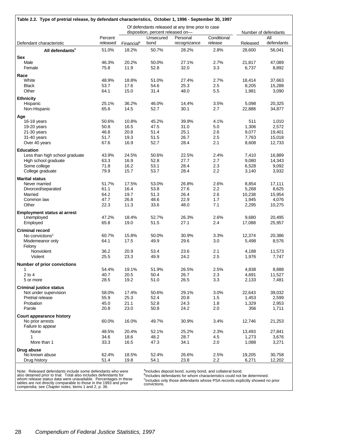| Table 2.2. Type of pretrial release, by defendant characteristics, October 1, 1996 - September 30, 1997 |                                                                                       |                        |                   |                          |                        |                 |                      |  |  |
|---------------------------------------------------------------------------------------------------------|---------------------------------------------------------------------------------------|------------------------|-------------------|--------------------------|------------------------|-----------------|----------------------|--|--|
|                                                                                                         | Of defendants released at any time prior to case<br>disposition, percent released on- |                        |                   |                          |                        |                 | Number of defendants |  |  |
| Defendant characteristic                                                                                | Percent<br>released                                                                   | Financial <sup>a</sup> | Unsecured<br>bond | Personal<br>recognizance | Conditional<br>release | Released        | All<br>defendants    |  |  |
| All defendants <sup>b</sup>                                                                             | 51.0%                                                                                 | 18.2%                  | 50.7%             | 28.2%                    | 2.8%                   | 28,600          | 56,041               |  |  |
| <b>Sex</b>                                                                                              |                                                                                       |                        |                   |                          |                        |                 |                      |  |  |
| Male                                                                                                    | 46.3%                                                                                 | 20.2%                  | 50.0%             | 27.1%                    | 2.7%                   | 21,817          | 47,089               |  |  |
| Female                                                                                                  | 75.8                                                                                  | 11.9                   | 52.8              | 32.0                     | 3.3                    | 6,737           | 8,892                |  |  |
| Race                                                                                                    |                                                                                       |                        |                   |                          |                        |                 |                      |  |  |
| White                                                                                                   | 48.9%                                                                                 | 18.8%                  | 51.0%             | 27.4%                    | 2.7%                   | 18,414          | 37,663               |  |  |
| <b>Black</b>                                                                                            | 53.7                                                                                  | 17.6                   | 54.6              | 25.3                     | 2.5                    | 8,205           | 15,288               |  |  |
| Other                                                                                                   | 64.1                                                                                  | 15.0                   | 31.4              | 48.0                     | 5.5                    | 1,981           | 3,090                |  |  |
| <b>Ethnicity</b>                                                                                        |                                                                                       |                        |                   |                          |                        |                 |                      |  |  |
| Hispanic<br>Non-Hispanic                                                                                | 25.1%<br>65.6                                                                         | 36.2%<br>14.5          | 46.0%<br>52.7     | 14.4%<br>30.1            | 3.5%<br>2.7            | 5,098<br>22,888 | 20,325<br>34,877     |  |  |
|                                                                                                         |                                                                                       |                        |                   |                          |                        |                 |                      |  |  |
| Age<br>16-18 years                                                                                      | 50.6%                                                                                 | 10.8%                  | 45.2%             | 39.9%                    | 4.1%                   | 511             | 1,010                |  |  |
| 19-20 years                                                                                             | 50.8                                                                                  | 16.5                   | 47.5              | 31.0                     | 5.0                    | 1,306           | 2,572                |  |  |
| $21-30$ years                                                                                           | 46.8                                                                                  | 20.8                   | 51.4              | 25.1                     | 2.6                    | 9,077           | 19,401               |  |  |
| 31-40 years                                                                                             | 51.7                                                                                  | 19.3                   | 51.5              | 26.7                     | 2.5                    | 7,763           | 15,018               |  |  |
| Over 40 years                                                                                           | 67.6                                                                                  | 16.9                   | 52.7              | 28.4                     | 2.1                    | 8,608           | 12,733               |  |  |
| <b>Education</b>                                                                                        |                                                                                       |                        |                   |                          |                        |                 |                      |  |  |
| Less than high school graduate                                                                          | 43.9%                                                                                 | 24.5%                  | 50.6%             | 22.5%                    | 2.4%                   | 7,410           | 16,889               |  |  |
| High school graduate                                                                                    | 63.3                                                                                  | 16.9                   | 52.8              | 27.7                     | 2.7                    | 9,080           | 14,343               |  |  |
| Some college                                                                                            | 71.8                                                                                  | 16.2                   | 53.1              | 28.4                     | 2.3                    | 6,528           | 9,092                |  |  |
| College graduate                                                                                        | 79.9                                                                                  | 15.7                   | 53.7              | 28.4                     | 2.2                    | 3,140           | 3,932                |  |  |
| <b>Marital status</b>                                                                                   |                                                                                       |                        |                   |                          |                        |                 |                      |  |  |
| Never married                                                                                           | 51.7%                                                                                 | 17.5%                  | 53.0%             | 26.8%                    | 2.6%                   | 8,854           | 17,111               |  |  |
| Divorced/separated                                                                                      | 61.1                                                                                  | 16.4                   | 53.8              | 27.6                     | $2.2\,$                | 5,268           | 8,625                |  |  |
| Married<br>Common law                                                                                   | 64.2<br>47.7                                                                          | 19.7<br>26.8           | 51.3<br>48.6      | 26.4<br>22.9             | 2.6<br>1.7             | 10,238<br>1,945 | 15,954<br>4,076      |  |  |
| Other                                                                                                   | 22.3                                                                                  | 11.3                   | 33.6              | 48.0                     | 7.1                    | 2,295           | 10,275               |  |  |
|                                                                                                         |                                                                                       |                        |                   |                          |                        |                 |                      |  |  |
| <b>Employment status at arrest</b><br>Unemployed                                                        | 47.2%                                                                                 | 18.4%                  | 52.7%             | 26.3%                    | 2.6%                   | 9,680           | 20,495               |  |  |
| Employed                                                                                                | 65.8                                                                                  | 19.0                   | 51.5              | 27.1                     | 2.4                    | 17,088          | 25,957               |  |  |
| <b>Criminal record</b>                                                                                  |                                                                                       |                        |                   |                          |                        |                 |                      |  |  |
| No convictions <sup>c</sup>                                                                             | 60.7%                                                                                 | 15.8%                  | 50.0%             | 30.9%                    | 3.3%                   | 12,374          | 20,386               |  |  |
| Misdemeanor only                                                                                        | 64.1                                                                                  | 17.5                   | 49.9              | 29.6                     | 3.0                    | 5,498           | 8,576                |  |  |
| Felony                                                                                                  |                                                                                       |                        |                   |                          |                        |                 |                      |  |  |
| Nonviolent                                                                                              | 36.2                                                                                  | 20.9                   | 53.4              | 23.6                     | 2.1                    | 4,188           | 11,573               |  |  |
| Violent                                                                                                 | 25.5                                                                                  | 23.3                   | 49.9              | 24.2                     | 2.5                    | 1,976           | 7,747                |  |  |
| <b>Number of prior convictions</b>                                                                      |                                                                                       |                        |                   |                          |                        |                 |                      |  |  |
| 1                                                                                                       | 54.4%                                                                                 | 19.1%                  | 51.9%             | 26.5%                    | 2.5%                   | 4,838           | 8,888                |  |  |
| $2$ to $4$                                                                                              | 40.7                                                                                  | 20.5                   | 50.4              | 26.7                     | 2.3                    | 4,691           | 11,527               |  |  |
| 5 or more                                                                                               | 28.5                                                                                  | 19.2                   | 51.0              | 26.5                     | 3.3                    | 2,133           | 7,481                |  |  |
| <b>Criminal justice status</b>                                                                          |                                                                                       |                        |                   |                          |                        |                 |                      |  |  |
| Not under supervision                                                                                   | 58.0%                                                                                 | 17.4%                  | 50.6%             | 29.1%                    | 3.0%                   | 22,643          | 39,032               |  |  |
| Pretrial release<br>Probation                                                                           | 55.9<br>45.0                                                                          | 25.3<br>21.1           | 52.4<br>52.8      | 20.8<br>24.3             | 1.5<br>1.8             | 1,453<br>1,329  | 2,599<br>2,953       |  |  |
| Parole                                                                                                  | 20.8                                                                                  | 23.0                   | 50.8              | 24.2                     | 2.0                    | 356             | 1,711                |  |  |
|                                                                                                         |                                                                                       |                        |                   |                          |                        |                 |                      |  |  |
| Court appearance history<br>No prior arrests                                                            | 60.0%                                                                                 | 16.0%                  | 49.7%             | 30.9%                    | 3.4%                   | 12,746          | 21,253               |  |  |
| Failure to appear                                                                                       |                                                                                       |                        |                   |                          |                        |                 |                      |  |  |
| None                                                                                                    | 48.5%                                                                                 | 20.4%                  | 52.1%             | 25.2%                    | 2.3%                   | 13,493          | 27,841               |  |  |
| 1                                                                                                       | 34.6                                                                                  | 18.6                   | 48.2              | 28.7                     | 4.5                    | 1,273           | 3,676                |  |  |
| More than 1                                                                                             | 33.3                                                                                  | 16.5                   | 47.3              | 34.1                     | 2.0                    | 1,088           | 3,271                |  |  |
| Drug abuse                                                                                              |                                                                                       |                        |                   |                          |                        |                 |                      |  |  |
| No known abuse                                                                                          | 62.4%                                                                                 | 18.5%                  | 52.4%             | 26.6%                    | 2.5%                   | 19,205          | 30,758               |  |  |
| Drug history                                                                                            | 51.4                                                                                  | 19.8                   | 54.1              | 23.8                     | 2.2                    | 6,271           | 12,202               |  |  |

Note: Released defendants include some defendants who were<br>also detained prior to trial. Total also includes defendants for<br>whom release status data were unavailable. Percentages in these<br>tables are not directly comparable

<sup>a</sup>lncludes deposit bond, surety bond, and collateral bond.<br><sup>b</sup>Includes defendants for whom characteristics could not be determined.<br><sup>c</sup>Includes only those defendants whose PSA records explicitly showed no prior<br>conviction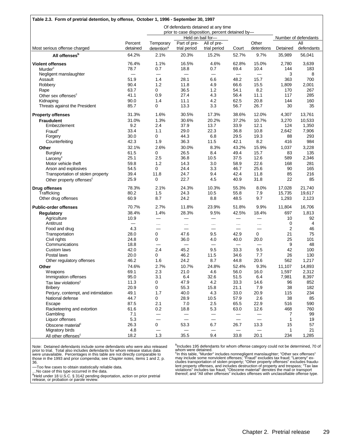|                                      |              |                          |                          | Of defendants detained at any time<br>prior to case disposition, percent detained by- |                          |                 |              |                      |
|--------------------------------------|--------------|--------------------------|--------------------------|---------------------------------------------------------------------------------------|--------------------------|-----------------|--------------|----------------------|
|                                      |              |                          | Held on bail for-        |                                                                                       |                          |                 |              | Number of defendants |
|                                      | Percent      | Temporary                | Part of pre-             | All of pre-                                                                           |                          | Other           |              | ΑIΙ                  |
| Most serious offense charged         | detained     | detention <sup>a</sup>   | trial period             | trial period                                                                          | Court                    | detentions      | Detained     | defendants           |
| All offenses <sup>b</sup>            | 64.2%        | 2.1%                     | 20.3%                    | 15.2%                                                                                 | 52.7%                    | 9.7%            | 35.989       | 56,041               |
| <b>Violent offenses</b>              | 76.4%        | 1.1%                     | 16.5%                    | 4.6%                                                                                  | 62.8%                    | 15.0%           | 2,780        | 3,639                |
| Murder <sup>c</sup>                  | 78.7         | 0.7                      | 18.8                     | 0.7                                                                                   | 69.4                     | 10.4            | 144          | 183                  |
| Negligent manslaughter               |              |                          |                          | $\overline{\phantom{0}}$                                                              | $\overline{\phantom{0}}$ |                 | 3            | 8                    |
| Assault<br>Robbery                   | 51.9<br>90.4 | 1.4<br>1.2               | 28.1<br>11.8             | 6.6<br>4.9                                                                            | 48.2<br>66.6             | 15.7<br>15.5    | 363<br>1,809 | 700<br>2,001         |
| Rape                                 | 63.7         | 0                        | 36.5                     | 1.2                                                                                   | 54.1                     | 8.2             | 170          | 267                  |
| Other sex offenses <sup>c</sup>      | 41.1         | 0.9                      | 27.4                     | 4.3                                                                                   | 56.4                     | 11.1            | 117          | 285                  |
| Kidnaping                            | 90.0         | 1.4                      | 11.1                     | 4.2                                                                                   | 62.5                     | 20.8            | 144          | 160                  |
| Threats against the President        | 85.7         | 0                        | 13.3                     | 3.3                                                                                   | 56.7                     | 26.7            | 30           | 35                   |
| <b>Property offenses</b>             | 31.3%        | 1.6%                     | 30.5%                    | 17.3%                                                                                 | 38.6%                    | 12.0%           | 4,307        | 13,761               |
| <b>Fraudulent</b>                    | 31.0%        | 1.3%                     | 30.6%                    | 20.2%                                                                                 | 37.2%                    | 10.7%           | 3,270        | 10,533               |
| Embezzlement                         | 9.2          | 2.4                      | 37.9                     | 13.7                                                                                  | 33.9                     | 12.1            | 124          | 1,350                |
| Fraud <sup>c</sup>                   | 33.4         | 1.1                      | 29.0                     | 22.3                                                                                  | 36.8                     | 10.8            | 2,642        | 7,906                |
| Forgery                              | 30.0         | 0                        | 44.3                     | 6.8                                                                                   | 29.5                     | 19.3            | 88           | 293                  |
| Counterfeiting                       | 42.3         | 1.9                      | 36.3                     | 11.5                                                                                  | 42.1                     | 8.2             | 416          | 984                  |
| Other                                | 32.1%        | 2.6%                     | 30.0%                    | 8.3%                                                                                  | 43.2%                    | 15.9%           | 1,037        | 3,228                |
| <b>Burglary</b>                      | 61.5         | 0                        | 26.5                     | 8.4                                                                                   | 49.4                     | 15.7            | 83           | 135                  |
| Larcenv <sup>c</sup>                 | 25.1         | 2.5                      | 36.8                     | 10.5                                                                                  | 37.5                     | 12.6            | 589          | 2,346                |
| Motor vehicle theft                  | 59.8         | 1.2                      | 14.3                     | 3.0                                                                                   | 58.9                     | 22.6            | 168          | 281                  |
| Arson and explosives                 | 54.5         | 0                        | 24.4                     | 3.3                                                                                   | 46.7                     | 25.6            | 90           | 165                  |
| Transportation of stolen property    | 39.4         | 11.8                     | 24.7                     | 9.4                                                                                   | 42.4                     | 11.8            | 85           | 216                  |
| Other property offenses <sup>c</sup> | 25.9         | 0                        | 22.7                     | 4.5                                                                                   | 40.9                     | 31.8            | 22           | 85                   |
| Drug offenses                        | 78.3%        | 2.1%                     | 24.3%                    | 10.3%                                                                                 | 55.3%                    | 8.0%            | 17,028       | 21,740               |
| Trafficking                          | 80.2         | 1.5                      | 24.3                     | 10.5                                                                                  | 55.8                     | 7.9             | 15,735       | 19,617               |
| Other drug offenses                  | 60.9         | 8.7                      | 24.2                     | 8.8                                                                                   | 48.5                     | 9.7             | 1,293        | 2,123                |
| <b>Public-order offenses</b>         | 70.7%        | 2.7%                     | 11.8%                    | 23.9%                                                                                 | 51.8%                    | 9.9%            | 11,804       | 16,706               |
| Regulatory                           | 38.4%        | 1.4%                     | 28.3%                    | 9.5%                                                                                  | 42.5%                    | 18.4%           | 697          | 1,813                |
| Agriculture                          | 10.9         | $\overline{\phantom{0}}$ |                          | $\overline{\phantom{0}}$                                                              | —                        |                 | 10           | 92                   |
| Antitrust                            |              | $\cdots$                 | $\cdots$                 | $\cdots$                                                                              | $\cdots$                 | $\ddotsc$       | 0            | 4                    |
| Food and drug                        | 4.3          |                          | $\overline{\phantom{0}}$ |                                                                                       |                          |                 | 2            | 46                   |
| Transportation                       | 28.0         | 0<br>0                   | 47.6<br>36.0             | 9.5                                                                                   | 42.9                     | 0<br>20.0       | 21<br>25     | 75<br>101            |
| Civil rights<br>Communications       | 24.8<br>18.8 |                          |                          | 4.0                                                                                   | 40.0                     |                 | 9            | 48                   |
| Custom laws                          | 42.0         | 2.4                      | 45.2                     | 9.5                                                                                   | 33.3                     | 9.5             | 42           | 100                  |
| Postal laws                          | 20.0         | 0                        | 46.2                     | 11.5                                                                                  | 34.6                     | 7.7             | 26           | 130                  |
| Other regulatory offenses            | 46.2         | 1.6                      | 24.2                     | 8.7                                                                                   | 44.8                     | 20.6            | 562          | 1,217                |
| Other                                | 74.6%        | 2.7%                     | 10.7%                    | 24.8%                                                                                 | 52.4%                    | 9.3%            | 11,107       | 14.893               |
| Weapons                              | 69.1         | 2.3                      | 21.0                     | 4.6                                                                                   | 56.0                     | 16.0            | 1,597        | 2,312                |
| Immigration offenses                 | 95.0         | 3.1                      | 6.4                      | 32.6                                                                                  | 51.5                     | 6.4             | 7,981        | 8,397                |
| Tax law violations <sup>c</sup>      | 11.3         | 0                        | 47.9                     | 4.2                                                                                   | 33.3                     | 14.6            | 96           | 852                  |
| <b>Bribery</b>                       | 20.9         | 0                        | 55.3                     | 15.8                                                                                  | 21.1                     | 7.9             | 38           | 182                  |
| Perjury, contempt, and intimidation  | 49.1         | 1.7                      | 40.0                     | 4.3                                                                                   | 33.0                     | 20.9            | 115          | 234                  |
| National defense                     | 44.7         | 0                        | 28.9                     | 10.5                                                                                  | 57.9                     | 2.6             | 38           | 85                   |
| Escape                               | 87.5         | 2.1                      | 7.0                      | 2.5                                                                                   | 65.5                     | 22.9            | 516          | 590                  |
| Racketeering and extortion           | 61.6         | $0.2\,$                  | 18.8                     | 5.3                                                                                   | 63.0                     | 12.6            | 468          | 760                  |
| Gambling                             | 7.1          | —                        |                          |                                                                                       |                          |                 | 7            | 99                   |
| Liquor offenses                      | 5.3          | $\overline{\phantom{0}}$ |                          | $\qquad \qquad -$                                                                     | $\qquad \qquad$          | $\qquad \qquad$ | $\mathbf{1}$ | 19                   |
| Obscene material <sup>c</sup>        | 26.3         | $\overline{0}$           | 53.3                     | 6.7                                                                                   | 26.7                     | 13.3            | 15           | 57                   |
| Migratory birds                      | 4.8          |                          |                          |                                                                                       |                          |                 | 1            | 21                   |
| All other offenses <sup>c</sup>      | 18.2         | 1.3                      | 35.5                     | 9.4                                                                                   | 33.8                     | 20.1            | 234          | 1,285                |

Note: Detained defendants include some defendants who were also released<br>prior to trial. Total also includes defendants for whom release status data<br>were unavailable. Percentages in this table are not directly comparable t 36.

—Too few cases to obtain statistically reliable data.

...No case of this type occurred in the data.<br><sup>a</sup>Held under 18 U.S.C. § 3142 pending deportation, action on prior pretrial<br>release, or probation or parole review.

<sup>b</sup>Includes 195 defendants for whom offense category could not be determined, 70 of

whom were detained.<br>"In this table, "Murder" includes nonnegligent manslaughter; "Other sex offenses"<br>"may include some nonviolent offenses; "Fraud" excludes tax fraud; "Larceny" ex-<br>cludes transportation of stolen propert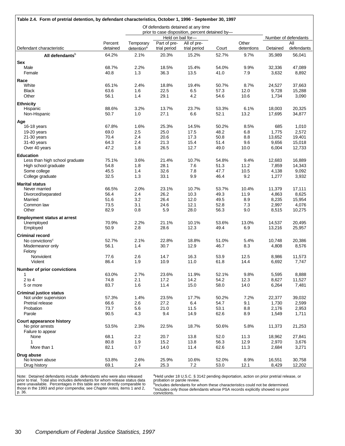| Table 2.4. Form of pretrial detention, by defendant characteristics, October 1, 1996 - September 30, 1997 |                   |                                                                                       |                       |                       |                |                    |                    |                      |
|-----------------------------------------------------------------------------------------------------------|-------------------|---------------------------------------------------------------------------------------|-----------------------|-----------------------|----------------|--------------------|--------------------|----------------------|
|                                                                                                           |                   | Of defendants detained at any time<br>prior to case disposition, percent detained by- |                       |                       |                |                    |                    |                      |
|                                                                                                           |                   |                                                                                       |                       | Held on bail for-     |                |                    |                    | Number of defendants |
|                                                                                                           | Percent           | Temporary                                                                             | Part of pre-          | All of pre-           |                | Other              |                    | All                  |
| Defendant characteristic                                                                                  | detained<br>64.2% | detention <sup>a</sup><br>2.1%                                                        | trial period<br>20.3% | trial period<br>15.2% | Court<br>52.7% | detentions<br>9.7% | Detained<br>35,989 | defendants<br>56,041 |
| All defendants <sup>b</sup>                                                                               |                   |                                                                                       |                       |                       |                |                    |                    |                      |
| Sex<br>Male                                                                                               | 68.7%             | 2.2%                                                                                  | 18.5%                 | 15.4%                 | 54.0%          | 9.9%               | 32,336             | 47,089               |
| Female                                                                                                    | 40.8              | 1.3                                                                                   | 36.3                  | 13.5                  | 41.0           | 7.9                | 3,632              | 8,892                |
| Race                                                                                                      |                   |                                                                                       |                       |                       |                |                    |                    |                      |
| White                                                                                                     | 65.1%             | 2.4%                                                                                  | 18.8%                 | 19.4%                 | 50.7%          | 8.7%               | 24,527             | 37,663               |
| <b>Black</b>                                                                                              | 63.6              | 1.6                                                                                   | 22.5                  | 6.5                   | 57.3           | 12.0               | 9,728              | 15,288               |
| Other                                                                                                     | 56.1              | 1.4                                                                                   | 29.1                  | 4.2                   | 54.6           | 10.6               | 1,734              | 3,090                |
| <b>Ethnicity</b><br>Hispanic                                                                              | 88.6%             | 3.2%                                                                                  | 13.7%                 | 23.7%                 | 53.3%          | 6.1%               | 18,003             | 20,325               |
| Non-Hispanic                                                                                              | 50.7              | 1.0                                                                                   | 27.1                  | 6.6                   | 52.1           | 13.2               | 17,695             | 34,877               |
|                                                                                                           |                   |                                                                                       |                       |                       |                |                    |                    |                      |
| Age<br>16-18 years                                                                                        | 67.8%             | 1.6%                                                                                  | 25.3%                 | 14.5%                 | 50.2%          | 8.5%               | 685                | 1,010                |
| 19-20 years                                                                                               | 69.0              | 2.5                                                                                   | 25.0                  | 17.5                  | 48.2           | 6.8                | 1,775              | 2,572                |
| $21-30$ years                                                                                             | 70.4              | 2.4                                                                                   | 20.6                  | 17.3                  | 50.8           | 8.8                | 13,652             | 19,401               |
| 31-40 years                                                                                               | 64.3              | 2.4                                                                                   | 21.3                  | 15.4                  | 51.4           | 9.6                | 9,656              | 15,018               |
| Over 40 years                                                                                             | 47.2              | 1.8                                                                                   | 26.5                  | 12.7                  | 49.0           | 10.0               | 6,004              | 12,733               |
| <b>Education</b><br>Less than high school graduate                                                        | 75.1%             | 3.6%                                                                                  | 21.4%                 | 10.7%                 | 54.8%          | 9.4%               | 12,683             | 16,889               |
| High school graduate                                                                                      | 54.8              | 1.8                                                                                   | 28.1                  | 7.6                   | 51.3           | 11.2               | 7,859              | 14,343               |
| Some college                                                                                              | 45.5              | 1.4                                                                                   | 32.6                  | 7.8                   | 47.7           | 10.5               | 4,138              | 9,092                |
| College graduate                                                                                          | 32.5              | 1.3                                                                                   | 33.1                  | 9.9                   | 46.4           | 9.2                | 1,277              | 3,932                |
| <b>Marital status</b>                                                                                     |                   |                                                                                       |                       |                       |                |                    |                    |                      |
| Never married                                                                                             | 66.5%             | 2.0%                                                                                  | 23.1%                 | 10.7%                 | 53.7%          | 10.4%              | 11,379             | 17,111               |
| Divorced/separated                                                                                        | 56.4              | 2.4                                                                                   | 26.2                  | 10.3                  | 49.3           | 11.9               | 4,863              | 8,625                |
| Married<br>Common law                                                                                     | 51.6<br>73.5      | 3.2<br>3.1                                                                            | 26.4<br>24.6          | 12.0<br>12.1          | 49.5<br>52.8   | 8.9<br>7.3         | 8,235<br>2,997     | 15,954<br>4,076      |
| Other                                                                                                     | 82.9              | 0.8                                                                                   | 5.9                   | 28.0                  | 56.3           | 9.0                | 8,515              | 10,275               |
| <b>Employment status at arrest</b>                                                                        |                   |                                                                                       |                       |                       |                |                    |                    |                      |
| Unemployed                                                                                                | 70.9%             | 2.2%                                                                                  | 21.1%                 | 10.1%                 | 53.6%          | 13.0%              | 14,537             | 20,495               |
| Employed                                                                                                  | 50.9              | 2.8                                                                                   | 28.6                  | 12.3                  | 49.4           | 6.9                | 13,216             | 25,957               |
| <b>Criminal record</b>                                                                                    |                   |                                                                                       |                       |                       |                |                    |                    |                      |
| No convictions <sup>c</sup>                                                                               | 52.7%             | 2.1%                                                                                  | 22.8%                 | 18.8%                 | 51.0%          | 5.4%               | 10,748             | 20,386               |
| Misdemeanor only                                                                                          | 56.1              | 1.4                                                                                   | 30.7                  | 12.9                  | 46.7           | 8.3                | 4,808              | 8,576                |
| Felony<br>Nonviolent                                                                                      | 77.6              | 2.6                                                                                   | 14.7                  | 16.3                  | 53.9           | 12.5               | 8,986              | 11,573               |
| Violent                                                                                                   | 86.4              | 1.9                                                                                   | 10.9                  | 11.0                  | 61.8           | 14.4               | 6,692              | 7,747                |
| Number of prior convictions                                                                               |                   |                                                                                       |                       |                       |                |                    |                    |                      |
| 1                                                                                                         | 63.0%             | 2.7%                                                                                  | 23.6%                 | 11.9%                 | 52.1%          | 9.8%               | 5,595              | 8,888                |
| $2$ to $4$                                                                                                | 74.8              | 2.1                                                                                   | 17.2                  | 14.2                  | 54.2           | 12.3               | 8,627              | 11,527               |
| 5 or more                                                                                                 | 83.7              | 1.6                                                                                   | 11.4                  | 15.0                  | 58.0           | 14.0               | 6,264              | 7,481                |
| <b>Criminal justice status</b>                                                                            | 57.3%             | 1.4%                                                                                  |                       | 17.7%                 |                | 7.2%               |                    | 39,032               |
| Not under supervision<br>Pretrial release                                                                 | 66.6              | 2.6                                                                                   | 23.5%<br>27.2         | 6.4                   | 50.2%<br>54.7  | 9.1                | 22,377<br>1,730    | 2,599                |
| Probation                                                                                                 | 73.7              | 5.6                                                                                   | 21.0                  | 11.5                  | 53.1           | 8.8                | 2,176              | 2,953                |
| Parole                                                                                                    | 90.5              | 4.3                                                                                   | 9.4                   | 14.9                  | 62.6           | 8.9                | 1,549              | 1,711                |
| <b>Court appearance history</b>                                                                           |                   |                                                                                       |                       |                       |                |                    |                    |                      |
| No prior arrests                                                                                          | 53.5%             | 2.3%                                                                                  | 22.5%                 | 18.7%                 | 50.6%          | 5.8%               | 11,373             | 21,253               |
| Failure to appear                                                                                         |                   |                                                                                       |                       |                       |                |                    |                    |                      |
| None<br>1                                                                                                 | 68.1              | 2.2                                                                                   | 20.7                  | 13.8                  | 52.0           | 11.3               | 18,962             | 27,841               |
| More than 1                                                                                               | 80.8<br>82.1      | 1.9<br>0.7                                                                            | 15.2<br>14.0          | 13.8<br>11.4          | 56.3<br>62.6   | 12.9<br>11.3       | 2,970<br>2,684     | 3,676<br>3,271       |
| Drug abuse                                                                                                |                   |                                                                                       |                       |                       |                |                    |                    |                      |
| No known abuse                                                                                            | 53.8%             | 2.6%                                                                                  | 25.9%                 | 10.6%                 | 52.0%          | 8.9%               | 16,551             | 30,758               |
| Drug history                                                                                              | 69.1              | 2.4                                                                                   | 25.3                  | 7.2                   | 53.0           | 12.1               | 8,429              | 12,202               |

Note: Detained defendants include defendants who were also released<br>prior to trial. Total also includes defendants for whom release status data<br>were unavailable. Percentages in this table are not directly comparable to<br>tho p. 36.

<sup>a</sup>Held under 18 U.S.C.§ 3142 pending deportation, action on prior pretrial release, or<br>probation or parole review.<br><sup>b</sup>Includes defendants for whom these characteristics could not be determined.

<sup>c</sup>Includes only those defendants whose PSA records explicitly showed no prior convictions.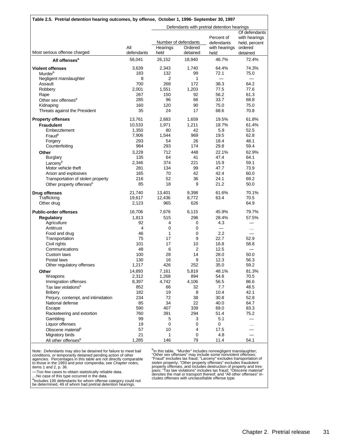| Table 2.5. Pretrial detention hearing outcomes, by offense, October 1, 1996- September 30, 1997                          |                                           |                                       |                                               |                                                          |                                                                        |  |  |
|--------------------------------------------------------------------------------------------------------------------------|-------------------------------------------|---------------------------------------|-----------------------------------------------|----------------------------------------------------------|------------------------------------------------------------------------|--|--|
|                                                                                                                          |                                           |                                       |                                               | Defendants with pretrial detention hearings              |                                                                        |  |  |
| Most serious offense charged                                                                                             | All<br>defendants                         | Hearings<br>held                      | Number of defendants<br>Ordered<br>detained   | Percent of<br>defendants<br>with hearings<br>held        | Of defendants<br>with hearings<br>held, percent<br>ordered<br>detained |  |  |
| All offenses <sup>a</sup>                                                                                                | 56,041                                    | 26,152                                | 18,940                                        | 46.7%                                                    | 72.4%                                                                  |  |  |
| <b>Violent offenses</b><br>Murder <sup>b</sup>                                                                           | 3,639<br>183                              | 2,343<br>132                          | 1,740<br>99                                   | 64.4%<br>72.1                                            | 74.3%<br>75.0                                                          |  |  |
| Negligent manslaughter<br>Assault<br>Robbery<br>Rape                                                                     | 8<br>700<br>2.001<br>267                  | $\overline{2}$<br>268<br>1,551<br>150 | 1<br>172<br>1.203                             | 38.3<br>77.5<br>56.2                                     | 64.2<br>77.6                                                           |  |  |
| Other sex offenses <sup>b</sup><br>Kidnaping<br>Threats against the President                                            | 285<br>160<br>35                          | 96<br>120<br>24                       | 92<br>66<br>90<br>17                          | 33.7<br>75.0<br>68.6                                     | 61.3<br>68.8<br>75.0<br>70.8                                           |  |  |
| <b>Property offenses</b><br><b>Fraudulent</b><br>Embezzlement<br>Fraud <sup>b</sup>                                      | 13,761<br>10,533<br>1,350<br>7,906<br>293 | 2,683<br>1,971<br>80<br>1,544<br>54   | 1,659<br>1,211<br>42<br>969<br>26             | 19.5%<br>18.7%<br>5.9<br>19.5<br>18.4                    | 61.8%<br>61.4%<br>52.5<br>62.8<br>48.1                                 |  |  |
| Forgery<br>Counterfeiting<br>Other<br><b>Burglary</b><br>Larceny <sup>b</sup>                                            | 984<br>3,228<br>135<br>2,346              | 293<br>712<br>64<br>374               | 174<br>448<br>41<br>221                       | 29.8<br>22.1%<br>47.4<br>15.9                            | 59.4<br>62.9%<br>64.1<br>59.1                                          |  |  |
| Motor vehicle theft<br>Arson and explosives<br>Transportation of stolen property<br>Other property offenses <sup>b</sup> | 281<br>165<br>216<br>85                   | 134<br>70<br>52<br>18                 | 99<br>42<br>36<br>9                           | 47.7<br>42.4<br>24.1<br>21.2                             | 73.9<br>60.0<br>69.2<br>50.0                                           |  |  |
| <b>Drug offenses</b><br>Trafficking<br>Other drug                                                                        | 21,740<br>19,617<br>2,123                 | 13,401<br>12,436<br>965               | 9,398<br>8,772<br>626                         | 61.6%<br>63.4                                            | 70.1%<br>70.5<br>64.9                                                  |  |  |
| <b>Public-order offenses</b><br><b>Regulatory</b><br>Agriculture<br>Antitrust<br>Food and drug                           | 16,706<br>1,813<br>92<br>4<br>46          | 7,676<br>515<br>4<br>0<br>1           | 6,115<br>296<br>0<br>0<br>0                   | 45.9%<br>28.4%<br>4.3<br>$\overline{\phantom{0}}$<br>2.2 | 79.7%<br>57.5%<br>$\cdots$                                             |  |  |
| Transportation<br>Civil rights<br>Communications<br>Custom laws                                                          | 75<br>101<br>48<br>100                    | 17<br>17<br>6<br>28                   | 9<br>10<br>2<br>14                            | 22.7<br>16.8<br>12.5<br>28.0                             | 52.9<br>58.8<br>50.0                                                   |  |  |
| Postal laws<br>Other regulatory offenses<br>Other<br>Weapons<br>Immigration offenses                                     | 130<br>1,217<br>14,893<br>2,312<br>8,397  | 16<br>426<br>7,161<br>1,268<br>4,742  | 9<br>252<br>5,819<br>894<br>4,106             | 12.3<br>35.0<br>48.1%<br>54.8<br>56.5                    | 56.3<br>59.2<br>81.3%<br>70.5<br>86.6                                  |  |  |
| Tax law violations <sup>b</sup><br><b>Bribery</b><br>Perjury, contempt, and intimidation<br>National defense<br>Escape   | 852<br>182<br>234<br>85<br>590            | 66<br>19<br>72<br>34<br>407           | 32<br>8<br>38<br>22<br>339                    | 7.7<br>10.4<br>30.8<br>40.0<br>69.0                      | 48.5<br>42.1<br>52.8<br>64.7<br>83.3                                   |  |  |
| Racketeering and extortion<br>Gambling<br>Liquor offenses<br>Obscene material <sup>b</sup><br>Migratory birds            | 760<br>99<br>19<br>57<br>21               | 391<br>5<br>0<br>10<br>1              | 294<br>3<br>0<br>$\overline{\mathbf{4}}$<br>0 | 51.4<br>5.1<br>0<br>17.5<br>4.8                          | 75.2<br>.                                                              |  |  |
| All other offenses <sup>b</sup>                                                                                          | 1,285                                     | 146                                   | 79                                            | 11.4                                                     | 54.1                                                                   |  |  |

Note: Defendants may also be detained for failure to meet bail<br>conditions, or temporarily detained pending action of other<br>agencies. Percentages in this table are not directly comparable<br>to those in the 1993 and prior comp

—Too few cases to obtain statistically reliable data. …No case of this type occurred in the data.

a<br>her determined, 49 of whom had pretrial detention hearings.<br>be determined, 49 of whom had pretrial detention hearings.

<sup>b</sup>In this table, "Murder" includes nonnegligent manslaughter;<br>"Other sex offenses" may include some nonviolent offenses;<br>"Fraud" excludes tax fraud; "Larceny" excludes transportation of<br>stolen property; "Other property of denotes the mail or transport thereof; and "All other offenses" in-cludes offenses with unclassifiable offense type.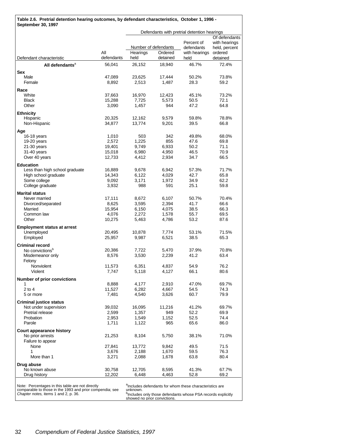|                                                                                                                                                      |                   |                  |                                             | Defendants with pretrial detention hearings                                                                                                                      |                                                             |  |
|------------------------------------------------------------------------------------------------------------------------------------------------------|-------------------|------------------|---------------------------------------------|------------------------------------------------------------------------------------------------------------------------------------------------------------------|-------------------------------------------------------------|--|
| Defendant characteristic                                                                                                                             | All<br>defendants | Hearings<br>held | Number of defendants<br>Ordered<br>detained | Percent of<br>defendants<br>with hearings ordered<br>held                                                                                                        | Of defendants<br>with hearings<br>held, percent<br>detained |  |
| All defendants <sup>a</sup>                                                                                                                          | 56,041            | 26,152           | 18,940                                      | 46.7%                                                                                                                                                            | 72.4%                                                       |  |
| <b>Sex</b>                                                                                                                                           |                   |                  |                                             |                                                                                                                                                                  |                                                             |  |
| Male<br>Female                                                                                                                                       | 47,089<br>8,892   | 23,625<br>2,513  | 17,444<br>1,487                             | 50.2%<br>28.3                                                                                                                                                    | 73.8%<br>59.2                                               |  |
| Race                                                                                                                                                 |                   |                  |                                             |                                                                                                                                                                  |                                                             |  |
| White                                                                                                                                                | 37,663            | 16,970           | 12,423                                      | 45.1%                                                                                                                                                            | 73.2%                                                       |  |
| Black<br>Other                                                                                                                                       | 15,288            | 7,725<br>1,457   | 5,573<br>944                                | 50.5<br>47.2                                                                                                                                                     | 72.1<br>64.8                                                |  |
|                                                                                                                                                      | 3,090             |                  |                                             |                                                                                                                                                                  |                                                             |  |
| <b>Ethnicity</b><br>Hispanic                                                                                                                         | 20,325            | 12,162           | 9,579                                       | 59.8%                                                                                                                                                            | 78.8%                                                       |  |
| Non-Hispanic                                                                                                                                         | 34,877            | 13,774           | 9,201                                       | 39.5                                                                                                                                                             | 66.8                                                        |  |
|                                                                                                                                                      |                   |                  |                                             |                                                                                                                                                                  |                                                             |  |
| Age<br>16-18 years                                                                                                                                   | 1,010             | 503              | 342                                         | 49.8%                                                                                                                                                            | 68.0%                                                       |  |
| 19-20 years                                                                                                                                          | 2,572             | 1,225            | 855                                         | 47.6                                                                                                                                                             | 69.8                                                        |  |
| $21-30$ years                                                                                                                                        | 19,401            | 9,749            | 6,933                                       | 50.2                                                                                                                                                             | 71.1                                                        |  |
| 31-40 years                                                                                                                                          | 15,018            | 6,980            | 4,950                                       | 46.5                                                                                                                                                             | 70.9                                                        |  |
| Over 40 years                                                                                                                                        | 12,733            | 4,412            | 2,934                                       | 34.7                                                                                                                                                             | 66.5                                                        |  |
| <b>Education</b>                                                                                                                                     |                   |                  |                                             |                                                                                                                                                                  |                                                             |  |
| Less than high school graduate                                                                                                                       | 16,889            | 9,678            | 6,942                                       | 57.3%                                                                                                                                                            | 71.7%                                                       |  |
| High school graduate                                                                                                                                 | 14,343            | 6,122            | 4,029                                       | 42.7                                                                                                                                                             | 65.8                                                        |  |
| Some college                                                                                                                                         | 9,092             | 3,171            | 1,972                                       | 34.9                                                                                                                                                             | 62.2                                                        |  |
| College graduate                                                                                                                                     | 3,932             | 988              | 591                                         | 25.1                                                                                                                                                             | 59.8                                                        |  |
| <b>Marital status</b>                                                                                                                                |                   |                  |                                             |                                                                                                                                                                  |                                                             |  |
| Never married                                                                                                                                        | 17,111            | 8,672            | 6,107                                       | 50.7%                                                                                                                                                            | 70.4%                                                       |  |
| Divorced/separated                                                                                                                                   | 8,625             | 3,595            | 2,394                                       | 41.7                                                                                                                                                             | 66.6                                                        |  |
| Married<br>Common law                                                                                                                                | 15,954<br>4,076   | 6,150<br>2,272   | 4,075<br>1,578                              | 38.5<br>55.7                                                                                                                                                     | 66.3<br>69.5                                                |  |
| Other                                                                                                                                                | 10,275            | 5,463            | 4,786                                       | 53.2                                                                                                                                                             | 87.6                                                        |  |
|                                                                                                                                                      |                   |                  |                                             |                                                                                                                                                                  |                                                             |  |
| <b>Employment status at arrest</b><br>Unemployed                                                                                                     | 20,495            | 10,878           | 7,774                                       | 53.1%                                                                                                                                                            | 71.5%                                                       |  |
| Employed                                                                                                                                             | 25,957            | 9,987            | 6,521                                       | 38.5                                                                                                                                                             | 65.3                                                        |  |
| <b>Criminal record</b>                                                                                                                               |                   |                  |                                             |                                                                                                                                                                  |                                                             |  |
| No convictions <sup>b</sup>                                                                                                                          | 20,386            | 7.722            | 5,470                                       | 37.9%                                                                                                                                                            | 70.8%                                                       |  |
| Misdemeanor only                                                                                                                                     | 8,576             | 3,530            | 2,239                                       | 41.2                                                                                                                                                             | 63.4                                                        |  |
| Felony                                                                                                                                               |                   |                  |                                             |                                                                                                                                                                  |                                                             |  |
| <b>Nonviolent</b>                                                                                                                                    | 11,573            | 6,351            | 4,837                                       | 54.9                                                                                                                                                             | 76.2                                                        |  |
| Violent                                                                                                                                              | 7,747             | 5,118            | 4,127                                       | 66.1                                                                                                                                                             | 80.6                                                        |  |
| <b>Number of prior convictions</b>                                                                                                                   |                   |                  |                                             |                                                                                                                                                                  |                                                             |  |
| 1                                                                                                                                                    | 8,888             | 4,177            | 2,910                                       | 47.0%                                                                                                                                                            | 69.7%                                                       |  |
| $2$ to $4$                                                                                                                                           | 11,527            | 6,282            | 4,667                                       | 54.5                                                                                                                                                             | 74.3                                                        |  |
| 5 or more                                                                                                                                            | 7.481             | 4,540            | 3,626                                       | 60.7                                                                                                                                                             | 79.9                                                        |  |
| <b>Criminal justice status</b>                                                                                                                       |                   |                  |                                             |                                                                                                                                                                  |                                                             |  |
| Not under supervision                                                                                                                                | 39,032            | 16,095           | 11,216                                      | 41.2%                                                                                                                                                            | 69.7%                                                       |  |
| Pretrial release                                                                                                                                     | 2,599             | 1,357            | 949                                         | 52.2                                                                                                                                                             | 69.9<br>74.4                                                |  |
| Probation<br>Parole                                                                                                                                  | 2,953<br>1,711    | 1,549<br>1,122   | 1,152<br>965                                | 52.5<br>65.6                                                                                                                                                     | 86.0                                                        |  |
|                                                                                                                                                      |                   |                  |                                             |                                                                                                                                                                  |                                                             |  |
| Court appearance history                                                                                                                             |                   |                  |                                             |                                                                                                                                                                  | 71.0%                                                       |  |
| No prior arrests<br>Failure to appear                                                                                                                | 21,253            | 8,104            | 5,750                                       | 38.1%                                                                                                                                                            |                                                             |  |
| None                                                                                                                                                 | 27,841            | 13,772           | 9,842                                       | 49.5                                                                                                                                                             | 71.5                                                        |  |
| 1                                                                                                                                                    | 3,676             | 2,188            | 1,670                                       | 59.5                                                                                                                                                             | 76.3                                                        |  |
| More than 1                                                                                                                                          | 3,271             | 2,088            | 1,678                                       | 63.8                                                                                                                                                             | 80.4                                                        |  |
| Drug abuse                                                                                                                                           |                   |                  |                                             |                                                                                                                                                                  |                                                             |  |
| No known abuse                                                                                                                                       | 30,758            | 12,705           | 8,595                                       | 41.3%                                                                                                                                                            | 67.7%                                                       |  |
| Drug history                                                                                                                                         | 12,202            | 6,448            | 4,463                                       | 52.8                                                                                                                                                             | 69.2                                                        |  |
| Note: Percentages in this table are not directly<br>comparable to those in the 1993 and prior compendia; see<br>Chapter notes, items 1 and 2, p. 36. |                   | unknown.         |                                             | alncludes defendants for whom these characteristics are<br>b <sub>Includes</sub> only those defendants whose PSA records explicitly showed no prior convictions. |                                                             |  |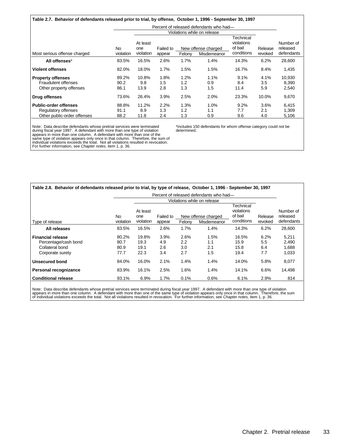#### **Table 2.7. Behavior of defendants released prior to trial, by offense, October 1, 1996 - September 30, 1997**

|                                                                                    |                       |                              |                     |                    | Percent of released defendants who had-                                  |                                                  |                    |                                     |
|------------------------------------------------------------------------------------|-----------------------|------------------------------|---------------------|--------------------|--------------------------------------------------------------------------|--------------------------------------------------|--------------------|-------------------------------------|
| Most serious offense charged                                                       | No<br>violation       | At least<br>one<br>violation | Failed to<br>appear | Felony             | Violations while on release<br>New offense charged<br><b>Misdemeanor</b> | Technical<br>violations<br>of bail<br>conditions | Release<br>revoked | Number of<br>released<br>defendants |
| All offenses*                                                                      | 83.5%                 | 16.5%                        | 2.6%                | 1.7%               | 1.4%                                                                     | 14.3%                                            | 6.2%               | 28,600                              |
| <b>Violent offenses</b>                                                            | 82.0%                 | 18.0%                        | 1.7%                | 1.5%               | 1.5%                                                                     | 16.7%                                            | 8.4%               | 1,435                               |
| <b>Property offenses</b><br><b>Fraudulent offenses</b><br>Other property offenses  | 89.2%<br>90.2<br>86.1 | 10.8%<br>9.8<br>13.9         | 1.8%<br>1.5<br>2.8  | 1.2%<br>1.2<br>1.3 | 1.1%<br>0.9<br>1.5                                                       | 9.1%<br>8.4<br>11.4                              | 4.1%<br>3.5<br>5.9 | 10,930<br>8,390<br>2,540            |
| <b>Drug offenses</b>                                                               | 73.6%                 | 26.4%                        | 3.9%                | 2.5%               | 2.0%                                                                     | 23.3%                                            | 10.0%              | 9,670                               |
| <b>Public-order offenses</b><br>Regulatory offenses<br>Other public-order offenses | 88.8%<br>91.1<br>88.2 | 11.2%<br>8.9<br>11.8         | 2.2%<br>1.3<br>2.4  | 1.3%<br>1.2<br>1.3 | 1.0%<br>1.1<br>0.9                                                       | 9.2%<br>7.7<br>9.6                               | 3.6%<br>2.1<br>4.0 | 6,415<br>1,309<br>5,106             |

Note: Data describe defendants whose pretrial services were terminated during fiscal year 1997. A defendant with more than one type of violation appears in more than one column. A defendant with more than one of the<br>same type of violation appears only once in that column. Therefore, the sum of<br>individual violations exceeds the total. Not all violations resulted For further information, see *Chapter notes,* item 1, p. 36.

\*Includes 150 defendants for whom offense category could not be determined.

| Table 2.8. Behavior of defendants released prior to trial, by type of release, October 1, 1996 - September 30, 1997 |           |           |           |                  |                             |                         |         |            |
|---------------------------------------------------------------------------------------------------------------------|-----------|-----------|-----------|------------------|-----------------------------|-------------------------|---------|------------|
| Percent of released defendants who had-                                                                             |           |           |           |                  |                             |                         |         |            |
|                                                                                                                     |           |           |           |                  | Violations while on release |                         |         |            |
|                                                                                                                     |           | At least  |           |                  |                             | Technical<br>violations |         | Number of  |
|                                                                                                                     | No        | one       | Failed to |                  | New offense charged         | of bail                 | Release | released   |
| Type of release                                                                                                     | violation | violation | appear    | Felony           | Misdemeanor                 | conditions              | revoked | defendants |
| All releases                                                                                                        | 83.5%     | 16.5%     | 2.6%      | 1.7%             | 1.4%                        | 14.3%                   | 6.2%    | 28,600     |
| <b>Financial release</b>                                                                                            | 80.2%     | 19.8%     | 3.9%      | 2.6%             | 1.5%                        | 16.5%                   | 6.2%    | 5,211      |
| Percentage/cash bond                                                                                                | 80.7      | 19.3      | 4.9       | $2.2\phantom{0}$ | 1.1                         | 15.9                    | 5.5     | 2,490      |
| Collateral bond                                                                                                     | 80.9      | 19.1      | 2.6       | 3.0              | 2.1                         | 15.8                    | 6.4     | 1.688      |
| Corporate surety                                                                                                    | 77.7      | 22.3      | 3.4       | 2.7              | 1.5                         | 19.4                    | 7.7     | 1,033      |
| <b>Unsecured bond</b>                                                                                               | 84.0%     | 16.0%     | 2.1%      | 1.4%             | 1.4%                        | 14.0%                   | 5.8%    | 8,077      |
| Personal recognizance                                                                                               | 83.9%     | 16.1%     | 2.5%      | 1.6%             | 1.4%                        | 14.1%                   | 6.6%    | 14,498     |
| <b>Conditional release</b>                                                                                          | 93.1%     | 6.9%      | 1.7%      | 0.1%             | 0.6%                        | 6.1%                    | 2.9%    | 814        |

Note: Data describe defendants whose pretrial services were terminated during fiscal year 1997. A defendant with more than one type of violation<br>appears in more than one column. A defendant with more than one of the same t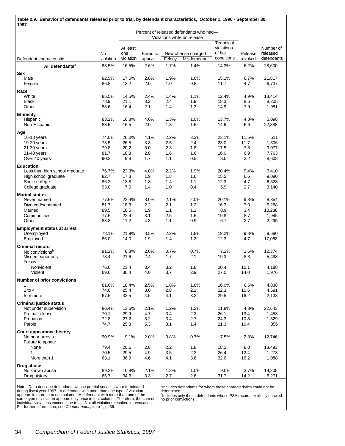| Table 2.9. Behavior of defendants released prior to trial, by defendant characteristics, October 1, 1996 - September 30,<br>1997 |               |                 |             |             |                                                    |                                    |               |                       |
|----------------------------------------------------------------------------------------------------------------------------------|---------------|-----------------|-------------|-------------|----------------------------------------------------|------------------------------------|---------------|-----------------------|
|                                                                                                                                  |               |                 |             |             | Percent of released defendants who had-            |                                    |               |                       |
|                                                                                                                                  | <b>No</b>     | At least<br>one | Failed to   |             | Violations while on release<br>New offense charged | Technical<br>violations<br>of bail | Release       | Number of<br>released |
| Defendant characteristic                                                                                                         | violation     | violation       | appear      | Felony      | Misdemeanor                                        | conditions                         | revoked       | defendants            |
| All defendants <sup>a</sup>                                                                                                      | 83.5%         | 16.5%           | 2.6%        | 1.7%        | 1.4%                                               | 14.3%                              | 6.2%          | 28,600                |
| Sex                                                                                                                              |               |                 |             |             |                                                    |                                    |               |                       |
| Male                                                                                                                             | 82.5%         | 17.5%           | 2.8%        | 1.9%        | 1.6%                                               | 15.1%                              | 6.7%          | 21,817                |
| Female                                                                                                                           | 86.8          | 13.2            | 2.0         | 1.0         | 0.8                                                | 11.7                               | 4.7           | 6,737                 |
| Race                                                                                                                             |               |                 |             |             |                                                    |                                    |               |                       |
| White                                                                                                                            | 85.5%         | 14.5%           | 2.4%        | 1.4%        | 1.1%                                               | 12.4%                              | 4.9%          | 18,414                |
| <b>Black</b>                                                                                                                     | 78.9          | 21.1            | 3.2         | 2.4         | 1.9                                                | 18.3                               | 8.6           | 8,205                 |
| Other                                                                                                                            | 83.6          | 16.4            | 2.1         | 1.4         | 1.3                                                | 14.9                               | 7.9           | 1,981                 |
| <b>Ethnicity</b>                                                                                                                 |               |                 |             |             |                                                    |                                    |               |                       |
| Hispanic                                                                                                                         | 83.2%         | 16.8%           | 4.6%        | 1.3%        | 1.0%                                               | 13.7%                              | 4.8%          | 5,098                 |
| Non-Hispanic                                                                                                                     | 83.5          | 16.5            | 2.0         | 1.8         | 1.5                                                | 14.6                               | 6.6           | 22,888                |
| Age                                                                                                                              |               |                 |             |             |                                                    |                                    |               |                       |
| 16-18 years<br>19-20 years                                                                                                       | 74.0%<br>73.5 | 26.0%<br>26.5   | 4.1%<br>3.8 | 2.2%<br>2.5 | 3.3%<br>2.4                                        | 23.1%<br>23.0                      | 11.5%<br>11.7 | 511                   |
| 21-30 years                                                                                                                      | 79.8          | 20.2            | 3.0         | 2.3         | 1.8                                                | 17.5                               | 7.8           | 1,306<br>9,077        |
| 31-40 years                                                                                                                      | 81.7          | 18.3            | 2.8         | 1.6         | 1.6                                                | 16.0                               | 6.9           | 7,763                 |
| Over 40 years                                                                                                                    | 90.2          | 9.8             | 1.7         | 1.1         | 0.5                                                | 8.5                                | 3.2           | 8,608                 |
| <b>Education</b>                                                                                                                 |               |                 |             |             |                                                    |                                    |               |                       |
| Less than high school graduate                                                                                                   | 76.7%         | 23.3%           | 4.0%        | 2.2%        | 1.9%                                               | 20.4%                              | 9.4%          | 7,410                 |
| High school graduate                                                                                                             | 82.7          | 17.3            | 1.9         | 1.8         | 1.6                                                | 15.5                               | 6.6           | 9,080                 |
| Some college                                                                                                                     | 86.2          | 13.8            | 1.8         | 1.4         | 1.1                                                | 12.3                               | 4.7           | 6,528                 |
| College graduate                                                                                                                 | 93.0          | 7.0             | 1.4         | 1.0         | 0.4                                                | 5.9                                | 2.7           | 3,140                 |
| <b>Marital status</b>                                                                                                            |               |                 |             |             |                                                    |                                    |               |                       |
| Never married                                                                                                                    | 77.6%         | 22.4%           | 3.0%        | 2.1%        | 2.0%                                               | 20.1%                              | 9.3%          | 8,854                 |
| Divorced/separated                                                                                                               | 81.7          | 18.3            | 2.2         | 2.1         | 1.2                                                | 16.3                               | 7.0           | 5,268                 |
| Married                                                                                                                          | 89.5          | 10.5            | 1.9         | 1.1         | 1.1                                                | 8.9                                | 3.4           | 10,238                |
| Common law                                                                                                                       | 77.6          | 22.4            | 3.1         | 2.5         | 1.5                                                | 19.8                               | 8.7           | 1,945                 |
| Other                                                                                                                            | 88.8          | 11.2            | 4.8         | 1.1         | 0.9                                                | 6.7                                | 2.7           | 2,295                 |
| <b>Employment status at arrest</b>                                                                                               |               |                 |             |             |                                                    |                                    |               |                       |
| Unemployed                                                                                                                       | 78.1%         | 21.9%           | 3.5%        | 2.2%        | 1.8%                                               | 19.2%                              | 9.3%          | 9,680                 |
| Employed                                                                                                                         | 86.0          | 14.0            | 1.9         | 1.4         | 1.2                                                | 12.3                               | 4.7           | 17,088                |
| <b>Criminal record</b>                                                                                                           |               |                 |             |             |                                                    |                                    |               |                       |
| No convictions <sup>b</sup>                                                                                                      | 91.2%         | 8.8%            | 2.0%        | 0.7%        | 0.7%                                               | 7.2%                               | 2.6%          | 12,374                |
| Misdemeanor only                                                                                                                 | 78.4          | 21.6            | 2.4         | 1.7         | 2.1                                                | 19.3                               | 8.3           | 5,498                 |
| Felony                                                                                                                           |               |                 |             |             |                                                    |                                    |               |                       |
| Nonviolent<br>Violent                                                                                                            | 76.6<br>69.6  | 23.4<br>30.4    | 3.4<br>4.0  | 3.2<br>3.7  | 1.8<br>2.9                                         | 20.4<br>27.0                       | 10.1<br>14.0  | 4,188                 |
|                                                                                                                                  |               |                 |             |             |                                                    |                                    |               | 1,976                 |
| <b>Number of prior convictions</b>                                                                                               |               |                 |             |             |                                                    |                                    |               |                       |
| 1<br>$2$ to $4$                                                                                                                  | 81.6%<br>74.6 | 18.4%<br>25.4   | 2.5%<br>3.0 | 1.8%<br>2.8 | 1.6%<br>2.1                                        | 16.0%<br>22.3                      | 6.6%<br>10.6  | 4,838<br>4,691        |
| 5 or more                                                                                                                        | 67.5          | 32.5            | 4.5         | 4.1         | 3.2                                                | 29.5                               | 16.2          | 2,133                 |
|                                                                                                                                  |               |                 |             |             |                                                    |                                    |               |                       |
| <b>Criminal justice status</b>                                                                                                   | 86.4%         | 13.6%           | 2.1%        | 1.2%        | 1.2%                                               | 11.8%                              | 4.8%          | 22,643                |
| Not under supervision<br>Pretrial release                                                                                        | 70.1          | 29.9            | 4.7         | 3.4         | 2.3                                                | 26.1                               | 13.4          | 1,453                 |
| Probation                                                                                                                        | 72.8          | 27.2            | 3.2         | 3.4         | 2.7                                                | 24.3                               | 10.8          | 1,329                 |
| Parole                                                                                                                           | 74.7          | 25.3            | 5.3         | 3.1         | 1.4                                                | 21.3                               | 10.4          | 356                   |
| <b>Court appearance history</b>                                                                                                  |               |                 |             |             |                                                    |                                    |               |                       |
| No prior arrests                                                                                                                 | 90.9%         | 9.1%            | 2.0%        | 0.8%        | 0.7%                                               | 7.5%                               | 2.8%          | 12,746                |
| Failure to appear                                                                                                                |               |                 |             |             |                                                    |                                    |               |                       |
| None                                                                                                                             | 79.4          | 20.6            | 2.8         | 2.2         | 1.8                                                | 18.1                               | 8.0           | 13,493                |
| 1                                                                                                                                | 70.5          | 29.5            | 4.9         | 3.5         | 2.3                                                | 26.4                               | 12.4          | 1,273                 |
| More than 1                                                                                                                      | 63.1          | 36.9            | 4.6         | 4.1         | 3.6                                                | 32.6                               | 16.2          | 1,088                 |
| Drug abuse                                                                                                                       |               |                 |             |             |                                                    |                                    |               |                       |
| No known abuse                                                                                                                   | 89.2%         | 10.8%           | 2.1%        | 1.3%        | 1.0%                                               | 9.0%                               | 3.7%          | 19,205                |
| Drug history                                                                                                                     | 65.7          | 34.3            | 3.3         | 2.7         | 2.6                                                | 31.7                               | 14.2          | 6,271                 |

a<br>Includes defendants for whom these characteristics could not be<br>b<sup>t</sup>includes only those defendants whose PSA records explicitly showed<br>no prior convictions.

Note: Data describe defendants whose pretrial services were terminated<br>during fiscal year 1997. A defendant with more than one type of violation<br>appears in more than one column. A defendant with more than one of the<br>same t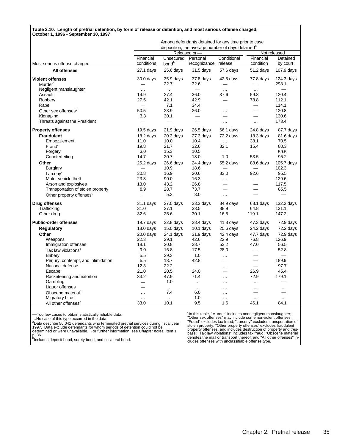#### **Table 2.10. Length of pretrial detention, by form of release or detention, and most serious offense charged, October 1, 1996 - September 30, 1997**

|                                      |                          |                    | Among defendants detained for any time prior to case<br>disposition, the average number of days detained <sup>a</sup> |                          |                          |                          |
|--------------------------------------|--------------------------|--------------------|-----------------------------------------------------------------------------------------------------------------------|--------------------------|--------------------------|--------------------------|
|                                      |                          |                    | Released on-                                                                                                          |                          |                          | Not released             |
|                                      | Financial                | Unsecured Personal |                                                                                                                       | Conditional              | Financial                | Detained                 |
| Most serious offense charged         | conditions               | bond <sup>b</sup>  | recognizance                                                                                                          | release                  | condition                | by court                 |
| All offenses                         | $27.1$ days              | 25.6 days          | 31.5 days                                                                                                             | 57.6 days                | 51.2 days                | 107.9 days               |
| <b>Violent offenses</b>              | $30.0$ days              | 35.9 days          | 37.8 days                                                                                                             | 42.5 days                | 77.8 days                | $124.3$ days             |
| Murder <sup>c</sup>                  |                          | 22.7               | 32.6                                                                                                                  |                          | $\cdots$                 | 298.1                    |
| Negligent manslaughter               | $\ddotsc$                | $\ddotsc$          | $\qquad \qquad$                                                                                                       | $\cdot$ $\cdot$          | $\cdots$                 | $\overline{\phantom{0}}$ |
| Assault                              | 14.9                     | 27.4               | 36.0                                                                                                                  | 37.6                     | 59.8                     | 120.4                    |
| Robbery                              | 27.5                     | 42.1               | 42.9                                                                                                                  |                          | 78.8                     | 112.1                    |
| Rape                                 |                          | 7.1                | 34.4                                                                                                                  |                          |                          | 114.1                    |
| Other sex offenses <sup>c</sup>      | 50.5                     | 23.9               | 26.0                                                                                                                  | $\cdots$                 |                          | 120.8                    |
| Kidnaping                            | 3.3                      | 30.1               |                                                                                                                       |                          |                          | 130.6                    |
| Threats against the President        |                          |                    |                                                                                                                       | $\cdots$                 | $\cdots$                 | 173.4                    |
| <b>Property offenses</b>             | $19.5$ days              | 21.9 days          | $26.5$ days                                                                                                           | 66.1 days                | 24.8 days                | 87.7 days                |
| <b>Fraudulent</b>                    | 18.2 days                | $20.3$ days        | $27.3$ days                                                                                                           | 72.2 days                | 18.3 days                | 81.6 days                |
| Embezzlement                         | 11.0                     | 10.0               | 10.4                                                                                                                  | $\ddotsc$                | 38.1                     | 70.5                     |
| Fraud <sup>c</sup>                   | 19.8                     | 21.7               | 32.6                                                                                                                  | 82.1                     | 15.4                     | 80.3                     |
| Forgery                              | 3.0                      | 15.3               | 10.5                                                                                                                  |                          |                          | 59.5                     |
| Counterfeiting                       | 14.7                     | 20.7               | 18.0                                                                                                                  | 1.0                      | 53.5                     | 95.2                     |
| Other                                | $25.2$ days              | 26.6 days          | 24.4 days                                                                                                             | 55.2 days                | 88.6 days                | 105.7 days               |
| <b>Burglary</b>                      |                          | 10.9               | 18.6                                                                                                                  |                          |                          | 102.3                    |
| Larcenv <sup>c</sup>                 | 30.8                     | 16.9               | 20.6                                                                                                                  | 83.0                     | 92.6                     | 95.5                     |
| Motor vehicle theft                  | 23.3                     | 90.0               | 16.3                                                                                                                  | $\ldots$                 |                          | 129.6                    |
| Arson and explosives                 | 13.0                     | 43.2               | 26.8                                                                                                                  |                          |                          | 117.5                    |
| Transportation of stolen property    | 8.9                      | 28.7               | 73.7                                                                                                                  |                          |                          | 85.5                     |
| Other property offenses <sup>c</sup> |                          | 5.3                | 3.0                                                                                                                   | $\cdots$                 |                          |                          |
| <b>Drug offenses</b>                 | 31.1 days                | 27.0 days          | 33.3 days                                                                                                             | 84.9 days                | 68.1 days                | 132.2 days               |
| Trafficking                          | 31.0                     | 27.1               | 33.5                                                                                                                  | 88.9                     | 64.8                     | 131.1                    |
| Other drug                           | 32.6                     | 25.6               | 30.1                                                                                                                  | 16.5                     | 119.1                    | 147.2                    |
| <b>Public-order offenses</b>         | 19.7 days                | $22.8$ days        | 28.4 days                                                                                                             | 41.3 days                | 47.3 days                | 72.9 days                |
| Regulatory                           | $18.0$ days              | $15.0$ days        | $10.1$ days                                                                                                           | $25.6$ days              | 24.2 days                | 72.2 days                |
| Other                                | $20.0$ days              | 24.1 days          | 31.9 days                                                                                                             | 42.4 days                | 47.7 days                | 72.9 days                |
| <b>Weapons</b>                       | 22.3                     | 29.1               | 42.6                                                                                                                  | 22.9                     | 76.8                     | 126.9                    |
| Immigration offenses                 | 18.1                     | 20.8               | 28.7                                                                                                                  | 53.2                     | 47.0                     | 56.5                     |
| Tax law violations <sup>c</sup>      | 9.0                      | 16.8               | 17.5                                                                                                                  | 28.0                     | $\overline{\phantom{0}}$ | 52.8                     |
| <b>Bribery</b>                       | 5.5                      | 29.3               | 1.0                                                                                                                   | $\ddots$                 |                          | $\overline{\phantom{0}}$ |
| Perjury, contempt, and intimidation  | 5.5                      | 13.7               | 42.8                                                                                                                  |                          |                          | 189.9                    |
| National defense                     | 12.3                     | 22.2               | $\ldots$                                                                                                              | $\cdots$                 | $\overline{\phantom{0}}$ | 97.7                     |
| Escape                               | 21.0                     | 20.5               | 24.0                                                                                                                  | $\overline{\phantom{0}}$ | 26.9                     | 45.4                     |
| Racketeering and extortion           | 33.2                     | 47.9               | 71.4                                                                                                                  | $\cdots$                 | 72.9                     | 179.1                    |
| Gambling                             | $\overline{\phantom{0}}$ | 1.0                | $\ldots$                                                                                                              | $\cdots$                 | $\cdots$                 |                          |
| Liquor offenses                      |                          | $\ldots$           | $\cdots$                                                                                                              | $\cdots$                 | $\cdots$                 | .                        |
| Obscene material <sup>c</sup>        | $\ldots$                 | 7.4                | 6.0                                                                                                                   | $\cdots$                 |                          |                          |
| Migratory birds                      | $\cdots$                 | $\cdots$           | 1.0                                                                                                                   | $\cdots$                 | $\cdots$                 | $\cdots$                 |
| All other offenses <sup>c</sup>      | 33.0                     | 10.1               | 9.5                                                                                                                   | 1.6                      | 46.1                     | 84.1                     |

—Too few cases to obtain statistically reliable data.

...No case of this type occurred in the data.<br><sup>a</sup>Data describe 56,041 defendants who terminated pretrial services during fiscal year<br>1997. Data exclude defendants for whom periods of detention could not be<br>determined or we

p. 36.<br><sup>b</sup>Includes deposit bond, surety bond, and collateral bond.

<sup>c</sup>In this table, "Murder" includes nonnegligent manslaughter;<br>"Other sex offenses" may include some nonviolent offenses;<br>"Fraud" excludes tax fraud; "Larceny" excludes transportation of<br>stolen property; "Other property of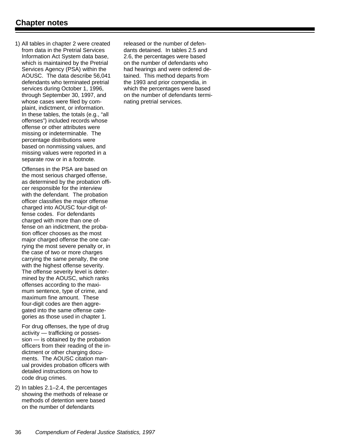1) All tables in chapter 2 were created from data in the Pretrial Services Information Act System data base, which is maintained by the Pretrial Services Agency (PSA) within the AOUSC. The data describe 56,041 defendants who terminated pretrial services during October 1, 1996, through September 30, 1997, and whose cases were filed by complaint, indictment, or information. In these tables, the totals (e.g., "all offenses") included records whose offense or other attributes were missing or indeterminable. The percentage distributions were based on nonmissing values, and missing values were reported in a separate row or in a footnote.

Offenses in the PSA are based on the most serious charged offense, as determined by the probation officer responsible for the interview with the defendant. The probation officer classifies the major offense charged into AOUSC four-digit offense codes. For defendants charged with more than one offense on an indictment, the probation officer chooses as the most major charged offense the one carrying the most severe penalty or, in the case of two or more charges carrying the same penalty, the one with the highest offense severity. The offense severity level is determined by the AOUSC, which ranks offenses according to the maximum sentence, type of crime, and maximum fine amount. These four-digit codes are then aggregated into the same offense categories as those used in chapter 1.

For drug offenses, the type of drug activity — trafficking or possession — is obtained by the probation officers from their reading of the indictment or other charging documents. The AOUSC citation manual provides probation officers with detailed instructions on how to code drug crimes.

2) In tables 2.1–2.4, the percentages showing the methods of release or methods of detention were based on the number of defendants

released or the number of defendants detained. In tables 2.5 and 2.6, the percentages were based on the number of defendants who had hearings and were ordered detained. This method departs from the 1993 and prior compendia, in which the percentages were based on the number of defendants terminating pretrial services.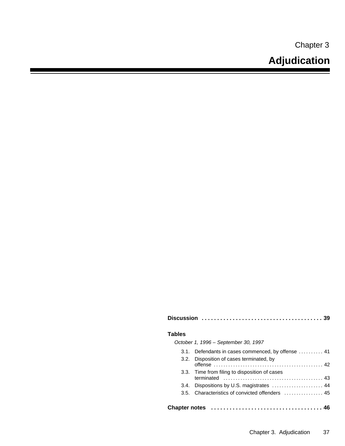Chapter 3

| <b>Tables</b>                                      |
|----------------------------------------------------|
| October 1, 1996 - September 30, 1997               |
| 3.1. Defendants in cases commenced, by offense  41 |
| Disposition of cases terminated, by<br>3.2.        |
| 3.3. Time from filing to disposition of cases      |
| Dispositions by U.S. magistrates  44<br>3.4.       |
|                                                    |
| <b>Chapter notes</b>                               |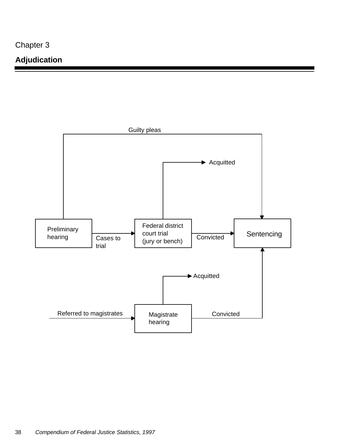Chapter 3

## **Adjudication**

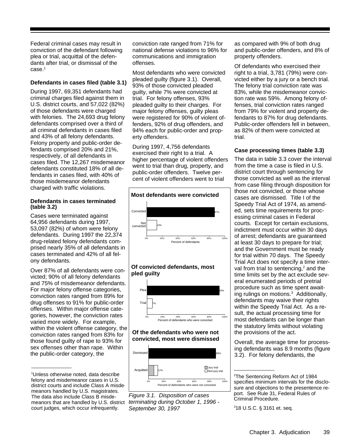Federal criminal cases may result in conviction of the defendant following plea or trial, acquittal of the defendants after trial, or dismissal of the case.<sup>1</sup>

#### **Defendants in cases filed (table 3.1)**

During 1997, 69,351 defendants had criminal charges filed against them in U.S. district courts, and 57,022 (82%) of those defendants were charged with felonies. The 24,693 drug felony defendants comprised over a third of all criminal defendants in cases filed and 43% of all felony defendants. Felony property and public-order defendants comprised 20% and 21%, respectively, of all defendants in cases filed. The 12,267 misdemeanor defendants constituted 18% of all defendants in cases filed, with 40% of those misdemeanor defendants charged with traffic violations.

#### **Defendants in cases terminated (table 3.2)**

Cases were terminated against 64,956 defendants during 1997, 53,097 (82%) of whom were felony defendants. During 1997 the 22,374 drug-related felony defendants comprised nearly 35% of all defendants in cases terminated and 42% of all felony defendants.

Over 87% of all defendants were convicted; 90% of all felony defendants and 75% of misdemeanor defendants. For major felony offense categories, conviction rates ranged from 89% for drug offenses to 91% for public-order offenses. Within major offense categories, however, the conviction rates varied more widely. For example, within the violent offense category, the conviction rates ranged from 83% for those found guilty of rape to 93% for sex offenses other than rape. Within the public-order category, the

conviction rate ranged from 71% for national defense violations to 96% for communications and immigration offenses.

Most defendants who were convicted pleaded guilty (figure 3.1). Overall, 93% of those convicted pleaded guilty, while 7% were convicted at trial. For felony offenses, 93% pleaded guilty to their charges. For major felony offenses, guilty pleas were registered for 90% of violent offenders, 92% of drug offenders, and 94% each for public-order and property offenders.

During 1997, 4,756 defendants exercised their right to a trial. A higher percentage of violent offenders went to trial than drug, property, and public-order offenders. Twelve percent of violent offenders went to trial



#### **Of convicted defendants, most pled guilty**



#### **Of the defendants who were not convicted, most were dismissed**





as compared with 9% of both drug and public-order offenders, and 8% of property offenders.

Of defendants who exercised their right to a trial, 3,781 (79%) were convicted either by a jury or a bench trial. The felony trial conviction rate was 83%, while the misdemeanor conviction rate was 59%. Among felony offenses, trial conviction rates ranged from 79% for violent and property defendants to 87% for drug defendants. Public-order offenders fell in between, as 82% of them were convicted at trial.

#### **Case processing times (table 3.3)**

The data in table 3.3 cover the interval from the time a case is filed in U.S. district court through sentencing for those convicted as well as the interval from case filing through disposition for those not convicted, or those whose cases are dismissed. Title I of the Speedy Trial Act of 1974, as amended, sets time requirements for processing criminal cases in Federal courts. Except for certain exclusions, indictment must occur within 30 days of arrest; defendants are guaranteed at least 30 days to prepare for trial; and the Government must be ready for trial within 70 days. The Speedy Trial Act does not specify a time interval from trial to sentencing,<sup>2</sup> and the time limits set by the act exclude several enumerated periods of pretrial procedure such as time spent awaiting rulings on motions.<sup>3</sup> Additionally, defendants may waive their rights within the Speedy Trial Act. As a result, the actual processing time for most defendants can be longer than the statutory limits without violating the provisions of the act.

Overall, the average time for processing defendants was 8.9 months (figure 3.2). For felony defendants, the

<sup>1</sup>Unless otherwise noted, data describe felony and misdemeanor cases in U.S. district courts and include Class A misdemeanors handled by U.S. magistrates. The data also include Class B misdemeanors that are handled by U.S. district court judges, which occur infrequently.

<sup>2</sup>The Sentencing Reform Act of 1984 specifies minimum intervals for the disclosure and objections to the presentence report. See Rule 31, Federal Rules of Criminal Procedure.

<sup>318</sup> U.S.C. § 3161 et. seq.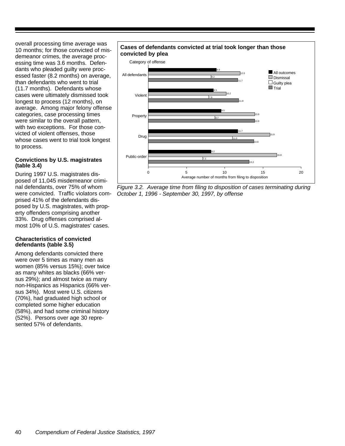overall processing time average was 10 months; for those convicted of misdemeanor crimes, the average processing time was 3.6 months. Defendants who pleaded guilty were processed faster (8.2 months) on average, than defendants who went to trial (11.7 months). Defendants whose cases were ultimately dismissed took longest to process (12 months), on average. Among major felony offense categories, case processing times were similar to the overall pattern, with two exceptions. For those convicted of violent offenses, those whose cases went to trial took longest to process.

#### **Convictions by U.S. magistrates (table 3.4)**

During 1997 U.S. magistrates disposed of 11,045 misdemeanor criminal defendants, over 75% of whom were convicted. Traffic violators comprised 41% of the defendants disposed by U.S. magistrates, with property offenders comprising another 33%. Drug offenses comprised almost 10% of U.S. magistrates' cases.

#### **Characteristics of convicted defendants (table 3.5)**

Among defendants convicted there were over 5 times as many men as women (85% versus 15%); over twice as many whites as blacks (66% versus 29%); and almost twice as many non-Hispanics as Hispanics (66% versus 34%). Most were U.S. citizens (70%), had graduated high school or completed some higher education (58%), and had some criminal history (52%). Persons over age 30 represented 57% of defendants.

## **Cases of defendants convicted at trial took longer than those**



*Figure 3.2. Average time from filing to disposition of cases terminating during October 1, 1996 - September 30, 1997, by offense*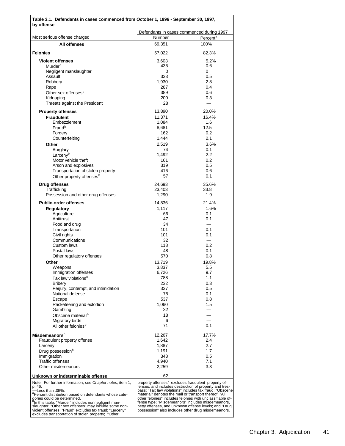| Table 3.1. Defendants in cases commenced from October 1, 1996 - September 30, 1997,<br>by offense                                                                      |                  |                                                                                                                   |  |  |  |
|------------------------------------------------------------------------------------------------------------------------------------------------------------------------|------------------|-------------------------------------------------------------------------------------------------------------------|--|--|--|
| Most serious offense charged                                                                                                                                           | Number           | Defendants in cases commenced during 1997                                                                         |  |  |  |
| All offenses                                                                                                                                                           | 69,351           | Percent <sup>a</sup><br>100%                                                                                      |  |  |  |
|                                                                                                                                                                        |                  |                                                                                                                   |  |  |  |
| <b>Felonies</b>                                                                                                                                                        | 57,022           | 82.3%                                                                                                             |  |  |  |
| <b>Violent offenses</b>                                                                                                                                                | 3,603            | 5.2%                                                                                                              |  |  |  |
| Murder <sup>b</sup><br>Negligent manslaughter                                                                                                                          | 436<br>0         | 0.6<br>0                                                                                                          |  |  |  |
| Assault                                                                                                                                                                | 333              | 0.5                                                                                                               |  |  |  |
| Robbery                                                                                                                                                                | 1,930            | 2.8                                                                                                               |  |  |  |
| Rape                                                                                                                                                                   | 287              | 0.4                                                                                                               |  |  |  |
| Other sex offenses <sup>b</sup>                                                                                                                                        | 389              | 0.6                                                                                                               |  |  |  |
| Kidnaping<br>Threats against the President                                                                                                                             | 200<br>28        | 0.3<br>$\overline{\phantom{0}}$                                                                                   |  |  |  |
|                                                                                                                                                                        |                  |                                                                                                                   |  |  |  |
| <b>Property offenses</b><br><b>Fraudulent</b>                                                                                                                          | 13,890<br>11,371 | 20.0%<br>16.4%                                                                                                    |  |  |  |
| Embezzlement                                                                                                                                                           | 1,084            | 1.6                                                                                                               |  |  |  |
| Fraud <sup>b</sup>                                                                                                                                                     | 8,681            | 12.5                                                                                                              |  |  |  |
| Forgery                                                                                                                                                                | 162              | 0.2                                                                                                               |  |  |  |
| Counterfeiting                                                                                                                                                         | 1,444            | 2.1                                                                                                               |  |  |  |
| Other                                                                                                                                                                  | 2,519            | 3.6%                                                                                                              |  |  |  |
| <b>Burglary</b><br>Larcenv <sup>b</sup>                                                                                                                                | 74<br>1,492      | 0.1<br>2.2                                                                                                        |  |  |  |
| Motor vehicle theft                                                                                                                                                    | 161              | 0.2                                                                                                               |  |  |  |
| Arson and explosives                                                                                                                                                   | 319              | 0.5                                                                                                               |  |  |  |
| Transportation of stolen property                                                                                                                                      | 416              | 0.6                                                                                                               |  |  |  |
| Other property offenses <sup>b</sup>                                                                                                                                   | 57               | 0.1                                                                                                               |  |  |  |
| <b>Drug offenses</b>                                                                                                                                                   | 24,693           | 35.6%                                                                                                             |  |  |  |
| Trafficking                                                                                                                                                            | 23,403           | 33.8                                                                                                              |  |  |  |
| Possession and other drug offenses                                                                                                                                     | 1,290            | 1.9                                                                                                               |  |  |  |
| <b>Public-order offenses</b>                                                                                                                                           | 14,836           | 21.4%                                                                                                             |  |  |  |
| <b>Regulatory</b>                                                                                                                                                      | 1,117            | 1.6%                                                                                                              |  |  |  |
| Agriculture                                                                                                                                                            | 66               | 0.1                                                                                                               |  |  |  |
| Antitrust<br>Food and drug                                                                                                                                             | 47<br>34         | 0.1<br>$\equiv$                                                                                                   |  |  |  |
| Transportation                                                                                                                                                         | 101              | 0.1                                                                                                               |  |  |  |
| Civil rights                                                                                                                                                           | 101              | 0.1                                                                                                               |  |  |  |
| Communications                                                                                                                                                         | 32               |                                                                                                                   |  |  |  |
| Custom laws                                                                                                                                                            | 118              | 0.2                                                                                                               |  |  |  |
| Postal laws<br>Other regulatory offenses                                                                                                                               | 48<br>570        | 0.1<br>0.8                                                                                                        |  |  |  |
| Other                                                                                                                                                                  | 13,719           | 19.8%                                                                                                             |  |  |  |
| W eapons                                                                                                                                                               | 3,837            | 5.5                                                                                                               |  |  |  |
| Immigration offenses                                                                                                                                                   | 6,726            | 9.7                                                                                                               |  |  |  |
| Tax law violations <sup>b</sup>                                                                                                                                        | 788              | 1.1                                                                                                               |  |  |  |
| <b>Bribery</b>                                                                                                                                                         | 232              | 0.3                                                                                                               |  |  |  |
| Perjury, contempt, and intimidation<br>National defense                                                                                                                | 337<br>75        | 0.5<br>0.1                                                                                                        |  |  |  |
| Escape                                                                                                                                                                 | 537              | 0.8                                                                                                               |  |  |  |
| Racketeering and extortion                                                                                                                                             | 1,060            | 1.5                                                                                                               |  |  |  |
| Gambling                                                                                                                                                               | 32               |                                                                                                                   |  |  |  |
| Obscene material <sup>b</sup>                                                                                                                                          | 18               |                                                                                                                   |  |  |  |
| Migratory birds                                                                                                                                                        | 6<br>71          | 0.1                                                                                                               |  |  |  |
| All other felonies <sup>b</sup>                                                                                                                                        |                  |                                                                                                                   |  |  |  |
| Misdemeanors <sup>b</sup>                                                                                                                                              | 12,267           | 17.7%                                                                                                             |  |  |  |
| Fraudulent property offense                                                                                                                                            | 1,642            | 2.4                                                                                                               |  |  |  |
| Larceny                                                                                                                                                                | 1,887<br>1,191   | 2.7<br>1.7                                                                                                        |  |  |  |
| Drug possession <sup>b</sup><br>Immigration                                                                                                                            | 348              | 0.5                                                                                                               |  |  |  |
| <b>Traffic offenses</b>                                                                                                                                                | 4,940            | 7.1                                                                                                               |  |  |  |
| Other misdemeanors                                                                                                                                                     | 2,259            | 3.3                                                                                                               |  |  |  |
| Unknown or indeterminable offense                                                                                                                                      | 62               |                                                                                                                   |  |  |  |
| Note: For further information, see Chapter notes, item 1,                                                                                                              |                  | property offenses" excludes fraudulent property of-                                                               |  |  |  |
| p. 46.<br>-Less than .05%.                                                                                                                                             |                  | fenses, and includes destruction of property and tres-<br>pass; "Tax law violations" includes tax fraud; "Obscene |  |  |  |
| <sup>a</sup> Percent distribution based on defendants whose cate-                                                                                                      |                  | material" denotes the mail or transport thereof; "All                                                             |  |  |  |
| gories could be determined.<br>"In this table, "Murder" includes nonnegligent man-                                                                                     |                  | other felonies" includes felonies with unclassifiable of-<br>fense type; "Misdemeanors" includes misdemeanors,    |  |  |  |
| slaughter; "Other sex offenses" may include some non-<br>violent offenses; "Fraud" excludes tax fraud; "Larceny"<br>excludes transportation of stolen property; "Other |                  | petty offenses, and unknown offense levels; and "Drug<br>possession" also includes other drug misdemeanors.       |  |  |  |

Chapter 3. Adjudication 41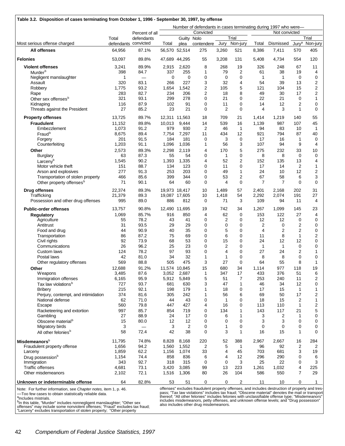|                                                              |                      |                          | Number of defendants in cases terminating during 1997 who were— |                |                                                                                                |                |                   |                |                |                      |              |
|--------------------------------------------------------------|----------------------|--------------------------|-----------------------------------------------------------------|----------------|------------------------------------------------------------------------------------------------|----------------|-------------------|----------------|----------------|----------------------|--------------|
|                                                              |                      | Percent of all           |                                                                 |                | Convicted                                                                                      |                |                   |                | Not convicted  |                      |              |
|                                                              | Total                | defendants               |                                                                 | Guilty Nolo    |                                                                                                |                | Trial             |                |                |                      | Trial        |
| Most serious offense charged                                 | defendants convicted |                          | Total                                                           | plea           | contendere                                                                                     | Jury           | Non-jury          | Total          | Dismissed      | Jury <sup>a</sup>    | Non-jury     |
| All offenses                                                 | 64.956               | 87.1%                    |                                                                 | 56,570 52,514  | 275                                                                                            | 3,260          | 521               | 8,386          | 7,411          | 570                  | 405          |
| <b>Felonies</b>                                              | 53,097               | 89.8%                    |                                                                 | 47,689 44,295  | 55                                                                                             | 3,208          | 131               | 5,408          | 4,734          | 554                  | 120          |
| <b>Violent offenses</b>                                      | 3,241                | 89.9%                    | 2,915                                                           | 2,620          | 8                                                                                              | 268            | 19                | 326            | 248            | 67                   | 11           |
| Murder <sup>b</sup>                                          | 398                  | 84.7                     | 337                                                             | 255            | $\mathbf{1}$                                                                                   | 79             | $\overline{2}$    | 61             | 38             | 19                   | 4            |
| Negligent manslaughter                                       | 1                    | $\overline{\phantom{0}}$ | $\mathbf 0$                                                     | $\mathbf 0$    | 0                                                                                              | $\mathbf 0$    | $\mathbf 0$       | 1              | $\mathbf{1}$   | $\mathbf 0$          | 0            |
| Assault                                                      | 320                  | 83.1                     | 266                                                             | 227            | 3                                                                                              | 32             | 4                 | 54             | 39             | 13                   | 2            |
| Robbery                                                      | 1,775                | 93.2                     | 1,654                                                           | 1,542          | $\overline{2}$                                                                                 | 105            | 5                 | 121            | 104            | 15                   | 2            |
| Rape                                                         | 283                  | 82.7                     | 234                                                             | 206            | 2                                                                                              | 18             | 8                 | 49             | 30             | 17                   | 2            |
| Other sex offenses <sup>b</sup>                              | 321                  | 93.1                     | 299                                                             | 278            | 0                                                                                              | 21             | 0                 | 22             | 21             | 0                    | $\mathbf{1}$ |
| Kidnaping                                                    | 116                  | 87.9                     | 102                                                             | 91             | 0                                                                                              | 11             | $\mathbf 0$       | 14             | 12             | $\overline{2}$       | 0            |
| Threats against the President                                | 27                   | 85.2                     | 23                                                              | 21             | 0                                                                                              | $\overline{2}$ | $\mathbf 0$       | 4              | 3              | 1                    | 0            |
| <b>Property offenses</b>                                     | 13,725               | 89.7%                    |                                                                 | 12,311 11,563  | 18                                                                                             | 709            | 21                | 1,414          | 1,219          | 140                  | 55           |
| <b>Fraudulent</b>                                            | 11,152               | 89.8%                    | 10,013                                                          | 9,444          | 14                                                                                             | 539            | 16                | 1,139          | 987            | 107                  | 45           |
| Embezzlement                                                 | 1,073                | 91.2                     | 979                                                             | 930            | $\overline{2}$                                                                                 | 46             | $\mathbf{1}$      | 94             | 83             | 10                   | 1            |
| Fraud <sup>b</sup>                                           | 8,675                | 89.4                     | 7,754                                                           | 7,297          | 11                                                                                             | 434            | 12                | 921            | 794            | 87                   | 40           |
| Forgery                                                      | 201                  | 91.5                     | 184                                                             | 181            | $\mathbf 0$                                                                                    | 3              | $\mathbf 0$       | 17             | 16             | 1                    | 0            |
| Counterfeiting                                               | 1,203                | 91.1                     | 1,096                                                           | 1,036          | 1                                                                                              | 56             | 3                 | 107            | 94             | 9                    | 4            |
| Other                                                        | 2,573                | 89.3%                    | 2,298                                                           | 2,119          | 4                                                                                              | 170            | 5                 | 275            | 232            | 33                   | 10           |
| <b>Burglary</b>                                              | 63                   | 87.3                     | 55                                                              | 54             | 0                                                                                              | $\mathbf{1}$   | 0                 | 8              | 8              | $\mathbf 0$          | 0            |
| Larcenv <sup>b</sup>                                         | 1,545                | 90.2                     | 1,393                                                           | 1,335          | 4                                                                                              | 52             | 2                 | 152            | 135            | 13                   | 4            |
| Motor vehicle theft                                          | 151                  | 88.7                     | 134                                                             | 123            | 0                                                                                              | 11             | $\mathbf 0$       | 17             | 14             | $\overline{2}$       | 1            |
| Arson and explosives                                         | 277                  | 91.3                     | 253                                                             | 203            | 0                                                                                              | 49             | 1                 | 24             | 10             | 12                   | 2            |
| Transportation of stolen property                            | 466                  | 85.6                     | 399                                                             | 344            | 0                                                                                              | 53             | 2                 | 67             | 58             | 6                    | 3            |
| Other property offenses <sup>b</sup>                         | 71                   | 90.1                     | 64                                                              | 60             | 0                                                                                              | 4              | $\mathbf 0$       | $\overline{7}$ | $\overline{7}$ | 0                    | 0            |
| <b>Drug offenses</b>                                         | 22,374               | 89.3%                    |                                                                 | 19,973 18,417  | 10                                                                                             | 1,489          | 57                | 2,401          | 2,168          | 202                  | 31           |
| Trafficking                                                  | 21,379               | 89.3                     |                                                                 | 19,087 17,605  | 10                                                                                             | 1,418          | 54                | 2,292          | 2,074          | 191                  | 27           |
| Possession and other drug offenses                           | 995                  | 89.0                     | 886                                                             | 812            | 0                                                                                              | 71             | 3                 | 109            | 94             | 11                   | 4            |
| <b>Public-order offenses</b>                                 | 13,757               | 90.8%                    |                                                                 | 12,490 11,695  | 19                                                                                             | 742            | 34                | 1,267          | 1,099          | 145                  | 23           |
| Regulatory                                                   | 1,069                | 85.7%                    | 916                                                             | 850            | 4                                                                                              | 62             | $\mathbf 0$       | 153            | 122            | 27                   | 4            |
| Agriculture                                                  | 55                   | 78.2                     | 43                                                              | 41             | 0                                                                                              | $\overline{2}$ | 0                 | 12             | 12             | 0                    | 0            |
| Antitrust                                                    | 31                   | 93.5                     | 29                                                              | 29             | 0                                                                                              | $\mathbf 0$    | $\mathbf 0$       | 2              | $\mathbf 0$    | 2                    | 0            |
| Food and drug                                                | 44                   | 90.9                     | 40                                                              | 35             | 0                                                                                              | 5              | $\mathbf 0$       | $\overline{4}$ | $\overline{2}$ | $\overline{2}$       | 0            |
| Transportation                                               | 86                   | 87.2                     | 75                                                              | 69             | 0                                                                                              | 6              | $\mathbf 0$       | 11             | 8              | 1                    | 2            |
| Civil rights                                                 | 92                   | 73.9                     | 68                                                              | 53             | 0                                                                                              | 15             | $\mathbf 0$       | 24             | 12             | 12                   | 0            |
| Communications                                               | 26                   | 96.2                     | 25                                                              | 23             | 0                                                                                              | $\overline{2}$ | $\mathbf 0$       | 1              | $\mathbf{1}$   | 0                    | 0            |
| Custom laws                                                  | 124                  | 78.2                     | 97                                                              | 93             | 0                                                                                              | $\overline{4}$ | $\mathbf 0$       | 27             | 24             | 2                    | 1            |
| Postal laws                                                  | 42                   | 81.0                     | 34                                                              | 32             | 1                                                                                              | $\mathbf{1}$   | $\mathbf 0$       | 8              | 8              | 0                    | 0            |
| Other regulatory offenses                                    | 569                  | 88.8                     | 505                                                             | 475            | 3                                                                                              | 27             | $\mathbf 0$       | 64             | 55             | 8                    | 1            |
| Other                                                        | 12,688               | 91.2%                    |                                                                 | 11,574 10,845  | 15                                                                                             | 680            | 34                | 1,114          | 977            | 118                  | 19           |
| Weapons                                                      | 3,485                | 87.6                     | 3,052                                                           | 2,687          | 1                                                                                              | 347            | 17                | 433            | 376            | 51                   | 6<br>2       |
| Immigration offenses<br>Tax law violations <sup>b</sup>      | 6,165<br>727         | 95.9<br>93.7             | 5,912<br>681                                                    | 5,849<br>630   | 5<br>3                                                                                         | 51<br>47       | 7<br>$\mathbf{1}$ | 253<br>46      | 240<br>34      | 11<br>12             | 0            |
| <b>Bribery</b>                                               | 215                  | 92.1                     | 198                                                             | 179            | 1                                                                                              | 18             | 0                 | 17             | 15             | 1                    | 1            |
| Perjury, contempt, and intimidation                          | 374                  | 81.6                     | 305                                                             | 242            | 1                                                                                              | 56             | 6                 | 69             | 50             | 17                   | 2            |
| National defense                                             | 62                   | 71.0                     | 44                                                              | 43             | 0                                                                                              | $\mathbf{1}$   | 0                 | 18             | 15             | 2                    | 1            |
| Escape                                                       | 560                  | 79.8                     | 447                                                             | 427            | 4                                                                                              | 16             | $\mathbf 0$       | 113            | 110            | 1                    | 2            |
| Racketeering and extortion                                   | 997                  | 85.7                     | 854                                                             | 719            | 0                                                                                              | 134            | 1                 | 143            | 117            | 21                   | 5            |
| Gambling                                                     | 27                   | 88.9                     | 24                                                              | 17             | 0                                                                                              | 6              | $\mathbf{1}$      | 3              | $\overline{c}$ | 1                    | 0            |
| Obscene material <sup>b</sup>                                | 15                   | 80.0                     | 12                                                              | 12             | 0                                                                                              | 0              | 0                 | 3              | 3              | 0                    | 0            |
| Migratory birds                                              | 3                    | $\overline{\phantom{0}}$ | 3                                                               | $\overline{2}$ | 0                                                                                              | 1              | $\mathbf 0$       | 0              | $\mathbf 0$    | 0                    | 0            |
| All other felonies <sup>b</sup>                              | 58                   | 72.4                     | 42                                                              | 38             | 0                                                                                              | 3              | 1                 | 16             | 15             | 1                    | 0            |
|                                                              |                      |                          |                                                                 |                |                                                                                                |                |                   |                |                |                      |              |
| Misdemeanors <sup>b</sup>                                    | 11,795               | 74.8%<br>94.2            | 8,828<br>1,560                                                  | 8,168<br>1,552 | 220<br>2                                                                                       | 52<br>5        | 388               | 2,967<br>96    | 2,667          | 16<br>$\overline{c}$ | 284<br>2     |
| Fraudulent property offense                                  | 1,656                |                          |                                                                 |                |                                                                                                |                | $\mathbf 1$       |                | 92             |                      |              |
| Larceny                                                      | 1,859<br>1,154       | 62.2<br>74.4             | 1,156<br>858                                                    | 1,074<br>836   | 33<br>6                                                                                        | 4<br>4         | 45<br>12          | 703<br>296     | 681<br>290     | 3<br>0               | 19<br>6      |
| Drug possession <sup>b</sup><br>Immigration                  | 343                  | 92.7                     | 318                                                             | 315            | 0                                                                                              | 0              | 3                 | 25             | 22             | 0                    | 3            |
| <b>Traffic offenses</b>                                      | 4,681                | 73.1                     | 3,420                                                           | 3,085          | 99                                                                                             | 13             | 223               | 1,261          | 1,032          | 4                    | 225          |
| Other misdemeanors                                           | 2,102                | 72.1                     | 1,516                                                           | 1,306          | 80                                                                                             | 26             | 104               | 586            | 550            | 7                    | 29           |
|                                                              |                      |                          |                                                                 |                |                                                                                                |                |                   |                |                |                      |              |
| Unknown or indeterminable offense                            | 64                   | 82.8%                    | 53                                                              | 51             | 0                                                                                              | 0              | 2                 | 11             | 10             | 0                    | 1            |
| Note: For further information, see Chanter notes item 1 n 46 |                      |                          |                                                                 |                | offenses" excludes fraudulent property offenses and includes destruction of property and tres- |                |                   |                |                |                      |              |

Note: For further information, see *Chapter notes,* item 1, p. 46.

—Too few cases to obtain statistically reliable data.<br><sup>a</sup>lncludes mistrials.<br><sup>b</sup>In this table, "Murder" includes nonnegligent manslaughter; "Other sex<br>offenses" may include some nonviolent offenses; "Fraud" excludes tax fr

offenses" excludes fraudulent property offenses, and includes destruction of property and tres-<br>pass; "Tax law violations" includes tax fraud; "Obscene material" denotes the mail or transport<br>thereof; "All other felonies"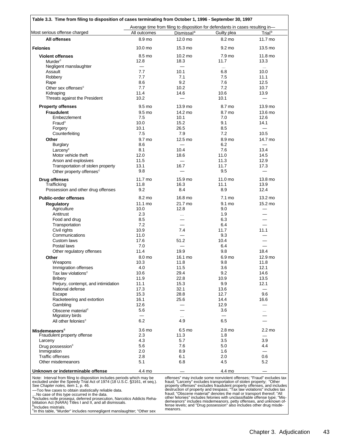| Table 3.3. Time from filing to disposition of cases terminating from October 1, 1996 - September 30, 1997                                                                                                                                                                                                                                                                                                                                                                                      |                 |                                                                               |                                                                                                                                                                                                                                                                                                                                                                                                                                                                                                                                                                                                    |                          |  |  |  |
|------------------------------------------------------------------------------------------------------------------------------------------------------------------------------------------------------------------------------------------------------------------------------------------------------------------------------------------------------------------------------------------------------------------------------------------------------------------------------------------------|-----------------|-------------------------------------------------------------------------------|----------------------------------------------------------------------------------------------------------------------------------------------------------------------------------------------------------------------------------------------------------------------------------------------------------------------------------------------------------------------------------------------------------------------------------------------------------------------------------------------------------------------------------------------------------------------------------------------------|--------------------------|--|--|--|
|                                                                                                                                                                                                                                                                                                                                                                                                                                                                                                |                 | Average time from filing to disposition for defendants in cases resulting in- |                                                                                                                                                                                                                                                                                                                                                                                                                                                                                                                                                                                                    |                          |  |  |  |
| Most serious offense charged                                                                                                                                                                                                                                                                                                                                                                                                                                                                   | All outcomes    | Dismissal <sup>a</sup>                                                        | Guilty plea                                                                                                                                                                                                                                                                                                                                                                                                                                                                                                                                                                                        | Trial <sup>b</sup>       |  |  |  |
| <b>All offenses</b>                                                                                                                                                                                                                                                                                                                                                                                                                                                                            | 8.9 mo          | 12.0 mo                                                                       | 8.2 mo                                                                                                                                                                                                                                                                                                                                                                                                                                                                                                                                                                                             | 11.7 mo                  |  |  |  |
| <b>Felonies</b>                                                                                                                                                                                                                                                                                                                                                                                                                                                                                | 10.0 mo         | 15.3 mo                                                                       | 9.2 mo                                                                                                                                                                                                                                                                                                                                                                                                                                                                                                                                                                                             | 13.5 mo                  |  |  |  |
| <b>Violent offenses</b>                                                                                                                                                                                                                                                                                                                                                                                                                                                                        | 8.5 mo          | 10.2 mo                                                                       | 7.9 mo                                                                                                                                                                                                                                                                                                                                                                                                                                                                                                                                                                                             | 11.8 mo                  |  |  |  |
| Murder <sup>c</sup>                                                                                                                                                                                                                                                                                                                                                                                                                                                                            | 12.8            | 18.3                                                                          | 11.7                                                                                                                                                                                                                                                                                                                                                                                                                                                                                                                                                                                               | 13.3                     |  |  |  |
| Negligent manslaughter                                                                                                                                                                                                                                                                                                                                                                                                                                                                         | $\equiv$<br>7.7 | $\overline{\phantom{0}}$<br>10.1                                              | $\cdots$                                                                                                                                                                                                                                                                                                                                                                                                                                                                                                                                                                                           | $\sim 10$<br>10.0        |  |  |  |
| Assault<br>Robbery                                                                                                                                                                                                                                                                                                                                                                                                                                                                             | 7.7             | 7.1                                                                           | 6.8<br>7.5                                                                                                                                                                                                                                                                                                                                                                                                                                                                                                                                                                                         | 11.1                     |  |  |  |
| Rape                                                                                                                                                                                                                                                                                                                                                                                                                                                                                           | 8.6             | 9.2                                                                           | 7.6                                                                                                                                                                                                                                                                                                                                                                                                                                                                                                                                                                                                | 12.5                     |  |  |  |
| Other sex offenses <sup>c</sup>                                                                                                                                                                                                                                                                                                                                                                                                                                                                | 7.7             | 10.2                                                                          | 7.2                                                                                                                                                                                                                                                                                                                                                                                                                                                                                                                                                                                                | 10.7                     |  |  |  |
| Kidnaping                                                                                                                                                                                                                                                                                                                                                                                                                                                                                      | 11.4            | 14.6                                                                          | 10.6                                                                                                                                                                                                                                                                                                                                                                                                                                                                                                                                                                                               | 13.9                     |  |  |  |
| Threats against the President                                                                                                                                                                                                                                                                                                                                                                                                                                                                  | 10.2            |                                                                               | 10.1                                                                                                                                                                                                                                                                                                                                                                                                                                                                                                                                                                                               | $\equiv$                 |  |  |  |
| <b>Property offenses</b>                                                                                                                                                                                                                                                                                                                                                                                                                                                                       | 9.5 mo          | 13.9 mo                                                                       | 8.7 mo                                                                                                                                                                                                                                                                                                                                                                                                                                                                                                                                                                                             | 13.9 mo                  |  |  |  |
| <b>Fraudulent</b>                                                                                                                                                                                                                                                                                                                                                                                                                                                                              | 9.5 mo          | 14.2 mo                                                                       | 8.7 mo                                                                                                                                                                                                                                                                                                                                                                                                                                                                                                                                                                                             | 13.6 mo                  |  |  |  |
| Embezzlement                                                                                                                                                                                                                                                                                                                                                                                                                                                                                   | 7.5             | 10.1                                                                          | 7.0                                                                                                                                                                                                                                                                                                                                                                                                                                                                                                                                                                                                | 12.6                     |  |  |  |
| Fraud <sup>c</sup>                                                                                                                                                                                                                                                                                                                                                                                                                                                                             | 10.0            | 15.2                                                                          | 9.1                                                                                                                                                                                                                                                                                                                                                                                                                                                                                                                                                                                                | 14.1                     |  |  |  |
| Forgery                                                                                                                                                                                                                                                                                                                                                                                                                                                                                        | 10.1            | 26.5                                                                          | 8.5                                                                                                                                                                                                                                                                                                                                                                                                                                                                                                                                                                                                |                          |  |  |  |
| Counterfeiting                                                                                                                                                                                                                                                                                                                                                                                                                                                                                 | 7.5             | 7.9                                                                           | 7.2                                                                                                                                                                                                                                                                                                                                                                                                                                                                                                                                                                                                | 10.5                     |  |  |  |
| Other                                                                                                                                                                                                                                                                                                                                                                                                                                                                                          | 9.7 mo          | 12.5 mo                                                                       | 8.9 mo                                                                                                                                                                                                                                                                                                                                                                                                                                                                                                                                                                                             | 14.7 mo                  |  |  |  |
| <b>Burglary</b>                                                                                                                                                                                                                                                                                                                                                                                                                                                                                | 8.6             |                                                                               | 6.2                                                                                                                                                                                                                                                                                                                                                                                                                                                                                                                                                                                                |                          |  |  |  |
| Larceny <sup>c</sup>                                                                                                                                                                                                                                                                                                                                                                                                                                                                           | 8.1             | 10.4                                                                          | 7.6                                                                                                                                                                                                                                                                                                                                                                                                                                                                                                                                                                                                | 13.4                     |  |  |  |
| Motor vehicle theft                                                                                                                                                                                                                                                                                                                                                                                                                                                                            | 12.0            | 18.6                                                                          | 11.0                                                                                                                                                                                                                                                                                                                                                                                                                                                                                                                                                                                               | 14.5                     |  |  |  |
| Arson and explosives                                                                                                                                                                                                                                                                                                                                                                                                                                                                           | 11.5            | $\overline{\phantom{0}}$                                                      | 11.3                                                                                                                                                                                                                                                                                                                                                                                                                                                                                                                                                                                               | 12.9                     |  |  |  |
| Transportation of stolen property                                                                                                                                                                                                                                                                                                                                                                                                                                                              | 13.1            | 16.7                                                                          | 11.7                                                                                                                                                                                                                                                                                                                                                                                                                                                                                                                                                                                               | 17.3                     |  |  |  |
| Other property offenses <sup>c</sup>                                                                                                                                                                                                                                                                                                                                                                                                                                                           | 9.8             |                                                                               | 9.5                                                                                                                                                                                                                                                                                                                                                                                                                                                                                                                                                                                                |                          |  |  |  |
| <b>Drug offenses</b>                                                                                                                                                                                                                                                                                                                                                                                                                                                                           | 11.7 mo         | 15.9 mo                                                                       | 11.0 mo                                                                                                                                                                                                                                                                                                                                                                                                                                                                                                                                                                                            | 13.8 mo                  |  |  |  |
| Trafficking                                                                                                                                                                                                                                                                                                                                                                                                                                                                                    | 11.8            | 16.3                                                                          | 11.1                                                                                                                                                                                                                                                                                                                                                                                                                                                                                                                                                                                               | 13.9                     |  |  |  |
| Possession and other drug offenses                                                                                                                                                                                                                                                                                                                                                                                                                                                             | 9.2             | 8.4                                                                           | 8.9                                                                                                                                                                                                                                                                                                                                                                                                                                                                                                                                                                                                | 12.4                     |  |  |  |
| <b>Public-order offenses</b>                                                                                                                                                                                                                                                                                                                                                                                                                                                                   | 8.2 mo          | 16.8 mo                                                                       | 7.1 mo                                                                                                                                                                                                                                                                                                                                                                                                                                                                                                                                                                                             | 13.2 mo                  |  |  |  |
| <b>Regulatory</b>                                                                                                                                                                                                                                                                                                                                                                                                                                                                              | 11.1 mo         | 21.7 mo                                                                       | 9.1 mo                                                                                                                                                                                                                                                                                                                                                                                                                                                                                                                                                                                             | 15.2 mo                  |  |  |  |
| Agriculture                                                                                                                                                                                                                                                                                                                                                                                                                                                                                    | 10.0            | 12.8                                                                          | 9.0                                                                                                                                                                                                                                                                                                                                                                                                                                                                                                                                                                                                | —                        |  |  |  |
| Antitrust                                                                                                                                                                                                                                                                                                                                                                                                                                                                                      | 2.3             | $\cdots$                                                                      | 1.9                                                                                                                                                                                                                                                                                                                                                                                                                                                                                                                                                                                                |                          |  |  |  |
| Food and drug                                                                                                                                                                                                                                                                                                                                                                                                                                                                                  | 8.5             |                                                                               | 6.3                                                                                                                                                                                                                                                                                                                                                                                                                                                                                                                                                                                                | $\overline{\phantom{0}}$ |  |  |  |
| Transportation                                                                                                                                                                                                                                                                                                                                                                                                                                                                                 | 7.2             |                                                                               | 6.4                                                                                                                                                                                                                                                                                                                                                                                                                                                                                                                                                                                                |                          |  |  |  |
| Civil rights                                                                                                                                                                                                                                                                                                                                                                                                                                                                                   | 10.9            | 7.4                                                                           | 11.7                                                                                                                                                                                                                                                                                                                                                                                                                                                                                                                                                                                               | 11.1                     |  |  |  |
| Communications                                                                                                                                                                                                                                                                                                                                                                                                                                                                                 | 11.0            |                                                                               | 9.3                                                                                                                                                                                                                                                                                                                                                                                                                                                                                                                                                                                                |                          |  |  |  |
| Custom laws                                                                                                                                                                                                                                                                                                                                                                                                                                                                                    | 17.6            | 51.2                                                                          | 10.4                                                                                                                                                                                                                                                                                                                                                                                                                                                                                                                                                                                               |                          |  |  |  |
| Postal laws                                                                                                                                                                                                                                                                                                                                                                                                                                                                                    | 7.0             |                                                                               | 6.4                                                                                                                                                                                                                                                                                                                                                                                                                                                                                                                                                                                                |                          |  |  |  |
| Other regulatory offenses                                                                                                                                                                                                                                                                                                                                                                                                                                                                      | 11.4            | 19.9                                                                          | 9.8                                                                                                                                                                                                                                                                                                                                                                                                                                                                                                                                                                                                | 18.4                     |  |  |  |
| Other                                                                                                                                                                                                                                                                                                                                                                                                                                                                                          | 8.0 mo          | 16.1 mo                                                                       | 6.9 mo                                                                                                                                                                                                                                                                                                                                                                                                                                                                                                                                                                                             | 12.9 mo                  |  |  |  |
| <b>Weapons</b>                                                                                                                                                                                                                                                                                                                                                                                                                                                                                 | 10.3<br>4.0     | 11.8                                                                          | 9.8                                                                                                                                                                                                                                                                                                                                                                                                                                                                                                                                                                                                | 11.8                     |  |  |  |
| Immigration offenses<br>Tax law violations <sup>c</sup>                                                                                                                                                                                                                                                                                                                                                                                                                                        | 10.6            | 11.5<br>29.4                                                                  | 3.6<br>9.2                                                                                                                                                                                                                                                                                                                                                                                                                                                                                                                                                                                         | 12.1<br>14.6             |  |  |  |
| <b>Bribery</b>                                                                                                                                                                                                                                                                                                                                                                                                                                                                                 | 11.9            | 22.8                                                                          | 10.9                                                                                                                                                                                                                                                                                                                                                                                                                                                                                                                                                                                               | 13.5                     |  |  |  |
| Perjury, contempt, and intimidation                                                                                                                                                                                                                                                                                                                                                                                                                                                            | 11.1            | 15.3                                                                          | 9.9                                                                                                                                                                                                                                                                                                                                                                                                                                                                                                                                                                                                | 12.1                     |  |  |  |
| National defense                                                                                                                                                                                                                                                                                                                                                                                                                                                                               | 17.3            | 32.1                                                                          | 13.6                                                                                                                                                                                                                                                                                                                                                                                                                                                                                                                                                                                               |                          |  |  |  |
| Escape                                                                                                                                                                                                                                                                                                                                                                                                                                                                                         | 15.3            | 28.8                                                                          | 12.7                                                                                                                                                                                                                                                                                                                                                                                                                                                                                                                                                                                               | 9.6                      |  |  |  |
| Racketeering and extortion                                                                                                                                                                                                                                                                                                                                                                                                                                                                     | 16.1            | 25.6                                                                          | 14.4                                                                                                                                                                                                                                                                                                                                                                                                                                                                                                                                                                                               | 16.6                     |  |  |  |
| Gambling                                                                                                                                                                                                                                                                                                                                                                                                                                                                                       | 12.6            |                                                                               | 12.9                                                                                                                                                                                                                                                                                                                                                                                                                                                                                                                                                                                               |                          |  |  |  |
| Obscene material <sup>c</sup>                                                                                                                                                                                                                                                                                                                                                                                                                                                                  | 5.6             |                                                                               | 3.6                                                                                                                                                                                                                                                                                                                                                                                                                                                                                                                                                                                                |                          |  |  |  |
| Migratory birds                                                                                                                                                                                                                                                                                                                                                                                                                                                                                |                 | $\cdots$                                                                      |                                                                                                                                                                                                                                                                                                                                                                                                                                                                                                                                                                                                    |                          |  |  |  |
| All other felonies <sup>c</sup>                                                                                                                                                                                                                                                                                                                                                                                                                                                                | 6.2             | 4.9                                                                           | 6.5                                                                                                                                                                                                                                                                                                                                                                                                                                                                                                                                                                                                |                          |  |  |  |
| <b>Misdemeanors<sup>c</sup></b>                                                                                                                                                                                                                                                                                                                                                                                                                                                                | 3.6 mo          | 6.5 mo                                                                        | 2.8 <sub>mo</sub>                                                                                                                                                                                                                                                                                                                                                                                                                                                                                                                                                                                  | $2.2 \text{ mo}$         |  |  |  |
| Fraudulent property offense                                                                                                                                                                                                                                                                                                                                                                                                                                                                    | 2.3             | 11.3                                                                          | 1.8                                                                                                                                                                                                                                                                                                                                                                                                                                                                                                                                                                                                |                          |  |  |  |
| Larceny                                                                                                                                                                                                                                                                                                                                                                                                                                                                                        | 4.3             | 5.7                                                                           | 3.5                                                                                                                                                                                                                                                                                                                                                                                                                                                                                                                                                                                                | 3.9                      |  |  |  |
| Drug possession <sup>c</sup>                                                                                                                                                                                                                                                                                                                                                                                                                                                                   | 5.6             | 7.6                                                                           | 5.0                                                                                                                                                                                                                                                                                                                                                                                                                                                                                                                                                                                                | 4.4                      |  |  |  |
| Immigration                                                                                                                                                                                                                                                                                                                                                                                                                                                                                    | 2.0             | 8.9                                                                           | 1.6                                                                                                                                                                                                                                                                                                                                                                                                                                                                                                                                                                                                |                          |  |  |  |
| <b>Traffic offenses</b>                                                                                                                                                                                                                                                                                                                                                                                                                                                                        | 2.8             | 6.1                                                                           | 2.0                                                                                                                                                                                                                                                                                                                                                                                                                                                                                                                                                                                                | 0.6                      |  |  |  |
| Other misdemeanors                                                                                                                                                                                                                                                                                                                                                                                                                                                                             | 5.1             | 6.8                                                                           | 4.5                                                                                                                                                                                                                                                                                                                                                                                                                                                                                                                                                                                                | 5.2                      |  |  |  |
| Unknown or indeterminable offense                                                                                                                                                                                                                                                                                                                                                                                                                                                              | 4.4 mo          |                                                                               | 4.4 mo                                                                                                                                                                                                                                                                                                                                                                                                                                                                                                                                                                                             |                          |  |  |  |
| Note: Interval from filing to disposition includes periods which may be<br>excluded under the Speedy Trial Act of 1974 (18 U.S.C. §3161, et seq.).<br>See <i>Chapter notes,</i> item 1, p. 46.<br>-Too few cases to obtain statistically reliable data.<br>No case of this type occurred in the data.<br><sup>a</sup> lncludes nolle prosequi, deferred prosecution, Narcotics Addicts Reha-<br>bilitation Act (NARA) Titles I and II, and all dismissals.<br><sup>b</sup> Includes mistrials. |                 |                                                                               | offenses" may include some nonviolent offenses; "Fraud" excludes tax<br>fraud; "Larceny" excludes transportation of stolen property; "Other<br>property offenses" excludes fraudulent property offenses, and includes<br>destruction of property and trespass; "Tax law violations" includes tax<br>fraud; "Obscene material" denotes the mail or transport thereof; "All<br>other felonies" includes felonies with unclassifiable offense type; "Mis-<br>demeanors" includes misdemeanors, petty offenses, and unknown of-<br>fense levels; and "Drug possession" also includes other drug misde- |                          |  |  |  |
| <sup>c</sup> In this table, "Murder" includes nonnegligent manslaughter; "Other sex                                                                                                                                                                                                                                                                                                                                                                                                            |                 | meanors.                                                                      |                                                                                                                                                                                                                                                                                                                                                                                                                                                                                                                                                                                                    |                          |  |  |  |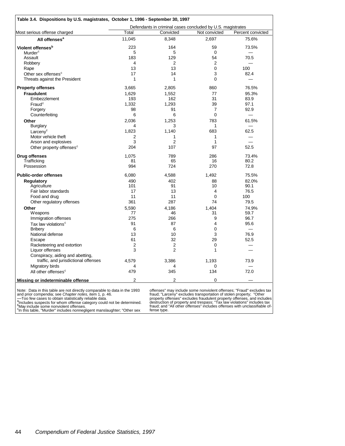|                                                                          | Defendants in criminal cases concluded by U.S. magistrates |                |                |                   |  |  |  |
|--------------------------------------------------------------------------|------------------------------------------------------------|----------------|----------------|-------------------|--|--|--|
| Most serious offense charged                                             | Total                                                      | Convicted      | Not convicted  | Percent convicted |  |  |  |
| All offenses <sup>a</sup>                                                | 11,045                                                     | 8,348          | 2,697          | 75.6%             |  |  |  |
| Violent offenses <sup>b</sup>                                            | 223                                                        | 164            | 59             | 73.5%             |  |  |  |
| Murder <sup>c</sup>                                                      | 5                                                          | 5              | $\Omega$       |                   |  |  |  |
| Assault                                                                  | 183                                                        | 129            | 54             | 70.5              |  |  |  |
| Robbery                                                                  | 4                                                          | 2              | 2              |                   |  |  |  |
| Rape                                                                     | 13                                                         | 13             | $\Omega$       | 100               |  |  |  |
| Other sex offenses <sup>c</sup>                                          | 17                                                         | 14             | 3              | 82.4              |  |  |  |
| Threats against the President                                            | 1                                                          | 1              | 0              |                   |  |  |  |
| <b>Property offenses</b>                                                 | 3,665                                                      | 2,805          | 860            | 76.5%             |  |  |  |
| <b>Fraudulent</b>                                                        | 1,629                                                      | 1,552          | 77             | 95.3%             |  |  |  |
| Embezzlement                                                             | 193                                                        | 162            | 31             | 83.9              |  |  |  |
| Fraud <sup>c</sup>                                                       | 1,332                                                      | 1,293          | 39             | 97.1              |  |  |  |
| Forgery                                                                  | 98                                                         | 91             | $\overline{7}$ | 92.9              |  |  |  |
| Counterfeiting                                                           | 6                                                          | 6              | $\mathbf 0$    |                   |  |  |  |
|                                                                          |                                                            |                |                |                   |  |  |  |
| Other                                                                    | 2,036                                                      | 1,253          | 783            | 61.5%             |  |  |  |
| <b>Burglary</b>                                                          | 4                                                          | 3              | 1              |                   |  |  |  |
| Larcenv <sup>c</sup>                                                     | 1,823                                                      | 1,140          | 683            | 62.5              |  |  |  |
| Motor vehicle theft                                                      | 2                                                          | 1              | 1              |                   |  |  |  |
| Arson and explosives                                                     | 3                                                          | $\overline{2}$ | 1              |                   |  |  |  |
| Other property offenses <sup>c</sup>                                     | 204                                                        | 107            | 97             | 52.5              |  |  |  |
| <b>Drug offenses</b>                                                     | 1.075                                                      | 789            | 286            | 73.4%             |  |  |  |
| Trafficking                                                              | 81                                                         | 65             | 16             | 80.2              |  |  |  |
| Possession                                                               | 994                                                        | 724            | 270            | 72.8              |  |  |  |
| <b>Public-order offenses</b>                                             | 6,080                                                      | 4,588          | 1.492          | 75.5%             |  |  |  |
| Regulatory                                                               | 490                                                        | 402            | 88             | 82.0%             |  |  |  |
| Agriculture                                                              | 101                                                        | 91             | 10             | 90.1              |  |  |  |
| Fair labor standards                                                     | 17                                                         | 13             | $\overline{4}$ | 76.5              |  |  |  |
| Food and drug                                                            | 11                                                         | 11             | $\mathbf 0$    | 100               |  |  |  |
| Other regulatory offenses                                                | 361                                                        | 287            | 74             | 79.5              |  |  |  |
| Other                                                                    | 5,590                                                      | 4,186          | 1,404          | 74.9%             |  |  |  |
| Weapons                                                                  | 77                                                         | 46             | 31             | 59.7              |  |  |  |
| Immigration offenses                                                     | 275                                                        | 266            | 9              | 96.7              |  |  |  |
| Tax law violations <sup>c</sup>                                          | 91                                                         | 87             | 4              | 95.6              |  |  |  |
| Bribery                                                                  | 6                                                          | 6              | $\Omega$       |                   |  |  |  |
| National defense                                                         | 13                                                         | 10             | 3              | 76.9              |  |  |  |
| Escape                                                                   | 61                                                         | 32             | 29             | 52.5              |  |  |  |
| Racketeering and extortion                                               | 2                                                          | $\overline{2}$ | 0              |                   |  |  |  |
| Liquor offenses                                                          | 3                                                          | $\overline{2}$ | 1              |                   |  |  |  |
|                                                                          |                                                            |                |                |                   |  |  |  |
| Conspiracy, aiding and abetting,<br>traffic, and jurisdictional offenses | 4.579                                                      |                | 1.193          | 73.9              |  |  |  |
| Migratory birds                                                          |                                                            | 3,386<br>4     | 0              |                   |  |  |  |
| All other offenses <sup>c</sup>                                          | 4<br>479                                                   | 345            | 134            | 72.0              |  |  |  |
|                                                                          |                                                            |                |                |                   |  |  |  |

Note: Data in this table are not directly comparable to data in the 1993<br>
and prior compendia; see *Chapter notes*, item 1, p. 46.<br>
—Too few cases to obtain statistically reliable data.<br>
<sup>a</sup>ncludes suspects for whom offens

offenses" may include some nonviolent offenses; "Fraud" excludes tax<br>fraud; "Larceny" excludes transportation of stolen property; "Other<br>property offenses" excludes fraudulent property offenses, and includes<br>destruction of fense type.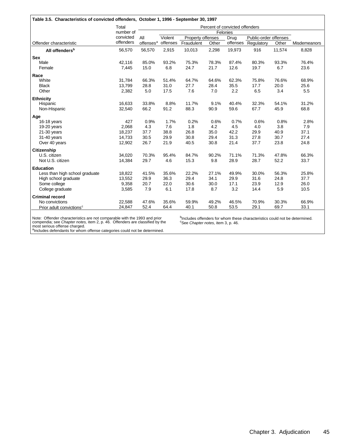#### **Table 3.5. Characteristics of convicted offenders, October 1, 1996 - September 30, 1997**

|                                      | Total     |                       |          |                   |       | Percent of convicted offenders<br>Felonies |                       |        |              |
|--------------------------------------|-----------|-----------------------|----------|-------------------|-------|--------------------------------------------|-----------------------|--------|--------------|
|                                      | number of |                       |          |                   |       |                                            |                       |        |              |
|                                      | convicted | All                   | Violent  | Property offenses |       | Drug                                       | Public-order offenses |        |              |
| Offender characteristic              | offenders | offenses <sup>a</sup> | offenses | Fraudulent        | Other |                                            | offenses Regulatory   | Other  | Misdemeanors |
| All offenders <sup>b</sup>           | 56,570    | 56,570                | 2,915    | 10,013            | 2,298 | 19,973                                     | 916                   | 11,574 | 8,828        |
| <b>Sex</b>                           |           |                       |          |                   |       |                                            |                       |        |              |
| Male                                 | 42,116    | 85.0%                 | 93.2%    | 75.3%             | 78.3% | 87.4%                                      | 80.3%                 | 93.3%  | 76.4%        |
| Female                               | 7,445     | 15.0                  | 6.8      | 24.7              | 21.7  | 12.6                                       | 19.7                  | 6.7    | 23.6         |
| Race                                 |           |                       |          |                   |       |                                            |                       |        |              |
| White                                | 31,784    | 66.3%                 | 51.4%    | 64.7%             | 64.6% | 62.3%                                      | 75.8%                 | 76.6%  | 68.9%        |
| <b>Black</b>                         | 13,799    | 28.8                  | 31.0     | 27.7              | 28.4  | 35.5                                       | 17.7                  | 20.0   | 25.6         |
| Other                                | 2,382     | 5.0                   | 17.5     | 7.6               | 7.0   | 2.2                                        | 6.5                   | 3.4    | 5.5          |
| <b>Ethnicity</b>                     |           |                       |          |                   |       |                                            |                       |        |              |
| Hispanic                             | 16,633    | 33.8%                 | 8.8%     | 11.7%             | 9.1%  | 40.4%                                      | 32.3%                 | 54.1%  | 31.2%        |
| Non-Hispanic                         | 32,540    | 66.2                  | 91.2     | 88.3              | 90.9  | 59.6                                       | 67.7                  | 45.9   | 68.8         |
| Age                                  |           |                       |          |                   |       |                                            |                       |        |              |
| 16-18 years                          | 427       | 0.9%                  | 1.7%     | 0.2%              | 0.6%  | 0.7%                                       | 0.6%                  | 0.8%   | 2.8%         |
| 19-20 years                          | 2,068     | 4.3                   | 7.6      | 1.8               | 4.2   | 4.5                                        | 4.0                   | 3.8    | 7.9          |
| $21-30$ years                        | 18,237    | 37.7                  | 38.8     | 26.8              | 35.0  | 42.2                                       | 29.9                  | 40.9   | 37.1         |
| 31-40 years                          | 14,733    | 30.5                  | 29.9     | 30.8              | 29.4  | 31.3                                       | 27.8                  | 30.7   | 27.4         |
| Over 40 years                        | 12,902    | 26.7                  | 21.9     | 40.5              | 30.8  | 21.4                                       | 37.7                  | 23.8   | 24.8         |
| Citizenship                          |           |                       |          |                   |       |                                            |                       |        |              |
| U.S. citizen                         | 34,020    | 70.3%                 | 95.4%    | 84.7%             | 90.2% | 71.1%                                      | 71.3%                 | 47.8%  | 66.3%        |
| Not U.S. citizen                     | 14,384    | 29.7                  | 4.6      | 15.3              | 9.8   | 28.9                                       | 28.7                  | 52.2   | 33.7         |
| <b>Education</b>                     |           |                       |          |                   |       |                                            |                       |        |              |
| Less than high school graduate       | 18,822    | 41.5%                 | 35.6%    | 22.2%             | 27.1% | 49.9%                                      | 30.0%                 | 56.3%  | 25.8%        |
| High school graduate                 | 13,552    | 29.9                  | 36.3     | 29.4              | 34.1  | 29.9                                       | 31.6                  | 24.8   | 37.7         |
| Some college                         | 9,358     | 20.7                  | 22.0     | 30.6              | 30.0  | 17.1                                       | 23.9                  | 12.9   | 26.0         |
| College graduate                     | 3,585     | 7.9                   | 6.1      | 17.8              | 8.7   | 3.2                                        | 14.4                  | 5.9    | 10.5         |
| <b>Criminal record</b>               |           |                       |          |                   |       |                                            |                       |        |              |
| No convictions                       | 22,588    | 47.6%                 | 35.6%    | 59.9%             | 49.2% | 46.5%                                      | 70.9%                 | 30.3%  | 66.9%        |
| Prior adult convictions <sup>c</sup> | 24,847    | 52.4                  | 64.4     | 40.1              | 50.8  | 53.5                                       | 29.1                  | 69.7   | 33.1         |

Note: Offender characteristics are not comparable with the 1993 and prior<br>compendia; see C*hapter notes*, item 2, p. 46. Offenders are classified by the<br>most serious offense charged.<br><sup>a</sup>Includes defendants for whom offense

<sup>b</sup>Includes offenders for whom these characteristics could not be determined. <sup>c</sup>See *Chapter notes*, item 3, p. 46.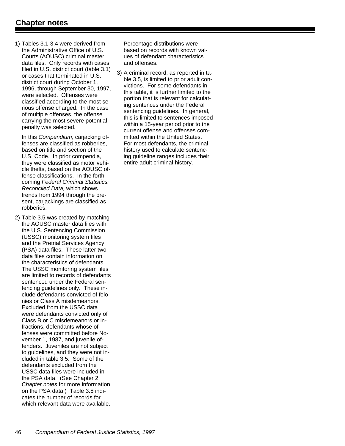1) Tables 3.1-3.4 were derived from the Administrative Office of U.S. Courts (AOUSC) criminal master data files. Only records with cases filed in U.S. district court (table 3.1) or cases that terminated in U.S. district court during October 1, 1996, through September 30, 1997, were selected. Offenses were classified according to the most serious offense charged. In the case of multiple offenses, the offense carrying the most severe potential penalty was selected.

In this *Compendium*, carjacking offenses are classified as robberies, based on title and section of the U.S. Code. In prior compendia, they were classified as motor vehicle thefts, based on the AOUSC offense classifications. In the forthcoming *Federal Criminal Statistics: Reconciled Data,* which shows trends from 1994 through the present, carjackings are classified as robberies.

2) Table 3.5 was created by matching the AOUSC master data files with the U.S. Sentencing Commission (USSC) monitoring system files and the Pretrial Services Agency (PSA) data files. These latter two data files contain information on the characteristics of defendants. The USSC monitoring system files are limited to records of defendants sentenced under the Federal sentencing guidelines only. These include defendants convicted of felonies or Class A misdemeanors. Excluded from the USSC data were defendants convicted only of Class B or C misdemeanors or infractions, defendants whose offenses were committed before November 1, 1987, and juvenile offenders. Juveniles are not subject to guidelines, and they were not included in table 3.5. Some of the defendants excluded from the USSC data files were included in the PSA data. (See Chapter 2 *Chapter notes* for more information on the PSA data.) Table 3.5 indicates the number of records for which relevant data were available.

Percentage distributions were based on records with known values of defendant characteristics and offenses.

3) A criminal record, as reported in table 3.5, is limited to prior adult convictions. For some defendants in this table, it is further limited to the portion that is relevant for calculating sentences under the Federal sentencing guidelines. In general, this is limited to sentences imposed within a 15-year period prior to the current offense and offenses committed within the United States. For most defendants, the criminal history used to calculate sentencing guideline ranges includes their entire adult criminal history.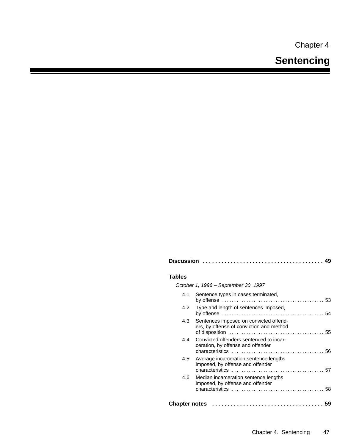Chapter 4

| Tables                               |  |
|--------------------------------------|--|
| October 1, 1996 – September 30, 1997 |  |
| $\blacksquare$                       |  |

**Discussion ....................................... 49**

| 4.1. Sentence types in cases terminated,                                                |  |
|-----------------------------------------------------------------------------------------|--|
| 4.2. Type and length of sentences imposed,                                              |  |
| 4.3. Sentences imposed on convicted offend-<br>ers, by offense of conviction and method |  |
| 4.4. Convicted offenders sentenced to incar-<br>ceration, by offense and offender       |  |
| 4.5. Average incarceration sentence lengths<br>imposed, by offense and offender         |  |
| 4.6. Median incarceration sentence lengths<br>imposed, by offense and offender          |  |
|                                                                                         |  |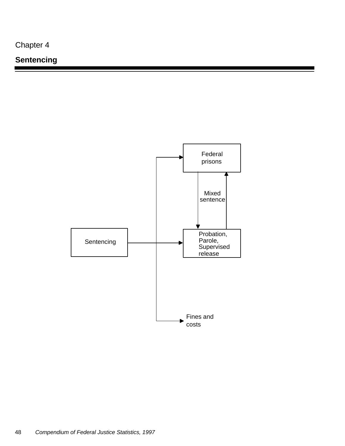Chapter 4

## **Sentencing**

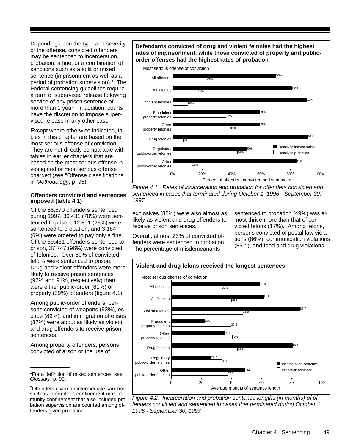Depending upon the type and severity of the offense, convicted offenders may be sentenced to incarceration, probation, a fine, or a combination of sanctions such as a split or mixed sentence (imprisonment as well as a period of probation supervision).<sup>1</sup> The Federal sentencing guidelines require a term of supervised release following service of any prison sentence of more than 1 year. In addition, courts have the discretion to impose supervised release in any other case.

Except where otherwise indicated, tables in this chapter are based on the most serious offense of conviction. They are not directly comparable with tables in earlier chapters that are based on the most serious offense investigated or most serious offense charged (see "Offense classifications" in *Methodology*, p. 95).

#### **Offenders convicted and sentences imposed (table 4.1)**

Of the 56,570 offenders sentenced during 1997, 39,431 (70%) were sentenced to prison; 12,801 (23%) were sentenced to probation; and 3,184 (6%) were ordered to pay only a fine.<sup>2</sup> Of the 39,431 offenders sentenced to prison, 37,747 (96%) were convicted of felonies. Over 80% of convicted felons were sentenced to prison. Drug and violent offenders were more likely to receive prison sentences (92% and 91%, respectively) than were either public-order (81%) or property (59%) offenders (figure 4.1).

Among public-order offenders, persons convicted of weapons (93%), escape (89%), and immigration offenses (87%) were about as likely as violent and drug offenders to receive prison sentences.

Among property offenders, persons convicted of arson or the use of

<sup>1</sup>For a definition of mixed sentences, see *Glossary*, p. 99.

#### **Defendants convicted of drug and violent felonies had the highest rates of imprisonment, while those convicted of property and publicorder offenses had the highest rates of probation**



*Figure 4.1. Rates of incarceration and probation for offenders convicted and sentenced in cases that terminated during October 1, 1996 - September 30, 1997*

explosives (85%) were also almost as likely as violent and drug offenders to receive prison sentences.

Overall, almost 23% of convicted offenders were sentenced to probation. The percentage of misdemeanants

sentenced to probation (49%) was almost thrice more than that of convicted felons (17%). Among felons, persons convicted of postal law violations (86%), communication violations (85%), and food and drug violations





<sup>&</sup>lt;sup>2</sup>Offenders given an intermediate sanction such as intermittent confinement or community confinement that also included probation supervision are counted among offenders given probation.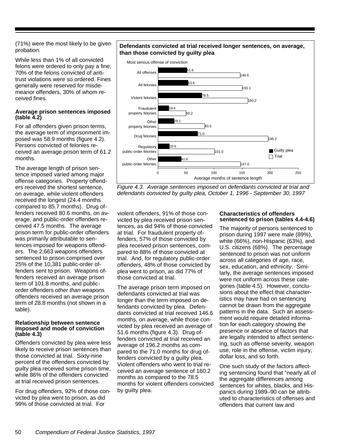(71%) were the most likely to be given probation.

While less than 1% of all convicted felons were ordered to only pay a fine, 70% of the felons convicted of antitrust violations were so ordered. Fines generally were reserved for misdemeanor offenders, 30% of whom received fines.

#### **Average prison sentences imposed (table 4.2)**

For all offenders given prison terms, the average term of imprisonment imposed was 58.9 months (figure 4.2). Persons convicted of felonies received an average prison term of 61.2 months.

The average length of prison sentence imposed varied among major offense categories. Property offenders received the shortest sentence, on average, while violent offenders received the longest (24.4 months compared to 85.7 months). Drug offenders received 80.6 months, on average, and public-order offenders received 47.5 months. The average prison term for public-order offenders was primarily attributable to sentences imposed for weapons offenders. The 2,663 weapons offenders sentenced to prison comprised over 25% of the 10,381 public-order offenders sent to prison. Weapons offenders received an average prison term of 101.8 months, and publicorder offenders *other than* weapons offenders received an average prison term of 28.8 months (not shown in a table).

#### **Relationship between sentence imposed and mode of conviction (table 4.3)**

Offenders convicted by plea were less likely to receive prison sentences than those convicted at trial. Sixty-nine percent of the offenders convicted by guilty plea received some prison time, while 86% of the offenders convicted at trial received prison sentences.

For drug offenders, 92% of those convicted by plea went to prison, as did 99% of those convicted at trial. For

#### **Defendants convicted at trial received longer sentences, on average, than those convicted by guilty plea**



*Figure 4.3. Average sentences imposed on defendants convicted at trial and defendants convicted by guilty plea, October 1, 1996 - September 30, 1997*

violent offenders, 91% of those convicted by plea received prison sentences, as did 94% of those convicted at trial. For fraudulent property offenders, 57% of those convicted by plea received prison sentences, compared to 88% of those convicted at trial. And, for regulatory public-order offenders, 48% of those convicted by plea went to prison, as did 77% of those convicted at trial.

The average prison term imposed on defendants convicted at trial was longer than the term imposed on defendants convicted by plea. Defendants convicted at trial received 146.6 months, on average, while those convicted by plea received an average of 51.6 months (figure 4.3). Drug offenders convicted at trial received an average of 196.2 months as compared to the 71.0 months for drug offenders convicted by a guilty plea. Violent offenders who went to trial received an average sentence of 160.2 months as compared to the 78.5 months for violent offenders convicted by guilty plea.

#### **Characteristics of offenders sentenced to prison (tables 4.4-4.6)**

The majority of persons sentenced to prison during 1997 were male (89%), white (66%), non-Hispanic (63%), and U.S. citizens (68%). The percentage sentenced to prison was not uniform across all categories of age, race, sex, education, and ethnicity. Similarly, the average sentences imposed were not uniform across these categories (table 4.5). However, conclusions about the effect that characteristics may have had on sentencing cannot be drawn from the aggregate patterns in the data. Such an assessment would require detailed information for each category showing the presence or absence of factors that are legally intended to affect sentencing, such as offense severity, weapon use, role in the offense, victim injury, dollar loss, and so forth.

One such study of the factors affecting sentencing found that "nearly all of the aggregate differences among sentences for whites, blacks, and Hispanics during 1989–90 can be attributed to characteristics of offenses and offenders that current law and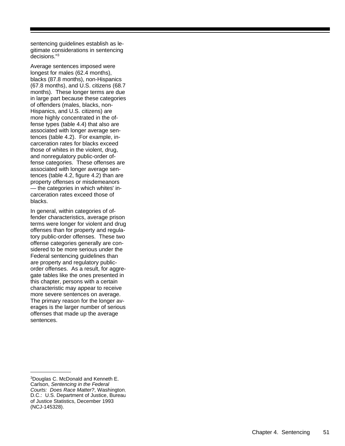sentencing guidelines establish as le gitimate considerations in sentencing decisions." 3

Average sentences imposed were longest for males (62.4 months), blacks (87.8 months), non-Hispanics (67.8 months), and U.S. citizens (68.7 months). These longer terms are due in large part because these categories of offenders (males, blacks, non-Hispanics, and U.S. citizens) are more highly concentrated in the of fense types (table 4.4) that also are associated with longer average sen tences (table 4.2). For example, in carceration rates for blacks exceed those of whites in the violent, drug, and nonregulatory public-order of fense categories. These offenses are associated with longer average sen tences (table 4.2, figure 4.2) than are property offenses or misdemeanors — the categories in which whites' in carceration rates exceed those of blacks.

In general, within categories of of fender characteristics, average prison terms were longer for violent and drug offenses than for property and regula tory public-order offenses. These two offense categories generally are con sidered to be more serious under the Federal sentencing guidelines than are property and regulatory publicorder offenses. As a result, for aggre gate tables like the ones presented in this chapter, persons with a certain characteristic may appear to receive more severe sentences on average. The primary reason for the longer av erages is the larger number of serious offenses that made up the average sentences.

 $3$ Douglas C. McDonald and Kenneth E. Carlson, *Sentencing in the Federal Courts: Does Race Matter?*, Washington, D.C.: U.S. Department of Justice, Bureau of Justice Statistics, December 1993 (NCJ-145328).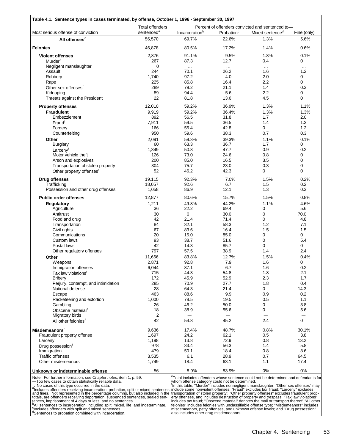|                                      | <b>Total offenders</b> | Percent of offenders convicted and sentenced to- |                        |                             |               |  |  |  |
|--------------------------------------|------------------------|--------------------------------------------------|------------------------|-----------------------------|---------------|--|--|--|
| Most serious offense of conviction   | sentenced <sup>a</sup> | Incarceration <sup>b</sup>                       | Probation <sup>c</sup> | Mixed sentence <sup>d</sup> | Fine (only)   |  |  |  |
| All offenses <sup>e</sup>            | 56,570                 | 69.7%                                            | 22.6%                  | 1.3%                        | 5.6%          |  |  |  |
|                                      |                        |                                                  |                        |                             |               |  |  |  |
| <b>Felonies</b>                      | 46,878                 | 80.5%                                            | 17.2%                  | 1.4%                        | 0.6%          |  |  |  |
| <b>Violent offenses</b>              | 2,876                  | 91.1%                                            | 9.5%                   | 1.8%                        | 0.1%          |  |  |  |
| Murder <sup>t</sup>                  | 267                    | 87.3                                             | 12.7                   | 0.4                         | 0             |  |  |  |
| Negligent manslaughter               | 0                      | $\ldots$                                         | $\ldots$               | $\ldots$                    | $\sim$ $\sim$ |  |  |  |
| Assault                              | 244                    | 70.1                                             | 26.2                   | 1.6                         | 1.2           |  |  |  |
| Robbery                              | 1,740                  | 97.2                                             | 4.0                    | 2.0                         | 0             |  |  |  |
| Rape                                 | 225                    | 85.8                                             | 16.4                   | 2.2                         | 0             |  |  |  |
| Other sex offenses <sup>f</sup>      | 289                    | 79.2                                             | 21.1                   | 1.4                         | 0.3           |  |  |  |
| Kidnaping                            | 89                     | 94.4                                             | 5.6                    | 2.2                         | 0             |  |  |  |
| Threats against the President        | 22                     | 81.8                                             | 13.6                   | 4.5                         | 0             |  |  |  |
|                                      |                        |                                                  |                        |                             |               |  |  |  |
| <b>Property offenses</b>             | 12,010                 | 59.2%                                            | 36.9%                  | 1.3%                        | 1.1%          |  |  |  |
| <b>Fraudulent</b>                    | 9,919                  | 59.2%                                            | 36.4%                  | 1.3%                        | 1.3%          |  |  |  |
| Embezzlement                         | 892                    | 56.5                                             | 31.8                   | 1.7                         | 2.0           |  |  |  |
| Fraud <sup>f</sup>                   | 7,911                  | 59.5                                             | 36.5                   | 1.4                         | 1.3           |  |  |  |
| Forgery                              | 166                    | 55.4                                             | 42.8                   | 0                           | 1.2           |  |  |  |
| Counterfeiting                       | 950                    | 59.6                                             | 38.3                   | 0.7                         | 0.3           |  |  |  |
| Other                                | 2,091                  | 59.3%                                            | 39.3%                  | 1.1%                        | 0.1%          |  |  |  |
| <b>Burglary</b>                      | 60                     | 63.3                                             | 36.7                   | 1.7                         | 0             |  |  |  |
| Larcenyf                             | 1,349                  | 50.8                                             | 47.7                   | 0.9                         | 0.2           |  |  |  |
| Motor vehicle theft                  | 126                    | 73.0                                             | 24.6                   | 0.8                         | 0             |  |  |  |
| Arson and explosives                 | 200                    | 85.0                                             | 16.5                   | 3.5                         | 0             |  |  |  |
|                                      | 304                    | 75.7                                             | 23.0                   | 0.3                         | 0             |  |  |  |
| Transportation of stolen property    | 52                     | 46.2                                             | 42.3                   | 0                           | $\mathbf 0$   |  |  |  |
| Other property offenses <sup>t</sup> |                        |                                                  |                        |                             |               |  |  |  |
| <b>Drug offenses</b>                 | 19,115                 | 92.3%                                            | 7.0%                   | 1.5%                        | 0.2%          |  |  |  |
| Trafficking                          | 18,057                 | 92.6                                             | 6.7                    | 1.5                         | 0.2           |  |  |  |
| Possession and other drug offenses   | 1,058                  | 86.9                                             | 12.1                   | 1.3                         | 0.3           |  |  |  |
| <b>Public-order offenses</b>         | 12,877                 | 80.6%                                            | 15.7%                  | 1.5%                        | 0.8%          |  |  |  |
| <b>Regulatory</b>                    | 1,211                  | 49.8%                                            | 44.2%                  | 1.1%                        | 4.6%          |  |  |  |
| Agriculture                          | 36                     | 22.2                                             | 69.4                   | 0                           | 5.6           |  |  |  |
| Antitrust                            | 30                     | 0                                                | 30.0                   | $\mathbf 0$                 | 70.0          |  |  |  |
| Food and drug                        | 42                     | 21.4                                             | 71.4                   | $\Omega$                    | 4.8           |  |  |  |
|                                      |                        |                                                  |                        |                             |               |  |  |  |
| Transportation                       | 84                     | 32.1                                             | 58.3                   | 1.2                         | 7.1           |  |  |  |
| Civil rights                         | 67                     | 83.6                                             | 16.4                   | 1.5                         | 1.5           |  |  |  |
| Communications                       | 20                     | 15.0                                             | 85.0                   | 0                           | 0             |  |  |  |
| Custom laws                          | 93                     | 38.7                                             | 51.6                   | 0                           | 5.4           |  |  |  |
| Postal laws                          | 42                     | 14.3                                             | 85.7                   | 0                           | 0             |  |  |  |
| Other regulatory offenses            | 797                    | 57.5                                             | 38.9                   | 1.4                         | 2.4           |  |  |  |
| Other                                | 11,666                 | 83.8%                                            | 12.7%                  | 1.5%                        | 0.4%          |  |  |  |
| <b>Weapons</b>                       | 2,871                  | 92.8                                             | 7.9                    | 1.6                         | 0             |  |  |  |
| Immigration offenses                 | 6,044                  | 87.1                                             | 6.7                    | 1.6                         | 0.2           |  |  |  |
| Tax law violations <sup>t</sup>      | 715                    | 44.3                                             | 54.8                   | 1.8                         | 2.1           |  |  |  |
| <b>Bribery</b>                       | 172                    | 45.9                                             | 52.9                   | 2.3                         | 1.7           |  |  |  |
| Perjury, contempt, and intimidation  | 285                    |                                                  | 27.7                   | 1.8                         | 0.4           |  |  |  |
|                                      |                        | 70.9                                             |                        |                             |               |  |  |  |
| National defense                     | 28                     | 64.3                                             | 21.4                   | 0                           | 14.3          |  |  |  |
| Escape                               | 463                    | 88.6                                             | 9.9                    | 0.9                         | 0.2           |  |  |  |
| Racketeering and extortion           | 1,000                  | 78.5                                             | 19.5                   | 0.5                         | 1.1           |  |  |  |
| Gambling                             | 26                     | 46.2                                             | 50.0                   | 0                           | 3.8           |  |  |  |
| Obscene material <sup>†</sup>        | 18                     | 38.9                                             | 55.6                   | 0                           | 5.6           |  |  |  |
| Migratory birds                      | 2                      | $\overline{\phantom{0}}$                         | —                      |                             | —             |  |  |  |
| All other felonies <sup>t</sup>      | 42                     | 54.8                                             | 45.2                   | 2.4                         | 0             |  |  |  |
| <b>Misdemeanors</b> <sup>f</sup>     | 9,636                  | 17.4%                                            | 48.7%                  | 0.8%                        | 30.1%         |  |  |  |
| Fraudulent property offense          | 1,697                  | 24.2                                             | 62.1                   | 0.5                         | 3.8           |  |  |  |
|                                      |                        |                                                  |                        |                             |               |  |  |  |
| Larceny                              | 1,198                  | 13.8                                             | 72.9                   | 0.8                         | 13.2          |  |  |  |
| Drug possession <sup>t</sup>         | 978                    | 33.4                                             | 56.3                   | 1.4                         | 5.8           |  |  |  |
| Immigration                          | 479                    | 50.1                                             | 18.4                   | 0.8                         | 8.6           |  |  |  |
| <b>Traffic offenses</b>              | 3,535                  | 6.1                                              | 28.9                   | 0.7                         | 64.5          |  |  |  |
| Other misdemeanors                   | 1,749                  | 18.4                                             | 63.1                   | 1.1                         | 17.4          |  |  |  |
|                                      |                        |                                                  |                        |                             |               |  |  |  |

Note: For further information, see *Chapter notes,* item 1, p. 59.

Total includes offenders whose sentence could not be determined and defendants for

—Too few cases to obtain statistically reliable data.<br>
...No cases of this type occurred in the data.<br>
<sup>a</sup>lncludes offenders receiving incarceration, probation, split or mixed sentences,<br>
and fines. Not represented in the

whom offense category could not be determined.<br>"In this table, "Murder" includes nonnegligent manslaughter; "Other sex offenses" may<br>include some nonviolent offenses; "Fraud" excludes tax fraud; "Larceny" excludes<br>transpor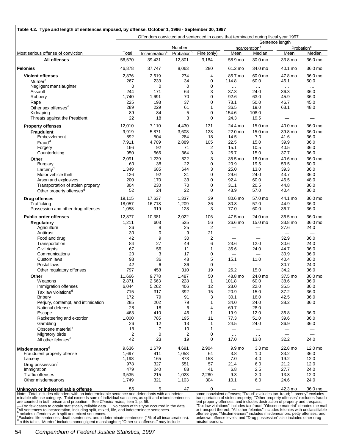|                                      | Offenders convicted and sentenced in cases that terminated during fiscal year 1997 |                            |                                  |                |                                 |                                      |                 |                                  |  |
|--------------------------------------|------------------------------------------------------------------------------------|----------------------------|----------------------------------|----------------|---------------------------------|--------------------------------------|-----------------|----------------------------------|--|
|                                      |                                                                                    | Sentence length            |                                  |                |                                 |                                      |                 |                                  |  |
| Most serious offense of conviction   | Total                                                                              | Incarceration <sup>a</sup> | Number<br>Probation <sup>b</sup> | Fine (only)    | Mean                            | Incarceration <sup>c</sup><br>Median | Mean            | Probation <sup>c</sup><br>Median |  |
| <b>All offenses</b>                  | 56,570                                                                             | 39,431                     | 12,801                           | 3,184          | 58.9 mo                         | 30.0 mo                              | 33.8 mo         | 36.0 mo                          |  |
| <b>Felonies</b>                      | 46,878                                                                             | 37,747                     | 8,063                            | 280            | 61.2 mo                         | 34.0 mo                              | 40.1 mo         | 36.0 mo                          |  |
|                                      |                                                                                    |                            |                                  |                |                                 |                                      |                 |                                  |  |
| <b>Violent offenses</b>              | 2,876                                                                              | 2,619                      | 274                              | 4              | 85.7 mo                         | 60.0 mo                              | 47.8 mo         | 36.0 mo                          |  |
| Murder <sup>d</sup>                  | 267                                                                                | 233                        | 34                               | 0              | 114.8                           | 60.0                                 | 46.1            | 50.0                             |  |
| Negligent manslaughter               | $\mathbf 0$                                                                        | 0                          | $\mathbf 0$                      | 0              | $\cdots$                        | $\ldots$                             | $\sim$ $\sim$   | $\cdots$                         |  |
| Assault                              | 244                                                                                | 171                        | 64                               | 3              | 37.3                            | 24.0                                 | 36.3            | 36.0                             |  |
| Robbery                              | 1,740                                                                              | 1,691                      | 70                               | 0              | 92.6                            | 63.0                                 | 45.9            | 36.0                             |  |
| Rape                                 | 225                                                                                | 193                        | 37                               | $\mathbf 0$    | 73.1                            | 50.0                                 | 46.7            | 45.0                             |  |
| Other sex offenses <sup>d</sup>      | 289                                                                                | 229                        | 61                               | 1              | 36.5                            | 19.0                                 | 63.1            | 48.0                             |  |
| Kidnaping                            | 89                                                                                 | 84                         | 5                                | $\mathbf 0$    | 154.6                           | 108.0                                | —               | $\overline{\phantom{0}}$         |  |
| Threats against the President        | 22                                                                                 | 18                         | 3                                | $\mathbf 0$    | 24.3                            | 19.5                                 | —               | $\equiv$                         |  |
| <b>Property offenses</b>             | 12,010                                                                             | 7,110                      | 4,430                            | 131            | 24.4 mo                         | 15.0 mo                              | 40.0 mo         | 36.0 mo                          |  |
| <b>Fraudulent</b>                    | 9,919                                                                              | 5,871                      | 3,608                            | 128            | 22.0 mo                         | 15.0 mo                              | 39.8 mo         | 36.0 mo                          |  |
| Embezzlement                         | 892                                                                                | 504                        | 284                              | 18             | 14.5                            | 7.0                                  | 41.6            | 36.0                             |  |
| $Find^d$                             | 7,911                                                                              | 4,709                      | 2,889                            | 105            | 22.5                            | 15.0                                 | 39.9            | 36.0                             |  |
| Forgery                              | 166                                                                                | 92                         | 71                               | $\overline{2}$ | 15.1                            | 10.5                                 | 40.5            | 36.0                             |  |
|                                      | 950                                                                                | 566                        | 364                              | 3              | 25.7                            | 15.0                                 | 37.7            | 36.0                             |  |
| Counterfeiting                       |                                                                                    |                            |                                  |                |                                 |                                      |                 |                                  |  |
| Other                                | 2,091                                                                              | 1,239                      | 822                              | 3              | 35.5 mo                         | 18.0 mo                              | 40.6 mo         | 36.0 mo                          |  |
| Burglary                             | 60                                                                                 | 38                         | 22                               | 0              | 20.9                            | 19.5                                 | 53.5            | 60.0                             |  |
| Larcenv <sup>d</sup>                 | 1,349                                                                              | 685                        | 644                              | 3              | 25.0                            | 13.0                                 | 39.3            | 36.0                             |  |
| Motor vehicle theft                  | 126                                                                                | 92                         | 31                               | 0              | 29.6                            | 24.0                                 | 43.7            | 36.0                             |  |
| Arson and explosives                 | 200                                                                                | 170                        | 33                               | $\mathbf 0$    | 92.4                            | 60.0                                 | 46.5            | 48.0                             |  |
| Transportation of stolen property    | 304                                                                                | 230                        | 70                               | 0              | 31.1                            | 20.5                                 | 44.8            | 36.0                             |  |
| Other property offenses <sup>d</sup> | 52                                                                                 | 24                         | 22                               | 0              | 43.9                            | 57.0                                 | 40.4            | 36.0                             |  |
| <b>Drug offenses</b>                 | 19,115                                                                             | 17,637                     | 1,337                            | 39             | 80.6 mo                         | 57.0 mo                              | 44.1 mo         | 36.0 mo                          |  |
| Trafficking                          | 18,057                                                                             | 16,718                     | 1,209                            | 36             | 80.8                            | 57.0                                 | 44.9            | 36.0                             |  |
| Possession and other drug offenses   | 1,058                                                                              | 919                        | 128                              | 3              | 77.0                            | 60.0                                 | 36.7            | 36.0                             |  |
|                                      |                                                                                    |                            |                                  |                |                                 |                                      |                 |                                  |  |
| <b>Public-order offenses</b>         | 12,877                                                                             | 10,381                     | 2,022                            | 106            | 47.5 mo                         | 24.0 mo                              | 36.5 mo         | 36.0 mo                          |  |
| <b>Regulatory</b>                    | 1,211                                                                              | 603                        | 535                              | 56             | 26.6 mo                         | 15.0 mo                              | 33.8 mo         | 36.0 mo                          |  |
| Agriculture                          | 36                                                                                 | 8                          | 25                               | $\overline{c}$ | —                               |                                      | 27.6            | 24.0                             |  |
| Antitrust                            | 30                                                                                 | 0                          | 9                                | 21             | $\cdots$                        | $\sim$ $\sim$ $\sim$                 |                 |                                  |  |
| Food and drug                        | 42                                                                                 | 9                          | 30                               | $\overline{c}$ | —                               | $\qquad \qquad$                      | 32.9            | 36.0                             |  |
| Transportation                       | 84                                                                                 | 27                         | 49                               | 6              | 23.6                            | 12.0                                 | 30.6            | 24.0                             |  |
| Civil rights                         | 67                                                                                 | 56                         | 11                               | 1              | 35.6                            | 24.0                                 | 44.7            | 36.0                             |  |
| Communications                       | 20                                                                                 | 3                          | 17                               | 0              | $\hspace{0.1mm}-\hspace{0.1mm}$ |                                      | 30.9            | 36.0                             |  |
| Custom laws                          | 93                                                                                 | 36                         | 48                               | 5              | 15.1                            | 11.0                                 | 40.4            | 36.0                             |  |
| Postal laws                          | 42                                                                                 | 6                          | 36                               | 0              |                                 | $\equiv$                             | 30.7            | 24.0                             |  |
| Other regulatory offenses            | 797                                                                                | 458                        | 310                              | 19             | 26.2                            | 15.0                                 | 34.2            | 36.0                             |  |
| Other                                | 11,666                                                                             | 9,778                      | 1,487                            | 50             | 48.8 mo                         | 24.0 mo                              | 37.5 mo         | 36.0 mo                          |  |
| Weapons                              | 2,871                                                                              | 2,663                      | 228                              | 1              | 101.8                           | 60.0                                 | 38.6            | 36.0                             |  |
|                                      | 6,044                                                                              | 5,262                      | 406                              | 12             | 23.0                            | 22.0                                 | 35.5            | 36.0                             |  |
| Immigration offenses                 |                                                                                    |                            |                                  |                |                                 |                                      |                 |                                  |  |
| Tax law violations <sup>d</sup>      | 715                                                                                | 317                        | 392                              | 15             | 20.9                            | 15.0                                 | 37.2            | 36.0                             |  |
| <b>Bribery</b>                       | 172                                                                                | 79                         | 91                               | 3              | 30.1                            | 16.0                                 | 42.5            | 36.0                             |  |
| Perjury, contempt, and intimidation  | 285                                                                                | 202                        | 79                               | 1              | 34.0                            | 24.0                                 | 38.2            | 36.0                             |  |
| National defense                     | 28                                                                                 | 18                         | 6                                | 4              | 69.7                            | 28.0                                 |                 | $\overline{\phantom{0}}$         |  |
| Escape                               | 463                                                                                | 410                        | 46                               | 1              | 19.9                            | 12.0                                 | 36.8            | 36.0                             |  |
| Racketeering and extortion           | 1,000                                                                              | 785                        | 195                              | 11             | 77.3                            | 51.0                                 | 39.6            | 36.0                             |  |
| Gambling                             | 26                                                                                 | 12                         | 13                               | 1              | 24.5                            | 24.0                                 | 36.9            | 36.0                             |  |
| Obscene material <sup>d</sup>        | 18                                                                                 | $\overline{7}$             | 10                               | 1              | $\equiv$                        |                                      | $\equiv$        |                                  |  |
| Migratory birds                      | $\overline{c}$                                                                     | $\mathbf 0$                | 2                                | 0              | $\cdots$                        | $\cdots$                             | $\equiv$        | $=$                              |  |
| All other felonies <sup>d</sup>      | 42                                                                                 | 23                         | 19                               | 0              | 17.0                            | 13.0                                 | 32.2            | 24.0                             |  |
|                                      | 9,636                                                                              | 1,679                      |                                  | 2,904          | 9.9 mo                          | 3.0 mo                               |                 | 12.0 mo                          |  |
| Misdemeanors <sup>d</sup>            | 1,697                                                                              | 411                        | 4,691<br>1,053                   | 64             | 3.8                             | 1.0                                  | 22.8 mo<br>33.2 | 36.0                             |  |
| Fraudulent property offense          |                                                                                    |                            |                                  |                |                                 |                                      |                 |                                  |  |
| Larceny                              | 1,198                                                                              | 165                        | 873                              | 158            | 7.0                             | 4.0                                  | 19.2            | 12.0                             |  |
| Drug possession <sup>d</sup>         | 978                                                                                | 327                        | 551                              | 57             | 21.4                            | 6.0                                  | 21.2            | 12.0                             |  |
| Immigration                          | 479                                                                                | 240                        | 88                               | 41             | 6.8                             | 2.5                                  | 27.7            | 24.0                             |  |
| Traffic offenses                     | 3,535                                                                              | 215                        | 1,023                            | 2,280          | 9.3                             | 2.0                                  | 13.8            | 12.0                             |  |
| Other misdemeanors                   | 1,749                                                                              | 321                        | 1,103                            | 304            | 10.1                            | 6.0                                  | 24.6            | 24.0                             |  |
|                                      |                                                                                    |                            |                                  |                |                                 |                                      |                 |                                  |  |

Note: Total includes offenders with an indeterminable sentence and defendants with an indeterminable offense category. Total exceeds sum of individual sanctions, as split and mixed sentences<br>are counted in both prison and

some nonviolent offenses; "Fraud" excludes tax fraud; "Larceny" excludes<br>transportation of stolen property; "Other property offenses" excludes fraudu-<br>lent property offenses, and includes destruction of property and trespa misdemeanors.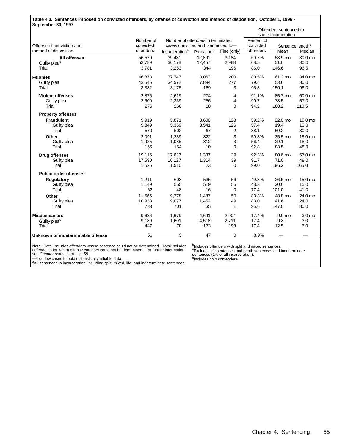| Table 4.3. Sentences imposed on convicted offenders, by offense of conviction and method of disposition, October 1, 1996 - |           |                                   |                                   |                |            |                                              |                              |  |  |  |
|----------------------------------------------------------------------------------------------------------------------------|-----------|-----------------------------------|-----------------------------------|----------------|------------|----------------------------------------------|------------------------------|--|--|--|
| September 30, 1997                                                                                                         |           |                                   |                                   |                |            | Offenders sentenced to<br>some incarceration |                              |  |  |  |
|                                                                                                                            | Number of |                                   | Number of offenders in terminated |                | Percent of |                                              |                              |  |  |  |
| Offense of conviction and                                                                                                  | convicted | cases convicted and sentenced to- |                                   |                | convicted  |                                              | Sentence length <sup>c</sup> |  |  |  |
| method of disposition                                                                                                      | offenders | Incarceration <sup>a</sup>        | Probation <sup>b</sup>            | Fine (only)    | offenders  | Mean                                         | Median                       |  |  |  |
| <b>All offenses</b>                                                                                                        | 56,570    | 39,431                            | 12,801                            | 3,184          | 69.7%      | 58.9 mo                                      | 30.0 mo                      |  |  |  |
| Guilty plea <sup>d</sup>                                                                                                   | 52,789    | 36,178                            | 12,457                            | 2,988          | 68.5       | 51.6                                         | 30.0                         |  |  |  |
| Trial                                                                                                                      | 3,781     | 3,253                             | 344                               | 196            | 86.0       | 146.6                                        | 96.5                         |  |  |  |
| <b>Felonies</b>                                                                                                            | 46,878    | 37,747                            | 8,063                             | 280            | 80.5%      | 61.2 mo                                      | 34.0 mo                      |  |  |  |
| Guilty plea                                                                                                                | 43,546    | 34,572                            | 7,894                             | 277            | 79.4       | 53.6                                         | 30.0                         |  |  |  |
| Trial                                                                                                                      | 3,332     | 3,175                             | 169                               | 3              | 95.3       | 150.1                                        | 98.0                         |  |  |  |
| <b>Violent offenses</b>                                                                                                    | 2,876     | 2,619                             | 274                               | 4              | 91.1%      | 85.7 mo                                      | 60.0 mo                      |  |  |  |
| Guilty plea                                                                                                                | 2,600     | 2,359                             | 256                               | 4              | 90.7       | 78.5                                         | 57.0                         |  |  |  |
| Trial                                                                                                                      | 276       | 260                               | 18                                | 0              | 94.2       | 160.2                                        | 110.5                        |  |  |  |
| <b>Property offenses</b>                                                                                                   |           |                                   |                                   |                |            |                                              |                              |  |  |  |
| <b>Fraudulent</b>                                                                                                          | 9,919     | 5,871                             | 3,608                             | 128            | 59.2%      | 22.0 mo                                      | 15.0 mo                      |  |  |  |
| Guilty plea                                                                                                                | 9,349     | 5,369                             | 3,541                             | 126            | 57.4       | 19.4                                         | 13.0                         |  |  |  |
| Trial                                                                                                                      | 570       | 502                               | 67                                | $\overline{c}$ | 88.1       | 50.2                                         | 30.0                         |  |  |  |
| Other                                                                                                                      | 2.091     | 1.239                             | 822                               | 3              | 59.3%      | 35.5 mo                                      | 18.0 mo                      |  |  |  |
| Guilty plea                                                                                                                | 1,925     | 1,085                             | 812                               | 3              | 56.4       | 29.1                                         | 18.0                         |  |  |  |
| Trial                                                                                                                      | 166       | 154                               | 10                                | $\Omega$       | 92.8       | 83.5                                         | 48.0                         |  |  |  |
| <b>Drug offenses</b>                                                                                                       | 19,115    | 17,637                            | 1,337                             | 39             | 92.3%      | 80.6 mo                                      | 57.0 mo                      |  |  |  |
| Guilty plea                                                                                                                | 17,590    | 16,127                            | 1,314                             | 39             | 91.7       | 71.0                                         | 48.0                         |  |  |  |
| Trial                                                                                                                      | 1,525     | 1,510                             | 23                                | 0              | 99.0       | 196.2                                        | 165.0                        |  |  |  |
| <b>Public-order offenses</b>                                                                                               |           |                                   |                                   |                |            |                                              |                              |  |  |  |
| <b>Regulatory</b>                                                                                                          | 1,211     | 603                               | 535                               | 56             | 49.8%      | 26.6 mo                                      | 15.0 mo                      |  |  |  |
| Guilty plea                                                                                                                | 1,149     | 555                               | 519                               | 56             | 48.3       | 20.6                                         | 15.0                         |  |  |  |
| Trial                                                                                                                      | 62        | 48                                | 16                                | 0              | 77.4       | 101.0                                        | 41.0                         |  |  |  |
| Other                                                                                                                      | 11,666    | 9.778                             | 1,487                             | 50             | 83.8%      | 48.8 mo                                      | 24.0 mo                      |  |  |  |
| Guilty plea                                                                                                                | 10,933    | 9,077                             | 1,452                             | 49             | 83.0       | 41.6                                         | 24.0                         |  |  |  |
| Trial                                                                                                                      | 733       | 701                               | 35                                | 1              | 95.6       | 147.0                                        | 80.0                         |  |  |  |
| <b>Misdemeanors</b>                                                                                                        | 9,636     | 1,679                             | 4,691                             | 2,904          | 17.4%      | 9.9 mo                                       | 3.0 mo                       |  |  |  |
| Guilty plea <sup>d</sup>                                                                                                   | 9,189     | 1,601                             | 4,518                             | 2,711          | 17.4       | 9.8                                          | 3.0                          |  |  |  |
| Trial                                                                                                                      | 447       | 78                                | 173                               | 193            | 17.4       | 12.5                                         | 6.0                          |  |  |  |
| Unknown or indeterminable offense                                                                                          | 56        | 5                                 | 47                                | $\Omega$       | 8.9%       |                                              |                              |  |  |  |

Note: Total includes offenders whose sentence could not be determined. Total includes defendants for whom offense category could not be determined. For further information, see *Chapter notes,* item 1, p. 59.

<sup>b</sup>Includes offenders with split and mixed sentences.<br><sup>c</sup>Excludes life sentences and death sentences and indeterminate<br>sentences (1% of all incarceration).<br><sup>d</sup>Includes nolo contendere.

—Too few cases to obtain statistically reliable data. <sup>a</sup>All sentences to incarceration, including split, mixed, life, and indeterminate sentences.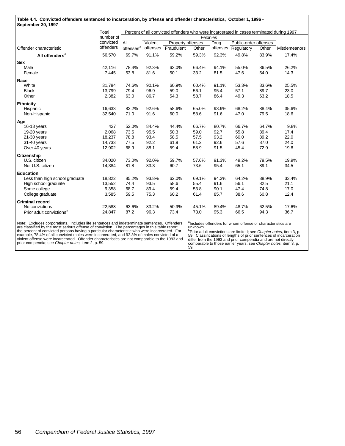|                                      | Total     |                       |          |                     |       |          | Percent of all convicted offenders who were incarcerated in cases terminated during 1997 |       |              |
|--------------------------------------|-----------|-----------------------|----------|---------------------|-------|----------|------------------------------------------------------------------------------------------|-------|--------------|
|                                      | number of |                       | Felonies |                     |       |          |                                                                                          |       |              |
|                                      | convicted | All                   | Violent  | Property offenses   |       | Drug     | Public-order offenses                                                                    |       |              |
| Offender characteristic              | offenders | offenses <sup>a</sup> |          | offenses Fraudulent | Other | offenses | Regulatory                                                                               | Other | Misdemeanors |
| All offenders <sup>a</sup>           | 56,570    | 69.7%                 | 91.1%    | 59.2%               | 59.3% | 92.3%    | 49.8%                                                                                    | 83.9% | 17.4%        |
| <b>Sex</b>                           |           |                       |          |                     |       |          |                                                                                          |       |              |
| Male                                 | 42,116    | 78.4%                 | 92.3%    | 63.0%               | 66.4% | 94.1%    | 55.0%                                                                                    | 86.5% | 26.2%        |
| Female                               | 7,445     | 53.8                  | 81.6     | 50.1                | 33.2  | 81.5     | 47.6                                                                                     | 54.0  | 14.3         |
| Race                                 |           |                       |          |                     |       |          |                                                                                          |       |              |
| White                                | 31,784    | 74.6%                 | 90.1%    | 60.9%               | 60.4% | 91.1%    | 53.3%                                                                                    | 83.6% | 25.5%        |
| <b>Black</b>                         | 13,799    | 79.4                  | 96.9     | 59.0                | 56.1  | 95.4     | 57.1                                                                                     | 89.7  | 23.0         |
| Other                                | 2,382     | 63.0                  | 86.7     | 54.3                | 58.7  | 86.4     | 49.3                                                                                     | 63.2  | 18.5         |
| <b>Ethnicity</b>                     |           |                       |          |                     |       |          |                                                                                          |       |              |
| Hispanic                             | 16,633    | 83.2%                 | 92.6%    | 58.6%               | 65.0% | 93.9%    | 68.2%                                                                                    | 88.4% | 35.6%        |
| Non-Hispanic                         | 32,540    | 71.0                  | 91.6     | 60.0                | 58.6  | 91.6     | 47.0                                                                                     | 79.5  | 18.6         |
| Age                                  |           |                       |          |                     |       |          |                                                                                          |       |              |
| 16-18 years                          | 427       | 52.0%                 | 84.4%    | 44.4%               | 66.7% | 80.7%    | 66.7%                                                                                    | 64.7% | 9.8%         |
| 19-20 years                          | 2,068     | 73.5                  | 95.5     | 50.3                | 59.0  | 92.7     | 55.8                                                                                     | 89.4  | 17.4         |
| 21-30 years                          | 18,237    | 78.8                  | 93.4     | 58.5                | 57.5  | 93.2     | 60.0                                                                                     | 89.2  | 22.0         |
| 31-40 years                          | 14,733    | 77.5                  | 92.2     | 61.9                | 61.2  | 92.6     | 57.6                                                                                     | 87.0  | 24.0         |
| Over 40 years                        | 12,902    | 68.9                  | 88.1     | 59.4                | 58.9  | 91.5     | 45.4                                                                                     | 72.9  | 19.8         |
| <b>Citizenship</b>                   |           |                       |          |                     |       |          |                                                                                          |       |              |
| U.S. citizen                         | 34,020    | 73.0%                 | 92.0%    | 59.7%               | 57.6% | 91.3%    | 49.2%                                                                                    | 79.5% | 19.9%        |
| Not U.S. citizen                     | 14,384    | 81.8                  | 83.3     | 60.7                | 73.6  | 95.4     | 65.1                                                                                     | 89.1  | 34.5         |
| <b>Education</b>                     |           |                       |          |                     |       |          |                                                                                          |       |              |
| Less than high school graduate       | 18,822    | 85.2%                 | 93.8%    | 62.0%               | 69.1% | 94.3%    | 64.2%                                                                                    | 88.9% | 33.4%        |
| High school graduate                 | 13,552    | 74.4                  | 93.5     | 58.6                | 55.4  | 91.6     | 56.1                                                                                     | 82.5  | 21.1         |
| Some college                         | 9,358     | 68.7                  | 89.4     | 59.4                | 53.8  | 90.1     | 47.4                                                                                     | 74.8  | 17.0         |
| College graduate                     | 3,585     | 59.5                  | 75.3     | 60.2                | 61.4  | 85.7     | 38.6                                                                                     | 60.8  | 12.4         |
| <b>Criminal record</b>               |           |                       |          |                     |       |          |                                                                                          |       |              |
| No convictions                       | 22,588    | 63.6%                 | 83.2%    | 50.9%               | 45.1% | 89.4%    | 48.7%                                                                                    | 62.5% | 17.6%        |
| Prior adult convictions <sup>b</sup> | 24,847    | 87.2                  | 96.3     | 73.4                | 73.0  | 95.3     | 66.5                                                                                     | 94.3  | 36.7         |

Note: Excludes corporations. Includes life sentences and indeterminate sentences. Offenders<br>are classified by the most serious offense of conviction. The percentages in this table report<br>the percent of convicted persons ha prior compendia; see *Chapter notes,* item 2, p. 59.

alncludes offenders for whom offense or characteristics are

unknown.<br><sup>b</sup>Prior adult convictions are limited; see *Chapter notes*, item 3, p.<br>59. Classifications of lengths of prior sentences of incarceration<br>differ from the 1993 and prior compendia and are not directly<br>comparable t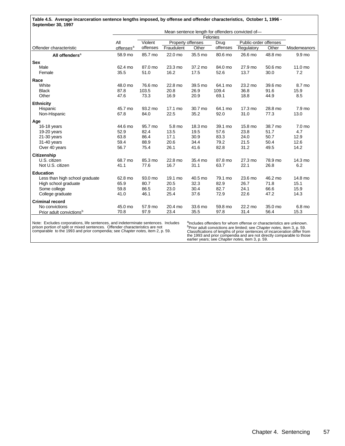**Table 4.5. Average incarceration sentence lengths imposed, by offense and offender characteristics, October 1, 1996 - September 30, 1997**

|                                      |                       |          |                   |         |          | Mean sentence length for offenders convicted of- |         |              |
|--------------------------------------|-----------------------|----------|-------------------|---------|----------|--------------------------------------------------|---------|--------------|
|                                      |                       |          |                   |         | Felonies |                                                  |         |              |
|                                      | All                   | Violent  | Property offenses |         | Drug     | Public-order offenses                            |         |              |
| Offender characteristic              | offenses <sup>a</sup> | offenses | Fraudulent        | Other   | offenses | Regulatory                                       | Other   | Misdemeanors |
| All offenders <sup>a</sup>           | 58.9 mo               | 85.7 mo  | 22.0 mo           | 35.5 mo | 80.6 mo  | 26.6 mo                                          | 48.8 mo | 9.9 mo       |
| <b>Sex</b>                           |                       |          |                   |         |          |                                                  |         |              |
| Male                                 | 62.4 mo               | 87.0 mo  | 23.3 mo           | 37.2 mo | 84.0 mo  | 27.9 mo                                          | 50.6 mo | 11.0 mo      |
| Female                               | 35.5                  | 51.0     | 16.2              | 17.5    | 52.6     | 13.7                                             | 30.0    | 7.2          |
| Race                                 |                       |          |                   |         |          |                                                  |         |              |
| White                                | 48.0 mo               | 76.6 mo  | 22.8 mo           | 39.5 mo | 64.1 mo  | 23.2 mo                                          | 39.6 mo | 8.7 mo       |
| <b>Black</b>                         | 87.8                  | 103.5    | 20.8              | 26.9    | 109.4    | 36.8                                             | 91.6    | 15.9         |
| Other                                | 47.6                  | 73.3     | 16.9              | 20.9    | 69.1     | 18.8                                             | 44.9    | 8.5          |
| <b>Ethnicity</b>                     |                       |          |                   |         |          |                                                  |         |              |
| Hispanic                             | 45.7 mo               | 93.2 mo  | 17.1 mo           | 30.7 mo | 64.1 mo  | 17.3 mo                                          | 28.8 mo | 7.9 mo       |
| Non-Hispanic                         | 67.8                  | 84.0     | 22.5              | 35.2    | 92.0     | 31.0                                             | 77.3    | 13.0         |
| Age                                  |                       |          |                   |         |          |                                                  |         |              |
| 16-18 years                          | 44.6 mo               | 95.7 mo  | 5.8 mo            | 18.3 mo | 39.1 mo  | 15.8 mo                                          | 38.7 mo | 7.0 mo       |
| 19-20 years                          | 52.9                  | 82.4     | 13.5              | 19.5    | 57.6     | 23.8                                             | 51.7    | 4.7          |
| $21-30$ years                        | 63.8                  | 86.4     | 17.1              | 30.9    | 83.3     | 24.0                                             | 50.7    | 12.9         |
| 31-40 years                          | 59.4                  | 88.9     | 20.6              | 34.4    | 79.2     | 21.5                                             | 50.4    | 12.6         |
| Over 40 years                        | 56.7                  | 75.4     | 26.1              | 41.6    | 82.8     | 31.2                                             | 49.5    | 14.2         |
| Citizenship                          |                       |          |                   |         |          |                                                  |         |              |
| U.S. citizen                         | 68.7 mo               | 85.3 mo  | 22.8 mo           | 35.4 mo | 87.8 mo  | 27.3 mo                                          | 78.9 mo | 14.3 mo      |
| Not U.S. citizen                     | 41.1                  | 77.6     | 16.7              | 31.1    | 63.7     | 22.1                                             | 26.8    | 6.2          |
| <b>Education</b>                     |                       |          |                   |         |          |                                                  |         |              |
| Less than high school graduate       | 62.8 mo               | 93.0 mo  | 19.1 mo           | 40.5 mo | 79.1 mo  | 23.6 mo                                          | 46.2 mo | 14.8 mo      |
| High school graduate                 | 65.9                  | 80.7     | 20.5              | 32.3    | 82.9     | 26.7                                             | 71.8    | 15.1         |
| Some college                         | 59.8                  | 86.5     | 23.0              | 30.4    | 82.7     | 24.1                                             | 66.6    | 15.9         |
| College graduate                     | 41.0                  | 46.1     | 25.4              | 37.6    | 72.9     | 22.6                                             | 47.2    | 14.3         |
| <b>Criminal record</b>               |                       |          |                   |         |          |                                                  |         |              |
| No convictions                       | 45.0 mo               | 57.9 mo  | 20.4 mo           | 33.6 mo | 59.8 mo  | 22.2 mo                                          | 35.0 mo | 6.8 mo       |
| Prior adult convictions <sup>b</sup> | 70.8                  | 97.9     | 23.4              | 35.5    | 97.8     | 31.4                                             | 56.4    | 15.3         |

prison portion of split or mixed sentences. Offender characteristics are not comparable to the 1993 and prior compendia; see *Chapter notes,* item 2, p. 59.

<sup>b</sup>Prior adult convictions are limited; see *Chapter notes*, item 3, p. 59.<br>Classifications of lengths of prior sentences of incarceration differ from<br>the 1993 and prior compendia and are not directly comparable to those<br>e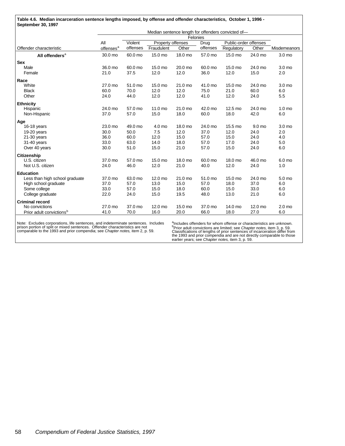| Table 4.6. Median incarceration sentence lengths imposed, by offense and offender characteristics, October 1, 1996 - |  |
|----------------------------------------------------------------------------------------------------------------------|--|
| September 30, 1997                                                                                                   |  |

|                                      | Median sentence length for offenders convicted of- |          |                   |         |          |                       |         |                   |
|--------------------------------------|----------------------------------------------------|----------|-------------------|---------|----------|-----------------------|---------|-------------------|
|                                      |                                                    |          |                   |         | Felonies |                       |         |                   |
|                                      | All                                                | Violent  | Property offenses |         | Drug     | Public-order offenses |         |                   |
| Offender characteristic              | offenses <sup>a</sup>                              | offenses | Fraudulent        | Other   | offenses | Regulatory            | Other   | Misdemeanors      |
| All offenders <sup>a</sup>           | 30.0 mo                                            | 60.0 mo  | 15.0 mo           | 18.0 mo | 57.0 mo  | 15.0 mo               | 24.0 mo | 3.0 mo            |
| <b>Sex</b>                           |                                                    |          |                   |         |          |                       |         |                   |
| Male                                 | 36.0 mo                                            | 60.0 mo  | 15.0 mo           | 20.0 mo | 60.0 mo  | 15.0 mo               | 24.0 mo | 3.0 mo            |
| Female                               | 21.0                                               | 37.5     | 12.0              | 12.0    | 36.0     | 12.0                  | 15.0    | 2.0               |
| Race                                 |                                                    |          |                   |         |          |                       |         |                   |
| White                                | 27.0 mo                                            | 51.0 mo  | 15.0 mo           | 21.0 mo | 41.0 mo  | 15.0 mo               | 24.0 mo | 3.0 mo            |
| <b>Black</b>                         | 60.0                                               | 70.0     | 12.0              | 12.0    | 75.0     | 21.0                  | 60.0    | 6.0               |
| Other                                | 24.0                                               | 44.0     | 12.0              | 12.0    | 41.0     | 12.0                  | 24.0    | 5.5               |
| <b>Ethnicity</b>                     |                                                    |          |                   |         |          |                       |         |                   |
| Hispanic                             | 24.0 mo                                            | 57.0 mo  | $11.0 \text{ mo}$ | 21.0 mo | 42.0 mo  | 12.5 mo               | 24.0 mo | 1.0 <sub>mo</sub> |
| Non-Hispanic                         | 37.0                                               | 57.0     | 15.0              | 18.0    | 60.0     | 18.0                  | 42.0    | 6.0               |
| Age                                  |                                                    |          |                   |         |          |                       |         |                   |
| 16-18 years                          | 23.0 mo                                            | 49.0 mo  | 4.0 mo            | 18.0 mo | 24.0 mo  | 15.5 mo               | 9.0 mo  | 3.0 mo            |
| 19-20 years                          | 30.0                                               | 50.0     | 7.5               | 12.0    | 37.0     | 12.0                  | 24.0    | 2.0               |
| $21-30$ years                        | 36.0                                               | 60.0     | 12.0              | 15.0    | 57.0     | 15.0                  | 24.0    | 4.0               |
| 31-40 years                          | 33.0                                               | 63.0     | 14.0              | 18.0    | 57.0     | 17.0                  | 24.0    | 5.0               |
| Over 40 years                        | 30.0                                               | 51.0     | 15.0              | 21.0    | 57.0     | 15.0                  | 24.0    | 6.0               |
| Citizenship                          |                                                    |          |                   |         |          |                       |         |                   |
| U.S. citizen                         | 37.0 mo                                            | 57.0 mo  | 15.0 mo           | 18.0 mo | 60.0 mo  | 18.0 mo               | 46.0 mo | 6.0 mo            |
| Not U.S. citizen                     | 24.0                                               | 46.0     | 12.0              | 21.0    | 40.0     | 12.0                  | 24.0    | 1.0               |
| <b>Education</b>                     |                                                    |          |                   |         |          |                       |         |                   |
| Less than high school graduate       | 37.0 mo                                            | 63.0 mo  | 12.0 mo           | 21.0 mo | 51.0 mo  | 15.0 mo               | 24.0 mo | 5.0 mo            |
| High school graduate                 | 37.0                                               | 57.0     | 13.0              | 15.0    | 57.0     | 18.0                  | 37.0    | 6.0               |
| Some college                         | 33.0                                               | 57.0     | 15.0              | 18.0    | 60.0     | 15.0                  | 33.0    | 6.0               |
| College graduate                     | 22.0                                               | 24.0     | 15.0              | 19.5    | 48.0     | 13.0                  | 21.0    | 6.0               |
| <b>Criminal record</b>               |                                                    |          |                   |         |          |                       |         |                   |
| No convictions                       | 27.0 mo                                            | 37.0 mo  | 12.0 mo           | 15.0 mo | 37.0 mo  | 14.0 mo               | 12.0 mo | 2.0 <sub>mo</sub> |
| Prior adult convictions <sup>b</sup> | 41.0                                               | 70.0     | 16.0              | 20.0    | 66.0     | 18.0                  | 27.0    | 6.0               |

prison portion of split or mixed sentences. Offender characteristics are not comparable to the 1993 and prior compendia; see *Chapter notes,* item 2, p. 59.

<sup>b</sup>Prior adult convictions are limited; see *Chapter notes,* item 3, p. 59.<br>Classifications of lengths of prior sentences of incarceration differ from<br>the 1993 and prior compendia and are not directly comparable to those<br>e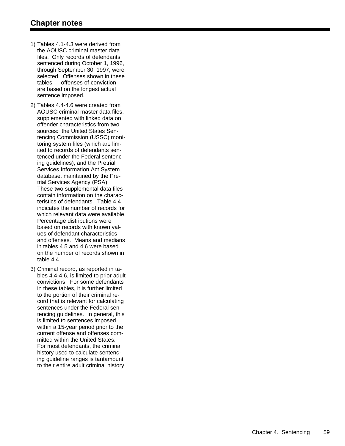- 1) Tables 4.1-4.3 were derived from the AOUSC criminal master data files. Only records of defendants sentenced during October 1, 1996, through September 30, 1997, were selected. Offenses shown in these tables — offenses of conviction are based on the longest actual sentence imposed.
- 2) Tables 4.4-4.6 were created from AOUSC criminal master data files, supplemented with linked data on offender characteristics from two sources: the United States Sen tencing Commission (USSC) moni toring system files (which are lim ited to records of defendants sen tenced under the Federal sentenc ing guidelines); and the Pretrial Services Information Act System database, maintained by the Pre trial Services Agency (PSA). These two supplemental data files contain information on the charac teristics of defendants. Table 4.4 indicates the number of records for which relevant data were available. Percentage distributions were based on records with known val ues of defendant characteristics and offenses. Means and medians in tables 4.5 and 4.6 were based on the number of records shown in table 4.4.
- 3) Criminal record, as reported in ta bles 4.4-4.6, is limited to prior adult convictions. For some defendants in these tables, it is further limited to the portion of their criminal re cord that is relevant for calculating sentences under the Federal sen tencing guidelines. In general, this is limited to sentences imposed within a 15-year period prior to the current offense and offenses com mitted within the United States. For most defendants, the criminal history used to calculate sentenc ing guideline ranges is tantamount to their entire adult criminal history.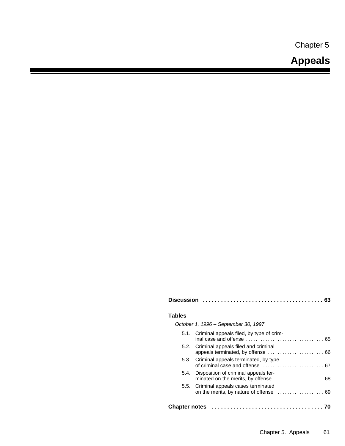Chapter 5

# **Appeals**

| <b>Tables</b>        |                                               |
|----------------------|-----------------------------------------------|
|                      | October 1, 1996 – September 30, 1997          |
|                      | 5.1. Criminal appeals filed, by type of crim- |
|                      | 5.2. Criminal appeals filed and criminal      |
|                      | 5.3. Criminal appeals terminated, by type     |
|                      | 5.4. Disposition of criminal appeals ter-     |
|                      | 5.5. Criminal appeals cases terminated        |
| <b>Chapter notes</b> |                                               |

**Discussion ....................................... 63**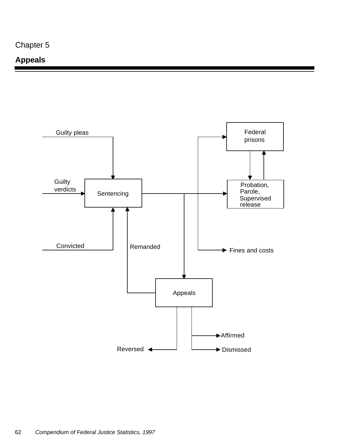## **Appeals**

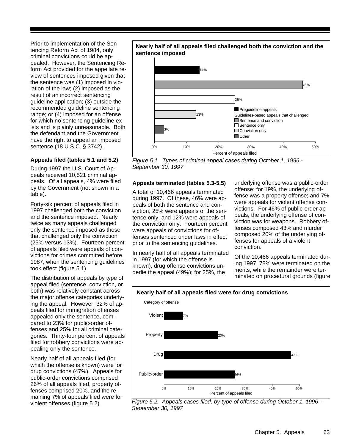Prior to implementation of the Sentencing Reform Act of 1984, only criminal convictions could be appealed. However, the Sentencing Reform Act provided for the appellate review of sentences imposed given that the sentence was (1) imposed in violation of the law; (2) imposed as the result of an incorrect sentencing guideline application; (3) outside the recommended guideline sentencing range; or (4) imposed for an offense for which no sentencing guideline exists and is plainly unreasonable. Both the defendant and the Government have the right to appeal an imposed sentence (18 U.S.C. § 3742).

#### **Appeals filed (tables 5.1 and 5.2)**

During 1997 the U.S. Court of Appeals received 10,521 criminal appeals. Of all appeals, 4% were filed by the Government (not shown in a table).

Forty-six percent of appeals filed in 1997 challenged both the conviction and the sentence imposed. Nearly twice as many appeals challenged only the sentence imposed as those that challenged only the conviction (25% versus 13%). Fourteen percent of appeals filed were appeals of convictions for crimes committed before 1987, when the sentencing guidelines took effect (figure 5.1).

The distribution of appeals by type of appeal filed (sentence, conviction, or both) was relatively constant across the major offense categories underlying the appeal. However, 32% of appeals filed for immigration offenses appealed only the sentence, compared to 23% for public-order offenses and 25% for all criminal categories. Thirty-four percent of appeals filed for robbery convictions were appealing only the sentence.

Nearly half of all appeals filed (for which the offense is known) were for drug convictions (47%). Appeals for public-order convictions comprised 26% of all appeals filed, property offenses comprised 20%, and the remaining 7% of appeals filed were for violent offenses (figure 5.2).

#### **Nearly half of all appeals filed challenged both the conviction and the sentence imposed**



*Figure 5.1. Types of criminal appeal cases during October 1, 1996 - September 30, 1997*

#### **Appeals terminated (tables 5.3-5.5)**

A total of 10,466 appeals terminated during 1997. Of these, 46% were appeals of both the sentence and conviction, 25% were appeals of the sentence only, and 12% were appeals of the conviction only. Fourteen percent were appeals of convictions for offenses sentenced under laws in effect prior to the sentencing guidelines.

In nearly half of all appeals terminated in 1997 (for which the offense is known), drug offense convictions underlie the appeal (49%); for 25%, the

underlying offense was a public-order offense; for 19%, the underlying offense was a property offense; and 7% were appeals for violent offense convictions. For 46% of public-order appeals, the underlying offense of conviction was for weapons. Robbery offenses composed 43% and murder composed 20% of the underlying offenses for appeals of a violent conviction.

Of the 10,466 appeals terminated during 1997, 78% were terminated on the merits, while the remainder were terminated on procedural grounds (figure



*Figure 5.2. Appeals cases filed, by type of offense during October 1, 1996 - September 30, 1997*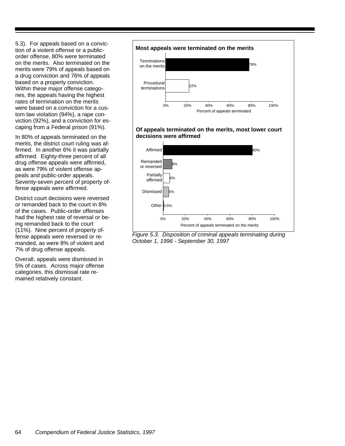5.3). For appeals based on a conviction of a violent offense or a publicorder offense, 80% were terminated on the merits. Also terminated on the merits were 79% of appeals based on a drug conviction and 76% of appeals based on a property conviction. Within these major offense categories, the appeals having the highest rates of termination on the merits were based on a conviction for a custom law violation (94%), a rape conviction (92%), and a conviction for escaping from a Federal prison (91%).

In 80% of appeals terminated on the merits, the district court ruling was affirmed. In another 6% it was partially affirmed. Eighty-three percent of all drug offense appeals were affirmed, as were 79% of violent offense appeals and public-order appeals. Seventy-seven percent of property offense appeals were affirmed.

District court decisions were reversed or remanded back to the court in 8% of the cases. Public-order offenses had the highest rate of reversal or being remanded back to the court (11%). Nine percent of property offense appeals were reversed or remanded, as were 8% of violent and 7% of drug offense appeals.

Overall, appeals were dismissed in 5% of cases. Across major offense categories, this dismissal rate remained relatively constant.



#### **Of appeals terminated on the merits, most lower court decisions were affirmed**



*Figure 5.3. Disposition of criminal appeals terminating during October 1, 1996 - September 30, 1997*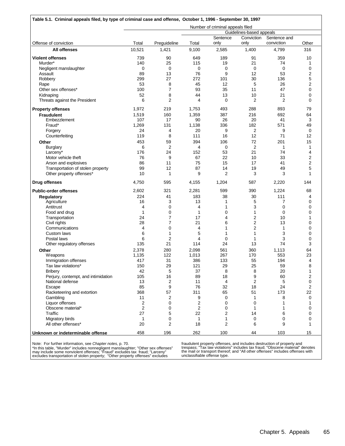| Table 5.1. Criminal appeals filed, by type of criminal case and offense, October 1, 1996 - September 30, 1997 |                |                |                         |                                  |                                  |              |         |
|---------------------------------------------------------------------------------------------------------------|----------------|----------------|-------------------------|----------------------------------|----------------------------------|--------------|---------|
|                                                                                                               |                |                |                         | Number of criminal appeals filed |                                  |              |         |
|                                                                                                               |                |                |                         |                                  | Guidelines-based appeals         |              |         |
|                                                                                                               |                |                |                         | Sentence                         | Conviction                       | Sentence and |         |
| Offense of conviction                                                                                         | Total          | Preguideline   | Total                   | only                             | only                             | conviction   | Other   |
| All offenses                                                                                                  | 10,521         | 1,421          | 9,100                   | 2,585                            | 1,400                            | 4,799        | 316     |
| <b>Violent offenses</b>                                                                                       | 739            | 90             | 649                     | 189                              | 91                               | 359          | 10      |
| Murder*                                                                                                       | 140            | 25             | 115                     | 19                               | 21                               | 74           | 1       |
| Negligent manslaughter                                                                                        | 0              | $\mathbf 0$    | 0                       | 0                                | 0                                | 0            | 0       |
| Assault<br>Robbery                                                                                            | 89<br>299      | 13<br>27       | 76<br>272               | 9<br>101                         | 12<br>30                         | 53<br>136    | 2<br>5  |
| Rape                                                                                                          | 53             | 8              | 45                      | 12                               | 5                                | 26           | 2       |
| Other sex offenses*                                                                                           | 100            | $\overline{7}$ | 93                      | 35                               | 11                               | 47           | 0       |
| Kidnaping                                                                                                     | 52             | 8              | 44                      | 13                               | 10                               | 21           | 0       |
| Threats against the President                                                                                 | 6              | $\overline{2}$ | 4                       | $\mathbf 0$                      | $\overline{2}$                   | 2            | 0       |
|                                                                                                               |                |                |                         |                                  |                                  |              |         |
| <b>Property offenses</b>                                                                                      | 1,972          | 219            | 1,753                   | 493<br>387                       | 288                              | 893          | 79      |
| <b>Fraudulent</b><br>Embezzlement                                                                             | 1,519<br>107   | 160<br>17      | 1,359<br>90             | 26                               | 216<br>20                        | 692<br>41    | 64<br>3 |
| Fraud*                                                                                                        | 1,269          | 131            | 1,138                   | 336                              | 182                              | 571          | 49      |
| Forgery                                                                                                       | 24             | 4              | 20                      | 9                                | $\overline{2}$                   | 9            | 0       |
| Counterfeiting                                                                                                | 119            | 8              | 111                     | 16                               | 12                               | 71           | 12      |
| Other                                                                                                         | 453            | 59             | 394                     | 106                              | 72                               | 201          | 15      |
| <b>Burglary</b>                                                                                               | 6              | 2              | 4                       | 0                                | $\overline{2}$                   | 1            | 1       |
| Larceny*                                                                                                      | 176            | 24             | 152                     | 53                               | 21                               | 74           | 4       |
| Motor vehicle theft                                                                                           | 76             | 9              | 67                      | 22                               | 10                               | 33           | 2       |
| Arson and explosives                                                                                          | 86             | 11             | 75                      | 15                               | 17                               | 41           | 2       |
| Transportation of stolen property                                                                             | 99             | 12             | 87                      | 14                               | 19                               | 49           | 5       |
| Other property offenses*                                                                                      | 10             | $\mathbf{1}$   | 9                       | $\overline{2}$                   | 3                                | 3            | 1       |
| <b>Drug offenses</b>                                                                                          | 4,750          | 595            | 4,155                   | 1,204                            | 587                              | 2,220        | 144     |
| <b>Public-order offenses</b>                                                                                  | 2,602          | 321            | 2,281                   | 599                              | 390                              | 1,224        | 68      |
| <b>Regulatory</b>                                                                                             | 224            | 41             | 183                     | 38                               | 30                               | 111          | 4       |
| Agriculture                                                                                                   | 16             | 3              | 13                      | 1                                | 5                                | 7            | 0       |
| Antitrust                                                                                                     | 4              | $\mathbf 0$    | 4                       | 1                                | 3                                | 0            | 0       |
| Food and drug                                                                                                 | 1              | 0              | 1                       | 0                                | 1                                | 0            | 0       |
| Transportation                                                                                                | 24             | $\overline{7}$ | 17                      | 4                                | $\overline{\mathbf{c}}$          | 10           | 1       |
| Civil rights                                                                                                  | 28<br>4        | 7<br>0         | 21                      | 6<br>1                           | $\overline{2}$<br>$\overline{2}$ | 13<br>1      | 0<br>0  |
| Communications<br>Custom laws                                                                                 | 6              | 1              | 4<br>5                  | 1                                | $\mathbf{1}$                     | 3            | 0       |
| Postal laws                                                                                                   | 6              | 2              | 4                       | 0                                | 1                                | 3            | 0       |
| Other regulatory offenses                                                                                     | 135            | 21             | 114                     | 24                               | 13                               | 74           | 3       |
| Other                                                                                                         | 2,378          | 280            | 2.098                   | 561                              | 360                              | 1,113        | 64      |
| <b>Weapons</b>                                                                                                | 1,135          | 122            | 1,013                   | 267                              | 170                              | 553          | 23      |
| Immigration offenses                                                                                          | 417            | 31             | 386                     | 133                              | 55                               | 194          | 4       |
| Tax law violations*                                                                                           | 150            | 29             | 121                     | 29                               | 25                               | 59           | 8       |
| <b>Bribery</b>                                                                                                | 42             | 5              | 37                      | 8                                | 8                                | 20           | 1       |
| Perjury, contempt, and intimidation                                                                           | 105            | 16             | 89                      | 18                               | 9                                | 60           | 2       |
| National defense                                                                                              | 13             | $\overline{2}$ | 11                      | 4                                | $\overline{2}$                   | 5            | 0       |
| Escape                                                                                                        | 85             | 9              | 76                      | 32                               | 18                               | 24           | 2       |
| Racketeering and extortion                                                                                    | 368            | 57             | 311                     | 65                               | 51                               | 173          | 22      |
| Gambling                                                                                                      | 11<br>2        | 2<br>0         | 9<br>2                  | 0<br>0                           | $\mathbf{1}$<br>0                | 8<br>1       | 0<br>1  |
| Liquor offenses<br>Obscene material*                                                                          | $\overline{c}$ | 0              | $\overline{\mathbf{c}}$ | 0                                | 1                                | 1            | 0       |
| Traffic                                                                                                       | 27             | 5              | 22                      | 2                                | 14                               | 6            | 0       |
| Migratory birds                                                                                               | $\mathbf{1}$   | 0              | $\mathbf{1}$            | 1                                | 0                                | 0            | 0       |
| All other offenses*                                                                                           | 20             | 2              | 18                      | 2                                | 6                                | 9            | 1       |
| Unknown or indeterminable offense                                                                             | 458            | 196            | 262                     | 100                              | 44                               | 103          | 15      |
|                                                                                                               |                |                |                         |                                  |                                  |              |         |

Note: For further information, see *Chapter notes,* p. 70.

\*In this table, "Murder" includes nonnegligent manslaughter; "Other sex offenses"<br>may include some nonviolent offenses; "Fraud" excludes tax fraud; "Larceny"<br>excludes transportation of stolen property; "Other property off

fraudulent property offenses, and includes destruction of property and<br>trespass; "Tax law violations" includes tax fraud; "Obscene material" denotes<br>the mail or transport thereof; and "All other offenses" includes offenses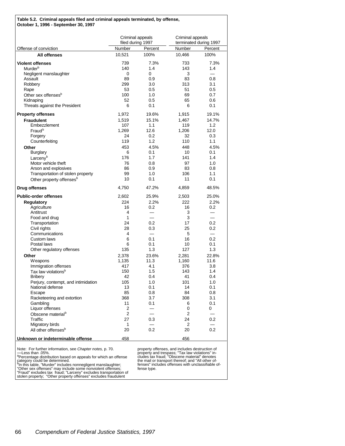| Table 5.2. Criminal appeals filed and criminal appeals terminated, by offense,<br>October 1, 1996 - September 30, 1997 |                                       |                          |                  |                          |
|------------------------------------------------------------------------------------------------------------------------|---------------------------------------|--------------------------|------------------|--------------------------|
|                                                                                                                        | Criminal appeals<br>filed during 1997 |                          | Criminal appeals | terminated during 1997   |
| Offense of conviction                                                                                                  | Number                                | Percent                  | Number           | Percent                  |
| All offenses                                                                                                           | 10,521                                | 100%                     | 10,466           | 100%                     |
| <b>Violent offenses</b>                                                                                                | 739                                   | 7.3%                     | 733              | 7.3%                     |
| Murder <sup>b</sup>                                                                                                    | 140                                   | 1.4                      | 143              | 1.4                      |
| Negligent manslaughter                                                                                                 | 0                                     | 0                        | 3                |                          |
| Assault                                                                                                                | 89                                    | 0.9                      | 83               | 0.8                      |
| Robbery                                                                                                                | 299                                   | 3.0                      | 313              | 3.1                      |
| Rape                                                                                                                   | 53                                    | 0.5                      | 51               | 0.5                      |
| Other sex offenses <sup>b</sup>                                                                                        | 100                                   | 1.0                      | 69               | 0.7                      |
| Kidnaping                                                                                                              | 52                                    | 0.5                      | 65               | 0.6                      |
| Threats against the President                                                                                          | 6                                     | 0.1                      | 6                | 0.1                      |
| <b>Property offenses</b>                                                                                               | 1,972                                 | 19.6%                    | 1,915            | 19.1%                    |
| <b>Fraudulent</b>                                                                                                      | 1,519                                 | 15.1%                    | 1,467            | 14.7%                    |
| Embezzlement                                                                                                           | 107                                   | 1.1                      | 119              | 1.2                      |
| Fraud <sup>b</sup>                                                                                                     | 1.269                                 | 12.6                     | 1,206            | 12.0                     |
| Forgery                                                                                                                | 24                                    | 0.2                      | 32               | 0.3                      |
| Counterfeiting                                                                                                         | 119                                   | 1.2                      | 110              | 1.1                      |
| Other                                                                                                                  | 453                                   | 4.5%                     | 448              | 4.5%                     |
| Burglary                                                                                                               | 6                                     | 0.1                      | 10               | 0.1                      |
| Larcenyb                                                                                                               | 176                                   | 1.7                      | 141              | 1.4                      |
| Motor vehicle theft                                                                                                    | 76                                    | 0.8                      | 97               | 1.0                      |
| Arson and explosives                                                                                                   | 86                                    | 0.9                      | 83               | 0.8                      |
| Transportation of stolen property                                                                                      | 99<br>10                              | 1.0                      | 106<br>11        | 1.1                      |
| Other property offenses <sup>b</sup><br><b>Drug offenses</b>                                                           |                                       | 0.1<br>47.2%             |                  | 0.1                      |
|                                                                                                                        | 4,750                                 |                          | 4,859            | 48.5%                    |
| <b>Public-order offenses</b>                                                                                           | 2,602                                 | 25.9%                    | 2,503            | 25.0%                    |
| Regulatory                                                                                                             | 224                                   | 2.2%                     | 222              | 2.2%                     |
| Agriculture                                                                                                            | 16                                    | 0.2                      | 16               | 0.2                      |
| Antitrust                                                                                                              | 4                                     | $\overline{\phantom{0}}$ | 3                | $\overline{\phantom{0}}$ |
| Food and drug                                                                                                          | 1                                     | $\overline{\phantom{0}}$ | 3                | $\equiv$                 |
| Transportation                                                                                                         | 24                                    | 0.2                      | 17               | 0.2                      |
| Civil rights<br>Communications                                                                                         | 28<br>4                               | 0.3                      | 25               | 0.2                      |
| Custom laws                                                                                                            | 6                                     | 0.1                      | 5<br>16          | 0.2                      |
| Postal laws                                                                                                            | 6                                     | 0.1                      | 10               | 0.1                      |
| Other regulatory offenses                                                                                              | 135                                   | 1.3                      | 127              | 1.3                      |
| Other                                                                                                                  | 2,378                                 | 23.6%                    |                  | 22.8%                    |
| Weapons                                                                                                                | 1,135                                 | 11.3                     | 2,281<br>1,160   | 11.6                     |
| Immigration offenses                                                                                                   | 417                                   | 4.1                      | 376              | 3.8                      |
| Tax law violations <sup>b</sup>                                                                                        | 150                                   | 1.5                      | 143              | 1.4                      |
| <b>Bribery</b>                                                                                                         | 42                                    | 0.4                      | 41               | 0.4                      |
| Perjury, contempt, and intimidation                                                                                    | 105                                   | 1.0                      | 101              | 1.0                      |
| National defense                                                                                                       | 13                                    | 0.1                      | 14               | 0.1                      |
| Escape                                                                                                                 | 85                                    | 0.8                      | 84               | 0.8                      |
| Racketeering and extortion                                                                                             | 368                                   | 3.7                      | 308              | 3.1                      |
| Gambling                                                                                                               | 11                                    | 0.1                      | 6                | 0.1                      |
| Liquor offenses                                                                                                        | 2                                     |                          | 0                | 0                        |
| Obscene material <sup>b</sup>                                                                                          | $\overline{2}$                        |                          | 2                |                          |
| Traffic                                                                                                                | 27                                    | 0.3                      | 24               | 0.2                      |
| Migratory birds                                                                                                        | 1                                     |                          | 2                |                          |
| All other offenses <sup>b</sup>                                                                                        | 20                                    | 0.2                      | 20               | 0.2                      |
| Unknown or indeterminable offense                                                                                      | 458                                   |                          | 456              |                          |

Note: For further information, see *Chapter notes*, p. 70.<br>—Less than .05%.<br><sup>a</sup>Percentage distribution based on appeals for which an offense<br>category could be determined.<br><sup>9</sup>In this table, "Murder" includes nonnegligent ma

property offenses, and includes destruction of<br>property and trespass; "Tax law violations" in-<br>cludes tax fraud; "Obscene material" denotes<br>the mail or transport thereof; and "All other of-<br>fenses" includes offenses with u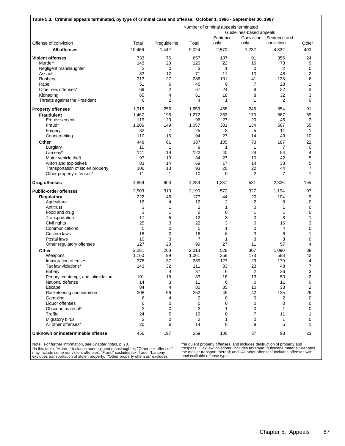| Offense of conviction<br><b>All offenses</b><br><b>Violent offenses</b><br>Murder*<br>Negligent manslaughter<br>Assault<br>Robbery<br>Rape<br>Other sex offenses*<br>Kidnaping<br>Threats against the President<br><b>Property offenses</b><br><b>Fraudulent</b><br>Embezzlement<br>Fraud*<br>Forgery<br>Counterfeiting<br>Other<br><b>Burglary</b> | Total<br>10,466<br>733<br>143<br>3<br>83<br>313<br>51<br>69<br>65<br>6<br>1,915<br>1,467<br>119<br>1,206<br>32<br>110<br>448<br>10 | Preguideline<br>1,442<br>76<br>23<br>$\mathbf 0$<br>12<br>27<br>6<br>$\overline{2}$<br>4<br>$\overline{2}$<br>256<br>195<br>23<br>149<br>7<br>16 | Total<br>9,024<br>657<br>120<br>3<br>71<br>286<br>45<br>67<br>61<br>4<br>1,659<br>1,272<br>96<br>1,057<br>25 | Number of criminal appeals terminated<br>Sentence<br>only<br>2,570<br>187<br>22<br>1<br>11<br>101<br>9<br>24<br>18<br>1<br>468<br>363<br>27<br>301 | Guidelines-based appeals<br>Conviction<br>only<br>1,232<br>91<br>16<br>$\mathbf 0$<br>10<br>41<br>$\overline{7}$<br>8<br>8<br>$\mathbf{1}$<br>246<br>173<br>20 | Sentence and<br>conviction<br>4,822<br>355<br>73<br>2<br>48<br>138<br>28<br>32<br>32<br>$\overline{2}$<br>854<br>667 | Other<br>400<br>24<br>9<br>0<br>2<br>6<br>1<br>3<br>3<br>0<br>91<br>69 |
|-----------------------------------------------------------------------------------------------------------------------------------------------------------------------------------------------------------------------------------------------------------------------------------------------------------------------------------------------------|------------------------------------------------------------------------------------------------------------------------------------|--------------------------------------------------------------------------------------------------------------------------------------------------|--------------------------------------------------------------------------------------------------------------|----------------------------------------------------------------------------------------------------------------------------------------------------|----------------------------------------------------------------------------------------------------------------------------------------------------------------|----------------------------------------------------------------------------------------------------------------------|------------------------------------------------------------------------|
|                                                                                                                                                                                                                                                                                                                                                     |                                                                                                                                    |                                                                                                                                                  |                                                                                                              |                                                                                                                                                    |                                                                                                                                                                |                                                                                                                      |                                                                        |
|                                                                                                                                                                                                                                                                                                                                                     |                                                                                                                                    |                                                                                                                                                  |                                                                                                              |                                                                                                                                                    |                                                                                                                                                                |                                                                                                                      |                                                                        |
|                                                                                                                                                                                                                                                                                                                                                     |                                                                                                                                    |                                                                                                                                                  |                                                                                                              |                                                                                                                                                    |                                                                                                                                                                |                                                                                                                      |                                                                        |
|                                                                                                                                                                                                                                                                                                                                                     |                                                                                                                                    |                                                                                                                                                  |                                                                                                              |                                                                                                                                                    |                                                                                                                                                                |                                                                                                                      |                                                                        |
|                                                                                                                                                                                                                                                                                                                                                     |                                                                                                                                    |                                                                                                                                                  |                                                                                                              |                                                                                                                                                    |                                                                                                                                                                |                                                                                                                      |                                                                        |
|                                                                                                                                                                                                                                                                                                                                                     |                                                                                                                                    |                                                                                                                                                  |                                                                                                              |                                                                                                                                                    |                                                                                                                                                                |                                                                                                                      |                                                                        |
|                                                                                                                                                                                                                                                                                                                                                     |                                                                                                                                    |                                                                                                                                                  |                                                                                                              |                                                                                                                                                    |                                                                                                                                                                |                                                                                                                      |                                                                        |
|                                                                                                                                                                                                                                                                                                                                                     |                                                                                                                                    |                                                                                                                                                  |                                                                                                              |                                                                                                                                                    |                                                                                                                                                                |                                                                                                                      |                                                                        |
|                                                                                                                                                                                                                                                                                                                                                     |                                                                                                                                    |                                                                                                                                                  |                                                                                                              |                                                                                                                                                    |                                                                                                                                                                |                                                                                                                      |                                                                        |
|                                                                                                                                                                                                                                                                                                                                                     |                                                                                                                                    |                                                                                                                                                  |                                                                                                              |                                                                                                                                                    |                                                                                                                                                                |                                                                                                                      |                                                                        |
|                                                                                                                                                                                                                                                                                                                                                     |                                                                                                                                    |                                                                                                                                                  |                                                                                                              |                                                                                                                                                    |                                                                                                                                                                |                                                                                                                      |                                                                        |
|                                                                                                                                                                                                                                                                                                                                                     |                                                                                                                                    |                                                                                                                                                  |                                                                                                              |                                                                                                                                                    |                                                                                                                                                                |                                                                                                                      |                                                                        |
|                                                                                                                                                                                                                                                                                                                                                     |                                                                                                                                    |                                                                                                                                                  |                                                                                                              |                                                                                                                                                    |                                                                                                                                                                |                                                                                                                      |                                                                        |
|                                                                                                                                                                                                                                                                                                                                                     |                                                                                                                                    |                                                                                                                                                  |                                                                                                              |                                                                                                                                                    |                                                                                                                                                                |                                                                                                                      |                                                                        |
|                                                                                                                                                                                                                                                                                                                                                     |                                                                                                                                    |                                                                                                                                                  |                                                                                                              |                                                                                                                                                    |                                                                                                                                                                |                                                                                                                      |                                                                        |
|                                                                                                                                                                                                                                                                                                                                                     |                                                                                                                                    |                                                                                                                                                  |                                                                                                              |                                                                                                                                                    |                                                                                                                                                                | 46                                                                                                                   | 3                                                                      |
|                                                                                                                                                                                                                                                                                                                                                     |                                                                                                                                    |                                                                                                                                                  |                                                                                                              |                                                                                                                                                    | 134                                                                                                                                                            | 567                                                                                                                  | 55                                                                     |
|                                                                                                                                                                                                                                                                                                                                                     |                                                                                                                                    |                                                                                                                                                  |                                                                                                              | 8                                                                                                                                                  | 5                                                                                                                                                              | 11                                                                                                                   | $\mathbf{1}$                                                           |
|                                                                                                                                                                                                                                                                                                                                                     |                                                                                                                                    |                                                                                                                                                  | 94                                                                                                           | 27                                                                                                                                                 | 14                                                                                                                                                             | 43                                                                                                                   | 10                                                                     |
|                                                                                                                                                                                                                                                                                                                                                     |                                                                                                                                    | 61                                                                                                                                               | 387                                                                                                          | 105                                                                                                                                                | 73                                                                                                                                                             | 187                                                                                                                  | 22                                                                     |
|                                                                                                                                                                                                                                                                                                                                                     |                                                                                                                                    | 1                                                                                                                                                | 9                                                                                                            | 1                                                                                                                                                  | $\mathbf{1}$                                                                                                                                                   | 7                                                                                                                    | 0                                                                      |
| Larceny*                                                                                                                                                                                                                                                                                                                                            | 141                                                                                                                                | 19                                                                                                                                               | 122                                                                                                          | 40                                                                                                                                                 | 24                                                                                                                                                             | 54                                                                                                                   | 4                                                                      |
| Motor vehicle theft                                                                                                                                                                                                                                                                                                                                 | 97                                                                                                                                 | 13                                                                                                                                               | 84                                                                                                           | 27                                                                                                                                                 | 10                                                                                                                                                             | 42                                                                                                                   | 5                                                                      |
| Arson and explosives                                                                                                                                                                                                                                                                                                                                | 83                                                                                                                                 | 14                                                                                                                                               | 69                                                                                                           | 17                                                                                                                                                 | 14                                                                                                                                                             | 33                                                                                                                   | 5                                                                      |
| Transportation of stolen property                                                                                                                                                                                                                                                                                                                   | 106<br>11                                                                                                                          | 13<br>1                                                                                                                                          | 93<br>10                                                                                                     | 20<br>$\mathbf 0$                                                                                                                                  | 22<br>$\overline{2}$                                                                                                                                           | 44<br>$\overline{7}$                                                                                                 | $\overline{7}$<br>1                                                    |
| Other property offenses*                                                                                                                                                                                                                                                                                                                            |                                                                                                                                    |                                                                                                                                                  |                                                                                                              |                                                                                                                                                    |                                                                                                                                                                |                                                                                                                      |                                                                        |
| <b>Drug offenses</b>                                                                                                                                                                                                                                                                                                                                | 4,859                                                                                                                              | 600                                                                                                                                              | 4,259                                                                                                        | 1,237                                                                                                                                              | 531                                                                                                                                                            | 2,326                                                                                                                | 165                                                                    |
| <b>Public-order offenses</b>                                                                                                                                                                                                                                                                                                                        | 2,503                                                                                                                              | 313                                                                                                                                              | 2,190                                                                                                        | 572                                                                                                                                                | 327                                                                                                                                                            | 1,194                                                                                                                | 97                                                                     |
| <b>Regulatory</b>                                                                                                                                                                                                                                                                                                                                   | 222                                                                                                                                | 45                                                                                                                                               | 177                                                                                                          | 44                                                                                                                                                 | 20                                                                                                                                                             | 104                                                                                                                  | 9                                                                      |
| Agriculture                                                                                                                                                                                                                                                                                                                                         | 16                                                                                                                                 | 4                                                                                                                                                | 12                                                                                                           | 2                                                                                                                                                  | 2                                                                                                                                                              | 8                                                                                                                    | 0                                                                      |
| Antitrust                                                                                                                                                                                                                                                                                                                                           | 3                                                                                                                                  | 1                                                                                                                                                | $\overline{2}$                                                                                               | 1                                                                                                                                                  | 0                                                                                                                                                              | 1                                                                                                                    | 0                                                                      |
| Food and drug                                                                                                                                                                                                                                                                                                                                       | 3                                                                                                                                  | 1                                                                                                                                                | $\overline{2}$                                                                                               | 0                                                                                                                                                  | 1                                                                                                                                                              | 1                                                                                                                    | $\mathbf 0$                                                            |
| Transportation                                                                                                                                                                                                                                                                                                                                      | 17                                                                                                                                 | 5                                                                                                                                                | 12                                                                                                           | 3                                                                                                                                                  | 0                                                                                                                                                              | 8                                                                                                                    | $\mathbf{1}$                                                           |
| Civil rights                                                                                                                                                                                                                                                                                                                                        | 25                                                                                                                                 | 3                                                                                                                                                | 22                                                                                                           | 3                                                                                                                                                  | $\mathbf 0$                                                                                                                                                    | 16                                                                                                                   | 3                                                                      |
| Communications                                                                                                                                                                                                                                                                                                                                      | 5                                                                                                                                  | 0                                                                                                                                                | 5                                                                                                            | 1                                                                                                                                                  | 0                                                                                                                                                              | 4                                                                                                                    | 0                                                                      |
| Custom laws                                                                                                                                                                                                                                                                                                                                         | 16                                                                                                                                 | 0                                                                                                                                                | 16                                                                                                           | 6                                                                                                                                                  | 3                                                                                                                                                              | 6                                                                                                                    | 1                                                                      |
| Postal laws                                                                                                                                                                                                                                                                                                                                         | 10                                                                                                                                 | 3                                                                                                                                                | 7                                                                                                            | 1                                                                                                                                                  | 3                                                                                                                                                              | 3                                                                                                                    | 0                                                                      |
| Other regulatory offenses                                                                                                                                                                                                                                                                                                                           | 127                                                                                                                                | 28                                                                                                                                               | 99                                                                                                           | 27                                                                                                                                                 | 11                                                                                                                                                             | 57                                                                                                                   | 4                                                                      |
| Other                                                                                                                                                                                                                                                                                                                                               | 2,281                                                                                                                              | 268                                                                                                                                              | 2,013                                                                                                        | 528                                                                                                                                                | 307                                                                                                                                                            | 1,090                                                                                                                | 88                                                                     |
| <b>Weapons</b>                                                                                                                                                                                                                                                                                                                                      | 1,160                                                                                                                              | 99                                                                                                                                               | 1,061                                                                                                        | 258                                                                                                                                                | 173                                                                                                                                                            | 588                                                                                                                  | 42                                                                     |
| Immigration offenses                                                                                                                                                                                                                                                                                                                                | 376                                                                                                                                | 37                                                                                                                                               | 339                                                                                                          | 127                                                                                                                                                | 29                                                                                                                                                             | 179                                                                                                                  | 4                                                                      |
| Tax law violations*                                                                                                                                                                                                                                                                                                                                 | 143                                                                                                                                | 32                                                                                                                                               | 111                                                                                                          | 33                                                                                                                                                 | 23                                                                                                                                                             | 48                                                                                                                   | $\overline{7}$                                                         |
| <b>Bribery</b>                                                                                                                                                                                                                                                                                                                                      |                                                                                                                                    | 4                                                                                                                                                | 37                                                                                                           | 6                                                                                                                                                  | $\overline{\mathbf{c}}$                                                                                                                                        | 26                                                                                                                   | 3                                                                      |
| Perjury, contempt, and intimidation                                                                                                                                                                                                                                                                                                                 | 101                                                                                                                                | 18                                                                                                                                               | 83                                                                                                           | 18                                                                                                                                                 | 13                                                                                                                                                             | 50                                                                                                                   | 2                                                                      |
| National defense                                                                                                                                                                                                                                                                                                                                    | 14                                                                                                                                 | 3                                                                                                                                                | 11                                                                                                           | $\mathbf 0$                                                                                                                                        | $\mathbf 0$                                                                                                                                                    | 11                                                                                                                   | 0                                                                      |
| Escape                                                                                                                                                                                                                                                                                                                                              | 84                                                                                                                                 | 4                                                                                                                                                | 80                                                                                                           | 35                                                                                                                                                 | 10                                                                                                                                                             | 33                                                                                                                   | 2                                                                      |
| Racketeering and extortion                                                                                                                                                                                                                                                                                                                          | 308                                                                                                                                | 56                                                                                                                                               | 252                                                                                                          | 49                                                                                                                                                 | 42                                                                                                                                                             | 135                                                                                                                  | 26                                                                     |
| Gambling<br>Liquor offenses                                                                                                                                                                                                                                                                                                                         | 6<br>0                                                                                                                             | 4<br>0                                                                                                                                           | 2<br>0                                                                                                       | 0<br>0                                                                                                                                             | 0<br>0                                                                                                                                                         | 2<br>0                                                                                                               | 0<br>0                                                                 |
| Obscene material*                                                                                                                                                                                                                                                                                                                                   |                                                                                                                                    |                                                                                                                                                  |                                                                                                              |                                                                                                                                                    |                                                                                                                                                                |                                                                                                                      |                                                                        |
| Traffic                                                                                                                                                                                                                                                                                                                                             | $\overline{2}$                                                                                                                     | 0<br>5                                                                                                                                           | 2                                                                                                            | 1                                                                                                                                                  | 0                                                                                                                                                              | 1                                                                                                                    | 0                                                                      |
|                                                                                                                                                                                                                                                                                                                                                     | 24<br>$\overline{2}$                                                                                                               | 0                                                                                                                                                | 19<br>$\overline{2}$                                                                                         | 0<br>1                                                                                                                                             | $\overline{7}$<br>0                                                                                                                                            | 11<br>1                                                                                                              | 1<br>0                                                                 |
| Migratory birds<br>All other offenses*                                                                                                                                                                                                                                                                                                              | 20                                                                                                                                 | 6                                                                                                                                                | 14                                                                                                           | 0                                                                                                                                                  | 8                                                                                                                                                              | 5                                                                                                                    | 1                                                                      |
| Unknown or indeterminable offense                                                                                                                                                                                                                                                                                                                   | 456                                                                                                                                | 197                                                                                                                                              | 259                                                                                                          | 106                                                                                                                                                | 37                                                                                                                                                             | 93                                                                                                                   | 23                                                                     |

Note: For further information, see *Chapter notes,* p. 70.<br>\*In this table, "Murder" includes nonnegligent manslaughter; "Other sex offenses"<br>may include some nonviolent offenses; "Fraud" excludes tax fraud; "Larceny"<br>exclu

fraudulent property offenses, and includes destruction of property and<br>trespass; "Tax law violations" includes tax fraud; "Obscene material" denotes<br>the mail or transport thereof; and "All other offenses" includes offenses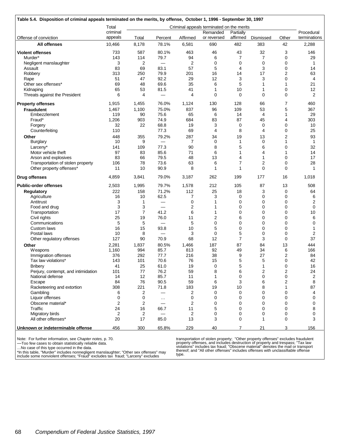|                                     | Total          |                |                          |          | Criminal appeals terminated on the merits |                |                |                         |              |
|-------------------------------------|----------------|----------------|--------------------------|----------|-------------------------------------------|----------------|----------------|-------------------------|--------------|
|                                     | criminal       |                |                          |          | Remanded                                  | Partially      |                |                         | Procedural   |
| Offense of conviction               | appeals        | Total          | Percent                  | Affirmed | or reversed                               | affirmed       | Dismissed      | Other                   | terminations |
| All offenses                        | 10,466         | 8,178          | 78.1%                    | 6,581    | 690                                       | 482            | 383            | 42                      | 2,288        |
| <b>Violent offenses</b>             | 733            | 587            | 80.1%                    | 463      | 46                                        | 43             | 32             | 3                       | 146          |
| Murder*                             | 143            | 114            | 79.7                     | 94       | 6                                         | 7              | $\overline{7}$ | 0                       | 29           |
| Negligent manslaughter              | 3              | 2              | —                        | 2        | 0                                         | 0              | 0              | 0                       | 1            |
| Assault                             | 83             | 69             | 83.1                     | 57       | 5                                         | 4              | 3              | 0                       | 14           |
| Robbery                             | 313            | 250            | 79.9                     | 201      | 16                                        | 14             | 17             | $\overline{2}$          | 63           |
| Rape                                | 51             | 47             | 92.2                     | 29       | 12                                        | 3              | 3              | 0                       | 4            |
| Other sex offenses*                 | 69             | 48             | 69.6                     | 35       | 6                                         | 5              | 1              | 1                       | 21           |
| Kidnaping                           | 65             | 53             | 81.5                     | 41       | 1                                         | 10             | $\mathbf{1}$   | 0                       | 12           |
| Threats against the President       | 6              | 4              | —                        | 4        | $\mathbf 0$                               | $\mathbf 0$    | $\mathbf 0$    | 0                       | 2            |
| <b>Property offenses</b>            | 1,915          | 1,455          | 76.0%                    | 1,124    | 130                                       | 128            | 66             | 7                       | 460          |
| <b>Fraudulent</b>                   | 1,467          | 1,100          | 75.0%                    | 837      | 96                                        | 109            | 53             | 5                       | 367          |
| Embezzlement                        | 119            | 90             | 75.6                     | 65       | 6                                         | 14             | $\overline{4}$ | 1                       | 29           |
| Fraud*                              | 1,206          | 903            | 74.9                     | 684      | 83                                        | 87             | 45             | 4                       | 303          |
| Forgery                             | 32             | 22             | 68.8                     | 19       | 3                                         | 0              | 0              | 0                       | 10           |
| Counterfeiting                      | 110            |                | 77.3                     | 69       | $\overline{4}$                            | 8              | $\overline{4}$ | 0                       | 25           |
| Other                               | 448            | 355            | 79.2%                    | 287      | 34                                        | 19             | 13             | $\mathbf 2$             | 93           |
| Burglary                            | 10             | 9              |                          | 7        | $\mathbf 0$                               | 1              | $\mathbf 0$    | $\mathbf{1}$            | 1            |
| Larceny*                            | 141            | 109            | 77.3                     | 90       | 8                                         | 5              | 6              | 0                       | 32           |
| Motor vehicle theft                 | 97             | 83             | 85.6                     | 71       | 6                                         | 1              | 4              | 1                       | 14           |
| Arson and explosives                | 83             | 66             | 79.5                     | 48       | 13                                        | 4              | 1              | 0                       | 17           |
| Transportation of stolen property   | 106            | 78             | 73.6                     | 63       | 6                                         | 7              | $\overline{2}$ | 0                       | 28           |
| Other property offenses*            | 11             | 10             | 90.9                     | 8        | 1                                         | 1              | $\Omega$       | $\Omega$                | 1            |
| <b>Drug offenses</b>                | 4,859          | 3,841          | 79.0%                    | 3,187    | 262                                       | 199            | 177            | 16                      | 1,018        |
| <b>Public-order offenses</b>        | 2,503          | 1,995          | 79.7%                    | 1,578    | 212                                       | 105            | 87             | 13                      | 508          |
| <b>Regulatory</b>                   | 222            | 158            | 71.2%                    | 112      | 25                                        | 18             | 3              | 0                       | 64           |
| Agriculture                         | 16             | 10             | 62.5                     | 7        | 3                                         | 0              | 0              | 0                       | 6            |
| Antitrust                           | 3              | 1              | $\overline{\phantom{0}}$ | 0        | 1                                         | 0              | 0              | 0                       | 2            |
| Food and drug                       | 3              | 3              |                          | 2        | 1                                         | 0              | $\mathbf 0$    | 0                       | 0            |
| Transportation                      | 17             | $\overline{7}$ | 41.2                     | 6        | 1                                         | 0              | $\mathbf 0$    | 0                       | 10           |
| Civil rights                        | 25             | 19             | 76.0                     | 11       | 2                                         | 6              | 0              | 0                       | 6            |
| Communications                      | 5              | 5              |                          | 5        | $\mathbf 0$                               | 0              | $\mathbf 0$    | 0                       | 0            |
| Custom laws                         | 16             | 15             | 93.8                     | 10       | 5                                         | 0              | 0              | 0                       | 1            |
| Postal laws                         | 10             | 8              |                          | 3        | $\mathbf 0$                               | 5              | 0              | 0                       | 2            |
| Other regulatory offenses           | 127            | 90             | 70.9                     | 68       | 12                                        | $\overline{7}$ | 3              | $\mathbf 0$             | 37           |
| Other                               | 2,281          | 1,837          | 80.5%                    | 1,466    | 187                                       | 87             | 84             | 13                      | 444          |
| Weapons                             | 1,160          | 994            | 85.7                     | 813      | 92                                        | 49             | 34             | 6                       | 166          |
| Immigration offenses                | 376            | 292            | 77.7                     | 216      | 38                                        | 9              | 27             | 2                       | 84           |
| Tax law violations*                 | 143            | 101            | 70.6                     | 76       | 15                                        | 5              | 5              | 0                       | 42           |
| <b>Bribery</b>                      | 41             | 25             | 61.0                     | 19       | $\Omega$                                  | 5              | $\mathbf{1}$   | $\Omega$                | 16           |
| Perjury, contempt, and intimidation | 101            | 77             | 76.2                     | 59       | 8                                         | 6              | $\overline{c}$ | 2                       | 24           |
| National defense                    | 14             | 12             | 85.7                     | 11       | 1                                         | 0              | $\mathbf 0$    | 0                       | 2            |
| Escape                              | 84             | 76             | 90.5                     | 59       | 6                                         | 3              | 6              | $\overline{\mathbf{c}}$ | 8            |
| Racketeering and extortion          | 308            | 221            | 71.8                     | 183      | 19                                        | 10             | 8              | 1                       | 87           |
| Gambling                            | 6              | 2              | $\overline{\phantom{0}}$ | 2        | 0                                         | 0              | 0              | 0                       | 4            |
| Liquor offenses                     | 0              | 0              | $\cdots$                 | 0        | 0                                         | 0              | 0              | 0                       | 0            |
| Obscene material*                   | 2              | 2              |                          | 2        | 0                                         | 0              | $\mathbf 0$    | 0                       | 0            |
| Traffic                             | 24             | 16             | 66.7                     | 11       | 5                                         | 0              | $\mathbf 0$    | 0                       | 8            |
| Migratory birds                     | $\overline{2}$ | $\overline{c}$ |                          | 2        | $\mathbf 0$                               | 0              | $\mathbf 0$    | 0                       | 0            |
| All other offenses*                 | 20             | 17             | 85.0                     | 13       | 3                                         | 0              | 1              | 0                       | 3            |
| Unknown or indeterminable offense   | 456            | 300            | 65.8%                    | 229      | 40                                        | $\overline{7}$ | 21             | 3                       | 156          |

Note: For further information, see *Chapter notes,* p. 70.

—Too few cases to obtain statistically reliable data.

…No case of this type occurred in the data.

\*In this table, "Murder" includes nonnegligent manslaughter; "Other sex offenses" may include some nonviolent offenses; "Fraud" excludes tax fraud; "Larceny" excludes

transportation of stolen property; "Other property offenses" excludes fraudulent<br>property offenses, and includes destruction of property and trespass; "Tax law<br>violations" includes tax fraud; "Obscene material" denotes the type.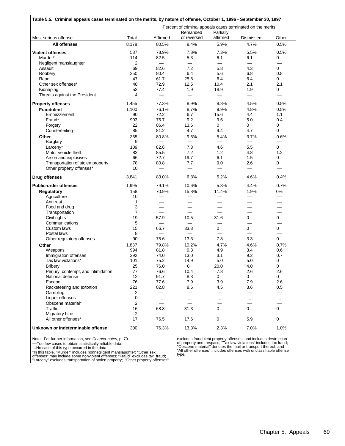|                                     |                |                                |                          |           | Percent of criminal appeals cases terminated on the merits |                          |
|-------------------------------------|----------------|--------------------------------|--------------------------|-----------|------------------------------------------------------------|--------------------------|
|                                     |                |                                | Remanded                 | Partially |                                                            |                          |
| Most serious offense                | Total          | Affirmed                       | or reversed              | affirmed  | Dismissed                                                  | Other                    |
| All offenses                        | 8,178          | 80.5%                          | 8.4%                     | 5.9%      | 4.7%                                                       | 0.5%                     |
| <b>Violent offenses</b>             | 587            | 78.9%                          | 7.8%                     | 7.3%      | 5.5%                                                       | 0.5%                     |
| Murder*                             | 114            | 82.5                           | 5.3                      | 6.1       | 6.1                                                        | 0                        |
| Negligent manslaughter              | 2              | $\qquad \qquad \longleftarrow$ | —                        | —         |                                                            | –                        |
| Assault                             | 69             | 82.6                           | 7.2                      | 5.8       | 4.3                                                        | 0                        |
| Robbery                             | 250            | 80.4                           | 6.4                      | 5.6       | 6.8                                                        | 0.8                      |
|                                     | 47             |                                |                          | 6.4       | 6.4                                                        | 0                        |
| Rape<br>Other sex offenses*         |                | 61.7                           | 25.5                     |           |                                                            | 2.1                      |
|                                     | 48             | 72.9                           | 12.5                     | 10.4      | 2.1                                                        |                          |
| Kidnaping                           | 53             | 77.4                           | 1.9                      | 18.9      | 1.9                                                        | 0                        |
| Threats against the President       | 4              |                                |                          |           | $\equiv$                                                   |                          |
| <b>Property offenses</b>            | 1,455          | 77.3%                          | 8.9%                     | 8.8%      | 4.5%                                                       | 0.5%                     |
| <b>Fraudulent</b>                   | 1,100          | 76.1%                          | 8.7%                     | 9.9%      | 4.8%                                                       | 0.5%                     |
| Embezzlement                        | 90             | 72.2                           | 6.7                      | 15.6      | 4.4                                                        | 1.1                      |
| Fraud*                              | 903            | 75.7                           | 9.2                      | 9.6       | 5.0                                                        | 0.4                      |
| Forgery                             | 22             | 86.4                           | 13.6                     | 0         | 0                                                          | 0                        |
| Counterfeiting                      | 85             | 81.2                           | 4.7                      | 9.4       | 4.7                                                        | 0                        |
| Other                               | 355            | 80.8%                          | 9.6%                     | 5.4%      | 3.7%                                                       | 0.6%                     |
| <b>Burglary</b>                     | 9              |                                | $\overline{\phantom{0}}$ |           | $\qquad \qquad -$                                          |                          |
| Larceny*                            | 109            | 82.6                           | 7.3                      | 4.6       | 5.5                                                        | 0                        |
|                                     |                |                                |                          |           |                                                            |                          |
| Motor vehicle theft                 | 83             | 85.5                           | 7.2                      | 1.2       | 4.8                                                        | 1.2                      |
| Arson and explosives                | 66             | 72.7                           | 19.7                     | 6.1       | 1.5                                                        | 0                        |
| Transportation of stolen property   | 78             | 80.8                           | 7.7                      | 9.0       | 2.6                                                        | 0                        |
| Other property offenses*            | 10             |                                |                          | —         | $\overline{\phantom{0}}$                                   |                          |
| <b>Drug offenses</b>                | 3,841          | 83.0%                          | 6.8%                     | 5.2%      | 4.6%                                                       | 0.4%                     |
| <b>Public-order offenses</b>        | 1,995          | 79.1%                          | 10.6%                    | 5.3%      | 4.4%                                                       | 0.7%                     |
| Regulatory                          | 158            | 70.9%                          | 15.8%                    | 11.4%     | 1.9%                                                       | 0%                       |
| Agriculture                         | 10             | $\overline{\phantom{0}}$       | $\overline{\phantom{0}}$ |           | $\overline{\phantom{0}}$                                   | $\overline{\phantom{0}}$ |
| Antitrust                           | 1              |                                |                          |           |                                                            |                          |
| Food and drug                       | 3              |                                |                          |           | $\overline{\phantom{a}}$                                   |                          |
| Transportation                      | $\overline{7}$ |                                |                          |           |                                                            |                          |
| Civil rights                        | 19             | 57.9                           | 10.5                     | 31.6      | 0                                                          | 0                        |
| Communications                      | 5              |                                |                          |           |                                                            |                          |
| Custom laws                         | 15             | 66.7                           | 33.3                     | 0         | 0                                                          | $\mathbf 0$              |
| Postal laws                         | 8              | $\overline{\phantom{0}}$       |                          |           |                                                            | <u>in a</u>              |
| Other regulatory offenses           | 90             | 75.6                           | 13.3                     | 7.8       | 3.3                                                        | $\Omega$                 |
|                                     |                |                                |                          |           |                                                            |                          |
| Other                               | 1,837          | 79.8%                          | 10.2%                    | 4.7%      | 4.6%                                                       | 0.7%                     |
| <b>Weapons</b>                      | 994            | 81.8                           | 9.3                      | 4.9       | 3.4                                                        | 0.6                      |
| Immigration offenses                | 292            | 74.0                           | 13.0                     | 3.1       | 9.2                                                        | 0.7                      |
| Tax law violations*                 | 101            | 75.2                           | 14.9                     | 5.0       | 5.0                                                        | 0                        |
| <b>Bribery</b>                      | 25             | 76.0                           | 0                        | 20.0      | 4.0                                                        | 0                        |
| Perjury, contempt, and intimidation | 77             | 76.6                           | 10.4                     | 7.8       | 2.6                                                        | 2.6                      |
| National defense                    | 12             | 91.7                           | 8.3                      | 0         | 0                                                          | 0                        |
| Escape                              | 76             | 77.6                           | 7.9                      | 3.9       | 7.9                                                        | 2.6                      |
| Racketeering and extortion          | 221            | 82.8                           | 8.6                      | 4.5       | 3.6                                                        | 0.5                      |
| Gambling                            | 2              |                                |                          |           |                                                            |                          |
| Liquor offenses                     | 0              | $\ldots$                       |                          |           | $\ddotsc$                                                  | $\ldots$                 |
| Obscene material*                   | 2              |                                |                          |           |                                                            |                          |
| Traffic                             | 16             | 68.8                           | 31.3                     | 0         | 0                                                          | 0                        |
| Migratory birds                     | 2              |                                |                          |           |                                                            |                          |
| All other offenses*                 | 17             | 76.5                           | 17.6                     | 0         | 5.9                                                        | $\mathbf 0$              |
|                                     |                |                                |                          |           |                                                            |                          |

Note: For further information, see *Chapter notes,* p. 70.

—Too few cases to obtain statistically reliable data.<br>...No case of this type occurred in the data.<br>\*In this table, "Murder" includes nonnegligent manslaughter; "Other sex<br>offenses" may include some nonviolent offenses; "F

excludes fraudulent property offenses, and includes destruction<br>of property and trespass; "Tax law violations" includes tax fraud;<br>"Obscene material" denotes the mail or transport thereof; and<br>"All other offenses" includes type.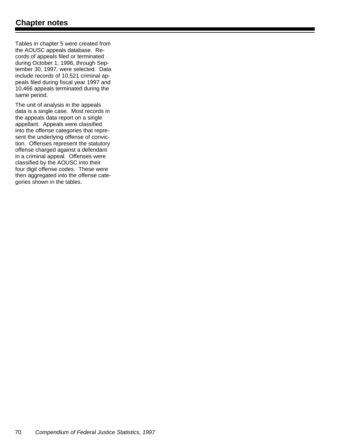Tables in chapter 5 were created from the AOUSC appeals database. Records of appeals filed or terminated during October 1, 1996, through September 30, 1997, were selected. Data include records of 10,521 criminal appeals filed during fiscal year 1997 and 10,466 appeals terminated during the same period.

The unit of analysis in the appeals data is a single case. Most records in the appeals data report on a single appellant. Appeals were classified into the offense categories that represent the underlying offense of conviction. Offenses represent the statutory offense charged against a defendant in a criminal appeal. Offenses were classified by the AOUSC into their four digit offense codes. These were then aggregated into the offense categories shown in the tables.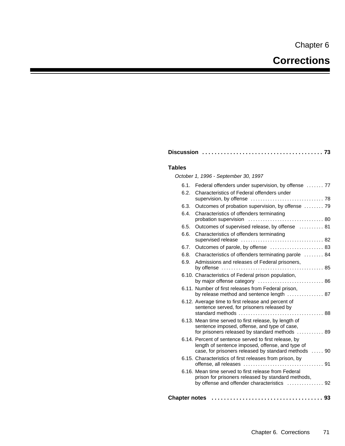# **Corrections**

| <b>Tables</b>        |                                                                                                                                                                   |
|----------------------|-------------------------------------------------------------------------------------------------------------------------------------------------------------------|
|                      | October 1, 1996 - September 30, 1997                                                                                                                              |
| 6.1.                 | Federal offenders under supervision, by offense  77                                                                                                               |
| 6.2.                 | Characteristics of Federal offenders under                                                                                                                        |
| 6.3.                 | Outcomes of probation supervision, by offense  79                                                                                                                 |
| 6.4.                 | Characteristics of offenders terminating                                                                                                                          |
| 6.5.                 | Outcomes of supervised release, by offense  81                                                                                                                    |
| 6.6.                 | Characteristics of offenders terminating                                                                                                                          |
| 6.7.                 |                                                                                                                                                                   |
| 6.8.                 | Characteristics of offenders terminating parole  84                                                                                                               |
| 6.9.                 | Admissions and releases of Federal prisoners,                                                                                                                     |
|                      | 6.10. Characteristics of Federal prison population,<br>by major offense category  86                                                                              |
|                      | 6.11. Number of first releases from Federal prison,<br>by release method and sentence length  87                                                                  |
|                      | 6.12. Average time to first release and percent of<br>sentence served, for prisoners released by                                                                  |
|                      | 6.13. Mean time served to first release, by length of<br>sentence imposed, offense, and type of case,<br>for prisoners released by standard methods  89           |
|                      | 6.14. Percent of sentence served to first release, by<br>length of sentence imposed, offense, and type of<br>case, for prisoners released by standard methods  90 |
|                      | 6.15. Characteristics of first releases from prison, by                                                                                                           |
|                      | 6.16. Mean time served to first release from Federal<br>prison for prisoners released by standard methods,<br>by offense and offender characteristics  92         |
| <b>Chapter notes</b> |                                                                                                                                                                   |

**Discussion ....................................... 73**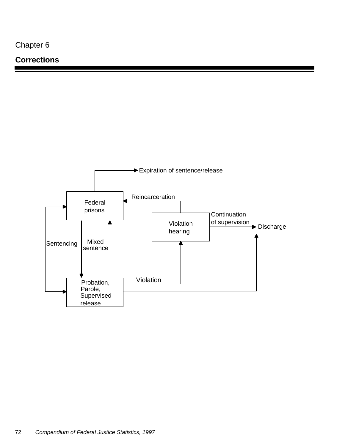## **Corrections**

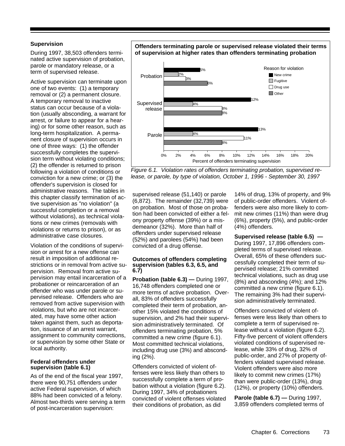#### **Supervision**

During 1997, 38,503 offenders terminated active supervision of probation, parole or mandatory release, or a term of supervised release.

Active supervision can terminate upon one of two events: (1) a temporary removal or (2) a permanent closure. A temporary removal to inactive status can occur because of a violation (usually absconding, a warrant for arrest, or failure to appear for a hearing) or for some other reason, such as long-term hospitalization. A permanent closure of supervision occurs in one of three ways: (1) the offender successfully completes the supervision term without violating conditions; (2) the offender is returned to prison following a violation of conditions or conviction for a new crime; or (3) the offender's supervision is closed for administrative reasons. The tables in this chapter classify termination of active supervision as "no violation" (a successful completion or a removal without violations), as technical violations or new crimes (removals with violations or returns to prison), or as administrative case closures.

Violation of the conditions of supervision or arrest for a new offense can result in imposition of additional restrictions or in removal from active supervision. Removal from active supervision may entail incarceration of a probationer or reincarceration of an offender who was under parole or supervised release. Offenders who are removed from active supervision with violations, but who are not incarcerated, may have some other action taken against them, such as deportation, issuance of an arrest warrant, assignment to community corrections, or supervision by some other State or local authority.

#### **Federal offenders under supervision (table 6.1)**

As of the end of the fiscal year 1997, there were 90,751 offenders under active Federal supervision, of which 88% had been convicted of a felony. Almost two-thirds were serving a term of post-incarceration supervision:

#### **Offenders terminating parole or supervised release violated their terms of supervision at higher rates than offenders terminating probation**



*Figure 6.1. Violation rates of offenders terminating probation, supervised release, or parole, by type of violation, October 1, 1996 - September 30, 1997*

supervised release (51,140) or parole (6,872). The remainder (32,739) were on probation. Most of those on probation had been convicted of either a felony property offense (39%) or a misdemeanor (32%). More than half of offenders under supervised release (52%) and parolees (54%) had been convicted of a drug offense.

#### **Outcomes of offenders completing supervision (tables 6.3, 6.5, and 6.7)**

**Probation (table 6.3) —** During 1997, 16,748 offenders completed one or more terms of active probation. Overall, 83% of offenders successfully completed their term of probation, another 15% violated the conditions of supervision, and 2% had their supervision administratively terminated. Of offenders terminating probation, 5% committed a new crime (figure 6.1). Most committed technical violations, including drug use (3%) and absconding (2%).

Offenders convicted of violent offenses were less likely than others to successfully complete a term of probation without a violation (figure 6.2). During 1997, 34% of probationers convicted of violent offenses violated their conditions of probation, as did

14% of drug, 13% of property, and 9% of public-order offenders. Violent offenders were also more likely to commit new crimes (11%) than were drug (6%), property (5%), and public-order (4%) offenders.

**Supervised release (table 6.5) —** During 1997, 17,896 offenders completed terms of supervised release. Overall, 65% of these offenders successfully completed their term of supervised release; 21% committed technical violations, such as drug use (8%) and absconding (4%); and 12% committed a new crime (figure 6.1). The remaining 3% had their supervision administratively terminated.

Offenders convicted of violent offenses were less likely than others to complete a term of supervised release without a violation (figure 6.2). Fifty-five percent of violent offenders violated conditions of supervised release, while 33% of drug, 32% of public-order, and 27% of property offenders violated supervised release. Violent offenders were also more likely to commit new crimes (17%) than were public-order (13%), drug (12%), or property (10%) offenders.

**Parole (table 6.7) —** During 1997, 3,859 offenders completed terms of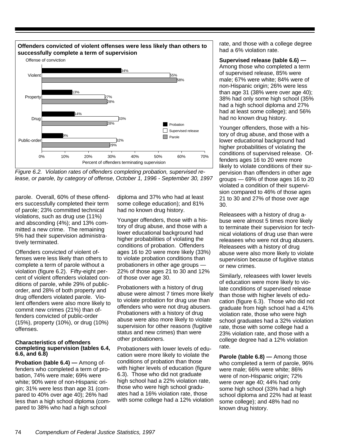

*Figure 6.2. Violation rates of offenders completing probation, supervised release, or parole, by category of offense, October 1, 1996 - September 30, 1997*

parole. Overall, 60% of these offenders successfully completed their term of parole; 23% committed technical violations, such as drug use (11%) and absconding (4%); and 13% committed a new crime. The remaining 5% had their supervision administratively terminated.

Offenders convicted of violent offenses were less likely than others to complete a term of parole without a violation (figure 6.2). Fifty-eight percent of violent offenders violated conditions of parole, while 29% of publicorder, and 28% of both property and drug offenders violated parole. Violent offenders were also more likely to commit new crimes (21%) than offenders convicted of public-order (15%), property (10%), or drug (10%) offenses.

#### **Characteristics of offenders completing supervision (tables 6.4, 6.6, and 6.8)**

**Probation (table 6.4) —** Among offenders who completed a term of probation, 74% were male; 69% were white; 90% were of non-Hispanic origin; 31% were less than age 31 (compared to 40% over age 40); 26% had less than a high school diploma (compared to 38% who had a high school

diploma and 37% who had at least some college education); and 81% had no known drug history.

Younger offenders, those with a history of drug abuse, and those with a lower educational background had higher probabilities of violating the conditions of probation. Offenders ages 16 to 20 were more likely (33%) to violate probation conditions than probationers in other age groups — 22% of those ages 21 to 30 and 12% of those over age 30.

Probationers with a history of drug abuse were almost 7 times more likely to violate probation for drug use than offenders who were not drug abusers. Probationers with a history of drug abuse were also more likely to violate supervision for other reasons (fugitive status and new crimes) than were other probationers.

Probationers with lower levels of education were more likely to violate the conditions of probation than those with higher levels of education (figure 6.3). Those who did not graduate high school had a 22% violation rate, those who were high school graduates had a 16% violation rate, those with some college had a 12% violation rate, and those with a college degree had a 6% violation rate.

**Supervised release (table 6.6) —** Among those who completed a term of supervised release, 85% were male; 67% were white; 84% were of non-Hispanic origin; 26% were less than age 31 (38% were over age 40); 38% had only some high school (35% had a high school diploma and 27% had at least some college); and 56% had no known drug history.

Younger offenders, those with a history of drug abuse, and those with a lower educational background had higher probabilities of violating the conditions of supervised release. Offenders ages 16 to 20 were more likely to violate conditions of their supervision than offenders in other age groups — 69% of those ages 16 to 20 violated a condition of their supervision compared to 46% of those ages 21 to 30 and 27% of those over age 30.

Releasees with a history of drug abuse were almost 5 times more likely to terminate their supervision for technical violations of drug use than were releasees who were not drug abusers. Releasees with a history of drug abuse were also more likely to violate supervision because of fugitive status or new crimes.

Similarly, releasees with lower levels of education were more likely to violate conditions of supervised release than those with higher levels of education (figure 6.3). Those who did not graduate from high school had a 41% violation rate, those who were high school graduates had a 32% violation rate, those with some college had a 23% violation rate, and those with a college degree had a 12% violation rate.

**Parole (table 6.8) —** Among those who completed a term of parole, 96% were male; 66% were white; 86% were of non-Hispanic origin; 72% were over age 40; 44% had only some high school (33% had a high school diploma and 22% had at least some college); and 48% had no known drug history.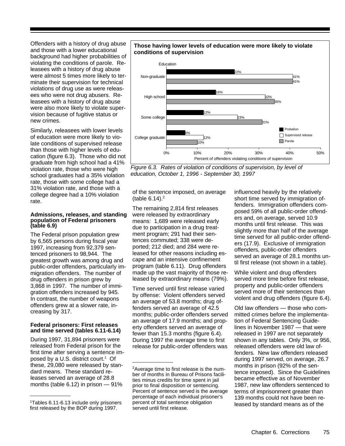Offenders with a history of drug abuse and those with a lower educational background had higher probabilities of violating the conditions of parole. Releasees with a history of drug abuse were almost 5 times more likely to terminate their supervision for technical violations of drug use as were releasees who were not drug abusers. Releasees with a history of drug abuse were also more likely to violate supervision because of fugitive status or new crimes.

Similarly, releasees with lower levels of education were more likely to violate conditions of supervised release than those with higher levels of education (figure 6.3). Those who did not graduate from high school had a 41% violation rate, those who were high school graduates had a 35% violation rate, those with some college had a 31% violation rate, and those with a college degree had a 10% violation rate.

#### **Admissions, releases, and standing population of Federal prisoners (table 6.9)**

The Federal prison population grew by 6,565 persons during fiscal year 1997, increasing from 92,379 sentenced prisoners to 98,944. The greatest growth was among drug and public-order offenders, particularly immigration offenders. The number of drug offenders in prison grew by 3,868 in 1997. The number of immigration offenders increased by 945. In contrast, the number of weapons offenders grew at a slower rate, increasing by 317.

#### **Federal prisoners: First releases and time served (tables 6.11-6.14)**

During 1997, 31,894 prisoners were released from Federal prison for the first time after serving a sentence imposed by a U.S. district court.<sup>1</sup> Of these, 29,080 were released by standard means. These standard releases served an average of 28.8 months (table 6.12) in prison — 91%

#### **Those having lower levels of education were more likely to violate conditions of supervision**



*Figure 6.3. Rates of violation of conditions of supervision, by level of education, October 1, 1996 - September 30, 1997*

of the sentence imposed, on average (table  $6.14$ ).<sup>2</sup>

The remaining 2,814 first releases were released by extraordinary means: 1,689 were released early due to participation in a drug treatment program; 291 had their sentences commuted; 338 were deported; 212 died; and 284 were released for other reasons including escape and an intensive confinement program (table 6.11). Drug offenders made up the vast majority of those released by extraordinary means (79%).

Time served until first release varied by offense: Violent offenders served an average of 53.8 months; drug offenders served an average of 42.5 months; public-order offenders served an average of 17.9 months; and property offenders served an average of fewer than 15.3 months (figure 6.4). During 1997 the average time to first release for public-order offenders was

influenced heavily by the relatively short time served by immigration offenders. Immigration offenders composed 59% of all public-order offenders and, on average, served 10.9 months until first release. This was slightly more than half of the average time served for all public-order offenders (17.9). Exclusive of immigration offenders, public-order offenders served an average of 28.1 months until first release (not shown in a table).

While violent and drug offenders served more time before first release, property and public-order offenders served more of their sentences than violent and drug offenders (figure 6.4).

Old law offenders — those who committed crimes before the implementation of Federal Sentencing Guidelines in November 1987 — that were released in 1997 are not separately shown in any tables. Only 3%, or 956, released offenders were old law offenders. New law offenders released during 1997 served, on average, 26.7 months in prison (92% of the sentence imposed). Since the Guidelines became effective as of November 1987, new law offenders sentenced to terms of imprisonment greater than 139 months could not have been released by standard means as of the

<sup>1</sup>Tables 6.11-6.13 include only prisoners first released by the BOP during 1997.

<sup>&</sup>lt;sup>2</sup> Average time to first release is the number of months in Bureau of Prisons facilities minus credits for time spent in jail prior to final disposition or sentencing. Percent of sentence served is the average percentage of each individual prisoner's percent of total sentence obligation served until first release.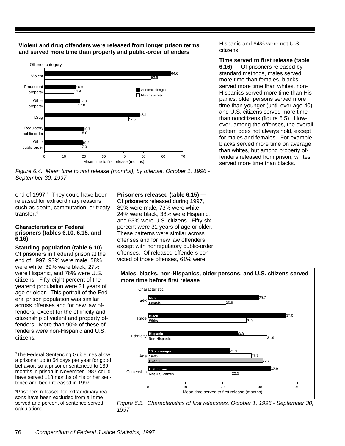

*Figure 6.4. Mean time to first release (months), by offense, October 1, 1996 - September 30, 1997*

end of 1997.<sup>3</sup> They could have been released for extraordinary reasons such as death, commutation, or treaty transfer.<sup>4</sup>

#### **Characteristics of Federal prisoners (tables 6.10, 6.15, and 6.16)**

**Standing population (table 6.10)** — Of prisoners in Federal prison at the end of 1997, 93% were male, 58% were white, 39% were black, 27% were Hispanic, and 76% were U.S. citizens. Fifty-eight percent of the yearend population were 31 years of age or older. This portrait of the Federal prison population was similar across offenses and for new law offenders, except for the ethnicity and citizenship of violent and property offenders. More than 90% of these offenders were non-Hispanic and U.S. citizens.

#### **Prisoners released (table 6.15) —**

Of prisoners released during 1997, 89% were male, 73% were white, 24% were black, 38% were Hispanic, and 63% were U.S. citizens. Fifty-six percent were 31 years of age or older. These patterns were similar across offenses and for new law offenders, except with nonregulatory public-order offenses. Of released offenders convicted of those offenses, 61% were

**more time before first release** 29.7 37.0 23.9 21.9 32.9 20.9 26.3 31.9 27.7 **22.5** 30.7 0 10 10 20 30 30 40 Mean time served to first release (months) **Male Female Black White** 18 or younge **19-30 U.S. citizen Not U.S. citizen** Characteristic **Citizenship** Age **Ethnicity** Sex Race **Hispanic Non-Hispanic Over 30**

**Males, blacks, non-Hispanics, older persons, and U.S. citizens served**

#### *Figure 6.5. Characteristics of first releasees, October 1, 1996 - September 30, 1997*

Hispanic and 64% were not U.S. citizens.

**Time served to first release (table 6.16)** — Of prisoners released by standard methods, males served more time than females, blacks served more time than whites, non-Hispanics served more time than Hispanics, older persons served more time than younger (until over age 40), and U.S. citizens served more time than noncitizens (figure 6.5). However, among the offenses, the overall pattern does not always hold, except for males and females. For example, blacks served more time on average than whites, but among property offenders released from prison, whites served more time than blacks.

<sup>3</sup>The Federal Sentencing Guidelines allow a prisoner up to 54 days per year for good behavior, so a prisoner sentenced to 139 months in prison in November 1987 could have served 118 months of his or her sentence and been released in 1997.

<sup>4</sup>Prisoners released for extraordinary reasons have been excluded from all time served and percent of sentence served calculations.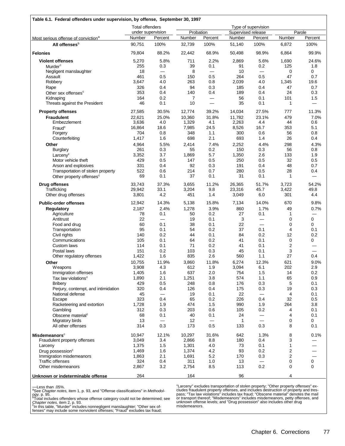| Table 6.1. Federal offenders under supervision, by offense, September 30, 1997 |                        |                          |                  |                 |                    |                          |                    |                          |
|--------------------------------------------------------------------------------|------------------------|--------------------------|------------------|-----------------|--------------------|--------------------------|--------------------|--------------------------|
|                                                                                | <b>Total offenders</b> |                          |                  |                 |                    | Type of supervision      |                    |                          |
|                                                                                |                        | under supervision        | Probation        |                 | Supervised release |                          |                    | Parole                   |
| Most serious offense of conviction <sup>a</sup><br>All offenses <sup>b</sup>   | Number<br>90,751       | Percent<br>100%          | Number<br>32,739 | Percent<br>100% | Number<br>51,140   | Percent<br>100%          | Number<br>6,872    | Percent<br>100%          |
| <b>Felonies</b>                                                                | 79,804                 | 88.2%                    | 22,442           | 68.9%           | 50,498             | 98.9%                    | 6,864              | 99.9%                    |
|                                                                                |                        |                          |                  |                 |                    |                          |                    |                          |
| <b>Violent offenses</b>                                                        | 5,270                  | 5.8%                     | 711              | 2.2%            | 2,869              | 5.6%                     | 1,690              | 24.6%                    |
| Murder <sup>c</sup>                                                            | 255<br>18              | 0.3                      | 39               | 0.1             | 91<br>10           | 0.2                      | 125                | 1.8<br>$\mathbf 0$       |
| Negligent manslaughter<br>Assault                                              | 461                    | —<br>0.5                 | 8<br>150         | 0.5             | 264                | 0.5                      | 0<br>47            | 0.7                      |
| Robbery                                                                        | 3,647                  | 4.0                      | 263              | 0.8             | 2,039              | 4.0                      | 1,345              | 19.6                     |
| Rape                                                                           | 326                    | 0.4                      | 94               | 0.3             | 185                | 0.4                      | 47                 | 0.7                      |
| Other sex offenses <sup>c</sup>                                                | 353                    | 0.4                      | 140              | 0.4             | 189                | 0.4                      | 24                 | 0.3                      |
| Kidnaping                                                                      | 164                    | 0.2                      | $\overline{7}$   | $\qquad \qquad$ | 56                 | 0.1                      | 101                | 1.5                      |
| Threats against the President                                                  | 46                     | 0.1                      | 10               |                 | 35                 | 0.1                      | $\mathbf{1}$       |                          |
| <b>Property offenses</b>                                                       | 27,585                 | 30.5%                    | 12,774           | 39.2%           | 14,034             | 27.5%                    | 777                | 11.3%                    |
| <b>Fraudulent</b>                                                              | 22,621                 | 25.0%                    | 10,360           | 31.8%           | 11,782             | 23.1%                    | 479                | 7.0%                     |
| Embezzlement                                                                   | 3,636                  | 4.0                      | 1,329            | 4.1             | 2,263              | 4.4                      | 44                 | 0.6                      |
| Fraud <sup>c</sup>                                                             | 16,864                 | 18.6                     | 7,985            | 24.5            | 8,526              | 16.7                     | 353                | 5.1                      |
| Forgery                                                                        | 704                    | 0.8                      | 348              | 1.1             | 300                | 0.6                      | 56                 | 0.8                      |
| Counterfeiting                                                                 | 1,417                  | 1.6                      | 698              | 2.1             | 693                | 1.4                      | 26                 | 0.4                      |
| Other                                                                          | 4,964                  | 5.5%                     | 2,414            | 7.4%            | 2,252              | 4.4%                     | 298                | 4.3%                     |
| <b>Burglary</b>                                                                | 261                    | 0.3                      | 55               | 0.2             | 150                | 0.3                      | 56                 | 0.8                      |
| Larcenv <sup>c</sup>                                                           | 3,352                  | 3.7                      | 1,869            | 5.7             | 1,350              | 2.6                      | 133                | 1.9                      |
| Motor vehicle theft                                                            | 429                    | 0.5                      | 147              | 0.5             | 250                | 0.5                      | 32                 | 0.5                      |
| Arson and explosives                                                           | 331                    | 0.4                      | 92               | 0.3             | 191                | 0.4                      | 48                 | 0.7                      |
| Transportation of stolen property<br>Other property offenses <sup>c</sup>      | 522<br>69              | 0.6<br>0.1               | 214<br>37        | 0.7<br>0.1      | 280<br>31          | 0.5<br>0.1               | 28<br>$\mathbf{1}$ | 0.4                      |
| <b>Drug offenses</b>                                                           | 33,743                 | 37.3%                    | 3,655            | 11.2%           | 26,365             | 51.7%                    | 3,723              | 54.2%                    |
| Trafficking                                                                    | 29,942                 | 33.1                     | 3,204            | 9.8             | 23,316             | 45.7                     | 3,422              | 49.8                     |
| Other drug offenses                                                            | 3,801                  | 4.2                      | 451              | 1.4             | 3,049              | 6.0                      | 301                | 4.4                      |
| <b>Public-order offenses</b>                                                   | 12,942                 | 14.3%                    | 5,138            | 15.8%           | 7,134              | 14.0%                    | 670                | 9.8%                     |
| <b>Regulatory</b>                                                              | 2,187                  | 2.4%                     | 1,278            | 3.9%            | 860                | 1.7%                     | 49                 | 0.7%                     |
| Agriculture                                                                    | 78                     | 0.1                      | 50               | 0.2             | 27                 | 0.1                      | $\mathbf{1}$       |                          |
| Antitrust                                                                      | 22                     | $\overline{\phantom{0}}$ | 19               | 0.1             | 3                  | $\overline{\phantom{0}}$ | $\mathbf 0$        | 0                        |
| Food and drug                                                                  | 60                     | 0.1                      | 38               | 0.1             | 22                 | $\equiv$                 | $\mathbf 0$<br>4   | 0                        |
| Transportation<br>Civil rights                                                 | 95<br>140              | 0.1<br>0.2               | 54<br>44         | 0.2<br>0.1      | 37<br>84           | 0.1<br>0.2               | 12                 | 0.1<br>0.2               |
| Communications                                                                 | 105                    | 0.1                      | 64               | 0.2             | 41                 | 0.1                      | 0                  | 0                        |
| Custom laws                                                                    | 114                    | 0.1                      | 71               | 0.2             | 41                 | 0.1                      | $\overline{2}$     |                          |
| Postal laws                                                                    | 151                    | 0.2                      | 103              | 0.3             | 45                 | 0.1                      | 3                  |                          |
| Other regulatory offenses                                                      | 1,422                  | 1.6                      | 835              | 2.6             | 560                | 1.1                      | 27                 | 0.4                      |
| Other                                                                          | 10,755                 | 11.9%                    | 3,860            | 11.8%           | 6,274              | 12.3%                    | 621                | 9.0%                     |
| Weapons                                                                        | 3,908                  | 4.3                      | 612              | 1.9             | 3,094              | 6.1                      | 202                | 2.9                      |
| Immigration offenses                                                           | 1,405                  | 1.6                      | 637              | 2.0             | 754                | 1.5                      | 14                 | 0.2                      |
| Tax law violations <sup>c</sup>                                                | 1,890                  | 2.1                      | 1,251            | 3.8             | 574                | 1.1                      | 65                 | 0.9                      |
| <b>Bribery</b>                                                                 | 429                    | 0.5                      | 248              | 0.8             | 176                | 0.3                      | 5                  | 0.1                      |
| Perjury, contempt, and intimidation                                            | 320                    | 0.4                      | 126              | 0.4             | 175                | 0.3                      | 19                 | 0.3                      |
| National defense                                                               | 45                     |                          | 19               | 0.1             | 22                 |                          | 4                  | 0.1                      |
| Escape                                                                         | 323                    | 0.4                      | 65               | 0.2             | 226                | 0.4                      | 32                 | 0.5                      |
| Racketeering and extortion                                                     | 1,728                  | 1.9                      | 474              | 1.5             | 990                | 1.9                      | 264                | 3.8                      |
| Gambling                                                                       | 312                    | 0.3                      | 203              | 0.6             | 105                | 0.2                      | 4                  | 0.1                      |
| Obscene material <sup>c</sup>                                                  | 68<br>13               | 0.1<br>—                 | 40<br>12         | 0.1             | 24<br>1            | $\overline{\phantom{0}}$ | 4<br>0             | 0.1<br>0                 |
| Migratory birds<br>All other offenses                                          | 314                    | 0.3                      | 173              | 0.5             | 133                | 0.3                      | 8                  | 0.1                      |
|                                                                                |                        |                          |                  |                 |                    |                          |                    |                          |
| Misdemeanors <sup>c</sup><br>Fraudulent property offenses                      | 10,947<br>3,049        | 12.1%<br>3.4             | 10,297<br>2,866  | 31.6%<br>8.8    | 642<br>180         | 1.3%<br>0.4              | 8<br>3             | 0.1%                     |
| Larceny                                                                        | 1,375                  | 1.5                      | 1,301            | 4.0             | 73                 | 0.1                      | 1                  | $\overline{\phantom{0}}$ |
| Drug possession <sup>c</sup>                                                   | 1,469                  | 1.6                      | 1,374            | 4.2             | 93                 | 0.2                      | $\overline{c}$     |                          |
| Immigration misdemeanors                                                       | 1,863                  | 2.1                      | 1,691            | 5.2             | 170                | 0.3                      | $\overline{2}$     |                          |
| <b>Traffic offenses</b>                                                        | 324                    | 0.4                      | 311              | 1.0             | 13                 | $\qquad \qquad$          | 0                  | $\mathbf 0$              |
| Other misdemeanors                                                             | 2,867                  | 3.2                      | 2,754            | 8.5             | 113                | 0.2                      | 0                  | $\mathbf 0$              |
| Unknown or indeterminable offense                                              | 264                    |                          | 164              |                 | 96                 |                          | 4                  |                          |
|                                                                                |                        |                          |                  |                 |                    |                          |                    |                          |

ogy, p. 95.<br><sup>b</sup>Total includes offenders whose offense category could not be determined; see<br>*Chapter notes,* item 2, p. 93.<br><sup>c</sup>In this table, "Murder" includes nonnegligent manslaughter; "Other sex of-<br>fenses" may include

"Larceny" excludes transportation of stolen property; "Other property offenses" ex-<br>cludes fraudulent property offenses, and includes destruction of property and tres-<br>pass; "Tax law violations" includes tax fraud; "Obscen

<sup>—</sup>Less than .05%. <sup>a</sup>See *Chapter notes,* item 1, p. 93, and "Offense classifications" in *Methodol-*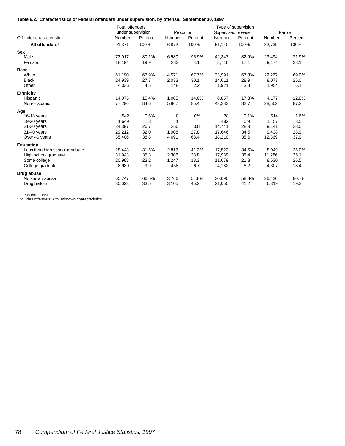|                                | <b>Total offenders</b> |         |           |         |                    | Type of supervision |        |         |
|--------------------------------|------------------------|---------|-----------|---------|--------------------|---------------------|--------|---------|
|                                | under supervision      |         | Probation |         | Supervised release |                     |        | Parole  |
| Offender characteristic        | Number                 | Percent | Number    | Percent | Number             | Percent             | Number | Percent |
| All offenders*                 | 91,371                 | 100%    | 6,872     | 100%    | 51,140             | 100%                | 32,739 | 100%    |
| <b>Sex</b>                     |                        |         |           |         |                    |                     |        |         |
| Male                           | 73,017                 | 80.1%   | 6,580     | 95.9%   | 42,347             | 82.9%               | 23,494 | 71.9%   |
| Female                         | 18,194                 | 19.9    | 283       | 4.1     | 8,716              | 17.1                | 9,174  | 28.1    |
| Race                           |                        |         |           |         |                    |                     |        |         |
| White                          | 61,190                 | 67.9%   | 4,571     | 67.7%   | 33,991             | 67.3%               | 22,267 | 69.0%   |
| <b>Black</b>                   | 24,939                 | 27.7    | 2,033     | 30.1    | 14.611             | 28.9                | 8,073  | 25.0    |
| Other                          | 4,036                  | 4.5     | 148       | 2.2     | 1,921              | 3.8                 | 1,954  | 6.1     |
| <b>Ethnicity</b>               |                        |         |           |         |                    |                     |        |         |
| Hispanic                       | 14,075                 | 15.4%   | 1,005     | 14.6%   | 8,857              | 17.3%               | 4,177  | 12.8%   |
| Non-Hispanic                   | 77,296                 | 84.6    | 5,867     | 85.4    | 42,283             | 82.7                | 28,562 | 87.2    |
| Age                            |                        |         |           |         |                    |                     |        |         |
| 16-18 years                    | 542                    | 0.6%    | 0         | 0%      | 28                 | 0.1%                | 514    | 1.6%    |
| 19-20 years                    | 1.649                  | 1.8     | -1        |         | 482                | 0.9                 | 1,157  | 3.5     |
| 21-30 years                    | 24,397                 | 26.7    | 260       | 3.8     | 14,741             | 28.8                | 9,141  | 28.0    |
| 31-40 years                    | 29,212                 | 32.0    | 1,908     | 27.8    | 17,646             | 34.5                | 9,438  | 28.9    |
| Over 40 years                  | 35,406                 | 38.8    | 4,691     | 68.4    | 18,210             | 35.6                | 12,369 | 37.9    |
| <b>Education</b>               |                        |         |           |         |                    |                     |        |         |
| Less than high school graduate | 28,443                 | 31.5%   | 2,817     | 41.3%   | 17,523             | 34.5%               | 8,049  | 25.0%   |
| High school graduate           | 31,943                 | 35.3    | 2,306     | 33.8    | 17,989             | 35.4                | 11,286 | 35.1    |
| Some college                   | 20,988                 | 23.2    | 1,247     | 18.3    | 11,079             | 21.8                | 8,530  | 26.5    |
| College graduate               | 8,989                  | 9.9     | 458       | 6.7     | 4,182              | 8.2                 | 4,307  | 13.4    |
| Drug abuse                     |                        |         |           |         |                    |                     |        |         |
| No known abuse                 | 60,747                 | 66.5%   | 3,766     | 54.8%   | 30,090             | 58.8%               | 26,420 | 80.7%   |
| Drug history                   | 30,623                 | 33.5    | 3,105     | 45.2    | 21,050             | 41.2                | 6,319  | 19.3    |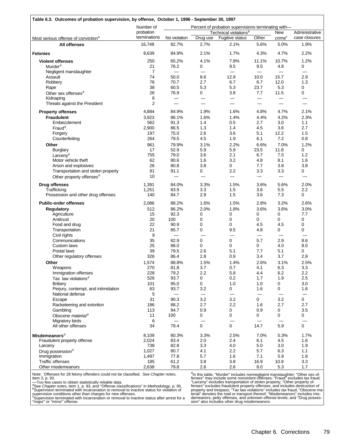|                                                 | Number of      |                 |                          | Percent of probation supervisions terminating with- |                          |                          |                |
|-------------------------------------------------|----------------|-----------------|--------------------------|-----------------------------------------------------|--------------------------|--------------------------|----------------|
|                                                 | probation      |                 |                          | Technical violations <sup>b</sup>                   |                          | <b>New</b>               | Administrative |
| Most serious offense of conviction <sup>a</sup> | terminations   | No violation    | Drug use                 | Fugitive status                                     | Other                    | crime <sup>c</sup>       | case closures  |
| All offenses                                    | 16,748         | 82.7%           | 2.7%                     | 2.1%                                                | 5.6%                     | 5.0%                     | 1.9%           |
| <b>Felonies</b>                                 | 8,639          | 84.9%           | 2.1%                     | 1.7%                                                | 4.3%                     | 4.7%                     | 2.2%           |
| <b>Violent offenses</b>                         | 250            | 65.2%           | 4.1%                     | 7.8%                                                | 11.1%                    | 10.7%                    | 1.2%           |
| Murder <sup>d</sup>                             | 21             | 76.2            | 0                        | 9.5                                                 | 9.5                      | 4.8                      | 0              |
| Negligent manslaughter                          | $\overline{7}$ |                 |                          |                                                     |                          |                          |                |
| Assault                                         | 74             | 50.0            | 8.6                      | 12.9                                                | 10.0                     | 15.7                     | 2.9            |
| Robbery                                         | 76             | 70.7            | 2.7                      | 6.7                                                 | 6.7                      | 12.0                     | 1.3            |
| Rape                                            | 38             | 60.5            | 5.3                      | 5.3                                                 | 23.7                     | 5.3                      | 0              |
|                                                 | 26             | 76.9            | 0                        | 3.8                                                 | 7.7                      | 11.5                     | 0              |
| Other sex offenses <sup>d</sup>                 | 6              |                 |                          |                                                     |                          |                          |                |
| Kidnaping<br>Threats against the President      | $\overline{2}$ | —<br>$\equiv$   |                          | $\overline{\phantom{0}}$                            |                          |                          |                |
| <b>Property offenses</b>                        | 4,884          | 84.9%           | 1.9%                     | 1.6%                                                | 4.8%                     | 4.7%                     | 2.1%           |
|                                                 |                |                 |                          |                                                     |                          |                          |                |
| <b>Fraudulent</b>                               | 3,923          | 86.1%           | 1.6%                     | 1.4%                                                | 4.4%                     | 4.2%                     | 2.3%           |
| Embezzlement                                    | 562            | 91.3            | 1.4                      | 0.5                                                 | 2.7                      | 3.0                      | 1.1            |
| Fraud <sup>d</sup>                              | 2,900          | 86.5            | 1.3                      | 1.4                                                 | 4.5                      | 3.6                      | 2.7            |
| Forgery                                         | 197            | 75.0            | 2.6                      | 3.6                                                 | 5.1                      | 12.2                     | 1.5            |
| Counterfeiting                                  | 264            | 79.5            | 4.5                      | 1.9                                                 | 6.1                      | 7.2                      | 0.8            |
| Other                                           | 961            | 79.9%           | 3.1%                     | 2.2%                                                | 6.6%                     | 7.0%                     | 1.2%           |
| <b>Burglary</b>                                 | 17             | 52.9            | 5.9                      | 5.9                                                 | 23.5                     | 11.8                     | 0              |
| Larceny <sup>d</sup>                            | 755            | 79.0            | 3.6                      | 2.1                                                 | 6.7                      | 7.5                      | 1.2            |
| Motor vehicle theft                             | 62             | 80.6            | 1.6                      | 3.2                                                 | 4.8                      | 8.1                      | 1.6            |
| Arson and explosives                            | 26             | 80.8            | 3.8                      | 0                                                   | 7.7                      | 3.8                      | 3.8            |
| Transportation and stolen property              | 91             | 91.1            | 0                        | 2.2                                                 | 3.3                      | 3.3                      | 0              |
| Other property offenses <sup>d</sup>            | 10             |                 |                          |                                                     | $\overline{\phantom{0}}$ |                          |                |
| <b>Drug offenses</b>                            | 1,391          | 84.0%           | 3.3%                     | 1.5%                                                | 3.6%                     | 5.6%                     | 2.0%           |
| Trafficking                                     | 1,251          | 83.9            | 3.3                      | 1.5                                                 | 3.6                      | 5.5                      | 2.2            |
| Possession and other drug offenses              | 140            | 84.7            | 2.9                      | 1.5                                                 | 3.6                      | 7.3                      | 0              |
| <b>Public-order offenses</b>                    | 2,086          | 88.2%           | 1.6%                     | 1.5%                                                | 2.8%                     | 3.2%                     | 2.6%           |
| <b>Regulatory</b>                               | 512            | 86.2%           | 2.0%                     | 1.8%                                                | 3.6%                     | 3.6%                     | 3.0%           |
| Agriculture                                     | 15             | 92.3            | 0                        | 0                                                   | 0                        | 0                        | 7.7            |
| Antitrust                                       | 20             | 100             | 0                        | 0                                                   | 0                        | 0                        | 0              |
| Food and drug                                   | 22             | 90.9            | 0                        | 0                                                   | 4.5                      | 4.5                      | 0              |
| Transportation                                  | 21             | 85.7            | 0                        | 9.5                                                 | 4.8                      | 0                        | 0              |
| Civil rights                                    | 9              | $\qquad \qquad$ | $\overline{\phantom{0}}$ | $\overline{\phantom{0}}$                            | $\overline{\phantom{0}}$ | $\overline{\phantom{0}}$ |                |
| Communications                                  | 35             | 82.9            | 0                        | 0                                                   | 5.7                      | 2.9                      | 8.6            |
|                                                 | 25             | 88.0            | 0                        | 0                                                   | 0                        | 4.0                      | 8.0            |
| Custom laws                                     |                |                 |                          |                                                     |                          |                          |                |
| Postal laws                                     | 39             | 79.5            | 2.6                      | 5.1                                                 | 7.7                      | 5.1                      | 0              |
| Other regulatory offenses                       | 326            | 86.4            | 2.8                      | 0.9                                                 | 3.4                      | 3.7                      | 2.8            |
| Other                                           | 1,574          | 88.8%           | 1.5%                     | 1.4%                                                | 2.6%                     | 3.1%                     | 2.5%           |
| Weapons                                         | 270            | 81.8            | 3.7                      | 0.7                                                 | 4.1                      | 6.3                      | 3.3            |
| Immigration offenses                            | 228            | 79.2            | 2.2                      | 5.8                                                 | 4.4                      | 6.2                      | 2.2            |
| Tax law violations <sup>d</sup>                 | 526            | 93.7            | 0                        | 0.2                                                 | 1.7                      | 1.9                      | 2.5            |
| <b>Bribery</b>                                  | 101            | 95.0            | 0                        | 1.0                                                 | 1.0                      | 0                        | 3.0            |
| Perjury, contempt, and intimidation             | 63             | 93.7            | 3.2                      | 0                                                   | 1.6                      | 0                        | 1.6            |
| National defense                                | 5              |                 |                          | —                                                   |                          |                          |                |
| Escape                                          | 31             | 90.3            | 3.2                      | 3.2                                                 | 0                        | 3.2                      | 0              |
| Racketeering and extortion                      | 186            | 88.2            | 2.7                      | 2.2                                                 | 1.6                      | 2.7                      | 2.7            |
| Gambling                                        | 113            | 94.7            | 0.9                      | 0                                                   | 0.9                      | 0                        | 3.5            |
| Obscene material <sup>d</sup>                   | 11             | 100             | 0                        | 0                                                   | 0                        | 0                        | 0              |
| Migratory birds                                 | 6              |                 |                          |                                                     |                          |                          |                |
| All other offenses                              | 34             | 79.4            | 0                        | $\mathbf 0$                                         | 14.7                     | 5.9                      | 0              |
| Misdemeanors <sup>d</sup>                       | 8,109          | 80.3%           | 3.3%                     | 2.5%                                                | 7.0%                     | 5.3%                     | 1.7%           |
| Fraudulent property offense                     | 2,024          | 83.4            | 2.0                      | 2.4                                                 | 6.1                      | 4.5                      | 1.6            |
| Larceny                                         | 738            | 82.8            | 3.3                      | 4.0                                                 | 5.0                      | 3.0                      | 1.9            |
|                                                 | 1,027          | 80.7            | 4.1                      | 2.2                                                 | 5.7                      | 6.3                      | 1.1            |
| Drug possession <sup>d</sup>                    |                |                 |                          |                                                     |                          |                          |                |
| Immigration                                     | 1,497          | 77.8            | 5.7                      | 1.6                                                 | 7.1                      | 5.9                      | 1.8            |
| Traffic offenses                                | 185            | 61.2            | 3.8                      | 3.8                                                 | 16.9                     | 10.9                     | 3.3            |
| Other misdemeanors                              | 2,638          | 79.8            | 2.6                      | 2.6                                                 | 8.0                      | 5.3                      | 1.7            |

Note: Offenses for 28 felony offenders could not be classified. See *Chapter notes,*<br>item 3, p. 93.<br>  $\frac{1}{100}$  Too few cases to obtain statistically reliable data.<br>
<sup>a</sup> See *Chapter notes*, item 1, p. 93, and "Offense cl

<sup>d</sup>In this table, "Murder" includes nonnegligent manslaughter; "Other sex of-<br>fenses" may include some nonviolent offenses; "Fraud" excludes tax fraud;<br>"Larceny" excludes transportation of stolen property; "Other property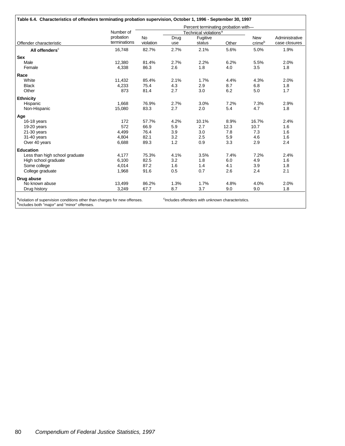|                                |                           |                        |             | Percent terminating probation with- |       |                      |                                 |
|--------------------------------|---------------------------|------------------------|-------------|-------------------------------------|-------|----------------------|---------------------------------|
|                                | Number of                 |                        |             | Technical violations <sup>a</sup>   |       |                      |                                 |
| Offender characteristic        | probation<br>terminations | <b>No</b><br>violation | Drug<br>use | Fugitive<br>status                  | Other | <b>New</b><br>crimeb | Administrative<br>case closures |
| All offenders <sup>c</sup>     | 16,748                    | 82.7%                  | 2.7%        | 2.1%                                | 5.6%  | 5.0%                 | 1.9%                            |
| <b>Sex</b>                     |                           |                        |             |                                     |       |                      |                                 |
| Male                           | 12,380                    | 81.4%                  | 2.7%        | 2.2%                                | 6.2%  | 5.5%                 | 2.0%                            |
| Female                         | 4,338                     | 86.3                   | 2.6         | 1.8                                 | 4.0   | 3.5                  | 1.8                             |
| Race                           |                           |                        |             |                                     |       |                      |                                 |
| White                          | 11,432                    | 85.4%                  | 2.1%        | 1.7%                                | 4.4%  | 4.3%                 | 2.0%                            |
| <b>Black</b>                   | 4,233                     | 75.4                   | 4.3         | 2.9                                 | 8.7   | 6.8                  | 1.8                             |
| Other                          | 873                       | 81.4                   | 2.7         | 3.0                                 | 6.2   | 5.0                  | 1.7                             |
| <b>Ethnicity</b>               |                           |                        |             |                                     |       |                      |                                 |
| Hispanic                       | 1,668                     | 76.9%                  | 2.7%        | 3.0%                                | 7.2%  | 7.3%                 | 2.9%                            |
| Non-Hispanic                   | 15,080                    | 83.3                   | 2.7         | 2.0                                 | 5.4   | 4.7                  | 1.8                             |
| Age                            |                           |                        |             |                                     |       |                      |                                 |
| 16-18 years                    | 172                       | 57.7%                  | 4.2%        | 10.1%                               | 8.9%  | 16.7%                | 2.4%                            |
| 19-20 years                    | 572                       | 66.9                   | 5.9         | 2.7                                 | 12.3  | 10.7                 | 1.6                             |
| $21-30$ years                  | 4.499                     | 76.4                   | 3.9         | 3.0                                 | 7.8   | 7.3                  | 1.6                             |
| 31-40 years                    | 4,804                     | 82.1                   | 3.2         | 2.5                                 | 5.9   | 4.6                  | 1.6                             |
| Over 40 years                  | 6,688                     | 89.3                   | 1.2         | 0.9                                 | 3.3   | 2.9                  | 2.4                             |
| <b>Education</b>               |                           |                        |             |                                     |       |                      |                                 |
| Less than high school graduate | 4.177                     | 75.3%                  | 4.1%        | 3.5%                                | 7.4%  | 7.2%                 | 2.4%                            |
| High school graduate           | 6,100                     | 82.5                   | 3.2         | 1.8                                 | 6.0   | 4.9                  | 1.6                             |
| Some college                   | 4.014                     | 87.2                   | 1.6         | 1.4                                 | 4.1   | 3.9                  | 1.8                             |
| College graduate               | 1,968                     | 91.6                   | 0.5         | 0.7                                 | 2.6   | 2.4                  | 2.1                             |
| Drug abuse                     |                           |                        |             |                                     |       |                      |                                 |
| No known abuse                 | 13,499                    | 86.2%                  | 1.3%        | 1.7%                                | 4.8%  | 4.0%                 | 2.0%                            |
| Drug history                   | 3,249                     | 67.7                   | 8.7         | 3.7                                 | 9.0   | 9.0                  | 1.8                             |

<sup>a</sup>Violation of supervision conditions other than charges for new offenses. <sup>c</sup>Includes offenders with unknown characteristics.<br><sup>b</sup>Includes both "major" and "minor" offenses.

<sup>c</sup>Includes offenders with unknown characteristics.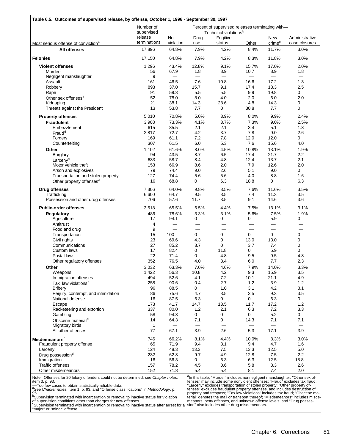|                                                                        | Number of               |                          |             | Percent of supervised releases terminating with- |               |                             |                       |
|------------------------------------------------------------------------|-------------------------|--------------------------|-------------|--------------------------------------------------|---------------|-----------------------------|-----------------------|
|                                                                        | supervised              |                          |             | Technical violations <sup>b</sup>                |               |                             |                       |
|                                                                        | release<br>terminations | No                       | Drug        | Fugitive                                         |               | New                         | Administrative        |
| Most serious offense of conviction <sup>a</sup><br><b>All offenses</b> | 17,896                  | violation<br>64.8%       | use<br>7.9% | status<br>4.2%                                   | Other<br>8.4% | crime <sup>c</sup><br>11.7% | case closures<br>3.0% |
|                                                                        |                         |                          |             |                                                  |               |                             |                       |
| <b>Felonies</b>                                                        | 17,150                  | 64.8%                    | 7.9%        | 4.2%                                             | 8.3%          | 11.8%                       | 3.0%                  |
| <b>Violent offenses</b>                                                | 1,296                   | 43.4%                    | 12.8%       | 9.1%                                             | 15.7%         | 17.0%                       | 2.0%                  |
| Murder <sup>d</sup>                                                    | 56                      | 67.9                     | 1.8         | 8.9                                              | 10.7          | 8.9                         | 1.8                   |
| Negligent manslaughter                                                 | 9                       | $\qquad \qquad$          | $\equiv$    |                                                  | $\equiv$      | $\equiv$                    | $\equiv$              |
| Assault                                                                | 161                     | 46.5                     | 7.6         | 10.8                                             | 16.6          | 17.2                        | 1.3                   |
| Robbery                                                                | 893                     | 37.0                     | 15.7        | 9.1                                              | 17.4          | 18.3                        | 2.5                   |
| Rape                                                                   | 91                      | 59.3                     | 5.5         | 5.5                                              | 9.9           | 19.8                        | 0                     |
| Other sex offenses <sup>d</sup>                                        | 52                      | 78.0                     | 8.0         | 4.0                                              | 2.0           | 6.0                         | 2.0                   |
| Kidnaping                                                              | 21<br>13                | 38.1<br>53.8             | 14.3<br>7.7 | 28.6<br>$\mathbf 0$                              | 4.8<br>30.8   | 14.3<br>7.7                 | 0<br>0                |
| Threats against the President                                          |                         |                          |             |                                                  |               |                             |                       |
| <b>Property offenses</b>                                               | 5,010                   | 70.8%                    | 5.0%        | 3.9%                                             | 8.0%          | 9.9%                        | 2.4%                  |
| <b>Fraudulent</b>                                                      | 3,908                   | 73.3%                    | 4.1%        | 3.7%                                             | 7.3%          | 9.0%                        | 2.5%                  |
| Embezzlement                                                           | 615                     | 85.5                     | 2.1         | 2.1                                              | 3.4           | 5.1                         | 1.8                   |
| $Find^d$                                                               | 2,817                   | 72.7                     | 4.2         | 3.7                                              | 7.8           | 9.0                         | 2.6                   |
| Forgery                                                                | 169                     | 61.1                     | 7.2         | 7.8                                              | 12.0          | 12.0                        | 0                     |
| Counterfeiting                                                         | 307                     | 61.5                     | 6.0         | 5.3                                              | 7.6           | 15.6                        | 4.0                   |
| Other                                                                  | 1,102                   | 61.6%                    | 8.0%        | 4.5%                                             | 10.8%         | 13.1%                       | 1.9%                  |
| <b>Burglary</b>                                                        | 94                      | 43.5                     | 8.7         | 6.5                                              | 17.4          | 21.7                        | 2.2                   |
| Larceny <sup>d</sup>                                                   | 633                     | 58.7                     | 8.4         | 4.8                                              | 12.4          | 13.7                        | 2.1                   |
| Motor vehicle theft                                                    | 153                     | 66.9                     | 8.6         | 2.0                                              | 7.9           | 12.6                        | 2.0                   |
| Arson and explosives                                                   | 79                      | 74.4                     | 9.0         | 2.6                                              | 5.1           | 9.0                         | 0                     |
| Transportation and stolen property                                     | 127                     | 74.4                     | 5.6         | 5.6                                              | 4.0           | 8.8                         | 1.6                   |
| Other property offenses <sup>d</sup>                                   | 16                      | 68.8                     | 0           | 6.3                                              | 18.8          | 0                           | 6.3                   |
| <b>Drug offenses</b>                                                   | 7,306                   | 64.0%                    | 9.8%        | 3.5%                                             | 7.6%          | 11.6%                       | 3.5%                  |
| Trafficking                                                            | 6,600                   | 64.7                     | 9.5         | 3.5                                              | 7.4           | 11.3                        | 3.5                   |
| Possession and other drug offenses                                     | 706                     | 57.6                     | 11.7        | 3.5                                              | 9.1           | 14.6                        | 3.6                   |
| <b>Public-order offenses</b>                                           | 3,518                   | 65.5%                    | 6.5%        | 4.4%                                             | 7.5%          | 13.1%                       | 3.1%                  |
| Regulatory                                                             | 486                     | 78.6%                    | 3.3%        | 3.1%                                             | 5.6%          | 7.5%                        | 1.9%                  |
| Agriculture                                                            | 17                      | 94.1                     | 0           | 0                                                | 0             | 5.9                         | 0                     |
| Antitrust                                                              | 4                       | $\overline{\phantom{0}}$ |             |                                                  |               |                             |                       |
| Food and drug                                                          | 9                       |                          |             |                                                  |               |                             |                       |
| Transportation                                                         | 15                      | 100                      | 0           | 0                                                | 0             | $\mathbf 0$                 | 0                     |
| Civil rights                                                           | 23                      | 69.6                     | 4.3         | 0                                                | 13.0          | 13.0                        | 0                     |
| Communications                                                         | 27                      | 85.2                     | 3.7         | 0                                                | 3.7           | 7.4                         | 0                     |
| Custom laws                                                            | 17                      | 82.4                     | 0           | 11.8                                             | 0             | 5.9                         | 0                     |
| Postal laws                                                            | 22                      | 71.4                     | 0           | 4.8                                              | 9.5           | 9.5                         | 4.8                   |
| Other regulatory offenses                                              | 352                     | 76.5                     | 4.0         | 3.4                                              | 6.0           | 7.7                         | 2.3                   |
| Other                                                                  | 3,032                   | 63.3%                    | 7.0%        | 4.6%                                             | 7.9%          | 14.0%                       | 3.3%                  |
| Weapons                                                                | 1,422                   | 56.3                     | 10.8        | 4.2                                              | 9.3           | 15.9                        | 3.5                   |
| Immigration offenses                                                   | 494                     | 52.6                     | 4.1         | 7.2                                              | 10.1          | 21.1                        | 4.9                   |
| Tax law violations <sup>d</sup>                                        | 258                     | 90.6                     | 0.4         | 2.7                                              | 1.2           | 3.9                         | 1.2                   |
| <b>Bribery</b>                                                         | 96                      | 88.5                     | 0           | 1.0                                              | 3.1           | 4.2                         | 3.1                   |
| Perjury, contempt, and intimidation                                    | 86                      | 75.6                     | 4.7         | 3.5                                              | 3.5           | 9.3                         | 3.5                   |
| National defense                                                       | 16                      | 87.5                     | 6.3         | 0                                                | 0             | 6.3                         | 0                     |
| Escape                                                                 | 173                     | 41.7                     | 14.7        | 13.5                                             | 11.7          | 17.2                        | 1.2                   |
| Racketeering and extortion                                             | 337                     | 80.0                     | 1.2         | 2.1                                              | 6.3           | 7.2                         | 3.3                   |
| Gambling                                                               | 58                      | 94.8                     | 0           | 0                                                | 0             | 5.2                         | 0                     |
| Obscene material <sup>d</sup>                                          | 14                      | 64.3                     | 7.1         | $\mathbf 0$                                      | 14.3          | 7.1                         | 7.1                   |
| Migratory birds                                                        | 1                       |                          |             |                                                  |               | $\qquad \qquad$             |                       |
| All other offenses                                                     | 77                      | 67.1                     | 3.9         | 2.6                                              | 5.3           | 17.1                        | 3.9                   |
| $\mathsf{Misceme}$                                                     | 746                     | 66.2%                    | 8.1%        | 4.4%                                             | 10.0%         | 8.3%                        | 3.0%                  |
| Fraudulent property offense                                            | 65                      | 71.9                     | 9.4         | 3.1                                              | 9.4           | 4.7                         | 1.6                   |
| Larceny                                                                | 124                     | 48.3                     | 13.3        | 7.5                                              | 13.3          | 12.5                        | $5.0\,$               |
| Drug possession <sup>d</sup>                                           | 232                     | 62.8                     | 9.7         | 4.9                                              | 12.8          | 7.5                         | 2.2                   |
| Immigration                                                            | 16                      | 56.3                     | 0           | 6.3                                              | 6.3           | 12.5                        | 18.8                  |
| <b>Traffic offenses</b>                                                | 157                     | 78.2                     | 4.5         | 0.6                                              | 5.8           | 8.3                         | 2.6                   |
| Other misdemeanors                                                     | 152                     | 71.8                     | 5.4         | 5.4                                              | 8.1           | 7.4                         | 2.0                   |

Note: Offenses for 20 felony offenders could not be determined; see *Chapter notes,*<br>item 3, p. 93.<br>—Too few cases to obtain statistically reliable data.<br><sup>a</sup>See *Chapter notes,* item 1, p. 93, and "Offense classifications"

<sup>a</sup>ln this table, "Murder" includes nonnegligent manslaughter; "Other sex of-<br>fenses" may include some nonviolent offenses; "Fraud" excludes tax fraud; "Larceny" excludes transportation of stolen property; "Other property offenses" excludes fraudulent property offenses, and includes destruction of<br>property and trespass; "Tax law violations" includes tax fraud; "Obscene ma-<br>terial" denotes the mail or transport thereof; "Misdemeanors" includes meanors, petty offenses, and unknown offense levels; and "Drug posses-sion" also includes other drug misdemeanors.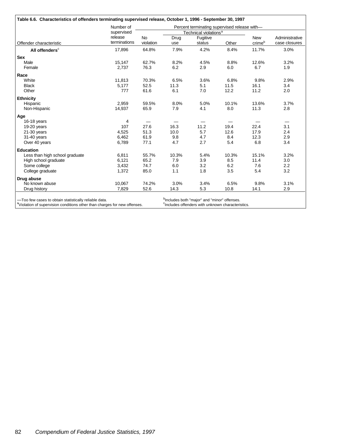|                                | Number of               |                        |             | Percent terminating supervised release with- |       |                      |                                 |
|--------------------------------|-------------------------|------------------------|-------------|----------------------------------------------|-------|----------------------|---------------------------------|
|                                | supervised              |                        |             | Technical violations <sup>a</sup>            |       |                      |                                 |
| Offender characteristic        | release<br>terminations | <b>No</b><br>violation | Drug<br>use | Fugitive<br>status                           | Other | <b>New</b><br>crimeb | Administrative<br>case closures |
| All offenders <sup>c</sup>     | 17,896                  | 64.8%                  | 7.9%        | 4.2%                                         | 8.4%  | 11.7%                | 3.0%                            |
| <b>Sex</b>                     |                         |                        |             |                                              |       |                      |                                 |
| Male                           | 15,147                  | 62.7%                  | 8.2%        | 4.5%                                         | 8.8%  | 12.6%                | 3.2%                            |
| Female                         | 2,737                   | 76.3                   | 6.2         | 2.9                                          | 6.0   | 6.7                  | 1.9                             |
| Race                           |                         |                        |             |                                              |       |                      |                                 |
| White                          | 11,813                  | 70.3%                  | 6.5%        | 3.6%                                         | 6.8%  | 9.8%                 | 2.9%                            |
| <b>Black</b>                   | 5,177                   | 52.5                   | 11.3        | 5.1                                          | 11.5  | 16.1                 | 3.4                             |
| Other                          | 777                     | 61.6                   | 6.1         | 7.0                                          | 12.2  | 11.2                 | 2.0                             |
| <b>Ethnicity</b>               |                         |                        |             |                                              |       |                      |                                 |
| Hispanic                       | 2,959                   | 59.5%                  | 8.0%        | 5.0%                                         | 10.1% | 13.6%                | 3.7%                            |
| Non-Hispanic                   | 14,937                  | 65.9                   | 7.9         | 4.1                                          | 8.0   | 11.3                 | 2.8                             |
| Age                            |                         |                        |             |                                              |       |                      |                                 |
| 16-18 years                    | 4                       |                        |             |                                              |       |                      |                                 |
| 19-20 years                    | 107                     | 27.6                   | 16.3        | 11.2                                         | 19.4  | 22.4                 | 3.1                             |
| 21-30 years                    | 4,525                   | 51.3                   | 10.0        | 5.7                                          | 12.6  | 17.9                 | 2.4                             |
| 31-40 years                    | 6,462                   | 61.9                   | 9.8         | 4.7                                          | 8.4   | 12.3                 | 2.9                             |
| Over 40 years                  | 6,789                   | 77.1                   | 4.7         | 2.7                                          | 5.4   | 6.8                  | 3.4                             |
| <b>Education</b>               |                         |                        |             |                                              |       |                      |                                 |
| Less than high school graduate | 6,811                   | 55.7%                  | 10.3%       | 5.4%                                         | 10.3% | 15.1%                | 3.2%                            |
| High school graduate           | 6,121                   | 65.2                   | 7.9         | 3.9                                          | 8.5   | 11.4                 | 3.0                             |
| Some college                   | 3.432                   | 74.7                   | 6.0         | 3.2                                          | 6.2   | 7.6                  | 2.2                             |
| College graduate               | 1,372                   | 85.0                   | 1.1         | 1.8                                          | 3.5   | 5.4                  | 3.2                             |
| Drug abuse                     |                         |                        |             |                                              |       |                      |                                 |
| No known abuse                 | 10.067                  | 74.2%                  | 3.0%        | 3.4%                                         | 6.5%  | 9.8%                 | 3.1%                            |
| Drug history                   | 7,829                   | 52.6                   | 14.3        | 5.3                                          | 10.8  | 14.1                 | 2.9                             |

—Too few cases to obtain statistically reliable data.<br><sup>a</sup>Violation of supervision conditions other than charges for new offenses.

<sup>b</sup>Includes both "major" and "minor" offenses.<br><sup>c</sup>Includes offenders with unknown characteristics.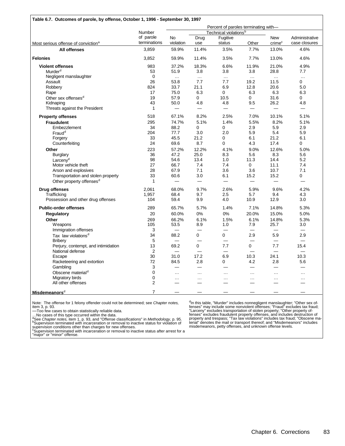|                                                 |                           |                 |               | Percent of paroles terminating with- |                          |                                  |                                 |
|-------------------------------------------------|---------------------------|-----------------|---------------|--------------------------------------|--------------------------|----------------------------------|---------------------------------|
|                                                 | Number                    |                 |               | Technical violations <sup>b</sup>    |                          |                                  |                                 |
|                                                 | of parole<br>terminations | No<br>violation | Drug<br>use   | Fugitive<br>status                   | Other                    | <b>New</b><br>crime <sup>c</sup> | Administrative<br>case closures |
| Most serious offense of conviction <sup>a</sup> | 3.859                     | 59.9%           | 11.4%         | 3.5%                                 | 7.7%                     | 13.0%                            | 4.6%                            |
| All offenses                                    |                           |                 |               |                                      |                          |                                  |                                 |
| <b>Felonies</b>                                 | 3,852                     | 59.9%           | 11.4%         | 3.5%                                 | 7.7%                     | 13.0%                            | 4.6%                            |
| <b>Violent offenses</b>                         | 983                       | 37.2%           | 18.3%         | 6.6%                                 | 11.9%                    | 21.0%                            | 4.9%                            |
| Murder <sup>d</sup>                             | 53                        | 51.9            | 3.8           | 3.8                                  | 3.8                      | 28.8                             | 7.7                             |
| Negligent manslaughter                          | $\mathbf{0}$              | $\ldots$        | $\ldots$      | $\ldots$                             | $\cdots$                 | $\ldots$                         | $\ldots$                        |
| Assault                                         | 26                        | 53.8            | 7.7           | 7.7                                  | 19.2                     | 11.5                             | 0                               |
| Robbery                                         | 824                       | 33.7            | 21.1          | 6.9                                  | 12.8                     | 20.6                             | 5.0                             |
| Rape                                            | 17                        | 75.0            | 6.3           | $\mathbf 0$                          | 6.3                      | 6.3                              | 6.3                             |
| Other sex offenses <sup>d</sup>                 | 19                        | 57.9            | 0             | 10.5                                 | 0                        | 31.6                             | 0                               |
| Kidnaping                                       | 43                        | 50.0            | 4.8           | 4.8                                  | 9.5                      | 26.2                             | 4.8                             |
| Threats against the President                   | $\mathbf{1}$              |                 |               | $\equiv$                             | $\qquad \qquad$          |                                  | $\equiv$                        |
| <b>Property offenses</b>                        | 518                       | 67.1%           | 8.2%          | 2.5%                                 | 7.0%                     | 10.1%                            | 5.1%                            |
| <b>Fraudulent</b>                               | 295                       | 74.7%           | 5.1%          | 1.4%                                 | 5.5%                     | 8.2%                             | 5.1%                            |
| Embezzlement                                    | 34                        | 88.2            | 0             | 0                                    | 2.9                      | 5.9                              | 2.9                             |
| Fraud <sup>d</sup>                              | 204                       | 77.7            | 3.0           | 2.0                                  | 5.9                      | 5.4                              | 5.9                             |
|                                                 |                           | 45.5            |               | $\mathbf 0$                          |                          |                                  |                                 |
| Forgery                                         | 33                        |                 | 21.2          |                                      | 6.1                      | 21.2                             | 6.1                             |
| Counterfeiting                                  | 24                        | 69.6            | 8.7           | 0                                    | 4.3                      | 17.4                             | 0                               |
| Other                                           | 223                       | 57.2%           | 12.2%         | 4.1%                                 | 9.0%                     | 12.6%                            | 5.0%                            |
| <b>Burglary</b>                                 | 36                        | 47.2            | 25.0          | 8.3                                  | 5.6                      | 8.3                              | 5.6                             |
| Larceny <sup>d</sup>                            | 98                        | 54.6            | 13.4          | 1.0                                  | 11.3                     | 14.4                             | 5.2                             |
| Motor vehicle theft                             | 27                        | 66.7            | 7.4           | 7.4                                  | 0                        | 11.1                             | 7.4                             |
| Arson and explosives                            | 28                        | 67.9            | 7.1           | 3.6                                  | 3.6                      | 10.7                             | 7.1                             |
| Transportation and stolen property              | 33                        | 60.6            | 3.0           | 6.1                                  | 15.2                     | 15.2                             | 0                               |
| Other property offenses <sup>d</sup>            | $\mathbf{1}$              | $\qquad \qquad$ |               | $\overline{\phantom{0}}$             | $\equiv$                 | $\qquad \qquad$                  |                                 |
| <b>Drug offenses</b>                            | 2,061                     | 68.0%           | 9.7%          | 2.6%                                 | 5.9%                     | 9.6%                             | 4.2%                            |
| Trafficking                                     | 1,957                     | 68.4            | 9.7           | 2.5                                  | 5.7                      | 9.4                              | 4.3                             |
| Possession and other drug offenses              | 104                       | 59.4            | 9.9           | 4.0                                  | 10.9                     | 12.9                             | 3.0                             |
| <b>Public-order offenses</b>                    | 289                       | 65.7%           | 5.7%          | 1.4%                                 | 7.1%                     | 14.8%                            | 5.3%                            |
| <b>Regulatory</b>                               | 20                        | 60.0%           | 0%            | 0%                                   | 20.0%                    | 15.0%                            | 5.0%                            |
| Other                                           | 269                       | 66.2%           | 6.1%          | 1.5%                                 | 6.1%                     | 14.8%                            | 5.3%                            |
| <b>Weapons</b>                                  | 105                       | 53.5            | 8.9           | 1.0                                  | 7.9                      | 25.7                             | 3.0                             |
| Immigration offenses                            | 3                         |                 |               |                                      |                          |                                  |                                 |
| Tax law violations <sup>d</sup>                 | 34                        | 88.2            | 0             | 0                                    | 2.9                      | 5.9                              | 2.9                             |
| <b>Bribery</b>                                  | 5                         | $\qquad \qquad$ |               |                                      |                          |                                  | $\equiv$                        |
|                                                 | 13                        | 69.2            | 0             | 7.7                                  | 0                        | 7.7                              | 15.4                            |
| Perjury, contempt, and intimidation             | 2                         |                 |               | $\overline{\phantom{0}}$             | $\overline{\phantom{0}}$ |                                  |                                 |
| National defense                                |                           | $\equiv$        | $\equiv$      |                                      |                          | $\equiv$                         | $\equiv$                        |
| Escape                                          | 30                        | 31.0            | 17.2          | 6.9                                  | 10.3                     | 24.1                             | 10.3                            |
| Racketeering and extortion<br>Gambling          | 72<br>3                   | 84.5            | 2.8           | 0                                    | 4.2<br>$\qquad \qquad$   | 2.8                              | 5.6                             |
| Obscene material <sup>d</sup>                   | 0                         | $\cdots$        | $\sim$ $\sim$ | $\cdots$                             | $\cdots$                 | $\cdots$                         | $\cdots$                        |
| Migratory birds                                 | $\mathbf 0$               | $\ldots$        |               |                                      | $\cdots$                 | $\cdots$                         |                                 |
| All other offenses                              | 2                         |                 | $\ldots$      | $\cdots$                             |                          |                                  | .                               |
|                                                 |                           |                 |               |                                      |                          |                                  |                                 |
| Misdemeanors <sup>d</sup>                       | $\overline{7}$            |                 |               |                                      |                          |                                  |                                 |

Note: The offense for 1 felony offender could not be determined; see *Chapter notes,*

item 3, p. 93. —Too few cases to obtain statistically reliable data. …No cases of this type occurred within the data.

also Chapter notes, item 1, p. 93, and "Offense classifications" in *Methodology*, p. 95.<br>BSupervision terminated with incarceration or removal to inactive status for violation of<br>Supervision conditions other than charges

<sup>d</sup>In this table, "Murder" includes nonnegligent manslaughter; "Other sex of-<br>fenses" may include some nonviolent offenses; "Fraud" excludes tax fraud;<br>"Larceny" excludes transportation of stolen property; "Other property misdemeanors, petty offenses, and unknown offense levels.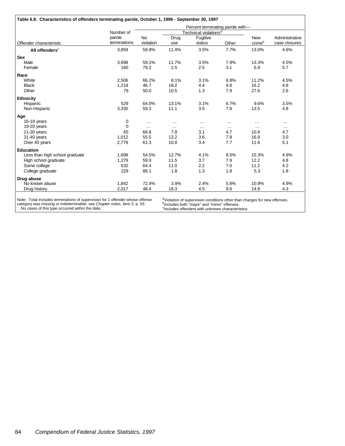|                                |                        |                        |             | Percent terminating parole with-  |               |                      |                                 |
|--------------------------------|------------------------|------------------------|-------------|-----------------------------------|---------------|----------------------|---------------------------------|
|                                | Number of              |                        |             | Technical violations <sup>a</sup> |               |                      |                                 |
| Offender characteristic        | parole<br>terminations | <b>No</b><br>violation | Drug<br>use | Fugitive<br>status                | Other         | <b>New</b><br>crimeb | Administrative<br>case closures |
| All offenders <sup>c</sup>     | 3,859                  | 59.9%                  | 11.4%       | 3.5%                              | 7.7%          | 13.0%                | 4.6%                            |
| <b>Sex</b>                     |                        |                        |             |                                   |               |                      |                                 |
| Male                           | 3,698                  | 59.1%                  | 11.7%       | 3.5%                              | 7.9%          | 13.3%                | 4.5%                            |
| Female                         | 160                    | 79.2                   | 2.5         | 2.5                               | 3.1           | 6.9                  | 5.7                             |
| Race                           |                        |                        |             |                                   |               |                      |                                 |
| White                          | 2,506                  | 66.2%                  | 8.1%        | 3.1%                              | 6.8%          | 11.2%                | 4.5%                            |
| <b>Black</b>                   | 1,218                  | 46.7                   | 18.2        | 4.4                               | 9.8           | 16.2                 | 4.8                             |
| Other                          | 79                     | 50.0                   | 10.5        | 1.3                               | 7.9           | 27.6                 | 2.6                             |
| <b>Ethnicity</b>               |                        |                        |             |                                   |               |                      |                                 |
| Hispanic                       | 529                    | 64.0%                  | 13.1%       | 3.1%                              | 6.7%          | 9.6%                 | 3.5%                            |
| Non-Hispanic                   | 3,330                  | 59.3                   | 11.1        | 3.5                               | 7.8           | 13.5                 | 4.8                             |
| Age                            |                        |                        |             |                                   |               |                      |                                 |
| 16-18 years                    | 0                      | $\cdots$               | $\cdots$    | $\cdots$                          | $\cdots$      | $\cdots$             | $\cdots$                        |
| 19-20 years                    | $\Omega$               | $\cdots$               | $\cdots$    | $\cdots$                          | $\sim$ $\sim$ |                      | $\cdots$                        |
| $21-30$ years                  | 65                     | 68.8                   | 7.8         | 3.1                               | 4.7           | 10.9                 | 4.7                             |
| 31-40 years                    | 1,012                  | 55.5                   | 13.2        | 3.6                               | 7.8           | 16.9                 | 3.0                             |
| Over 40 years                  | 2,779                  | 61.3                   | 10.8        | 3.4                               | 7.7           | 11.6                 | 5.1                             |
| <b>Education</b>               |                        |                        |             |                                   |               |                      |                                 |
| Less than high school graduate | 1.698                  | 54.5%                  | 12.7%       | 4.1%                              | 8.5%          | 15.3%                | 4.9%                            |
| High school graduate           | 1,279                  | 59.9                   | 11.5        | 3.7                               | 7.9           | 12.2                 | 4.8                             |
| Some college                   | 632                    | 64.4                   | 11.0        | 2.2                               | 7.0           | 11.2                 | 4.2                             |
| College graduate               | 229                    | 88.1                   | 1.8         | 1.3                               | 1.8           | 5.3                  | 1.8                             |
| Drug abuse                     |                        |                        |             |                                   |               |                      |                                 |
| No known abuse                 | 1,842                  | 72.4%                  | 3.9%        | 2.4%                              | 5.6%          | 10.9%                | 4.9%                            |
| Drug history                   | 2.017                  | 48.4                   | 18.3        | 4.5                               | 9.6           | 14.9                 | 4.3                             |

Note: Total includes terminations of supervision for 1 offender whose offense category was missing or indeterminable; see *Chapter notes,* item 3, p. 93. …No cases of this type occurred within the data.

<sup>a</sup>Violation of supervision conditions other than charges for new offenses.<br><sup>b</sup>Includes both "major" and "minor" offenses.<br><sup>c</sup>Includes offenders with unknown characteristics.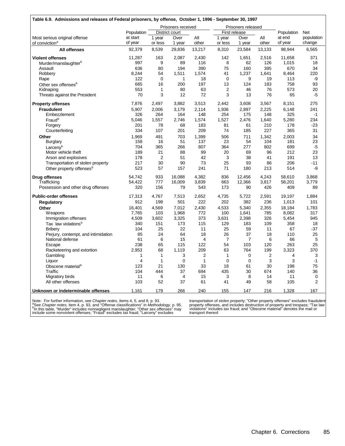|                                      |                |              | Prisoners received |                |                | Prisoners released |        |                |                |
|--------------------------------------|----------------|--------------|--------------------|----------------|----------------|--------------------|--------|----------------|----------------|
|                                      | Population     |              | District court     |                |                | First release      |        | Population     | Net            |
| Most serious original offense        | at start       | 1 year       | Over               | All            | 1 year         | Over               | All    | at end         | population     |
| of conviction <sup>a</sup>           | of year        | or less      | 1 year             | other          | or less        | 1 year             | other  | of year        | change         |
| <b>All offenses</b>                  | 92,379         | 8,539        | 29,836             | 13,217         | 8,310          | 23,584             | 13,133 | 98,944         | 6,565          |
| <b>Violent offenses</b>              | 11,287         | 163          | 2,087              | 2,430          | 142            | 1,651              | 2,516  | 11,658         | 371            |
| Murder/manslaughter <sup>b</sup>     | 997            | 9            | 89                 | 116            | 8              | 62                 | 126    | 1,015          | 18             |
| Assault                              | 636            | 80           | 194                | 390            | 75             | 160                | 395    | 670            | 34             |
| Robbery                              | 8,244          | 54           | 1,511              | 1,574          | 41             | 1,237              | 1,641  | 8,464          | 220            |
| Rape                                 | 122            | $\mathbf 0$  | $\mathbf{1}$       | 18             | $\mathbf 0$    | 9                  | 19     | 113            | -9             |
| Other sex offenses <sup>b</sup>      | 665            | 16           | 200                | 197            | 13             | 124                | 183    | 758            | 93             |
| Kidnaping                            | 553            | $\mathbf{1}$ | 80                 | 63             | $\overline{2}$ | 46                 | 76     | 573            | 20             |
| Threats against the President        | 70             | 3            | 12                 | 72             | 3              | 13                 | 76     | 65             | $-5$           |
| <b>Property offenses</b>             | 7,876          | 2,497        | 3,882              | 3,513          | 2,442          | 3,608              | 3,567  | 8,151          | 275            |
| <b>Fraudulent</b>                    | 5,907          | 2,006        | 3,179              | 2,114          | 1,936          | 2,897              | 2,225  | 6,148          | 241            |
| Embezzlement                         | 326            | 264          | 164                | 148            | 254            | 175                | 148    | 325            | $-1$           |
| Fraud <sup>b</sup>                   | 5,046          | 1,557        | 2,746              | 1,574          | 1,527          | 2,476              | 1,640  | 5,280          | 234            |
| Forgery                              | 201            | 78           | 68                 | 183            | 81             | 61                 | 210    | 178            | $-23$          |
| Counterfeiting                       | 334            | 107          | 201                | 209            | 74             | 185                | 227    | 365            | 31             |
| Other                                | 1,969          | 491          | 703                | 1,399          | 506            | 711                | 1,342  | 2,003          | 34             |
| <b>Burglary</b>                      | 158            | 16           | 51                 | 137            | 23             | 54                 | 104    | 181            | 23             |
| Larcenv <sup>b</sup>                 | 704            | 365          | 266                | 807            | 364            | 277                | 802    | 699            | -5             |
| Motor vehicle theft                  | 189            | 21           | 88                 | 99             | 20             | 69                 | 96     | 212            | 23             |
| Arson and explosives                 | 178            | 2            | 51                 | 42             | 3              | 38                 | 41     | 191            | 13             |
| Transportation of stolen property    | 217            | 30           | 90                 | 73             | 25             | 93                 | 86     | 206            | $-11$          |
| Other property offenses <sup>b</sup> | 523            | 57           | 157                | 241            | 71             | 180                | 213    | 514            | -9             |
| <b>Drug offenses</b>                 | 54.742         | 933          | 16,088             | 4,382          | 836            | 12,456             | 4,243  | 58,610         | 3,868          |
| Trafficking                          | 54,422         | 777          | 16,009             | 3,839          | 663            | 12,366             | 3,817  | 58,201         | 3,779          |
| Possession and other drug offenses   | 320            | 156          | 79                 | 543            | 173            | 90                 | 426    | 409            | 89             |
| <b>Public-order offenses</b>         | 17,313         | 4,767        | 7,513              | 2,652          | 4,735          | 5,722              | 2,591  | 19,197         | 1,884          |
| <b>Regulatory</b>                    | 912            | 198          | 501                | 222            | 202            | 382                | 236    | 1,013          | 101            |
| Other                                | 16,401         | 4,569        | 7,012              | 2,430          | 4,533          | 5,340              | 2,355  | 18,184         | 1,783          |
| <b>Weapons</b>                       | 7,765          | 103          | 1,968              | 772            | 100            | 1,641              | 785    | 8,082          | 317            |
| Immigration offenses                 | 4,509          | 3,602        | 3,325              | 373            | 3,631          | 2,398              | 326    | 5,454          | 945            |
| Tax law violations <sup>b</sup>      | 340            | 151          | 173                | 115            | 129            | 183                | 109    | 358            | 18             |
| <b>Bribery</b>                       | 104            | 25           | 22                 | 11             | 25             | 59                 | 11     | 67             | -37            |
| Perjury, contempt, and intimidation  | 85             | 24           | 64                 | 18             | 26             | 37                 | 18     | 110            | 25             |
| National defense                     | 61             | 6            | 15                 | $\overline{4}$ | $\overline{7}$ | $\overline{7}$     | 6      | 66             | 5              |
| Escape                               | 238            | 65           | 115                | 122            | 54             | 103                | 120    | 263            | 25             |
| Racketeering and extortion           | 2,953          | 68           | 1,119              | 209            | 63             | 764                | 199    | 3,323          | 370            |
| Gambling                             | $\mathbf{1}$   | $\mathbf{1}$ | 3                  | $\overline{2}$ | $\mathbf{1}$   | $\mathbf 0$        | 2      | $\overline{4}$ | 3              |
| Liquor                               | $\overline{4}$ | $\mathbf{1}$ | $\mathbf 0$        | $\mathbf{1}$   | 0              | $\mathbf 0$        | 3      | 3              | $-1$           |
| Obscene material <sup>b</sup>        | 123            | 21           | 130                | 33             | 18             | 61                 | 30     | 198            | 75             |
| Traffic                              | 104            | 444          | 37                 | 694            | 435            | 30                 | 674    | 140            | 36             |
| <b>Migratory birds</b>               | 11             | 6            | 4                  | 15             | 3              | 8                  | 14     | 11             | 0              |
| All other offenses                   | 103            | 52           | 37                 | 61             | 41             | 49                 | 58     | 105            | $\overline{2}$ |
| Unknown or indeterminable offenses   | 1,161          | 179          | 266                | 240            | 155            | 147                | 216    | 1,328          | 167            |

Note: For further information, see *Chapter notes,* items 4, 5, and 8, p. 93.<br><sup>a</sup>See *Chapter notes,* item 4, p. 93, and "Offense classifications" in *Methodology,* p. 95.<br><sup>b</sup>In this table, "Murder" includes nonnegligent m

transportation of stolen property; "Other property offenses" excludes fraudulent<br>property offenses, and includes destruction of property and trespass; "Tax law<br>violations" includes tax fraud; and "Obscene material" denotes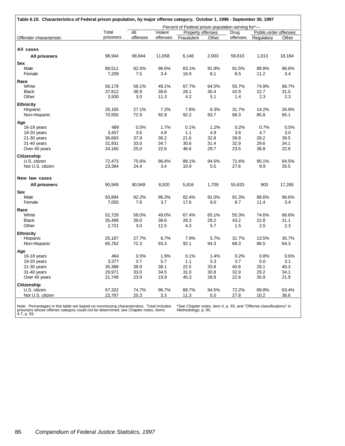|                         | Total     | All      | Violent  | Percent of Federal prison population serving for*-<br>Property offenses |       | Drug     | Public-order offenses |        |
|-------------------------|-----------|----------|----------|-------------------------------------------------------------------------|-------|----------|-----------------------|--------|
| Offender characteristic | prisoners | offenses | offenses | Fraudulent                                                              | Other | offenses | Regulatory            | Other  |
|                         |           |          |          |                                                                         |       |          |                       |        |
| All cases               |           |          |          |                                                                         |       |          |                       |        |
| <b>All prisoners</b>    | 98,944    | 98,944   | 11,658   | 6,148                                                                   | 2,003 | 58,610   | 1,013                 | 18,184 |
| <b>Sex</b>              |           |          |          |                                                                         |       |          |                       |        |
| Male                    | 89,511    | 92.5%    | 96.6%    | 83.1%                                                                   | 91.9% | 91.5%    | 88.8%                 | 96.6%  |
| Female                  | 7,209     | 7.5      | 3.4      | 16.9                                                                    | 8.1   | 8.5      | 11.2                  | 3.4    |
| Race                    |           |          |          |                                                                         |       |          |                       |        |
| White                   | 56,178    | 58.1%    | 49.1%    | 67.7%                                                                   | 64.5% | 55.7%    | 74.9%                 | 66.7%  |
| <b>Black</b>            | 37,612    | 38.9     | 39.6     | 28.1                                                                    | 30.4  | 42.9     | 22.7                  | 31.0   |
| Other                   | 2,930     | 3.0      | 11.3     | 4.2                                                                     | 5.1   | 1.4      | 2.3                   | 2.3    |
| <b>Ethnicity</b>        |           |          |          |                                                                         |       |          |                       |        |
| Hispanic                | 26,165    | 27.1%    | 7.2%     | 7.8%                                                                    | 6.3%  | 31.7%    | 14.2%                 | 34.9%  |
| Non-Hispanic            | 70,555    | 72.9     | 92.8     | 92.2                                                                    | 93.7  | 68.3     | 85.8                  | 65.1   |
| Age                     |           |          |          |                                                                         |       |          |                       |        |
| 16-18 years             | 489       | 0.5%     | 1.7%     | 0.1%                                                                    | 1.2%  | 0.2%     | 0.7%                  | 0.5%   |
| 19-20 years             | 3,457     | 3.6      | 4.9      | 1.1                                                                     | 4.9   | 3.6      | 4.7                   | 3.0    |
| 21-30 years             | 36,683    | 37.9     | 36.2     | 21.6                                                                    | 32.8  | 39.8     | 28.2                  | 39.5   |
| 31-40 years             | 31,931    | 33.0     | 34.7     | 30.6                                                                    | 31.4  | 32.9     | 29.6                  | 34.1   |
| Over 40 years           | 24,160    | 25.0     | 22.6     | 46.6                                                                    | 29.7  | 23.5     | 36.8                  | 22.8   |
| Citizenship             |           |          |          |                                                                         |       |          |                       |        |
| U.S. citizen            | 72,473    | 75.6%    | 96.6%    | 89.1%                                                                   | 94.5% | 72.4%    | 90.1%                 | 64.5%  |
| Not U.S. citizen        | 23,384    | 24.4     | 3.4      | 10.9                                                                    | 5.5   | 27.6     | 9.9                   | 35.5   |
| New law cases           |           |          |          |                                                                         |       |          |                       |        |
| <b>All prisoners</b>    | 90,949    | 90,949   | 8,920    | 5,816                                                                   | 1,709 | 55,633   | 903                   | 17,285 |
| <b>Sex</b>              |           |          |          |                                                                         |       |          |                       |        |
| Male                    | 83,894    | 92.2%    | 96.3%    | 82.4%                                                                   | 91.0% | 91.3%    | 88.6%                 | 96.6%  |
| Female                  | 7,055     | 7.8      | 3.7      | 17.6                                                                    | 9.0   | 8.7      | 11.4                  | 3.4    |
| Race                    |           |          |          |                                                                         |       |          |                       |        |
| White                   | 52,729    | 58.0%    | 49.0%    | 67.4%                                                                   | 65.1% | 55.3%    | 74.6%                 | 66.6%  |
| <b>Black</b>            | 35,499    | 39.0     | 38.6     | 28.3                                                                    | 29.2  | 43.2     | 22.8                  | 31.1   |
| Other                   | 2,721     | 3.0      | 12.5     | 4.3                                                                     | 5.7   | 1.5      | 2.5                   | 2.3    |
| <b>Ethnicity</b>        |           |          |          |                                                                         |       |          |                       |        |
| Hispanic                | 25,187    | 27.7%    | 6.7%     | 7.9%                                                                    | 5.7%  | 31.7%    | 13.5%                 | 35.7%  |
| Non-Hispanic            | 65,762    | 72.3     | 93.3     | 92.1                                                                    | 94.3  | 68.3     | 86.5                  | 64.3   |
| Age                     |           |          |          |                                                                         |       |          |                       |        |
| 16-18 years             | 464       | 0.5%     | 1.9%     | 0.1%                                                                    | 1.4%  | 0.2%     | 0.8%                  | 0.6%   |
| 19-20 years             | 3,377     | 3.7      | 5.7      | 1.1                                                                     | 5.3   | 3.7      | 5.0                   | 3.1    |
| $21-30$ years           | 35,388    | 38.9     | 38.1     | 22.5                                                                    | 33.8  | 40.6     | 29.1                  | 40.3   |
| 31-40 years             | 29,971    | 33.0     | 34.5     | 31.0                                                                    | 30.8  | 32.9     | 29.2                  | 34.1   |
| Over 40 years           | 21,749    | 23.9     | 19.9     | 45.3                                                                    | 28.8  | 22.6     | 35.9                  | 21.9   |
| <b>Citizenship</b>      |           |          |          |                                                                         |       |          |                       |        |
| U.S. citizen            | 67,322    | 74.7%    | 96.7%    | 88.7%                                                                   | 94.5% | 72.2%    | 89.8%                 | 63.4%  |
| Not U.S. citizen        | 22,787    | 25.3     | 3.3      | 11.3                                                                    | 5.5   | 27.8     | 10.2                  | 36.6   |

Note: Percentages in this table are based on nonmissing characteristics. Total includes prisoners whose offense category could not be determined; see *Chapter notes*, items 4-7, p. 93.

\*See *Chapter notes,* item 4, p. 93, and "Offense classifications" in *Methodology,* p. 95.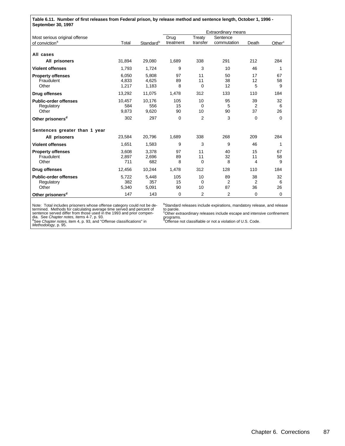| Table 6.11. Number of first releases from Federal prison, by release method and sentence length, October 1, 1996 -<br>September 30, 1997 |        |                       |           |                |                     |          |                    |  |  |
|------------------------------------------------------------------------------------------------------------------------------------------|--------|-----------------------|-----------|----------------|---------------------|----------|--------------------|--|--|
|                                                                                                                                          |        |                       |           |                | Extraordinary means |          |                    |  |  |
| Most serious original offense                                                                                                            |        |                       | Drug      | Treaty         | Sentence            |          |                    |  |  |
| of conviction <sup>a</sup>                                                                                                               | Total  | Standard <sup>b</sup> | treatment | transfer       | commutation         | Death    | Other <sup>c</sup> |  |  |
| All cases                                                                                                                                |        |                       |           |                |                     |          |                    |  |  |
| All prisoners                                                                                                                            | 31.894 | 29,080                | 1.689     | 338            | 291                 | 212      | 284                |  |  |
| <b>Violent offenses</b>                                                                                                                  | 1,793  | 1.724                 | 9         | 3              | 10                  | 46       | 1                  |  |  |
| <b>Property offenses</b>                                                                                                                 | 6.050  | 5.808                 | 97        | 11             | 50                  | 17       | 67                 |  |  |
| Fraudulent                                                                                                                               | 4,833  | 4,625                 | 89        | 11             | 38                  | 12       | 58                 |  |  |
| Other                                                                                                                                    | 1,217  | 1,183                 | 8         | 0              | 12                  | 5        | 9                  |  |  |
| <b>Drug offenses</b>                                                                                                                     | 13,292 | 11,075                | 1,478     | 312            | 133                 | 110      | 184                |  |  |
| <b>Public-order offenses</b>                                                                                                             | 10.457 | 10,176                | 105       | 10             | 95                  | 39       | 32                 |  |  |
| Regulatory                                                                                                                               | 584    | 556                   | 15        | $\Omega$       | 5                   | 2        | 6                  |  |  |
| Other                                                                                                                                    | 9,873  | 9,620                 | 90        | 10             | 90                  | 37       | 26                 |  |  |
| Other prisoners <sup>d</sup>                                                                                                             | 302    | 297                   | $\Omega$  | $\overline{2}$ | 3                   | $\Omega$ | $\Omega$           |  |  |
| Sentences greater than 1 year                                                                                                            |        |                       |           |                |                     |          |                    |  |  |
| All prisoners                                                                                                                            | 23,584 | 20,796                | 1,689     | 338            | 268                 | 209      | 284                |  |  |
| <b>Violent offenses</b>                                                                                                                  | 1,651  | 1,583                 | 9         | 3              | 9                   | 46       | 1                  |  |  |
| <b>Property offenses</b>                                                                                                                 | 3.608  | 3.378                 | 97        | 11             | 40                  | 15       | 67                 |  |  |
| Fraudulent                                                                                                                               | 2,897  | 2,696                 | 89        | 11             | 32                  | 11       | 58                 |  |  |
| Other                                                                                                                                    | 711    | 682                   | 8         | $\Omega$       | 8                   | 4        | 9                  |  |  |
| Drug offenses                                                                                                                            | 12.456 | 10,244                | 1.478     | 312            | 128                 | 110      | 184                |  |  |
| <b>Public-order offenses</b>                                                                                                             | 5,722  | 5,448                 | 105       | 10             | 89                  | 38       | 32                 |  |  |
| Regulatory                                                                                                                               | 382    | 357                   | 15        | $\Omega$       | 2                   | 2        | 6                  |  |  |
| Other                                                                                                                                    | 5,340  | 5,091                 | 90        | 10             | 87                  | 36       | 26                 |  |  |
| Other prisoners <sup>d</sup>                                                                                                             | 147    | 143                   | $\Omega$  | 2              | 2                   | $\Omega$ | $\mathbf 0$        |  |  |

Note: Total includes prisoners whose offense category could not be determined. Methods for calculating average time served differ from those used in the 1993 and prior compendia. See *Chapter notes*, items 4-7, p. 93.<br>See

bStandard releases include expirations, mandatory release, and release to parole.<br>°Other extraordinary releases include escape and intensive confinement<br>programs.<br>°Offense not classifiable or not a violation of U.S. Code.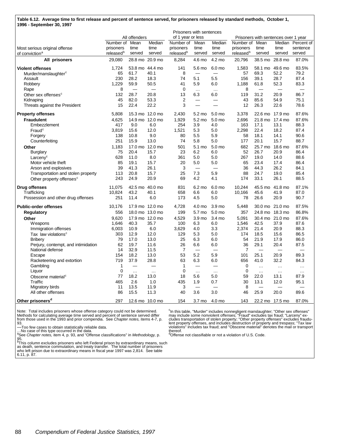| Table 6.12. Average time to first release and percent of sentence served, for prisoners released by standard methods, October 1, |  |
|----------------------------------------------------------------------------------------------------------------------------------|--|
| 1996 - September 30, 1997                                                                                                        |  |

|                                      | Prisoners with sentences |               |                 |                       |                          |          |                       |                          |                                      |                   |
|--------------------------------------|--------------------------|---------------|-----------------|-----------------------|--------------------------|----------|-----------------------|--------------------------|--------------------------------------|-------------------|
|                                      |                          | All offenders |                 | of 1 year or less     |                          |          |                       |                          | Prisoners with sentences over 1 year |                   |
|                                      | Number of                | Mean          | Median          | Number of             | Mean                     | Median   | Number of             | Mean                     |                                      | Median Percent of |
| Most serious original offense        | prisoners                | time          | time            | prisoners             | time                     | time     | prisoners             | time                     | time                                 | sentence          |
| of conviction <sup>a</sup>           | released <sup>b</sup>    | served        | served          | released <sup>b</sup> | served                   | served   | released <sup>b</sup> | served                   | served                               | served            |
| All prisoners                        | 29,080                   |               | 28.8 mo 20.9 mo | 8,284                 | 4.6 mo                   | 4.2 mo   | 20,796                | 38.5 mo                  | 28.8 mo                              | 87.0%             |
| <b>Violent offenses</b>              | 1,724                    |               | 53.8 mo 44.4 mo | 141                   | 5.6 mo                   | 6.0 mo   | 1,583                 | 58.1 mo                  | 49.6 mo                              | 83.5%             |
| Murder/manslaughter <sup>c</sup>     | 65                       | 61.7          | 40.1            | 8                     |                          |          | 57                    | 69.3                     | 52.2                                 | 79.2              |
| Assault                              | 230                      | 28.2          | 18.3            | 74                    | 5.1                      | 5.5      | 156                   | 39.1                     | 28.7                                 | 87.4              |
| Robbery                              | 1.229                    | 59.9          | 50.5            | 41                    | 5.9                      | 6.0      | 1,188                 | 61.8                     | 52.3                                 | 83.3              |
| Rape                                 | 8                        |               | $\equiv$        | $\mathbf 0$           | $\ldots$                 | $\cdots$ | 8                     | $\overline{\phantom{0}}$ | $\overline{\phantom{0}}$             |                   |
| Other sex offenses <sup>c</sup>      | 132                      | 28.7          | 20.8            | 13                    | 6.3                      | 6.0      | 119                   | 31.2                     | 20.9                                 | 86.7              |
| Kidnaping                            | 45                       | 82.0          | 53.3            | $\overline{2}$        | $\equiv$                 |          | 43                    | 85.6                     | 54.9                                 | 75.1              |
| Threats against the President        | 15                       | 22.4          | 22.2            | 3                     | $\overline{\phantom{0}}$ |          | 12                    | 26.3                     | 22.6                                 | 78.6              |
| <b>Property offenses</b>             | 5,808                    |               | 15.3 mo 12.0 mo | 2,430                 | 5.2 mo                   | 5.0 mo   | 3,378                 |                          | 22.6 mo 17.9 mo                      | 87.6%             |
| <b>Fraudulent</b>                    | 4,625                    |               | 14.9 mo 12.0 mo | 1,929                 | 5.2 mo                   | 5.0 mo   | 2,696                 | 21.8 mo                  | 17.4 mo                              | 87.6%             |
| Embezzlement                         | 417                      | 9.0           | 6.0             | 254                   | 3.9                      | 4.0      | 163                   | 17.1                     | 13.1                                 | 88.3              |
| $\mathsf{F}$ raud $^\mathsf{c}$      | 3,819                    | 15.6          | 12.0            | 1,521                 | 5.3                      | 5.0      | 2,298                 | 22.4                     | 18.2                                 | 87.4              |
| Forgery                              | 138                      | 10.8          | 9.0             | 80                    | 5.5                      | 5.9      | 58                    | 18.1                     | 14.1                                 | 90.6              |
| Counterfeiting                       | 251                      | 15.9          | 13.0            | 74                    | 5.8                      | 5.0      | 177                   | 20.1                     | 15.7                                 | 88.7              |
| Other                                | 1,183                    |               | 17.0 mo 12.0 mo | 501                   | 5.1 mo                   | 5.0 mo   | 682                   | 25.7 mo                  | 18.6 mo                              | 87.6%             |
| <b>Burglary</b>                      | 75                       | 20.4          | 15.7            | 23                    | 6.2                      | 6.0      | 52                    | 26.7                     | 20.9                                 | 86.4              |
| Larceny <sup>c</sup>                 | 628                      | 11.0          | 8.0             | 361                   | 5.0                      | 5.0      | 267                   | 19.0                     | 14.0                                 | 88.6              |
| Motor vehicle theft                  | 85                       | 19.1          | 15.7            | 20                    | 5.0                      | 5.0      | 65                    | 23.4                     | 17.4                                 | 86.4              |
| Arson and explosives                 | 39                       | 41.3          | 26.1            | 3                     | $\overline{\phantom{0}}$ |          | 36                    | 44.3                     | 26.2                                 | 84.1              |
| Transportation and stolen property   | 113                      | 20.8          | 15.7            | 25                    | 7.3                      | 5.9      | 88                    | 24.7                     | 19.0                                 | 85.4              |
| Other property offenses <sup>c</sup> | 243                      | 24.9          | 20.9            | 69                    | 4.2                      | 4.1      | 174                   | 33.1                     | 26.1                                 | 88.5              |
| Drug offenses                        | 11,075                   |               | 42.5 mo 40.0 mo | 831                   | 6.2 mo                   | 6.0 mo   | 10,244                | 45.5 mo                  | 41.8 mo                              | 87.1%             |
| Trafficking                          | 10,824                   | 43.2          | 40.1            | 658                   | 6.6                      | 6.0      | 10,166                | 45.6                     | 41.9                                 | 87.0              |
| Possession and other drug offenses   | 251                      | 11.4          | 6.0             | 173                   | 4.5                      | 5.0      | 78                    | 26.6                     | 20.9                                 | 90.7              |
| <b>Public-order offenses</b>         | 10,176                   |               | 17.9 mo 12.0 mo | 4,728                 | 4.0 mo                   | 3.9 mo   | 5,448                 |                          | 30.0 mo 21.0 mo                      | 87.5%             |
| <b>Regulatory</b>                    | 556                      |               | 18.0 mo 13.0 mo | 199                   | 5.7 mo                   | 5.0 mo   | 357                   |                          | 24.8 mo 18.3 mo                      | 86.8%             |
| Other                                | 9,620                    |               | 17.9 mo 12.0 mo | 4,529                 | 3.9 mo                   | 3.4 mo   | 5,091                 |                          | 30.4 mo 21.0 mo                      | 87.6%             |
| <b>Weapons</b>                       | 1,646                    | 40.3          | 35.7            | 100                   | 6.3                      | 6.0      | 1,546                 | 42.5                     | 37.9                                 | 87.6              |
| Immigration offenses                 | 6,003                    | 10.9          | 6.0             | 3,629                 | 4.0                      | 3.3      | 2,374                 | 21.4                     | 20.9                                 | 88.3              |
| Tax law violations <sup>c</sup>      | 303                      | 12.9          | 12.0            | 129                   | 5.3                      | 5.0      | 174                   | 18.5                     | 15.6                                 | 86.5              |
| <b>Bribery</b>                       | 79                       | 17.0          | 13.0            | 25                    | 6.3                      | 6.0      | 54                    | 21.9                     | 17.9                                 | 86.0              |
| Perjury, contempt, and intimidation  | 62                       | 19.7          | 11.6            | 26                    | 6.6                      | 6.0      | 36                    | 29.1                     | 20.4                                 | 87.5              |
| National defense                     | 14                       | 32.9          | 11.5            | $\overline{7}$        | $\overline{\phantom{0}}$ |          | $\overline{7}$        | $\equiv$                 | $\overline{\phantom{0}}$             |                   |
| Escape                               | 154                      | 18.2          | 13.0            | 53                    | 5.2                      | 5.9      | 101                   | 25.1                     | 20.9                                 | 89.3              |
| Racketeering and extortion           | 719                      | 37.9          | 28.8            | 63                    | 6.3                      | 6.0      | 656                   | 41.0                     | 32.2                                 | 84.3              |
| Gambling                             | $\mathbf{1}$             | $\frac{1}{2}$ |                 | 1                     | $\frac{1}{2}$            |          | $\mathbf 0$           | $\ldots$                 | $\ddotsc$                            | $\cdots$          |
| Liquor                               | $\mathbf 0$              | $\cdots$      | $\ddotsc$       | $\mathbf{0}$          | $\ldots$                 | $\cdots$ | $\Omega$              | $\ddotsc$                | $\cdots$                             | $\cdots$          |
| Obscene material <sup>c</sup>        | 77                       | 18.2          | 13.0            | 18                    | 5.6                      | 5.0      | 59                    | 22.0                     | 13.1                                 | 87.9              |
| Traffic                              | 465                      | 2.6           | 1.0             | 435                   | 1.9                      | 0.7      | 30                    | 13.1                     | 12.0                                 | 95.1              |
| Migratory birds                      | 11                       | 13.5          | 11.9            | 3                     | $\frac{1}{2}$            | $\sim$   | 8                     | $\frac{1}{2}$            | $\overline{\phantom{0}}$             |                   |
| All other offenses                   | 86                       | 15.5          | 11.3            | 40                    | 3.6                      | 3.0      | 46                    | 25.9                     | 20.0                                 | 89.6              |
| Other prisoners <sup>d</sup>         | 297                      |               | 12.6 mo 10.0 mo | 154                   | 3.7 <sub>mo</sub>        | 4.0 mo   | 143                   |                          | 22.2 mo 17.5 mo                      | 87.0%             |

Note: Total includes prisoners whose offense category could not be determined.<br>Methods for calculating average time served and percent of sentence served differ<br>from those used in the 1993 and prior compendia. See *Chapter* 

—Too few cases to obtain statistically reliable data.

…No case of this type occurred in the data. <sup>a</sup>See *Chapter notes,* item 4, p. 93, and "Offense classifications" in *Methodology,* p.

95.<br><sup>b</sup>This column excludes prisoners who left Federal prison by extraordinary means, such<br>as death, sentence commutation, and treaty transfer. The total number of prisoners<br>who left prison due to extraordinary means in fi

6.11, p. 87.

<sup>c</sup>In this table, "Murder" includes nonnegligent manslaughter; "Other sex offenses"<br>may include some nonviolent offenses; "Fraud" excludes tax fraud; "Larceny" ex-<br>cludes transportation of stolen property; "Other property thereof.<br><sup>d</sup>Offense not classifiable or not a violation of U.S. Code.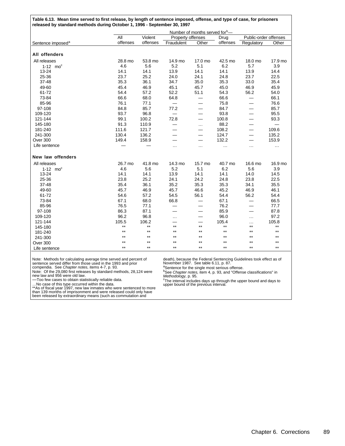| Table 6.13. Mean time served to first release, by length of sentence imposed, offense, and type of case, for prisoners<br>released by standard methods during October 1, 1996 - September 30, 1997 |          |              |                          |                                            |                 |                          |                 |
|----------------------------------------------------------------------------------------------------------------------------------------------------------------------------------------------------|----------|--------------|--------------------------|--------------------------------------------|-----------------|--------------------------|-----------------|
|                                                                                                                                                                                                    |          |              |                          | Number of months served for <sup>b</sup> — |                 |                          |                 |
|                                                                                                                                                                                                    | All      | Violent      | Property offenses        |                                            | Drug            | Public-order offenses    |                 |
| Sentence imposed <sup>a</sup>                                                                                                                                                                      | offenses | offenses     | Fraudulent               | Other                                      | offenses        | Regulatory               | Other           |
|                                                                                                                                                                                                    |          |              |                          |                                            |                 |                          |                 |
| All offenders                                                                                                                                                                                      |          |              |                          |                                            |                 |                          |                 |
| All releases                                                                                                                                                                                       | 28.8 mo  | 53.8 mo      | 14.9 mo                  | 17.0 mo                                    | 42.5 mo         | 18.0 mo                  | 17.9 mo         |
| $1-12$ mo <sup>c</sup>                                                                                                                                                                             | 4.6      | 5.6          | 5.2                      | 5.1                                        | 6.2             | 5.7                      | 3.9             |
| 13-24                                                                                                                                                                                              | 14.1     | 14.1         | 13.9                     | 14.1                                       | 14.1            | 13.9                     | 14.4            |
| 25-36                                                                                                                                                                                              | 23.7     | 25.2         | 24.0                     | 24.1                                       | 24.8            | 23.7                     | 22.5            |
| 37-48                                                                                                                                                                                              | 35.3     | 36.1         | 34.7                     | 35.0                                       | 35.3            | 33.0                     | 35.4            |
| 49-60                                                                                                                                                                                              | 45.4     | 46.9         | 45.1                     | 45.7                                       | 45.0            | 46.9                     | 45.9            |
| 61-72                                                                                                                                                                                              | 54.4     | 57.2         | 52.2                     | 51.1                                       | 54.3            | 56.2                     | 54.0            |
| 73-84                                                                                                                                                                                              | 66.6     | 68.0         | 64.8                     |                                            | 66.6            |                          | 66.1            |
| 85-96                                                                                                                                                                                              | 76.1     | 77.1         | $\overline{\phantom{0}}$ | $\overline{\phantom{0}}$                   | 75.8            | $\overline{\phantom{0}}$ | 76.6            |
| 97-108                                                                                                                                                                                             | 84.8     | 85.7         | 77.2                     |                                            | 84.7            | $\overline{\phantom{0}}$ | 85.7            |
| 109-120                                                                                                                                                                                            | 93.7     | 96.8         |                          | $\equiv$                                   | 93.8            |                          | 95.5            |
| 121-144                                                                                                                                                                                            | 99.1     | 100.2        | 72.8                     | $\equiv$                                   | 100.8           |                          | 93.3            |
| 145-180                                                                                                                                                                                            | 91.3     | 110.9        | e.                       | $\cdots$                                   | 88.2            | $\equiv$                 |                 |
| 181-240                                                                                                                                                                                            | 111.6    | 121.7        |                          | $\overline{\phantom{0}}$                   | 108.2           | —                        | 109.6           |
| 241-300                                                                                                                                                                                            | 130.4    | 136.2        |                          | $\equiv$                                   | 124.7           | —                        | 135.2           |
| Over 300                                                                                                                                                                                           | 149.4    | 158.9        |                          | $\qquad \qquad$                            | 132.2           |                          | 153.9           |
| Life sentence                                                                                                                                                                                      |          |              | .                        | $\ldots$                                   | $\ldots$        | $\cdots$                 | $\cdots$        |
| <b>New law offenders</b>                                                                                                                                                                           |          |              |                          |                                            |                 |                          |                 |
| All releases                                                                                                                                                                                       | 26.7 mo  | 41.8 mo      | 14.3 mo                  | 15.7 mo                                    | 40.7 mo         | 16.6 mo                  | 16.9 mo         |
| $1-12$ mo <sup>c</sup>                                                                                                                                                                             | 4.6      | 5.6          | 5.2                      | 5.1                                        | 6.2             | 5.6                      | 3.9             |
| 13-24                                                                                                                                                                                              | 14.1     | 14.1         | 13.9                     | 14.1                                       | 14.1            | 14.0                     | 14.5            |
| 25-36                                                                                                                                                                                              | 23.8     | 25.2         | 24.1                     | 24.2                                       | 24.8            | 23.8                     | 22.5            |
| 37-48                                                                                                                                                                                              | 35.4     | 36.1         | 35.2                     | 35.3                                       | 35.3            | 34.1                     | 35.5            |
| 49-60                                                                                                                                                                                              | 45.7     | 46.9         | 45.7                     | 46.6                                       | 45.2            | 46.9                     | 46.1            |
| 61-72                                                                                                                                                                                              | 54.6     | 57.2         | 54.5                     | 56.1                                       | 54.4            | 56.2                     | 54.4            |
| 73-84                                                                                                                                                                                              | 67.1     | 68.0         | 66.8                     |                                            | 67.1            | $\overline{\phantom{0}}$ | 66.5            |
| 85-96                                                                                                                                                                                              | 76.5     | 77.1         |                          |                                            | 76.2            |                          | 77.7            |
| 97-108                                                                                                                                                                                             | 86.3     | 87.1         | $\equiv$                 | —                                          | 85.9            | $\equiv$                 | 87.8            |
| 109-120                                                                                                                                                                                            | 96.2     | 96.8         | .                        | $\equiv$                                   | 96.0            | $\cdots$                 | 97.2            |
| 121-144                                                                                                                                                                                            | 105.5    | 106.2        |                          |                                            | 105.4           | $\cdots$                 | 105.8           |
| 145-180                                                                                                                                                                                            | $***$    | $\star\star$ | $***$                    | $\star\star$                               | $^{\star\star}$ | $***$                    | $^{\star\star}$ |
| 181-240                                                                                                                                                                                            | $***$    | $***$        | $***$                    | $***$                                      | $***$           | $***$                    | $***$           |
| 241-300                                                                                                                                                                                            | $***$    | $***$        | $***$                    | $***$                                      | $\star\star$    | $***$                    | $***$           |
| Over 300                                                                                                                                                                                           | $***$    | $***$        | $***$                    | $***$                                      | $***$           | $***$                    | $***$           |
| Life sentence                                                                                                                                                                                      | $***$    | $***$        | $***$                    | $***$                                      | $***$           | $***$                    | $***$           |

Note: Methods for calculating average time served and percent of<br>sentence served differ from those used in the 1993 and prior<br>compendia. See Chapter notes, items 4-7, p. 93.<br>Note: Of the 29,080 first releases by standard m

new law and 956 were old law.<br>—Too few cases to obtain statistically reliable data.<br>…No case of this type occurred within the data.<br>\*\*As of fiscal year 1997, new law inmates who were sentenced to more<br>than 139 months of im

death), because the Federal Sentencing Guidelines took effect as of November 1987. See table 6.11, p. 87.

aSentence for the single most serious offense.<br>
<sup>b</sup>See *Chapter notes*, item 4, p. 93, and "Offense classifications" in<br> *Methodology*, p. 95.<br>
"The interval includes days up through the upper bound and days to<br>
upper boun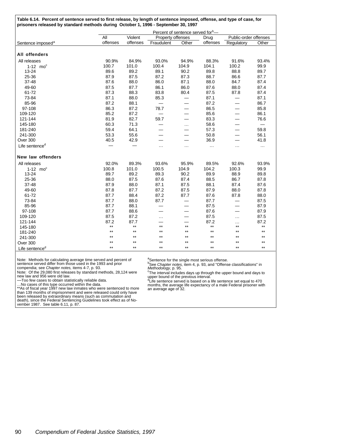| Table 6.14. Percent of sentence served to first release, by length of sentence imposed, offense, and type of case, for<br>prisoners released by standard methods during October 1, 1996 - September 30, 1997 |          |          |                   |                                               |              |                          |          |  |
|--------------------------------------------------------------------------------------------------------------------------------------------------------------------------------------------------------------|----------|----------|-------------------|-----------------------------------------------|--------------|--------------------------|----------|--|
|                                                                                                                                                                                                              |          |          |                   | Percent of sentence served for <sup>b</sup> — |              |                          |          |  |
|                                                                                                                                                                                                              | All      | Violent  | Property offenses |                                               | Drug         | Public-order offenses    |          |  |
| Sentence imposed <sup>a</sup>                                                                                                                                                                                | offenses | offenses | Fraudulent        | Other                                         | offenses     | Regulatory               | Other    |  |
|                                                                                                                                                                                                              |          |          |                   |                                               |              |                          |          |  |
| All offenders                                                                                                                                                                                                |          |          |                   |                                               |              |                          |          |  |
| All releases                                                                                                                                                                                                 | 90.9%    | 84.9%    | 93.0%             | 94.9%                                         | 88.3%        | 91.6%                    | 93.4%    |  |
| $1-12$ mo <sup>c</sup>                                                                                                                                                                                       | 100.7    | 101.0    | 100.4             | 104.9                                         | 104.1        | 100.2                    | 99.9     |  |
| 13-24                                                                                                                                                                                                        | 89.6     | 89.2     | 89.1              | 90.2                                          | 89.8         | 88.8                     | 89.7     |  |
| 25-36                                                                                                                                                                                                        | 87.9     | 87.5     | 87.2              | 87.3                                          | 88.7         | 86.6                     | 87.7     |  |
| 37-48                                                                                                                                                                                                        | 87.6     | 88.0     | 86.0              | 87.1                                          | 88.0         | 84.7                     | 87.4     |  |
| 49-60                                                                                                                                                                                                        | 87.5     | 87.7     | 86.1              | 86.0                                          | 87.6         | 88.0                     | 87.4     |  |
| 61-72                                                                                                                                                                                                        | 87.3     | 88.3     | 83.8              | 80.4                                          | 87.5         | 87.8                     | 87.4     |  |
| 73-84                                                                                                                                                                                                        | 87.1     | 88.0     | 85.3              | $\overline{\phantom{0}}$                      | 87.1         |                          | 87.1     |  |
| 85-96                                                                                                                                                                                                        | 87.2     | 88.1     |                   |                                               | 87.2         |                          | 86.7     |  |
| 97-108                                                                                                                                                                                                       | 86.3     | 87.2     | 78.7              | $\overline{\phantom{0}}$                      | 86.5         |                          | 85.8     |  |
| 109-120                                                                                                                                                                                                      | 85.2     | 87.2     |                   | $\overline{\phantom{0}}$                      | 85.6         | $\equiv$                 | 86.1     |  |
| 121-144                                                                                                                                                                                                      | 81.9     | 82.7     | 59.7              |                                               | 83.3         |                          | 76.6     |  |
| 145-180                                                                                                                                                                                                      | 60.3     | 71.3     |                   | $\cdots$                                      | 58.6         | —                        | $\equiv$ |  |
| 181-240                                                                                                                                                                                                      | 59.4     | 64.1     |                   | $\overline{\phantom{0}}$                      | 57.3         | $\overline{\phantom{0}}$ | 59.8     |  |
| 241-300                                                                                                                                                                                                      | 53.3     | 55.6     |                   |                                               | 50.8         | $\equiv$                 | 56.1     |  |
| Over 300                                                                                                                                                                                                     | 40.5     | 42.9     |                   | $\overline{\phantom{0}}$                      | 36.9         |                          | 41.8     |  |
| Life sentence <sup>d</sup>                                                                                                                                                                                   |          |          | .                 | $\ddotsc$                                     | $\cdots$     | .                        | .        |  |
|                                                                                                                                                                                                              |          |          |                   |                                               |              |                          |          |  |
| New law offenders                                                                                                                                                                                            |          |          |                   |                                               |              |                          |          |  |
| All releases                                                                                                                                                                                                 | 92.0%    | 89.3%    | 93.6%             | 95.9%                                         | 89.5%        | 92.6%                    | 93.9%    |  |
| $1-12$ mo <sup>c</sup>                                                                                                                                                                                       | 100.8    | 101.0    | 100.5             | 104.9                                         | 104.2        | 100.3                    | 99.9     |  |
| 13-24                                                                                                                                                                                                        | 89.7     | 89.2     | 89.3              | 90.2                                          | 89.9         | 88.9                     | 89.8     |  |
| 25-36                                                                                                                                                                                                        | 88.0     | 87.5     | 87.6              | 87.4                                          | 88.5         | 86.7                     | 87.8     |  |
| 37-48                                                                                                                                                                                                        | 87.9     | 88.0     | 87.1              | 87.5                                          | 88.1         | 87.4                     | 87.6     |  |
| 49-60                                                                                                                                                                                                        | 87.8     | 87.7     | 87.2              | 87.5                                          | 87.9         | 88.0                     | 87.8     |  |
| 61-72                                                                                                                                                                                                        | 87.7     | 88.4     | 87.2              | 87.7                                          | 87.6         | 87.8                     | 88.0     |  |
| 73-84                                                                                                                                                                                                        | 87.7     | 88.0     | 87.7              | $\overline{\phantom{0}}$                      | 87.7         |                          | 87.5     |  |
| 85-96                                                                                                                                                                                                        | 87.7     | 88.1     |                   | —                                             | 87.5         |                          | 87.9     |  |
| 97-108                                                                                                                                                                                                       | 87.7     | 88.6     |                   | $\overline{\phantom{0}}$                      | 87.6         | $\overline{\phantom{0}}$ | 87.9     |  |
| 109-120                                                                                                                                                                                                      | 87.5     | 87.2     | $\cdots$          | —                                             | 87.5         | $\cdots$                 | 87.5     |  |
| 121-144                                                                                                                                                                                                      | 87.2     | 87.7     |                   |                                               | 87.2         | $\cdots$                 | 87.2     |  |
| 145-180                                                                                                                                                                                                      | $***$    | $***$    | $***$             | $***$                                         | $***$        | $***$                    | $***$    |  |
| 181-240                                                                                                                                                                                                      | $***$    | $***$    | $***$             | $^{\star\star}$                               | $\star\star$ | $***$                    | $***$    |  |
| 241-300                                                                                                                                                                                                      | $***$    | $***$    | $***$             | $***$                                         | $***$        | $***$                    | $***$    |  |
| Over 300                                                                                                                                                                                                     | $***$    | $***$    | $***$             | $***$                                         | $***$        | $**$                     | $***$    |  |
| Life sentence <sup>d</sup>                                                                                                                                                                                   | $***$    | $***$    | $***$             | $***$                                         | $***$        | $***$                    | $***$    |  |
|                                                                                                                                                                                                              |          |          |                   |                                               |              |                          |          |  |

Note: Methods for calculating average time served and percent of<br>sentence served differ from those used in the 1993 and prior<br>compendia; see *Chapter notes,* items 4-7, p. 93.

Note: Of the 29,080 first releases by standard methods, 28,124 were new law and 956 were old law.

—Too few cases to obtain statistically reliable data. …No cases of this type occurred within the data. \*\*As of fiscal year 1997 new law inmates who were sentenced to more than 139 months of imprisonment and were released could only have been released by extraordinary means (such as commutation and death), since the Federal Sentencing Guidelines took effect as of No-

vember 1987. See table 6.11, p. 87.

<sup>a</sup>Sentence for the single most serious offense.<br><sup>b</sup>See *Chapter notes*, item 4, p. 93, and "Offense classifications" in *Methodology*, p. 95.<br>*Methodology,* p. 95.<br><sup>o</sup>The interval includes days up through the upper bound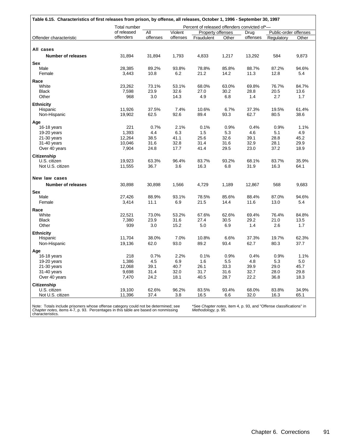|                           | Total number |          |          | Percent of released offenders convicted of*- |       |          |                       |       |
|---------------------------|--------------|----------|----------|----------------------------------------------|-------|----------|-----------------------|-------|
|                           | of released  | All      | Violent  | Property offenses                            |       | Drug     | Public-order offenses |       |
| Offender characteristic   | offenders    | offenses | offenses | Fraudulent                                   | Other | offenses | Regulatory            | Other |
| All cases                 |              |          |          |                                              |       |          |                       |       |
| <b>Number of releases</b> | 31,894       | 31,894   | 1,793    | 4,833                                        | 1,217 | 13,292   | 584                   | 9,873 |
| Sex                       |              |          |          |                                              |       |          |                       |       |
| Male                      | 28,385       | 89.2%    | 93.8%    | 78.8%                                        | 85.8% | 88.7%    | 87.2%                 | 94.6% |
| Female                    | 3,443        | 10.8     | 6.2      | 21.2                                         | 14.2  | 11.3     | 12.8                  | 5.4   |
| Race                      |              |          |          |                                              |       |          |                       |       |
| White                     | 23,262       | 73.1%    | 53.1%    | 68.0%                                        | 63.0% | 69.8%    | 76.7%                 | 84.7% |
| <b>Black</b>              | 7,598        | 23.9     | 32.6     | 27.0                                         | 30.2  | 28.8     | 20.5                  | 13.6  |
| Other                     | 968          | 3.0      | 14.3     | 4.9                                          | 6.8   | 1.4      | 2.7                   | 1.7   |
| <b>Ethnicity</b>          |              |          |          |                                              |       |          |                       |       |
| Hispanic                  | 11,926       | 37.5%    | 7.4%     | 10.6%                                        | 6.7%  | 37.3%    | 19.5%                 | 61.4% |
| Non-Hispanic              | 19,902       | 62.5     | 92.6     | 89.4                                         | 93.3  | 62.7     | 80.5                  | 38.6  |
| Age                       |              |          |          |                                              |       |          |                       |       |
| 16-18 years               | 221          | 0.7%     | 2.1%     | 0.1%                                         | 0.9%  | 0.4%     | 0.9%                  | 1.1%  |
| 19-20 years               | 1,393        | 4.4      | 6.3      | 1.5                                          | 5.3   | 4.6      | 5.1                   | 4.9   |
| 21-30 years               | 12,264       | 38.5     | 41.1     | 25.6                                         | 32.6  | 39.1     | 28.8                  | 45.2  |
| 31-40 years               | 10,046       | 31.6     | 32.8     | 31.4                                         | 31.6  | 32.9     | 28.1                  | 29.9  |
| Over 40 years             | 7,904        | 24.8     | 17.7     | 41.4                                         | 29.5  | 23.0     | 37.2                  | 18.9  |
| Citizenship               |              |          |          |                                              |       |          |                       |       |
| U.S. citizen              | 19,923       | 63.3%    | 96.4%    | 83.7%                                        | 93.2% | 68.1%    | 83.7%                 | 35.9% |
| Not U.S. citizen          | 11,555       | 36.7     | 3.6      | 16.3                                         | 6.8   | 31.9     | 16.3                  | 64.1  |
| New law cases             |              |          |          |                                              |       |          |                       |       |
| <b>Number of releases</b> | 30,898       | 30,898   | 1,566    | 4,729                                        | 1,189 | 12,867   | 568                   | 9,683 |
| <b>Sex</b>                |              |          |          |                                              |       |          |                       |       |
| Male                      | 27,426       | 88.9%    | 93.1%    | 78.5%                                        | 85.6% | 88.4%    | 87.0%                 | 94.6% |
| Female                    | 3,414        | 11.1     | 6.9      | 21.5                                         | 14.4  | 11.6     | 13.0                  | 5.4   |
| Race                      |              |          |          |                                              |       |          |                       |       |
| White                     | 22,521       | 73.0%    | 53.2%    | 67.6%                                        | 62.6% | 69.4%    | 76.4%                 | 84.8% |
| <b>Black</b>              | 7,380        | 23.9     | 31.6     | 27.4                                         | 30.5  | 29.2     | 21.0                  | 13.5  |
| Other                     | 939          | 3.0      | 15.2     | 5.0                                          | 6.9   | 1.4      | 2.6                   | 1.7   |
| <b>Ethnicity</b>          |              |          |          |                                              |       |          |                       |       |
| Hispanic                  | 11,704       | 38.0%    | 7.0%     | 10.8%                                        | 6.6%  | 37.3%    | 19.7%                 | 62.3% |
| Non-Hispanic              | 19,136       | 62.0     | 93.0     | 89.2                                         | 93.4  | 62.7     | 80.3                  | 37.7  |
| Age                       |              |          |          |                                              |       |          |                       |       |
| 16-18 years               | 218          | 0.7%     | 2.2%     | 0.1%                                         | 0.9%  | 0.4%     | 0.9%                  | 1.1%  |
| 19-20 years               | 1,386        | 4.5      | 6.9      | 1.6                                          | 5.5   | 4.8      | 5.3                   | 5.0   |
| $21-30$ years             | 12,068       | 39.1     | 40.7     | 26.1                                         | 33.3  | 39.9     | 29.0                  | 45.7  |
| 31-40 years               | 9,698        | 31.4     | 32.0     | 31.7                                         | 31.6  | 32.7     | 28.0                  | 29.8  |
| Over 40 years             | 7,470        | 24.2     | 18.1     | 40.5                                         | 28.7  | 22.2     | 36.8                  | 18.3  |
| Citizenship               |              |          |          |                                              |       |          |                       |       |
| U.S. citizen              | 19,100       | 62.6%    | 96.2%    | 83.5%                                        | 93.4% | 68.0%    | 83.8%                 | 34.9% |
| Not U.S. citizen          | 11,396       | 37.4     | 3.8      | 16.5                                         | 6.6   | 32.0     | 16.3                  | 65.1  |

Note: Totals include prisoners whose offense category could not be determined; see *Chapter notes,* items 4-7, p. 93. Percentages in this table are based on nonmissing characteristics.

*Methodology,* p. 95.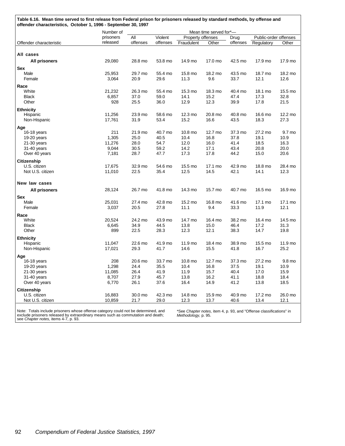| Table 6.16. Mean time served to first release from Federal prison for prisoners released by standard methods, by offense and<br>offender characteristics, October 1, 1996 - September 30, 1997 |           |          |          |                   |                        |          |                       |         |  |
|------------------------------------------------------------------------------------------------------------------------------------------------------------------------------------------------|-----------|----------|----------|-------------------|------------------------|----------|-----------------------|---------|--|
|                                                                                                                                                                                                | Number of |          |          |                   | Mean time served for*- |          |                       |         |  |
|                                                                                                                                                                                                | prisoners | All      | Violent  | Property offenses |                        | Drug     | Public-order offenses |         |  |
| Offender characteristic                                                                                                                                                                        | released  | offenses | offenses | Fraudulent        | Other                  | offenses | Regulatory            | Other   |  |
|                                                                                                                                                                                                |           |          |          |                   |                        |          |                       |         |  |
| All cases                                                                                                                                                                                      |           |          |          |                   |                        |          |                       |         |  |
| All prisoners                                                                                                                                                                                  | 29,080    | 28.8 mo  | 53.8 mo  | 14.9 mo           | 17.0 mo                | 42.5 mo  | 17.9 mo               | 17.9 mo |  |
| <b>Sex</b>                                                                                                                                                                                     |           |          |          |                   |                        |          |                       |         |  |
| Male                                                                                                                                                                                           | 25,953    | 29.7 mo  | 55.4 mo  | 15.8 mo           | 18.2 mo                | 43.5 mo  | 18.7 mo               | 18.2 mo |  |
| Female                                                                                                                                                                                         | 3,064     | 20.9     | 29.6     | 11.3              | 9.6                    | 33.7     | 12.1                  | 12.6    |  |
| Race                                                                                                                                                                                           |           |          |          |                   |                        |          |                       |         |  |
| White                                                                                                                                                                                          | 21,232    | 26.3 mo  | 55.4 mo  | 15.3 mo           | 18.3 mo                | 40.4 mo  | 18.1 mo               | 15.5 mo |  |
| <b>Black</b>                                                                                                                                                                                   | 6,857     | 37.0     | 59.0     | 14.1              | 15.2                   | 47.4     | 17.3                  | 32.8    |  |
| Other                                                                                                                                                                                          | 928       | 25.5     | 36.0     | 12.9              | 12.3                   | 39.9     | 17.8                  | 21.5    |  |
| <b>Ethnicity</b>                                                                                                                                                                               |           |          |          |                   |                        |          |                       |         |  |
| Hispanic                                                                                                                                                                                       | 11,256    | 23.9 mo  | 58.6 mo  | 12.3 mo           | 20.8 mo                | 40.8 mo  | 16.6 mo               | 12.2 mo |  |
| Non-Hispanic                                                                                                                                                                                   | 17,761    | 31.9     | 53.4     | 15.2              | 16.6                   | 43.5     | 18.3                  | 27.3    |  |
| Age                                                                                                                                                                                            |           |          |          |                   |                        |          |                       |         |  |
| 16-18 years                                                                                                                                                                                    | 211       | 21.9 mo  | 40.7 mo  | 10.8 mo           | 12.7 mo                | 37.3 mo  | 27.2 mo               | 9.7 mo  |  |
| 19-20 years                                                                                                                                                                                    | 1,305     | 25.0     | 40.5     | 10.4              | 16.8                   | 37.8     | 19.1                  | 10.9    |  |
| $21-30$ years                                                                                                                                                                                  | 11,276    | 28.0     | 54.7     | 12.0              | 16.0                   | 41.4     | 18.5                  | 16.3    |  |
| 31-40 years                                                                                                                                                                                    | 9,044     | 30.5     | 59.2     | 14.2              | 17.1                   | 43.4     | 20.8                  | 20.0    |  |
| Over 40 years                                                                                                                                                                                  | 7,181     | 28.7     | 47.7     | 17.3              | 17.8                   | 44.2     | 15.0                  | 20.6    |  |
| <b>Citizenship</b>                                                                                                                                                                             |           |          |          |                   |                        |          |                       |         |  |
| U.S. citizen                                                                                                                                                                                   | 17,675    | 32.9 mo  | 54.6 mo  | 15.5 mo           | 17.1 mo                | 42.9 mo  | 18.8 mo               | 28.4 mo |  |
| Not U.S. citizen                                                                                                                                                                               | 11,010    | 22.5     | 35.4     | 12.5              | 14.5                   | 42.1     | 14.1                  | 12.3    |  |
|                                                                                                                                                                                                |           |          |          |                   |                        |          |                       |         |  |
| New law cases                                                                                                                                                                                  |           |          |          |                   |                        |          |                       |         |  |
| <b>All prisoners</b>                                                                                                                                                                           | 28,124    | 26.7 mo  | 41.8 mo  | 14.3 mo           | 15.7 mo                | 40.7 mo  | 16.5 mo               | 16.9 mo |  |
| Sex                                                                                                                                                                                            |           |          |          |                   |                        |          |                       |         |  |
| Male                                                                                                                                                                                           | 25,031    | 27.4 mo  | 42.8 mo  | 15.2 mo           | 16.8 mo                | 41.6 mo  | 17.1 mo               | 17.1 mo |  |
| Female                                                                                                                                                                                         | 3,037     | 20.5     | 27.8     | 11.1              | 9.4                    | 33.3     | 11.9                  | 12.1    |  |
| Race                                                                                                                                                                                           |           |          |          |                   |                        |          |                       |         |  |
| White                                                                                                                                                                                          | 20,524    | 24.2 mo  | 43.9 mo  | 14.7 mo           | 16.4 mo                | 38.2 mo  | 16.4 mo               | 14.5 mo |  |
| <b>Black</b>                                                                                                                                                                                   | 6,645     | 34.9     | 44.5     | 13.8              | 15.0                   | 46.4     | 17.2                  | 31.3    |  |
| Other                                                                                                                                                                                          | 899       | 22.5     | 28.3     | 12.3              | 12.1                   | 38.3     | 14.7                  | 19.8    |  |
| <b>Ethnicity</b>                                                                                                                                                                               |           |          |          |                   |                        |          |                       |         |  |
| Hispanic                                                                                                                                                                                       | 11,047    | 22.6 mo  | 41.9 mo  | 11.9 mo           | 18.4 mo                | 38.9 mo  | 15.5 mo               | 11.9 mo |  |
| Non-Hispanic                                                                                                                                                                                   | 17,021    | 29.3     | 41.7     | 14.6              | 15.5                   | 41.8     | 16.7                  | 25.2    |  |
| Age                                                                                                                                                                                            |           |          |          |                   |                        |          |                       |         |  |
| 16-18 years                                                                                                                                                                                    | 208       | 20.6 mo  | 33.7 mo  | 10.8 mo           | 12.7 mo                | 37.3 mo  | 27.2 mo               | 9.8 mo  |  |
| 19-20 years                                                                                                                                                                                    | 1,298     | 24.4     | 35.5     | 10.4              | 16.8                   | 37.5     | 19.1                  | 10.9    |  |
| 21-30 years                                                                                                                                                                                    | 11,085    | 26.4     | 41.9     | 11.9              | 15.7                   | 40.4     | 17.0                  | 15.9    |  |
| 31-40 years                                                                                                                                                                                    | 8,707     | 27.9     | 45.7     | 13.8              | 16.2                   | 41.1     | 18.8                  | 18.4    |  |
| Over 40 years                                                                                                                                                                                  | 6,770     | 26.1     | 37.6     | 16.4              | 14.9                   | 41.2     | 13.8                  | 18.5    |  |
| <b>Citizenship</b>                                                                                                                                                                             |           |          |          |                   |                        |          |                       |         |  |
| U.S. citizen                                                                                                                                                                                   | 16,883    | 30.0 mo  | 42.3 mo  | 14.8 mo           | 15.9 mo                | 40.9 mo  | 17.2 mo               | 26.0 mo |  |
| Not U.S. citizen                                                                                                                                                                               | 10,859    | 21.7     | 29.0     | 12.3              | 13.7                   | 40.6     | 13.4                  | 12.1    |  |
|                                                                                                                                                                                                |           |          |          |                   |                        |          |                       |         |  |

Note: Totals include prisoners whose offense category could not be determined, and exclude prisoners released by extraordinary means such as commutation and death; see *Chapter notes,* items 4-7, p. 93.

\*See *Chapter notes,* item 4, p. 93, and "Offense classifications" in *Methodology,* p. 95.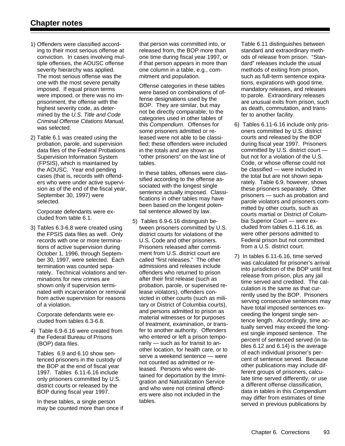- 1) Offenders were classified according to their most serious offense at conviction. In cases involving multiple offenses, the AOUSC offense severity hierarchy was applied. The most serious offense was the one with the most severe penalty imposed. If equal prison terms were imposed, or there was no imprisonment, the offense with the highest severity code, as determined by the *U.S. Title and Code Criminal Offense Citations Manual,* was selected.
- 2) Table 6.1 was created using the probation, parole, and supervision data files of the Federal Probations Supervision Information System (FPSIS), which is maintained by the AOUSC. Year end pending cases (that is, records with offenders who were under active supervision as of the end of the fiscal year, September 30, 1997) were selected.

Corporate defendants were excluded from table 6.1.

3) Tables 6.3-6.8 were created using the FPSIS data files as well. Only records with one or more terminations of active supervision during October 1, 1996, through September 30, 1997, were selected. Each termination was counted separately. Technical violations and terminations for new crimes are shown only if supervision terminated with incarceration or removal from active supervision for reasons of a violation.

Corporate defendants were excluded from tables 6.3-6.8.

4) Table 6.9-6.16 were created from the Federal Bureau of Prisons (BOP) data files.

Tables 6.9 and 6.10 show sentenced prisoners in the custody of the BOP at the end of fiscal year 1997. Tables 6.11-6.16 include only prisoners committed by U.S. district courts or released by the BOP during fiscal year 1997.

In these tables, a single person may be counted more than once if that person was committed into, or released from, the BOP more than one time during fiscal year 1997, or if that person appears in more than one column in a table, e.g., commitment and population.

Offense categories in these tables were based on combinations of offense designations used by the BOP. They are similar, but may not be directly comparable, to the categories used in other tables of this *Compendium*. Offenses for some prisoners admitted or released were not able to be classified; these offenders were included in the totals and are shown as "other prisoners" on the last line of tables.

In these tables, offenses were classified according to the offense associated with the longest single sentence actually imposed. Classifications in other tables may have been based on the longest potential sentence allowed by law.

5) Tables 6.9-6.16 distinguish between prisoners committed by U.S. district courts for violations of the U.S. Code and other prisoners. Prisoners released after commitment from U.S. district court are called "first releases." The other admissions and releases include offenders who returned to prison after their first release (such as probation, parole, or supervised release violators), offenders convicted in other courts (such as military or District of Columbia courts), and persons admitted to prison as material witnesses or for purposes of treatment, examination, or transfer to another authority. Offenders who entered or left a prison temporarily — such as for transit to another location, for health care, or to serve a weekend sentence — were not counted as admitted or released. Persons who were detained for deportation by the Immigration and Naturalization Service and who were not criminal offenders were also not included in the tables.

Table 6.11 distinguishes between standard and extraordinary methods of release from prison. "Standard" releases include the usual methods of exiting from prison, such as full-term sentence expirations, expirations with good time, mandatory releases, and releases to parole. Extraordinary releases are unusual exits from prison, such as death, commutation, and transfer to another facility.

- 6) Tables 6.11-6.16 include only prisoners committed by U.S. district courts and released by the BOP during fiscal year 1997. Prisoners committed by U.S. district court but not for a violation of the U.S. Code, or whose offense could not be classified — were included in the total but are not shown separately. Table 6.9, however, shows these prisoners separately. Other prisoners — such as probation and parole violators and prisoners committed by other courts, such as courts martial or District of Columbia Superior Court — were excluded from tables 6.11-6.16, as were other persons admitted to Federal prison but not committed from a U.S. district court.
- 7) In tables 6.11-6.16, time served was calculated for prisoner's arrival into jurisdiction of the BOP until first release from prison, plus any jail time served and credited. The calculation is the same as that currently used by the BOP. Prisoners serving consecutive sentences may have total imposed sentences exceeding the longest single sentence length. Accordingly, time actually served may exceed the longest single imposed sentence. The percent of sentenced served (in tables 6.12 and 6.14) is the average of each individual prisoner's percent of sentence served. Because other publications may include different groups of prisoners, calculate time served differently, or use a different offense classification, data in tables in this *Compendium* may differ from estimates of time served in previous publications by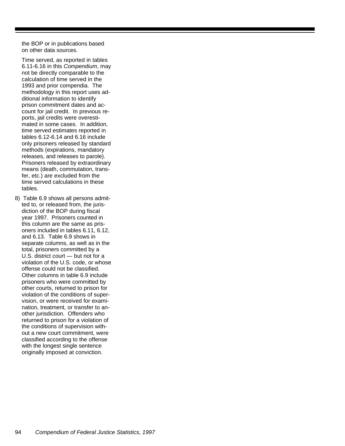the BOP or in publications based on other data sources.

Time served, as reported in tables 6.11-6.16 in this *Compendium*, may not be directly comparable to the calculation of time served in the 1993 and prior compendia. The methodology in this report uses additional information to identify prison commitment dates and account for jail credit. In previous reports, jail credits were overestimated in some cases. In addition, time served estimates reported in tables 6.12-6.14 and 6.16 include only prisoners released by standard methods (expirations, mandatory releases, and releases to parole). Prisoners released by extraordinary means (death, commutation, transfer, etc.) are excluded from the time served calculations in these tables.

8) Table 6.9 shows all persons admitted to, or released from, the jurisdiction of the BOP during fiscal year 1997. Prisoners counted in this column are the same as prisoners included in tables 6.11, 6.12, and 6.13. Table 6.9 shows in separate columns, as well as in the total, prisoners committed by a U.S. district court — but not for a violation of the U.S. code, or whose offense could not be classified. Other columns in table 6.9 include prisoners who were committed by other courts, returned to prison for violation of the conditions of supervision, or were received for examination, treatment, or transfer to another jurisdiction. Offenders who returned to prison for a violation of the conditions of supervision without a new court commitment, were classified according to the offense with the longest single sentence originally imposed at conviction.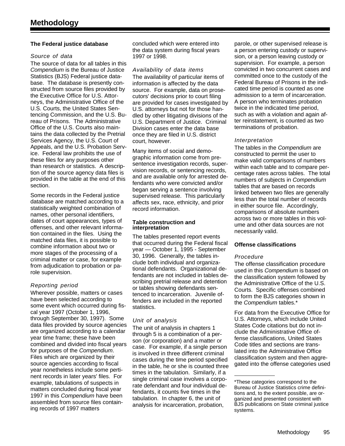#### **The Federal justice database**

#### *Source of data*

The source of data for all tables in this *Compendium* is the Bureau of Justice Statistics (BJS) Federal justice database. The database is presently constructed from source files provided by the Executive Office for U.S. Attorneys, the Administrative Office of the U.S. Courts, the United States Sentencing Commission, and the U.S. Bureau of Prisons. The Administrative Office of the U.S. Courts also maintains the data collected by the Pretrial Services Agency, the U.S. Court of Appeals, and the U.S. Probation Service. Federal law prohibits the use of these files for any purposes other than research or statistics. A description of the source agency data files is provided in the table at the end of this section.

Some records in the Federal justice database are matched according to a statistically weighted combination of names, other personal identifiers, dates of court appearances, types of offenses, and other relevant information contained in the files. Using the matched data files, it is possible to combine information about two or more stages of the processing of a criminal matter or case, for example from adjudication to probation or parole supervision.

#### *Reporting period*

Wherever possible, matters or cases have been selected according to some event which occurred during fiscal year 1997 (October 1, 1996, through September 30, 1997). Some data files provided by source agencies are organized according to a calendar year time frame; these have been combined and divided into fiscal years for purposes of the *Compendium*. Files which are organized by their source agencies according to fiscal year nonetheless include some pertinent records in later years' files. For example, tabulations of suspects in matters concluded during fiscal year 1997 in this *Compendium* have been assembled from source files containing records of 1997 matters

concluded which were entered into the data system during fiscal years 1997 or 1998.

#### *Availability of data items*

The availability of particular items of information is affected by the data source. For example, data on prosecutors' decisions prior to court filing are provided for cases investigated by U.S. attorneys but not for those handled by other litigating divisions of the U.S. Department of Justice. Criminal Division cases enter the data base once they are filed in U.S. district court, however.

Many items of social and demographic information come from presentence investigation records, supervision records, or sentencing records, and are available only for arrested defendants who were convicted and/or began serving a sentence involving supervised release. This particularly affects sex, race, ethnicity, and prior record information.

#### **Table construction and interpretation**

The tables presented report events that occurred during the Federal fiscal year — October 1, 1995 - September 30, 1996. Generally, the tables include both individual and organizational defendants. Organizational defendants are not included in tables describing pretrial release and detention or tables showing defendants sentenced to incarceration. Juvenile offenders are included in the reported statistics.

#### *Unit of analysis*

The unit of analysis in chapters 1 through 5 is a combination of a person (or corporation) and a matter or case. For example, if a single person is involved in three different criminal cases during the time period specified in the table, he or she is counted three times in the tabulation. Similarly, if a single criminal case involves a corporate defendant and four individual defendants, it counts five times in the tabulation. In chapter 6, the unit of analysis for incarceration, probation,

parole, or other supervised release is a person entering custody or supervision, or a person leaving custody or supervision. For example, a person convicted in two concurrent cases and committed once to the custody of the Federal Bureau of Prisons in the indicated time period is counted as one admission to a term of incarceration. A person who terminates probation twice in the indicated time period, such as with a violation and again after reinstatement, is counted as two terminations of probation.

#### *Interpretation*

The tables in the *Compendium* are constructed to permit the user to make valid comparisons of numbers within each table and to compare percentage rates across tables. The total numbers of subjects in *Compendium* tables that are based on records linked between two files are generally less than the total number of records in either source file. Accordingly, comparisons of absolute numbers across two or more tables in this volume and other data sources are not necessarily valid.

#### **Offense classifications**

#### *Procedure*

The offense classification procedure used in this *Compendium* is based on the classification system followed by the Administrative Office of the U.S. Courts. Specific offenses combined to form the BJS categories shown in the *Compendium* tables.\*

For data from the Executive Office for U.S. Attorneys, which include United States Code citations but do not include the Administrative Office offense classifications, United States Code titles and sections are translated into the Administrative Office classification system and then aggregated into the offense categories used

<sup>\*</sup>These categories correspond to the Bureau of Justice Statistics crime definitions and, to the extent possible, are organized and presented consistent with BJS publications on State criminal justice systems.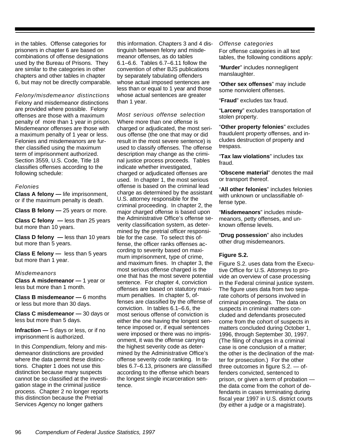in the tables. Offense categories for prisoners in chapter 6 are based on combinations of offense designations used by the Bureau of Prisons. They are similar to the categories in other chapters and other tables in chapter 6, but may not be directly comparable.

*Felony/misdemeanor distinctions* Felony and misdemeanor distinctions are provided where possible. Felony offenses are those with a maximum penalty of more than 1 year in prison. Misdemeanor offenses are those with a maximum penalty of 1 year or less. Felonies and misdemeanors are further classified using the maximum term of imprisonment authorized. Section 3559, U.S. Code, Title 18 classifies offenses according to the following schedule:

#### *Felonies*

**Class A felony —** life imprisonment, or if the maximum penalty is death.

**Class B felony —** 25 years or more.

**Class C felony —** less than 25 years but more than 10 years.

**Class D felony —** less than 10 years but more than 5 years.

**Class E felony —** less than 5 years but more than 1 year.

#### *Misdemeanors*

**Class A misdemeanor —** 1 year or less but more than 1 month.

**Class B misdemeanor —** 6 months or less but more than 30 days.

**Class C misdemeanor —** 30 days or less but more than 5 days.

**Infraction —** 5 days or less, or if no imprisonment is authorized.

In this *Compendium*, felony and misdemeanor distinctions are provided where the data permit these distinctions. Chapter 1 does not use this distinction because many suspects cannot be so classified at the investigation stage in the criminal justice process. Chapter 2 no longer reports this distinction because the Pretrial Services Agency no longer gathers

this information. Chapters 3 and 4 distinguish between felony and misdemeanor offenses, as do tables 6.1–6.6. Tables 6.7–6.11 follow the convention of other BJS publications by separately tabulating offenders whose actual imposed sentences are less than or equal to 1 year and those whose actual sentences are greater than 1 year.

*Most serious offense selection* Where more than one offense is charged or adjudicated, the most serious offense (the one that may or did result in the most severe sentence) is used to classify offenses. The offense description may change as the criminal justice process proceeds. Tables indicate whether investigated, charged or adjudicated offenses are used. In chapter 1, the most serious offense is based on the criminal lead charge as determined by the assistant U.S. attorney responsible for the criminal proceeding. In chapter 2, the major charged offense is based upon the Administrative Office's offense severity classification system, as determined by the pretrial officer responsible for the case. To select this offense, the officer ranks offenses according to severity based on maximum imprisonment, type of crime, and maximum fines. In chapter 3, the most serious offense charged is the one that has the most severe potential sentence. For chapter 4, conviction offenses are based on statutory maximum penalties. In chapter 5, offenses are classified by the offense of conviction. In tables 6.1–6.6, the most serious offense of conviction is either the one having the longest sentence imposed or, if equal sentences were imposed or there was no imprisonment, it was the offense carrying the highest severity code as determined by the Administrative Office's offense severity code ranking. In tables 6.7–6.13, prisoners are classified according to the offense which bears the longest single incarceration sentence.

#### *Offense categories*

For offense categories in all text tables, the following conditions apply:

"**Murder**" includes nonnegligent manslaughter.

"**Other sex offenses**" may include some nonviolent offenses.

"**Fraud**" excludes tax fraud.

"**Larceny**" excludes transportation of stolen property.

"**Other property felonies**" excludes fraudulent property offenses, and includes destruction of property and trespass.

"**Tax law violations**" includes tax fraud.

"**Obscene material**" denotes the mail or transport thereof.

"**All other felonies**" includes felonies with unknown or unclassifiable offense type.

"**Misdemeanors**" includes misdemeanors, petty offenses, and unknown offense levels.

"**Drug possession**" also includes other drug misdemeanors.

#### **Figure S.2.**

Figure S.2. uses data from the Executive Office for U.S. Attorneys to provide an overview of case processing in the Federal criminal justice system. The figure uses data from two separate cohorts of persons involved in criminal proceedings. The data on suspects in criminal matters concluded and defendants prosecuted come from the cohort of suspects in matters concluded during October 1, 1996, through September 30, 1997. (The filing of charges in a criminal case is one conclusion of a matter; the other is the declination of the matter for prosecution.) For the other three outcomes in figure S.2. — offenders convicted, sentenced to prison, or given a term of probation the data come from the cohort of defendants in cases terminating during fiscal year 1997 in U.S. district courts (by either a judge or a magistrate).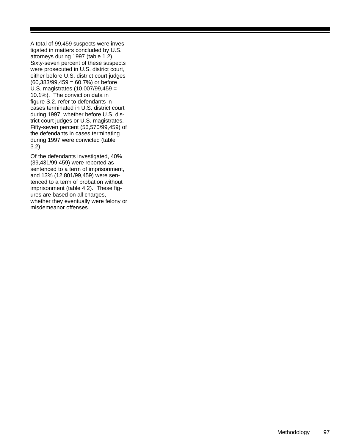A total of 99,459 suspects were investigated in matters concluded by U.S. attorneys during 1997 (table 1.2). Sixty-seven percent of these suspects were prosecuted in U.S. district court, either before U.S. district court judges  $(60,383/99,459 = 60.7%)$  or before U.S. magistrates (10,007/99,459 = 10.1%). The conviction data in figure S.2. refer to defendants in cases terminated in U.S. district court during 1997, whether before U.S. district court judges or U.S. magistrates. Fifty-seven percent (56,570/99,459) of the defendants in cases terminating during 1997 were convicted (table 3.2).

Of the defendants investigated, 40% (39,431/99,459) were reported as sentenced to a term of imprisonment, and 13% (12,801/99,459) were sentenced to a term of probation without imprisonment (table 4.2). These figures are based on all charges, whether they eventually were felony or misdemeanor offenses.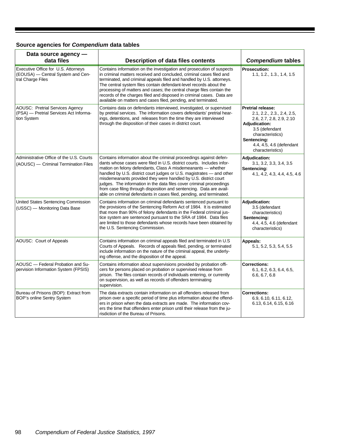### **Source agencies for** *Compendium* **data tables**

| Data source agency -<br>data files                                                              | <b>Description of data files contents</b>                                                                                                                                                                                                                                                                                                                                                                                                                                                                                                                                       | <b>Compendium tables</b>                                                                                                                                                                                        |
|-------------------------------------------------------------------------------------------------|---------------------------------------------------------------------------------------------------------------------------------------------------------------------------------------------------------------------------------------------------------------------------------------------------------------------------------------------------------------------------------------------------------------------------------------------------------------------------------------------------------------------------------------------------------------------------------|-----------------------------------------------------------------------------------------------------------------------------------------------------------------------------------------------------------------|
| Executive Office for U.S. Attorneys<br>(EOUSA) - Central System and Cen-<br>tral Charge Files   | Contains information on the investigation and prosecution of suspects<br>in criminal matters received and concluded, criminal cases filed and<br>terminated, and criminal appeals filed and handled by U.S. attorneys.<br>The central system files contain defendant-level records about the<br>processing of matters and cases; the central charge files contain the<br>records of the charges filed and disposed in criminal cases. Data are<br>available on matters and cases filed, pending, and terminated.                                                                | <b>Prosecution:</b><br>1.1, 1.2., 1.3., 1.4, 1.5                                                                                                                                                                |
| <b>AOUSC: Pretrial Services Agency</b><br>(PSA) - Pretrial Services Act Informa-<br>tion System | Contains data on defendants interviewed, investigated, or supervised<br>by pretrial services. The information covers defendants' pretrial hear-<br>ings, detentions, and releases from the time they are interviewed<br>through the disposition of their cases in district court.                                                                                                                                                                                                                                                                                               | <b>Pretrial release:</b><br>2.1, 2.2., 2.3., 2.4, 2.5,<br>2.6, 2.7, 2.8, 2.9, 2.10<br><b>Adjudication:</b><br>3.5 (defendant<br>characteristics)<br>Sentencing:<br>4.4, 4.5, 4.6 (defendant<br>characteristics) |
| Administrative Office of the U.S. Courts<br>(AOUSC) — Criminal Termination Files                | Contains information about the criminal proceedings against defen-<br>dants whose cases were filed in U.S. district courts. Includes infor-<br>mation on felony defendants, Class A misdemeanants — whether<br>handled by U.S. district court judges or U.S. magistrates – and other<br>misdemeanants provided they were handled by U.S. district court<br>judges. The information in the data files cover criminal proceedings<br>from case filing through disposition and sentencing. Data are avail-<br>able on criminal defendants in cases filed, pending, and terminated. | <b>Adjudication:</b><br>3.1, 3.2, 3.3, 3.4, 3.5<br>Sentencing:<br>4.1, 4.2, 4.3, 4.4, 4.5, 4.6                                                                                                                  |
| United States Sentencing Commission<br>(USSC) - Monitoring Data Base                            | Contains information on criminal defendants sentenced pursuant to<br>the provisions of the Sentencing Reform Act of 1984. It is estimated<br>that more than 90% of felony defendants in the Federal criminal jus-<br>tice system are sentenced pursuant to the SRA of 1984. Data files<br>are limited to those defendants whose records have been obtained by<br>the U.S. Sentencing Commission.                                                                                                                                                                                | <b>Adjudication:</b><br>3.5 (defendant<br>characteristics)<br>Sentencing:<br>4.4, 4.5, 4.6 (defendant<br>characteristics)                                                                                       |
| AOUSC: Court of Appeals                                                                         | Contains information on criminal appeals filed and terminated in U.S<br>Courts of Appeals. Records of appeals filed, pending, or terminated<br>include information on the nature of the criminal appeal, the underly-<br>ing offense, and the disposition of the appeal.                                                                                                                                                                                                                                                                                                        | Appeals:<br>5.1, 5.2, 5.3, 5.4, 5.5                                                                                                                                                                             |
| AOUSC - Federal Probation and Su-<br>pervision Information System (FPSIS)                       | Contains information about supervisions provided by probation offi-<br>cers for persons placed on probation or supervised release from<br>prison. The files contain records of individuals entering, or currently<br>on supervision, as well as records of offenders terminating<br>supervision.                                                                                                                                                                                                                                                                                | <b>Corrections:</b><br>6.1, 6.2, 6.3, 6.4, 6.5,<br>6.6, 6.7, 6.8                                                                                                                                                |
| Bureau of Prisons (BOP): Extract from<br>BOP's online Sentry System                             | The data extracts contain information on all offenders released from<br>prison over a specific period of time plus information about the offend-<br>ers in prison when the data extracts are made. The information cov-<br>ers the time that offenders enter prison until their release from the ju-<br>risdiction of the Bureau of Prisons.                                                                                                                                                                                                                                    | <b>Corrections:</b><br>6.9, 6.10, 6.11, 6.12,<br>6.13, 6.14, 6.15, 6.16                                                                                                                                         |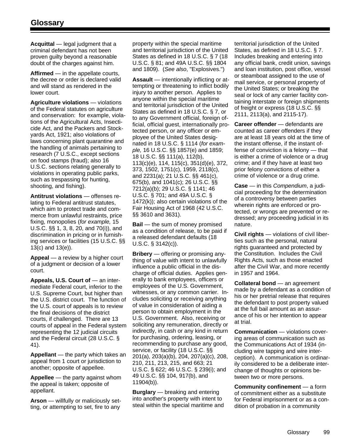**Acquittal** — legal judgment that a criminal defendant has not been proven guilty beyond a reasonable doubt of the charges against him.

**Affirmed** — in the appellate courts, the decree or order is declared valid and will stand as rendered in the lower court.

**Agriculture violations** — violations of the Federal statutes on agriculture and conservation: for example, violations of the Agricultural Acts, Insecticide Act, and the Packers and Stockyards Act, 1921; also violations of laws concerning plant quarantine and the handling of animals pertaining to research (7 U.S.C., except sections on food stamps (fraud); also 16 U.S.C. sections relating generally to violations in operating public parks, such as trespassing for hunting, shooting, and fishing).

**Antitrust violations** — offenses relating to Federal antitrust statutes, which aim to protect trade and commerce from unlawful restraints, price fixing, monopolies (*for example,* 15 U.S.C. §§ 1, 3, 8, 20, and 70(i)), and discrimination in pricing or in furnishing services or facilities (15 U.S.C. §§ 13(c) and 13(e)).

**Appeal** — a review by a higher court of a judgment or decision of a lower court.

**Appeals, U.S. Court of** — an intermediate Federal court, inferior to the U.S. Supreme Court, but higher than the U.S. district court. The function of the U.S. court of appeals is to review the final decisions of the district courts, if challenged. There are 13 courts of appeal in the Federal system representing the 12 judicial circuits and the Federal circuit (28 U.S.C. § 41).

**Appellant** — the party which takes an appeal from 1 court or jurisdiction to another; opposite of appellee.

**Appellee** — the party against whom the appeal is taken; opposite of appellant.

**Arson** — willfully or maliciously setting, or attempting to set, fire to any

property within the special maritime and territorial jurisdiction of the United States as defined in 18 U.S.C. § 7 (18 U.S.C. § 81; and 49A U.S.C. §§ 1804 and 1809). (*See also*, "Explosives.")

**Assault** — intentionally inflicting or attempting or threatening to inflict bodily injury to another person. Applies to anyone within the special maritime and territorial jurisdiction of the United States as defined in 18 U.S.C. § 7, or to any Government official, foreign official, official guest, internationally protected person, or any officer or employee of the United States designated in 18 U.S.C. § 1114 (*for example,* 16 U.S.C. §§ 1857(e) and 1859; 18 U.S.C. §§ 111(a), 112(b), 113(c)(e), 114, 115(c), 351(d)(e), 372, 373, 1502, 1751(c), 1959, 2118(c), and 2231(a); 21 U.S.C. §§ 461(c), 675(b), and 1041(c); 26 U.S.C. §§ 7212(a)(b); 29 U.S.C. § 1141; 46 U.S.C. § 701; and 49A U.S.C. § 1472(k)); also certain violations of the Fair Housing Act of 1968 (42 U.S.C. §§ 3610 and 3631).

**Bail** — the sum of money promised as a condition of release, to be paid if a released defendant defaults (18 U.S.C. § 3142(c)).

**Bribery** — offering or promising anything of value with intent to unlawfully influence a public official in the discharge of official duties. Applies generally to bank employees, officers or employees of the U.S. Government, witnesses, or any common carrier. Includes soliciting or receiving anything of value in consideration of aiding a person to obtain employment in the U.S. Government. Also, receiving or soliciting any remuneration, directly or indirectly, in cash or any kind in return for purchasing, ordering, leasing, or recommending to purchase any good, service, or facility (18 U.S.C. §§ 201(a), 203(a)(b), 204, 207(a)(c), 208, 210, 211, 213, 215, and 663; 21 U.S.C. § 622; 46 U.S.C. § 239(i); and 49 U.S.C. §§ 104, 917(b), and 11904(b)).

**Burglary** — breaking and entering into another's property with intent to steal within the special maritime and

territorial jurisdiction of the United States, as defined in 18 U.S.C. § 7. Includes breaking and entering into any official bank, credit union, savings and loan institution, post office, vessel or steamboat assigned to the use of mail service, or personal property of the United States; or breaking the seal or lock of any carrier facility containing interstate or foreign shipments of freight or express (18 U.S.C. §§ 2111, 2113(a), and 2115-17).

**Career offender** — defendants are counted as career offenders if they are at least 18 years old at the time of the instant offense, if the instant offense of conviction is a felony — that is either a crime of violence or a drug crime; and if they have at least two prior felony convictions of either a crime of violence or a drug crime.

**Case** — in this *Compendium*, a judicial proceeding for the determination of a controversy between parties wherein rights are enforced or protected, or wrongs are prevented or redressed; any proceeding judicial in its nature.

**Civil rights** — violations of civil liberties such as the personal, natural rights guaranteed and protected by the Constitution. Includes the Civil Rights Acts, such as those enacted after the Civil War, and more recently in 1957 and 1964.

**Collateral bond** — an agreement made by a defendant as a condition of his or her pretrial release that requires the defendant to post property valued at the full bail amount as an assurance of his or her intention to appear at trial.

**Communication** — violations covering areas of communication such as the Communications Act of 1934 (including wire tapping and wire interception). A communication is ordinarily considered to be a deliberate interchange of thoughts or opinions between two or more persons.

**Community confinement** — a form of commitment either as a substitute for Federal imprisonment or as a condition of probation in a community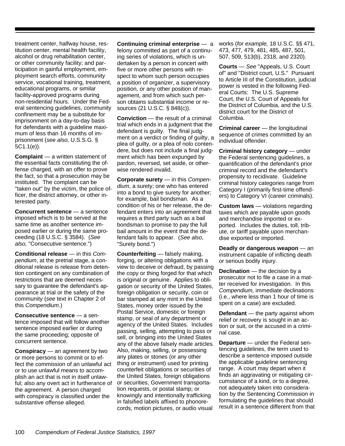treatment center, halfway house, restitution center, mental health facility, alcohol or drug rehabilitation center, or other community facility; and participation in gainful employment, employment search efforts, community service, vocational training, treatment, educational programs, or similar facility-approved programs during non-residential hours. Under the Federal sentencing guidelines, community confinement may be a substitute for imprisonment on a day-to-day basis for defendants with a guideline maximum of less than 16 months of imprisonment (*see also,* U.S.S.G. § 5C1.1(e)).

**Complaint** — a written statement of the essential facts constituting the offense charged, with an offer to prove the fact, so that a prosecution may be instituted. The complaint can be "taken out" by the victim, the police officer, the district attorney, or other interested party.

**Concurrent sentence** — a sentence imposed which is to be served at the same time as another sentence imposed earlier or during the same proceeding (18 U.S.C. § 3584). (*See also,* "Consecutive sentence.")

**Conditional release** — in this *Compendium*, at the pretrial stage, a conditional release is release from detention contingent on any combination of restrictions that are deemed necessary to guarantee the defendant's appearance at trial or the safety of the community (*see* text in Chapter 2 of this *Compendium*.)

**Consecutive sentence** — a sentence imposed that will follow another sentence imposed earlier or during the same proceeding; opposite of concurrent sentence.

**Conspiracy** — an agreement by two or more persons to commit or to effect the commission of an unlawful act or to use unlawful means to accomplish an act that is not in itself unlawful; also any overt act in furtherance of the agreement. A person charged with conspiracy is classified under the substantive offense alleged.

**Continuing criminal enterprise** — a felony committed as part of a continuing series of violations, which is undertaken by a person in concert with five or more other persons with respect to whom such person occupies a position of organizer, a supervisory position, or any other position of management, and from which such person obtains substantial income or resources (21 U.S.C. § 848(c)).

**Conviction** — the result of a criminal trial which ends in a judgment that the defendant is guilty. The final judgment on a verdict or finding of guilty, a plea of guilty, or a plea of nolo contendere, but does not include a final judgment which has been expunged by pardon, reversed, set aside, or otherwise rendered invalid.

**Corporate surety** — in this *Compendium*, a surety; one who has entered into a bond to give surety for another; for example, bail bondsman. As a condition of his or her release, the defendant enters into an agreement that requires a third party such as a bail bondsman to promise to pay the full bail amount in the event that the defendant fails to appear. (*See also*, "Surety bond.")

**Counterfeiting** — falsely making, forging, or altering obligations with a view to deceive or defraud, by passing the copy or thing forged for that which is original or genuine. Applies to obligation or security of the United States, foreign obligation or security, coin or bar stamped at any mint in the United States, money order issued by the Postal Service, domestic or foreign stamp, or seal of any department or agency of the United States. Includes passing, selling, attempting to pass or sell, or bringing into the United States any of the above falsely made articles. Also, making, selling, or possessing any plates or stones (or any other thing or instrument) used for printing counterfeit obligations or securities of the United States, foreign obligations or securities, Government transportation requests, or postal stamp; or knowingly and intentionally trafficking in falsified labels affixed to phonorecords, motion pictures, or audio visual

works (*for example,* 18 U.S.C. §§ 471, 473, 477, 479, 481, 485, 487, 501, 507, 509, 513(b), 2318, and 2320).

**Courts** — *See* "Appeals, U.S. Court of" and "District court, U.S." Pursuant to Article III of the Constitution, judicial power is vested in the following Federal Courts: The U.S. Supreme Court, the U.S. Court of Appeals for the District of Columbia, and the U.S. district court for the District of Columbia.

**Criminal career** — the longitudinal sequence of crimes committed by an individual offender.

**Criminal history category** — under the Federal sentencing guidelines, a quantification of the defendant's prior criminal record and the defendant's propensity to recidivate. Guideline criminal history categories range from Category I (primarily first-time offenders) to Category VI (career criminals).

**Custom laws** — violations regarding taxes which are payable upon goods and merchandise imported or exported. Includes the duties, toll, tribute, or tariff payable upon merchandise exported or imported.

**Deadly or dangerous weapon** — an instrument capable of inflicting death or serious bodily injury.

**Declination** — the decision by a prosecutor not to file a case in a matter received for investigation. In this *Compendium*, immediate declinations (i.e., where less than 1 hour of time is spent on a case) are excluded.

**Defendant** — the party against whom relief or recovery is sought in an action or suit, or the accused in a criminal case.

**Departure** — under the Federal sentencing guidelines, the term used to describe a sentence imposed outside the applicable guideline sentencing range. A court may depart when it finds an aggravating or mitigating circumstance of a kind, or to a degree, not adequately taken into consideration by the Sentencing Commission in formulating the guidelines that should result in a sentence different from that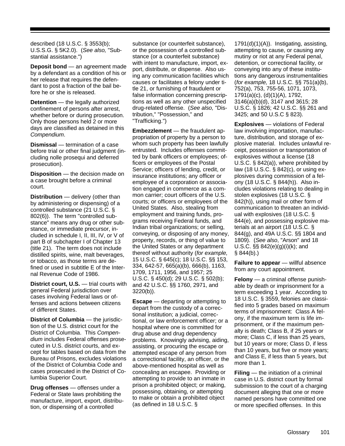described (18 U.S.C. § 3553(b); U.S.S.G. § 5K2.0). (*See also,* "Substantial assistance.")

**Deposit bond** — an agreement made by a defendant as a condition of his or her release that requires the defendant to post a fraction of the bail before he or she is released.

**Detention** — the legally authorized confinement of persons after arrest, whether before or during prosecution. Only those persons held 2 or more days are classified as detained in this *Compendium*.

**Dismissal** — termination of a case before trial or other final judgment (including nolle prosequi and deferred prosecution).

**Disposition** — the decision made on a case brought before a criminal court.

**Distribution** — delivery (other than by administering or dispensing) of a controlled substance (21 U.S.C. § 802(6)). The term "controlled substance" means any drug or other substance, or immediate precursor, included in schedule I, II, III, IV, or V of part B of subchapter I of Chapter 13 (title 21). The term does not include distilled spirits, wine, malt beverages, or tobacco, as those terms are defined or used in subtitle E of the Internal Revenue Code of 1986.

**District court, U.S.** — trial courts with general Federal jurisdiction over cases involving Federal laws or offenses and actions between citizens of different States.

**District of Columbia** — the jurisdiction of the U.S. district court for the District of Columbia. This *Compendium* includes Federal offenses prosecuted in U.S. district courts, and except for tables based on data from the Bureau of Prisons, excludes violations of the District of Columbia Code and cases prosecuted in the District of Columbia Superior Court.

**Drug offenses** — offenses under a Federal or State laws prohibiting the manufacture, import, export, distribution, or dispensing of a controlled

substance (or counterfeit substance), or the possession of a controlled substance (or a counterfeit substance) with intent to manufacture, import, export, distribute, or dispense. Also using any communication facilities which causes or facilitates a felony under title 21, or furnishing of fraudulent or false information concerning prescriptions as well as any other unspecified drug-related offense. (*See also,* "Distribution," "Possession," and "Trafficking.")

**Embezzlement** — the fraudulent appropriation of property by a person to whom such property has been lawfully entrusted. Includes offenses committed by bank officers or employees; officers or employees of the Postal Service; officers of lending, credit, or insurance institutions; any officer or employee of a corporation or association engaged in commerce as a common carrier; court officers of the U.S. courts; or officers or employees of the United States. Also, stealing from employment and training funds, programs receiving Federal funds, and Indian tribal organizations; or selling, conveying, or disposing of any money, property, records, or thing of value to the United States or any department thereof without authority (*for example,* 15 U.S.C. § 645(c); 18 U.S.C. §§ 153, 334, 642-57, 665(a)(b), 666(b), 1163, 1709, 1711, 1956, and 1957; 25 U.S.C. § 450(d); 29 U.S.C. § 502(b); and 42 U.S.C. §§ 1760, 2971, and 3220(b)).

**Escape** — departing or attempting to depart from the custody of a correctional institution; a judicial, correctional, or law enforcement officer; or a hospital where one is committed for drug abuse and drug dependency problems. Knowingly advising, aiding, assisting, or procuring the escape or attempted escape of any person from a correctional facility, an officer, or the above-mentioned hospital as well as concealing an escapee. Providing or attempting to provide to an inmate in prison a prohibited object; or making, possessing, obtaining, or attempting to make or obtain a prohibited object (as defined in 18 U.S.C. §

1791(d)(1)(A)). Instigating, assisting, attempting to cause, or causing any mutiny or riot at any Federal penal, detention, or correctional facility, or conveying into any of these institutions any dangerous instrumentalities (*for example,* 18 U.S.C. §§ 751(a)(b), 752(a), 753, 755-56, 1071, 1073, 1791(a)(c), (d)(1)(A), 1792, 3146(a)(b)(d), 3147 and 3615; 28 U.S.C. § 1826; 42 U.S.C. §§ 261 and 3425; and 50 U.S.C § 823).

**Explosives** — violations of Federal law involving importation, manufacture, distribution, and storage of explosive material. Includes unlawful receipt, possession or transportation of explosives without a license (18 U.S.C. § 842(a)), where prohibited by law (18 U.S.C. § 842(c), or using explosives during commission of a felony (18 U.S.C. § 844(h)). Also includes violations relating to dealing in stolen explosives (18 U.S.C. § 842(h)), using mail or other form of communication to threaten an individual with explosives (18 U.S.C. § 844(e), and possessing explosive materials at an airport (18 U.S.C. § 844(g), and 49A U.S.C. §§ 1804 and 1809). (*See also*, "Arson" and 18 U.S.C. §§ 842(e)(g)(i)(k); and § 844(b).)

**Failure to appear** — willful absence from any court appointment.

**Felony** — a criminal offense punishable by death or imprisonment for a term exceeding 1 year. According to 18 U.S.C. § 3559, felonies are classified into 5 grades based on maximum terms of imprisonment: Class A felony, if the maximum term is life imprisonment, or if the maximum penalty is death; Class B, if 25 years or more; Class C, if less than 25 years, but 10 years or more; Class D, if less than 10 years, but five or more years; and Class E, if less than 5 years, but more than 1.

**Filing** — the initiation of a criminal case in U.S. district court by formal submission to the court of a charging document alleging that one or more named persons have committed one or more specified offenses. In this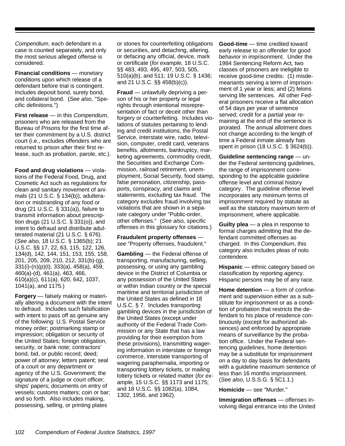*Compendium*, each defendant in a case is counted separately, and only the most serious alleged offense is considered.

**Financial conditions** — monetary conditions upon which release of a defendant before trial is contingent. Includes deposit bond, surety bond, and collateral bond. (*See also*, "Specific definitions.")

**First release** — in this *Compendium*, prisoners who are released from the Bureau of Prisons for the first time after their commitment by a U.S. district court (i.e., excludes offenders who are returned to prison after their first release, such as probation, parole, etc.).

**Food and drug violations** — violations of the Federal Food, Drug, and Cosmetic Act such as regulations for clean and sanitary movement of animals (21 U.S.C. § 134(b)), adulteration or misbranding of any food or drug (21 U.S.C. § 331(a)), failure to transmit information about prescription drugs (21 U.S.C. § 331(o)), and intent to defraud and distribute adulterated material (21 U.S.C. § 676). (*See also*, 18 U.S.C. § 1365(b); 21 U.S.C. §§ 17, 22, 63, 115, 122, 126, 134(d), 142, 144, 151, 153, 155, 158, 201, 205, 209, 210, 212, 331(b)-(g), 331(i)-(n)(p)(t), 333(a), 458(a), 459, 460(a)-(d), 461(a), 463, 466, 610(a)(c), 611(a), 620, 642, 1037, 1041(a), and 1175.)

**Forgery** — falsely making or materially altering a document with the intent to defraud. Includes such falsification with intent to pass off as genuine any of the following: U.S. Postal Service money order; postmarking stamp or impression; obligation or security of the United States; foreign obligation, security, or bank note; contractors' bond, bid, or public record; deed; power of attorney; letters patent; seal of a court or any department or agency of the U.S. Government; the signature of a judge or court officer; ships' papers; documents on entry of vessels; customs matters; coin or bar; and so forth. Also includes making, possessing, selling, or printing plates

or stones for counterfeiting obligations or securities, and detaching, altering, or defacing any official, device, mark or certificate (*for example,* 18 U.S.C. §§ 483, 493, 495, 497, 503, 505, 510(a)(b), and 511; 19 U.S.C. § 1436; and 21 U.S.C. §§ 458(b)(c)).

**Fraud** — unlawfully depriving a person of his or her property or legal rights through intentional misrepresentation of fact or deceit other than forgery or counterfeiting. Includes violations of statutes pertaining to lending and credit institutions, the Postal Service, interstate wire, radio, television, computer, credit card, veterans benefits, allotments, bankruptcy, marketing agreements, commodity credit, the Securities and Exchange Commission, railroad retirement, unemployment, Social Security, food stamp, false personation, citizenship, passports, conspiracy, and claims and statements, excluding tax fraud. The category excludes fraud involving tax violations that are shown in a separate category under "Public-order, other offenses." (*See also,* specific offenses in this glossary for citations.)

**Fraudulent property offenses** *see* "Property offenses, fraudulent."

**Gambling** — the Federal offense of transporting, manufacturing, selling, possessing, or using any gambling device in the District of Columbia or any possession of the United States or within Indian country or the special maritime and territorial jurisdiction of the United States as defined in 18 U.S.C. § 7. Includes transporting gambling devices in the jurisdiction of the United States (except under authority of the Federal Trade Commission or any State that has a law providing for their exemption from these provisions), transmitting wagering information in interstate or foreign commerce, interstate transporting of wagering paraphernalia, importing or transporting lottery tickets, or mailing lottery tickets or related matter (*for example,* 15 U.S.C. §§ 1173 and 1175; and 18 U.S.C. §§ 1082(a), 1084, 1302, 1956, and 1962).

**Good-time** — time credited toward early release to an offender for good behavior in imprisonment. Under the 1984 Sentencing Reform Act, two classes of prisoners are ineligible to receive good-time credits: (1) misdemeanants serving a term of imprisonment of 1 year or less; and (2) felons serving life sentences. All other Federal prisoners receive a flat allocation of 54 days per year of sentence served; credit for a partial year remaining at the end of the sentence is prorated. The annual allotment does not change according to the length of time a Federal inmate already has spent in prison (18 U.S.C. § 3624(b)).

**Guideline sentencing range** — under the Federal sentencing guidelines, the range of imprisonment corresponding to the applicable guideline offense level and criminal history category. The guideline offense level incorporates any minimum terms of imprisonment required by statute as well as the statutory maximum term of imprisonment, where applicable.

**Guilty plea** — a plea in response to formal charges admitting that the defendant committed offenses as charged. In this *Compendium*, this category also includes pleas of nolo contendere*.*

**Hispanic** — ethnic category based on classification by reporting agency. Hispanic persons may be of any race.

**Home detention** — a form of confinement and supervision either as a substitute for imprisonment or as a condition of probation that restricts the defendant to his place of residence continuously (except for authorized absences) and enforced by appropriate means of surveillance by the probation office. Under the Federal sentencing guidelines, home detention may be a substitute for imprisonment on a day to day basis for defendants with a guideline maximum sentence of less than 16 months imprisonment. (*See also*, U.S.S.G. § 5C1.1.)

**Homicide** — see "Murder."

**Immigration offenses** — offenses involving illegal entrance into the United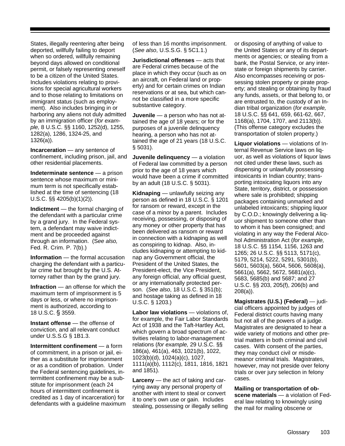States, illegally reentering after being deported, willfully failing to deport when so ordered, willfully remaining beyond days allowed on conditional permit, or falsely representing oneself to be a citizen of the United States. Includes violations relating to provisions for special agricultural workers and to those relating to limitations on immigrant status (such as employment). Also includes bringing in or harboring any aliens not duly admitted by an immigration officer (*for example,* 8 U.S.C. §§ 1160, 1252(d), 1255, 1282(a), 1286, 1324-25, and 1326(a)).

**Incarceration** — any sentence of confinement, including prison, jail, and other residential placements.

**Indeterminate sentence** — a prison sentence whose maximum or minimum term is not specifically established at the time of sentencing (18 U.S.C. §§ 4205(b)(1)(2)).

**Indictment** — the formal charging of the defendant with a particular crime by a grand jury. In the Federal system, a defendant may waive indictment and be proceeded against through an information. (S*ee also,*  Fed. R. Crim. P. 7(b).)

**Information** — the formal accusation charging the defendant with a particular crime but brought by the U.S. Attorney rather than by the grand jury.

**Infraction** — an offense for which the maximum term of imprisonment is 5 days or less, or where no imprisonment is authorized, according to 18 U.S.C. § 3559.

**Instant offense** — the offense of conviction, and all relevant conduct under U.S.S.G § 1B1.3.

**Intermittent confinement** — a form of commitment, in a prison or jail, either as a substitute for imprisonment or as a condition of probation. Under the Federal sentencing guidelines, intermittent confinement may be a substitute for imprisonment (each 24 hours of intermittent confinement is credited as 1 day of incarceration) for defendants with a guideline maximum of less than 16 months imprisonment. (*See also*, U.S.S.G. § 5C1.1.)

**Jurisdictional offenses** — acts that are Federal crimes because of the place in which they occur (such as on an aircraft, on Federal land or property) and for certain crimes on Indian reservations or at sea, but which cannot be classified in a more specific substantive category.

**Juvenile** — a person who has not attained the age of 18 years; or for the purposes of a juvenile delinquency hearing, a person who has not attained the age of 21 years (18 U.S.C. § 5031).

**Juvenile delinquency** — a violation of Federal law committed by a person prior to the age of 18 years which would have been a crime if committed by an adult (18 U.S.C. § 5031).

**Kidnaping** — unlawfully seizing any person as defined in 18 U.S.C. § 1201 for ransom or reward, except in the case of a minor by a parent. Includes receiving, possessing, or disposing of any money or other property that has been delivered as ransom or reward in connection with a kidnaping as well as conspiring to kidnap. Also, includes kidnaping or attempting to kidnap any Government official, the President of the United States, the President-elect, the Vice President, any foreign official, any official guest, or any internationally protected person. (*See also*, 18 U.S.C. § 351(b); and hostage taking as defined in 18 U.S.C. § 1203.)

**Labor law violations** — violations of, for example, the Fair Labor Standards Act of 1938 and the Taft-Hartley Act, which govern a broad spectrum of activities relating to labor-management relations (*for example,* 29 U.S.C. §§ 186(a), 461(a), 463, 1021(b), 1022, 1023(b)(d), 1024(a)(c), 1027, 1111(a)(b), 1112(c), 1811, 1816, 1821 and 1851).

**Larceny** — the act of taking and carrying away any personal property of another with intent to steal or convert it to one's own use or gain. Includes stealing, possessing or illegally selling or disposing of anything of value to the United States or any of its departments or agencies; or stealing from a bank, the Postal Service, or any interstate or foreign shipments by carrier. Also encompasses receiving or possessing stolen property or pirate property; and stealing or obtaining by fraud any funds, assets, or that belong to, or are entrusted to, the custody of an Indian tribal organization (*for example,* 18 U.S.C. §§ 641, 659, 661-62, 667, 1168(a), 1704, 1707, and 2113(b)). (This offense category excludes the transportation of stolen property.)

**Liquor violations** — violations of Internal Revenue Service laws on liquor, as well as violations of liquor laws not cited under these laws, such as dispensing or unlawfully possessing intoxicants in Indian country; transporting intoxicating liquors into any State, territory, district, or possession where sale is prohibited; shipping packages containing unmarked and unlabeled intoxicants; shipping liquor by C.O.D.; knowingly delivering a liquor shipment to someone other than to whom it has been consigned; and violating in any way the Federal Alcohol Administration Act (*for example,* 18 U.S.C. §§ 1154, 1156, 1263 and 1265; 26 U.S.C. §§ 5113, 5171(c), 5179, 5214, 5222, 5291, 5301(b), 5601, 5603(a), 5604, 5606, 5608(a), 5661(a), 5662, 5672, 5681(a)(c), 5683, 5685(b) and 5687; and 27 U.S.C. §§ 203, 205(f), 206(b) and 208(a)).

**Magistrates (U.S.) (Federal)** — judicial officers appointed by judges of Federal district courts having many but not all of the powers of a judge. Magistrates are designated to hear a wide variety of motions and other pretrial matters in both criminal and civil cases. With consent of the parties, they may conduct civil or misdemeanor criminal trials. Magistrates, however, may not preside over felony trials or over jury selection in felony cases.

**Mailing or transportation of obscene materials** — a violation of Federal law relating to knowingly using the mail for mailing obscene or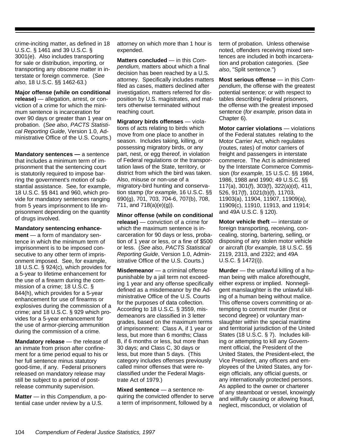crime-inciting matter, as defined in 18 U.S.C. § 1461 and 39 U.S.C. § 3001(e). Also includes transporting for sale or distribution, importing, or transporting any obscene matter in interstate or foreign commerce. (*See also*, 18 U.S.C. §§ 1462-63.)

**Major offense (while on conditional release)** — allegation, arrest, or conviction of a crime for which the minimum sentence is incarceration for over 90 days or greater than 1 year on probation. (*See also*, *PACTS Statistical Reporting Guide*, Version 1.0, Administrative Office of the U.S. Courts.)

**Mandatory sentences —** a sentence that includes a minimum term of imprisonment that the sentencing court is statutorily required to impose barring the government's motion of substantial assistance. See, for example, 18 U.S.C. §§ 841 and 960, which provide for mandatory sentences ranging from 5 years imprisonment to life imprisonment depending on the quantity of drugs involved.

## **Mandatory sentencing enhance-**

**ment** — a form of mandatory sentence in which the minimum term of imprisonment is to be imposed consecutive to any other term of imprisonment imposed. See, for example, 18 U.S.C. § 924(c), which provides for a 5-year to lifetime enhancement for the use of a firearm during the commission of a crime; 18 U.S.C. § 844(h), which provides for a 5-year enhancement for use of firearms or explosives during the commission of a crime; and 18 U.S.C. § 929 which provides for a 5-year enhancement for the use of armor-piercing ammunition during the commission of a crime.

**Mandatory release** — the release of an inmate from prison after confinement for a time period equal to his or her full sentence minus statutory good-time, if any. Federal prisoners released on mandatory release may still be subject to a period of postrelease community supervision.

**Matter** — in this *Compendium*, a potential case under review by a U.S.

attorney on which more than 1 hour is expended.

**Matters concluded** — in this *Compendium,* matters about which a final decision has been reached by a U.S. attorney. Specifically includes matters filed as cases, matters declined after investigation, matters referred for disposition by U.S. magistrates, and matters otherwise terminated without reaching court.

**Migratory birds offenses** — violations of acts relating to birds which move from one place to another in season. Includes taking, killing, or possessing migratory birds, or any part, nest, or egg thereof, in violation of Federal regulations or the transportation laws of the State, territory, or district from which the bird was taken. Also, misuse or non-use of a migratory-bird hunting and conservation stamp (*for example,* 16 U.S.C. §§ 690(g), 701, 703, 704-6, 707(b), 708, 711, and 718(a)(e)(g)).

**Minor offense (while on conditional release)** — conviction of a crime for which the maximum sentence is incarceration for 90 days or less, probation of 1 year or less, or a fine of \$500 or less. (*See also*, *PACTS Statistical Reporting Guide*, Version 1.0, Administrative Office of the U.S. Courts.)

**Misdemeanor** — a criminal offense punishable by a jail term not exceeding 1 year and any offense specifically defined as a misdemeanor by the Administrative Office of the U.S. Courts for the purposes of data collection. According to 18 U.S.C. § 3559, misdemeanors are classified in 3 letter grades, based on the maximum terms of imprisonment: Class A, if 1 year or less, but more than 6 months; Class B, if 6 months or less, but more than 30 days; and Class C, 30 days or less, but more than 5 days. (This category includes offenses previously called minor offenses that were reclassified under the Federal Magistrate Act of 1979.)

**Mixed sentence** — a sentence requiring the convicted offender to serve a term of imprisonment, followed by a

term of probation. Unless otherwise noted, offenders receiving mixed sentences are included in both incarceration and probation categories. (*See also*, "Split sentence.")

**Most serious offense** — in this *Compendium*, the offense with the greatest potential sentence; or with respect to tables describing Federal prisoners, the offense with the greatest imposed sentence (*for example,* prison data in Chapter 6).

**Motor carrier violations** — violations of the Federal statutes relating to the Motor Carrier Act, which regulates (routes, rates) of motor carriers of freight and passengers in interstate commerce. The Act is administered by the Interstate Commerce Commission (*for example,* 15 U.S.C. §§ 1984, 1986, 1988 and 1990; 49 U.S.C. §§ 117(a), 301(f), 303(f), 322(a)(d), 411, 526, 917(f), 1021(b)(f), 11703, 11903(a), 11904, 11907, 11909(a), 11909(c), 11910, 11913, and 11914; and 49A U.S.C. § 120).

**Motor vehicle theft** — interstate or foreign transporting, receiving, concealing, storing, bartering, selling, or disposing of any stolen motor vehicle or aircraft (*for example,* 18 U.S.C. §§ 2119, 2313, and 2322; and 49A U.S.C. § 1472(i)).

**Murder** — the unlawful killing of a human being with malice aforethought, either express or implied. Nonnegligent manslaughter is the unlawful killing of a human being without malice. This offense covers committing or attempting to commit murder (first or second degree) or voluntary manslaughter within the special maritime and territorial jurisdiction of the United States (18 U.S.C. § 7). Includes killing or attempting to kill any Government official, the President of the United States, the President-elect, the Vice President, any officers and employees of the United States, any foreign officials, any official guests, or any internationally protected persons. As applied to the owner or charterer of any steamboat or vessel, knowingly and willfully causing or allowing fraud, neglect, misconduct, or violation of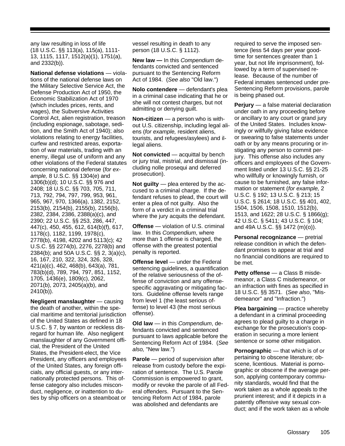any law resulting in loss of life (18 U.S.C. §§ 113(a), 115(a), 1111- 13, 1115, 1117, 1512(a)(1), 1751(a), and 2332(b)).

**National defense violations** — violations of the national defense laws on the Military Selective Service Act, the Defense Production Act of 1950, the Economic Stabilization Act of 1970 (which includes prices, rents, and wages), the Subversive Activities Control Act, alien registration, treason (including espionage, sabotage, sedition, and the Smith Act of 1940); also violations relating to energy facilities, curfew and restricted areas, exportation of war materials, trading with an enemy, illegal use of uniform and any other violations of the Federal statutes concerning national defense (*for example,* 8 U.S.C. §§ 1304(e) and 1306(b)(d); 10 U.S.C. §§ 976 and 2408; 18 U.S.C. §§ 703, 705, 711, 713, 792, 794, 797, 799, 953, 961, 965, 967, 970, 1366(a), 1382, 2152, 2153(b), 2154(b), 2155(b), 2156(b), 2382, 2384, 2386, 2388(a)(c), and 2390; 22 U.S.C. §§ 253, 286, 447, 447(c), 450, 455, 612, 614(b)(f), 617, 1178(c), 1182, 1199, 1978(c), 2778(b), 4198, 4202 and 5113(c); 42 U.S.C. §§ 2274(b), 2276, 2278(b) and 2384(b); and 50A U.S.C. §§ 2, 3(a)(c), 16, 167, 210, 322, 324, 326, 328, 421(a)(c), 462, 468(b), 643(a), 781, 783(b)(d), 789, 794, 797, 851, 1152, 1705, 1436(e), 1809(c), 2062, 2071(b), 2073, 2405(a)(b), and 2410(b)).

**Negligent manslaughter** — causing the death of another, within the special maritime and territorial jurisdiction of the United States as defined in 18 U.S.C. § 7, by wanton or reckless disregard for human life. Also negligent manslaughter of any Government official, the President of the United States, the President-elect, the Vice President, any officers and employees of the United States, any foreign officials, any official guests, or any internationally protected persons. This offense category also includes misconduct, negligence, or inattention to duties by ship officers on a steamboat or

vessel resulting in death to any person (18 U.S.C. § 1112).

**New law —** In this *Compendium* defendants convicted and sentenced pursuant to the Sentencing Reform Act of 1984. (*See also* "Old law.")

**Nolo contendere** — defendant's plea in a criminal case indicating that he or she will not contest charges, but not admitting or denying guilt.

**Non-citizen** — a person who is without U.S. citizenship, including legal aliens (*for example,* resident aliens, tourists, and refugees/asylees) and illegal aliens.

**Not convicted** — acquittal by bench or jury trial, mistrial, and dismissal (including nolle prosequi and deferred prosecution).

**Not guilty** — plea entered by the accused to a criminal charge. If the defendant refuses to plead, the court will enter a plea of not guilty. Also the form of a verdict in a criminal trial where the jury acquits the defendant.

**Offense** — violation of U.S. criminal law. In this *Compendium*, where more than 1 offense is charged, the offense with the greatest potential penalty is reported.

**Offense level** — under the Federal sentencing guidelines, a quantification of the relative seriousness of the offense of conviction and any offensespecific aggravating or mitigating factors. Guideline offense levels range from level 1 (the least serious offense) to level 43 (the most serious offense).

**Old law** — in this *Compendium*, defendants convicted and sentenced pursuant to laws applicable before the Sentencing Reform Act of 1984. (*See also,* "New law.")

**Parole** — period of supervision after release from custody before the expiration of sentence. The U.S. Parole Commission is empowered to grant, modify or revoke the parole of all Federal offenders. Pursuant to the Sentencing Reform Act of 1984, parole was abolished and defendants are

required to serve the imposed sentence (less 54 days per year goodtime for sentences greater than 1 year, but not life imprisonment), followed by a term of supervised release. Because of the number of Federal inmates sentenced under pre-Sentencing Reform provisions, parole is being phased out.

**Perjury** — a false material declaration under oath in any proceeding before or ancillary to any court or grand jury of the United States. Includes knowingly or willfully giving false evidence or swearing to false statements under oath or by any means procuring or instigating any person to commit perjury. This offense also includes any officers and employees of the Government listed under 13 U.S.C. §§ 21-25 who willfully or knowingly furnish, or cause to be furnished, any false information or statement (*for example,* 2 U.S.C. § 192; 13 U.S.C. § 213; 15 U.S.C. § 2614; 18 U.S.C. §§ 401, 402, 1504, 1506, 1508, 1510, 1512(b), 1513, and 1622; 28 U.S.C. § 1866(g); 42 U.S.C. § 5411; 43 U.S.C. § 104; and 49A U.S.C. §§ 1472 (m)(o)).

**Personal recognizance** — pretrial release condition in which the defendant promises to appear at trial and no financial conditions are required to be met.

**Petty offense** — a Class B misdemeanor, a Class C misdemeanor, or an infraction with fines as specified in 18 U.S.C. §§ 3571. (*See also*, "Misdemeanor" and "Infraction.")

**Plea bargaining** — practice whereby a defendant in a criminal proceeding agrees to plead guilty to a charge in exchange for the prosecution's cooperation in securing a more lenient sentence or some other mitigation.

**Pornographic** — that which is of or pertaining to obscene literature; obscene, licentious. Material is pornographic or obscene if the average person, applying contemporary community standards, would find that the work taken as a whole appeals to the prurient interest; and if it depicts in a patently offensive way sexual conduct; and if the work taken as a whole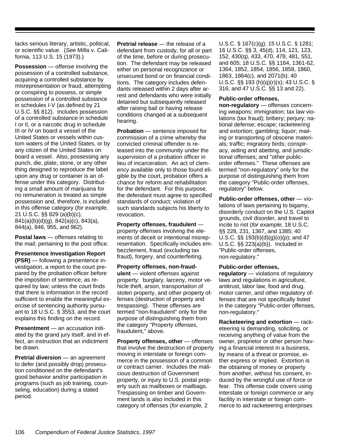lacks serious literary, artistic, political, or scientific value. (*See* Milla v. California, 113 U.S. 15 (1973).)

**Possession** — offense involving the possession of a controlled substance, acquiring a controlled substance by misrepresentation or fraud, attempting or conspiring to possess, or simple possession of a controlled substance in schedules I-V (as defined by 21 U.S.C. §§ 812). Includes possession of a controlled substance in schedule I or II, or a narcotic drug in schedule III or IV on board a vessel of the United States or vessels within custom waters of the United States, or by any citizen of the United States on board a vessel. Also, possessing any punch, die, plate, stone, or any other thing designed to reproduce the label upon any drug or container is an offense under this category. Distributing a small amount of marijuana for no remuneration is treated as simple possession and, therefore, is included in this offense category (*for example,* 21 U.S.C. §§ 829 (a)(b)(c), 841(a)(b)(d)(g), 842(a)(c), 843(a), 844(a), 846, 955, and 962).

**Postal laws** — offenses relating to the mail; pertaining to the post office.

**Presentence Investigation Report (PSR)** — following a presentence investigation, a report to the court prepared by the probation officer before the imposition of sentence, as required by law; unless the court finds that there is information in the record sufficient to enable the meaningful exercise of sentencing authority pursuant to 18 U.S.C. § 3553, and the court explains this finding on the record.

**Presentment** — an accusation initiated by the grand jury itself, and in effect, an instruction that an indictment be drawn.

**Pretrial diversion** — an agreement to defer (and possibly drop) prosecution conditioned on the defendant's good behavior and/or participation in programs (such as job training, counseling, education) during a stated period.

**Pretrial release** — the release of a defendant from custody, for all or part of the time, before or during prosecution. The defendant may be released either on personal recognizance or unsecured bond or on financial conditions. The category includes defendants released within 2 days after arrest and defendants who were initially detained but subsequently released after raising bail or having release conditions changed at a subsequent hearing.

**Probation** — sentence imposed for commission of a crime whereby the convicted criminal offender is released into the community under the supervision of a probation officer in lieu of incarceration. An act of clemency available only to those found eligible by the court, probation offers a chance for reform and rehabilitation for the defendant. For this purpose, the defendant must agree to specified standards of conduct; violation of such standards subjects his liberty to revocation.

**Property offenses, fraudulent** property offenses involving the elements of deceit or intentional misrepresentation. Specifically includes embezzlement, fraud (excluding tax fraud), forgery, and counterfeiting.

**Property offenses, non-fraudulent** — violent offenses against property: burglary, larceny, motor vehicle theft, arson, transportation of stolen property, and other property offenses (destruction of property and trespassing). These offenses are termed "non-fraudulent" only for the purpose of distinguishing them from the category "Property offenses, fraudulent," above.

**Property offenses, other** — offenses that involve the destruction of property moving in interstate or foreign commerce in the possession of a common or contract carrier. Includes the malicious destruction of Government property, or injury to U.S. postal property such as mailboxes or mailbags. Trespassing on timber and Government lands is also included in this category of offenses (*for example,* 2

U.S.C. § 167(c)(g); 15 U.S.C. § 1281; 16 U.S.C. §§ 3, 45(d), 114, 121, 123, 152, 430(q), 433, 470, 478, 481, 551, and 605; 18 U.S.C. §§ 1164, 1361-62, 1364, 1852, 1854, 1856, 1858, 1860, 1863, 1864(c), and 2071(b); 40 U.S.C. §§ 193 (h)(q)(r)(s); 43 U.S.C. § 316; and 47 U.S.C. §§ 13 and 22).

### **Public-order offenses,**

**non-regulatory** — offenses concerning weapons; immigration; tax law violations (tax fraud); bribery; perjury; national defense; escape; racketeering and extortion; gambling; liquor; mailing or transporting of obscene materials; traffic; migratory birds; conspiracy, aiding and abetting, and jurisdictional offenses; and "other publicorder offenses." These offenses are termed "non-regulatory" only for the purpose of distinguishing them from the category "Public-order offenses, regulatory" below.

**Public-order offenses, other** — violations of laws pertaining to bigamy, disorderly conduct on the U.S. Capitol grounds, civil disorder, and travel to incite to riot (*for example,* 18 U.S.C. §§ 228, 231, 1367, and 1385; 40 U.S.C.  $\S$  $\S$  193(b)(d)(g)(o)(p); and 47 U.S.C. §§ 223(a)(b)). Included in "Public-order offenses, non-regulatory."

## **Public-order offenses,**

**regulatory** — violations of regulatory laws and regulations in agriculture, antitrust, labor law, food and drug, motor carrier, and other regulatory offenses that are not specifically listed in the category "Public-order offenses, non-regulatory."

**Racketeering and extortion** — racketeering is demanding, soliciting, or receiving anything of value from the owner, proprietor or other person having a financial interest in a business, by means of a threat or promise, either express or implied. Extortion is the obtaining of money or property from another, without his consent, induced by the wrongful use of force or fear. This offense code covers using interstate or foreign commerce or any facility in interstate or foreign commerce to aid racketeering enterprises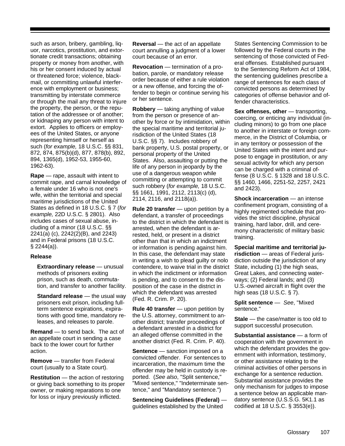such as arson, bribery, gambling, liquor, narcotics, prostitution, and extortionate credit transactions; obtaining property or money from another, with his or her consent induced by actual or threatened force; violence, blackmail, or committing unlawful interference with employment or business; transmitting by interstate commerce or through the mail any threat to injure the property, the person, or the reputation of the addressee or of another; or kidnaping any person with intent to extort. Applies to officers or employees of the United States, or anyone representing himself or herself as such (*for example,* 18 U.S.C. §§ 831, 872, 874, 875(b)(d), 877, 878(b), 892, 894, 1365(d), 1952-53, 1955-60, 1962-63).

**Rape** — rape, assault with intent to commit rape, and carnal knowledge of a female under 16 who is not one's wife, within the territorial and special maritime jurisdictions of the United States as defined in 18 U.S.C. § 7 (*for example,* 22D U.S.C. § 2801). Also includes cases of sexual abuse, including of a minor (18 U.S.C. §§ 2241(a) (c), 2242(2)(B), and 2243) and in Federal prisons (18 U.S.C.  $§$  2244(a)).

## **Release**

**Extraordinary release** — unusual methods of prisoners exiting prison, such as death, commutation, and transfer to another facility.

**Standard release** — the usual way prisoners exit prison, including fullterm sentence expirations, expirations with good time, mandatory releases, and releases to parole.

**Remand** — to send back. The act of an appellate court in sending a case back to the lower court for further action.

**Remove** — transfer from Federal court (usually to a State court).

**Restitution** — the action of restoring or giving back something to its proper owner, or making reparations to one for loss or injury previously inflicted.

**Reversal** — the act of an appellate court annulling a judgment of a lower court because of an error.

**Revocation** — termination of a probation, parole, or mandatory release order because of either a rule violation or a new offense, and forcing the offender to begin or continue serving his or her sentence.

**Robbery** — taking anything of value from the person or presence of another by force or by intimidation, within the special maritime and territorial jurisdiction of the United States (18 U.S.C. §§ 7). Includes robbery of bank property, U.S. postal property, or personal property of the United States. Also, assaulting or putting the life of any person in jeopardy by the use of a dangerous weapon while committing or attempting to commit such robbery (*for example,* 18 U.S.C. §§ 1661, 1991, 2112, 2113(c) (d), 2114, 2116, and 2118(a)).

**Rule 20 transfer** — upon petition by a defendant, a transfer of proceedings to the district in which the defendant is arrested, when the defendant is arrested, held, or present in a district other than that in which an indictment or information is pending against him. In this case, the defendant may state in writing a wish to plead guilty or nolo contendere, to waive trial in the district in which the indictment or information is pending, and to consent to the disposition of the case in the district in which the defendant was arrested (Fed. R. Crim. P. 20).

**Rule 40 transfer** — upon petition by the U.S. attorney, commitment to another district; transfer proceedings of a defendant arrested in a district for an alleged offense committed in the another district (Fed. R. Crim. P. 40).

**Sentence** — sanction imposed on a convicted offender. For sentences to incarceration, the maximum time the offender may be held in custody is reported. (*See also*, "Split sentence," "Mixed sentence," "Indeterminate sentence," and "Mandatory sentence.")

**Sentencing Guidelines (Federal)** guidelines established by the United

States Sentencing Commission to be followed by the Federal courts in the sentencing of those convicted of Federal offenses. Established pursuant to the Sentencing Reform Act of 1984, the sentencing guidelines prescribe a range of sentences for each class of convicted persons as determined by categories of offense behavior and offender characteristics.

**Sex offenses, other** — transporting, coercing, or enticing any individual (including minors) to go from one place to another in interstate or foreign commerce, in the District of Columbia, or in any territory or possession of the United States with the intent and purpose to engage in prostitution, or any sexual activity for which any person can be charged with a criminal offense (8 U.S.C. § 1328 and 18 U.S.C. §§ 1460, 1466, 2251-52, 2257, 2421 and 2423).

**Shock incarceration** — an intense confinement program, consisting of a highly regimented schedule that provides the strict discipline, physical training, hard labor, drill, and ceremony characteristic of military basic training.

**Special maritime and territorial jurisdiction** — areas of Federal jurisdiction outside the jurisdiction of any State, including (1) the high seas, Great Lakes, and connecting waterways; (2) Federal lands; and (3) U.S.-owned aircraft in flight over the high seas (18 U.S.C. § 7).

**Split sentence** — *See*, "Mixed sentence."

**Stale** — the case/matter is too old to support successful prosecution.

**Substantial assistance** — a form of cooperation with the government in which the defendant provides the government with information, testimony, or other assistance relating to the criminal activities of other persons in exchange for a sentence reduction. Substantial assistance provides the only mechanism for judges to impose a sentence below an applicable mandatory sentence (U.S.S.G. 5K1.1 as codified at 18 U.S.C. § 3553(e)).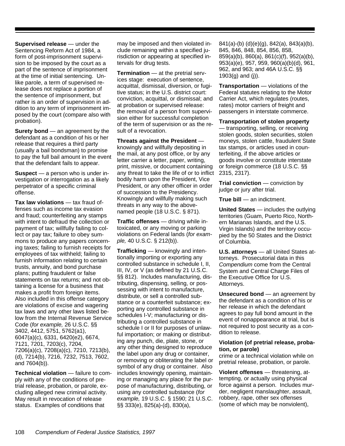**Supervised release** — under the Sentencing Reform Act of 1984, a form of post-imprisonment supervision to be imposed by the court as a part of the sentence of imprisonment at the time of initial sentencing. Unlike parole, a term of supervised release does not replace a portion of the sentence of imprisonment, but rather is an order of supervision in addition to any term of imprisonment imposed by the court (compare also with probation).

**Surety bond** — an agreement by the defendant as a condition of his or her release that requires a third party (usually a bail bondsman) to promise to pay the full bail amount in the event that the defendant fails to appear.

**Suspect** — a person who is under investigation or interrogation as a likely perpetrator of a specific criminal offense.

**Tax law violations** — tax fraud offenses such as income tax evasion and fraud; counterfeiting any stamps with intent to defraud the collection or payment of tax; willfully failing to collect or pay tax; failure to obey summons to produce any papers concerning taxes; failing to furnish receipts for employees of tax withheld; failing to furnish information relating to certain trusts, annuity, and bond purchase plans; putting fraudulent or false statements on tax returns; and not obtaining a license for a business that makes a profit from foreign items. Also included in this offense category are violations of excise and wagering tax laws and any other laws listed below from the Internal Revenue Service Code (*for example,* 26 U.S.C. §§ 3402, 4412, 5751, 5762(a1), 6047(a)(c), 6331, 6420(e2), 6674, 7121, 7201, 7203(c), 7204, 7206(a)(c), 7208(a)(c), 7210, 7213(b), (d), 7214(b), 7216, 7232, 7513, 7602, and 7604(b)).

**Technical violation** — failure to comply with any of the conditions of pretrial release, probation, or parole, excluding alleged new criminal activity. May result in revocation of release status. Examples of conditions that

may be imposed and then violated include remaining within a specified jurisdiction or appearing at specified intervals for drug tests.

**Termination** — at the pretrial services stage: execution of sentence, acquittal, dismissal, diversion, or fugitive status; in the U.S. district court: conviction, acquittal, or dismissal; and at probation or supervised release: the removal of a person from supervision either for successful completion of the term of supervision or as the result of a revocation.

**Threats against the President** knowingly and willfully depositing in the mail, at any post office, or by any letter carrier a letter, paper, writing, print, missive, or document containing any threat to take the life of or to inflict bodily harm upon the President, Vice President, or any other officer in order of succession to the Presidency. Knowingly and willfully making such threats in any way to the abovenamed people (18 U.S.C. § 871).

**Traffic offenses** — driving while intoxicated, or any moving or parking violations on Federal lands (*for example,* 40 U.S.C. § 212(b)).

**Trafficking** — knowingly and intentionally importing or exporting any controlled substance in schedule I, II, III, IV, or V (as defined by 21 U.S.C. §§ 812). Includes manufacturing, distributing, dispensing, selling, or possessing with intent to manufacture, distribute, or sell a controlled substance or a counterfeit substance; exporting any controlled substance in schedules I-V; manufacturing or distributing a controlled substance in schedule I or II for purposes of unlawful importation; or making or distributing any punch, die, plate, stone, or any other thing designed to reproduce the label upon any drug or container, or removing or obliterating the label or symbol of any drug or container. Also includes knowingly opening, maintaining or managing any place for the purpose of manufacturing, distributing, or using any controlled substance (*for example,* 19 U.S.C. § 1590; 21 U.S.C. §§ 333(e), 825(a)-(d), 830(a),

841(a)-(b) (d)(e)(g), 842(a), 843(a)(b), 845, 846, 848, 854, 856, 858, 859(a)(b), 860(a), 861(c)(f), 952(a)(b), 953(a)(e), 957, 959, 960(a)(b)(d), 961, 962, and 963; and 46A U.S.C. §§ 1903(g) and (j)).

**Transportation** — violations of the Federal statutes relating to the Motor Carrier Act, which regulates (routes, rates) motor carriers of freight and passengers in interstate commerce.

**Transportation of stolen property** — transporting, selling, or receiving stolen goods, stolen securities, stolen moneys, stolen cattle, fraudulent State tax stamps, or articles used in counterfeiting, if the above articles or goods involve or constitute interstate

2315, 2317). **Trial conviction** — conviction by

or foreign commerce (18 U.S.C. §§

judge or jury after trial.

**True bill** — an indictment.

**United States** — includes the outlying territories (Guam, Puerto Rico, Northern Marianas Islands, and the U.S. Virgin Islands) and the territory occupied by the 50 States and the District of Columbia.

**U.S. attorneys** — all United States attorneys. Prosecutorial data in this *Compendium* come from the Central System and Central Charge Files of the Executive Office for U.S. Attorneys.

**Unsecured bond** — an agreement by the defendant as a condition of his or her release in which the defendant agrees to pay full bond amount in the event of nonappearance at trial, but is not required to post security as a condition to release.

# **Violation (of pretrial release, probation, or parole)**

crime or a technical violation while on pretrial release, probation, or parole.

**Violent offenses** — threatening, attempting, or actually using physical force against a person. Includes murder, negligent manslaughter, assault, robbery, rape, other sex offenses (some of which may be nonviolent),